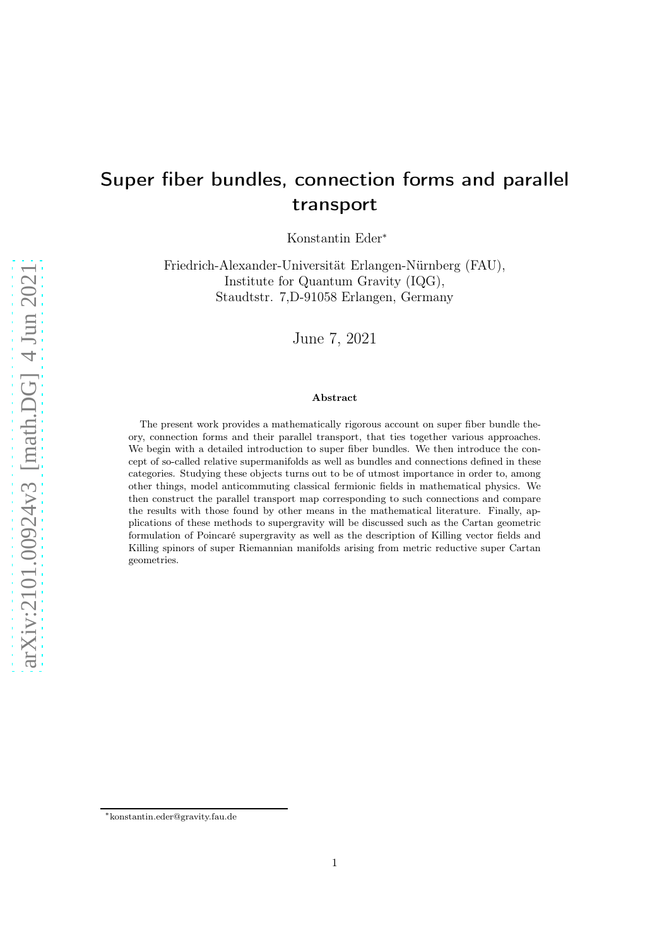# Super fiber bundles, connection forms and parallel transport

Konstantin Eder<sup>∗</sup>

Friedrich-Alexander-Universität Erlangen-Nürnberg (FAU), Institute for Quantum Gravity (IQG), Staudtstr. 7,D-91058 Erlangen, Germany

June 7, 2021

#### Abstract

The present work provides a mathematically rigorous account on super fiber bundle theory, connection forms and their parallel transport, that ties together various approaches. We begin with a detailed introduction to super fiber bundles. We then introduce the concept of so-called relative supermanifolds as well as bundles and connections defined in these categories. Studying these objects turns out to be of utmost importance in order to, among other things, model anticommuting classical fermionic fields in mathematical physics. We then construct the parallel transport map corresponding to such connections and compare the results with those found by other means in the mathematical literature. Finally, applications of these methods to supergravity will be discussed such as the Cartan geometric formulation of Poincaré supergravity as well as the description of Killing vector fields and Killing spinors of super Riemannian manifolds arising from metric reductive super Cartan geometries.

<sup>∗</sup>konstantin.eder@gravity.fau.de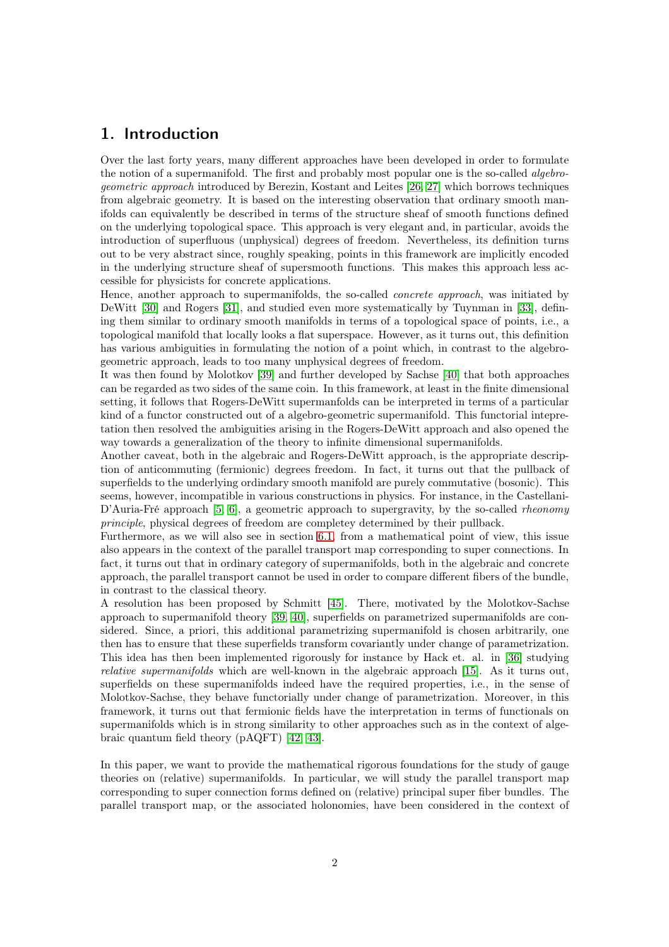## 1. Introduction

Over the last forty years, many different approaches have been developed in order to formulate the notion of a supermanifold. The first and probably most popular one is the so-called *algebro*geometric approach introduced by Berezin, Kostant and Leites [\[26,](#page-61-0) [27\]](#page-61-1) which borrows techniques from algebraic geometry. It is based on the interesting observation that ordinary smooth manifolds can equivalently be described in terms of the structure sheaf of smooth functions defined on the underlying topological space. This approach is very elegant and, in particular, avoids the introduction of superfluous (unphysical) degrees of freedom. Nevertheless, its definition turns out to be very abstract since, roughly speaking, points in this framework are implicitly encoded in the underlying structure sheaf of supersmooth functions. This makes this approach less accessible for physicists for concrete applications.

Hence, another approach to supermanifolds, the so-called *concrete approach*, was initiated by DeWitt [\[30\]](#page-61-2) and Rogers [\[31\]](#page-61-3), and studied even more systematically by Tuynman in [\[33\]](#page-61-4), defining them similar to ordinary smooth manifolds in terms of a topological space of points, i.e., a topological manifold that locally looks a flat superspace. However, as it turns out, this definition has various ambiguities in formulating the notion of a point which, in contrast to the algebrogeometric approach, leads to too many unphysical degrees of freedom.

It was then found by Molotkov [\[39\]](#page-62-0) and further developed by Sachse [\[40\]](#page-62-1) that both approaches can be regarded as two sides of the same coin. In this framework, at least in the finite dimensional setting, it follows that Rogers-DeWitt supermanfolds can be interpreted in terms of a particular kind of a functor constructed out of a algebro-geometric supermanifold. This functorial intepretation then resolved the ambiguities arising in the Rogers-DeWitt approach and also opened the way towards a generalization of the theory to infinite dimensional supermanifolds.

Another caveat, both in the algebraic and Rogers-DeWitt approach, is the appropriate description of anticommuting (fermionic) degrees freedom. In fact, it turns out that the pullback of superfields to the underlying ordindary smooth manifold are purely commutative (bosonic). This seems, however, incompatible in various constructions in physics. For instance, in the Castellani-D'Auria-Fré approach [\[5,](#page-60-0) [6\]](#page-60-1), a geometric approach to supergravity, by the so-called rheonomy principle, physical degrees of freedom are completey determined by their pullback.

Furthermore, as we will also see in section [6.1,](#page-31-0) from a mathematical point of view, this issue also appears in the context of the parallel transport map corresponding to super connections. In fact, it turns out that in ordinary category of supermanifolds, both in the algebraic and concrete approach, the parallel transport cannot be used in order to compare different fibers of the bundle, in contrast to the classical theory.

A resolution has been proposed by Schmitt [\[45\]](#page-62-2). There, motivated by the Molotkov-Sachse approach to supermanifold theory [\[39,](#page-62-0) [40\]](#page-62-1), superfields on parametrized supermanifolds are considered. Since, a priori, this additional parametrizing supermanifold is chosen arbitrarily, one then has to ensure that these superfields transform covariantly under change of parametrization. This idea has then been implemented rigorously for instance by Hack et. al. in [\[36\]](#page-61-5) studying relative supermanifolds which are well-known in the algebraic approach [\[15\]](#page-60-2). As it turns out, superfields on these supermanifolds indeed have the required properties, i.e., in the sense of Molotkov-Sachse, they behave functorially under change of parametrization. Moreover, in this framework, it turns out that fermionic fields have the interpretation in terms of functionals on supermanifolds which is in strong similarity to other approaches such as in the context of algebraic quantum field theory (pAQFT) [\[42,](#page-62-3) [43\]](#page-62-4).

In this paper, we want to provide the mathematical rigorous foundations for the study of gauge theories on (relative) supermanifolds. In particular, we will study the parallel transport map corresponding to super connection forms defined on (relative) principal super fiber bundles. The parallel transport map, or the associated holonomies, have been considered in the context of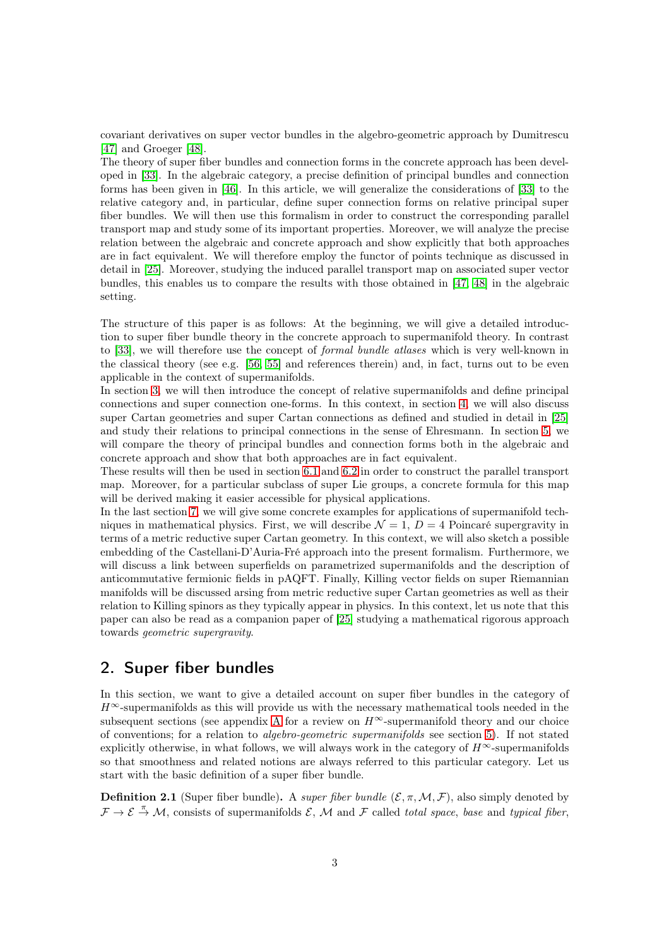covariant derivatives on super vector bundles in the algebro-geometric approach by Dumitrescu [\[47\]](#page-62-5) and Groeger [\[48\]](#page-62-6).

The theory of super fiber bundles and connection forms in the concrete approach has been developed in [\[33\]](#page-61-4). In the algebraic category, a precise definition of principal bundles and connection forms has been given in [\[46\]](#page-62-7). In this article, we will generalize the considerations of [\[33\]](#page-61-4) to the relative category and, in particular, define super connection forms on relative principal super fiber bundles. We will then use this formalism in order to construct the corresponding parallel transport map and study some of its important properties. Moreover, we will analyze the precise relation between the algebraic and concrete approach and show explicitly that both approaches are in fact equivalent. We will therefore employ the functor of points technique as discussed in detail in [\[25\]](#page-61-6). Moreover, studying the induced parallel transport map on associated super vector bundles, this enables us to compare the results with those obtained in [\[47,](#page-62-5) [48\]](#page-62-6) in the algebraic setting.

The structure of this paper is as follows: At the beginning, we will give a detailed introduction to super fiber bundle theory in the concrete approach to supermanifold theory. In contrast to [\[33\]](#page-61-4), we will therefore use the concept of formal bundle atlases which is very well-known in the classical theory (see e.g. [\[56,](#page-62-8) [55\]](#page-62-9) and references therein) and, in fact, turns out to be even applicable in the context of supermanifolds.

In section [3,](#page-14-0) we will then introduce the concept of relative supermanifolds and define principal connections and super connection one-forms. In this context, in section [4,](#page-24-0) we will also discuss super Cartan geometries and super Cartan connections as defined and studied in detail in [\[25\]](#page-61-6) and study their relations to principal connections in the sense of Ehresmann. In section [5,](#page-28-0) we will compare the theory of principal bundles and connection forms both in the algebraic and concrete approach and show that both approaches are in fact equivalent.

These results will then be used in section [6.1](#page-31-0) and [6.2](#page-35-0) in order to construct the parallel transport map. Moreover, for a particular subclass of super Lie groups, a concrete formula for this map will be derived making it easier accessible for physical applications.

In the last section [7,](#page-41-0) we will give some concrete examples for applications of supermanifold techniques in mathematical physics. First, we will describe  $\mathcal{N} = 1$ ,  $D = 4$  Poincaré supergravity in terms of a metric reductive super Cartan geometry. In this context, we will also sketch a possible embedding of the Castellani-D'Auria-Fré approach into the present formalism. Furthermore, we will discuss a link between superfields on parametrized supermanifolds and the description of anticommutative fermionic fields in pAQFT. Finally, Killing vector fields on super Riemannian manifolds will be discussed arsing from metric reductive super Cartan geometries as well as their relation to Killing spinors as they typically appear in physics. In this context, let us note that this paper can also be read as a companion paper of [\[25\]](#page-61-6) studying a mathematical rigorous approach towards geometric supergravity.

## 2. Super fiber bundles

In this section, we want to give a detailed account on super fiber bundles in the category of  $H^{\infty}$ -supermanifolds as this will provide us with the necessary mathematical tools needed in the subsequent sections (see appendix [A](#page-54-0) for a review on  $H^{\infty}$ -supermanifold theory and our choice of conventions; for a relation to algebro-geometric supermanifolds see section [5\)](#page-28-0). If not stated explicitly otherwise, in what follows, we will always work in the category of  $H^{\infty}$ -supermanifolds so that smoothness and related notions are always referred to this particular category. Let us start with the basic definition of a super fiber bundle.

**Definition 2.1** (Super fiber bundle). A super fiber bundle  $(\mathcal{E}, \pi, \mathcal{M}, \mathcal{F})$ , also simply denoted by  $\mathcal{F} \to \mathcal{E} \to \mathcal{M}$ , consists of supermanifolds  $\mathcal{E}$ , M and F called total space, base and typical fiber,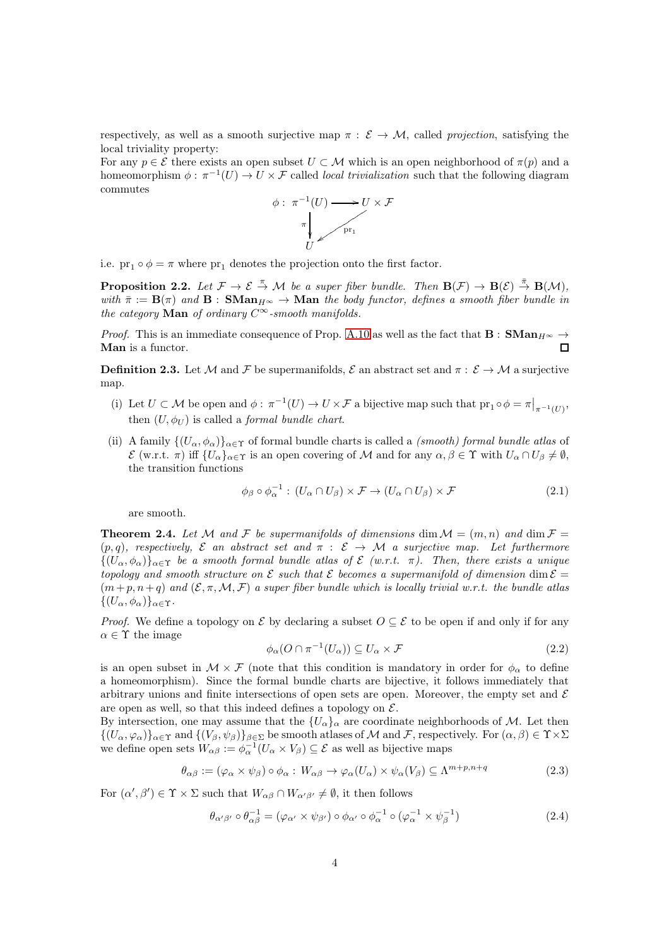respectively, as well as a smooth surjective map  $\pi : \mathcal{E} \to \mathcal{M}$ , called projection, satisfying the local triviality property:

For any  $p \in \mathcal{E}$  there exists an open subset  $U \subset \mathcal{M}$  which is an open neighborhood of  $\pi(p)$  and a homeomorphism  $\phi : \pi^{-1}(U) \to U \times \mathcal{F}$  called *local trivialization* such that the following diagram commutes



i.e.  $\text{pr}_1 \circ \phi = \pi$  where  $\text{pr}_1$  denotes the projection onto the first factor.

<span id="page-3-2"></span>**Proposition 2.2.** Let  $\mathcal{F} \to \mathcal{E} \stackrel{\pi}{\to} \mathcal{M}$  be a super fiber bundle. Then  $\mathbf{B}(\mathcal{F}) \to \mathbf{B}(\mathcal{E}) \stackrel{\pi}{\to} \mathbf{B}(\mathcal{M})$ , with  $\bar{\pi} := \mathbf{B}(\pi)$  and  $\mathbf{B} : \mathbf{SMan}_{H^{\infty}} \to \mathbf{Man}$  the body functor, defines a smooth fiber bundle in the category  $\mathbf{Man}$  of ordinary  $C^\infty\operatorname{-}smooth}$  manifolds.

*Proof.* This is an immediate consequence of Prop. [A.10](#page-56-0) as well as the fact that  $\mathbf{B}: \mathbf{SMan}_{H^{\infty}} \to$ Man is a functor.  $\Box$ 

<span id="page-3-1"></span>**Definition 2.3.** Let M and F be supermanifolds,  $\mathcal{E}$  an abstract set and  $\pi : \mathcal{E} \to \mathcal{M}$  a surjective map.

- (i) Let  $U \subset \mathcal{M}$  be open and  $\phi: \pi^{-1}(U) \to U \times \mathcal{F}$  a bijective map such that  ${\rm pr}_1 \circ \phi = \pi|_{\pi^{-1}(U)}$ , then  $(U, \phi_U)$  is called a *formal bundle chart*.
- (ii) A family  $\{(U_\alpha,\phi_\alpha)\}_{\alpha\in\Upsilon}$  of formal bundle charts is called a *(smooth) formal bundle atlas* of  $\mathcal{E}$  (w.r.t.  $\pi$ ) iff  $\{U_{\alpha}\}_{{\alpha \in \Upsilon}}$  is an open covering of M and for any  $\alpha, \beta \in \Upsilon$  with  $U_{\alpha} \cap U_{\beta} \neq \emptyset$ , the transition functions

$$
\phi_{\beta} \circ \phi_{\alpha}^{-1} : (U_{\alpha} \cap U_{\beta}) \times \mathcal{F} \to (U_{\alpha} \cap U_{\beta}) \times \mathcal{F}
$$
\n
$$
(2.1)
$$

are smooth.

<span id="page-3-0"></span>**Theorem 2.4.** Let M and F be supermanifolds of dimensions dim  $\mathcal{M} = (m, n)$  and dim  $\mathcal{F} =$  $(p, q)$ , respectively,  $\mathcal E$  an abstract set and  $\pi : \mathcal E \to \mathcal M$  a surjective map. Let furthermore  $\{(U_{\alpha}, \phi_{\alpha})\}_{\alpha \in \Upsilon}$  be a smooth formal bundle atlas of  $\mathcal{E}$  (w.r.t.  $\pi$ ). Then, there exists a unique topology and smooth structure on  $\mathcal E$  such that  $\mathcal E$  becomes a supermanifold of dimension dim  $\mathcal E$  $(m+p, n+q)$  and  $(\mathcal{E}, \pi, \mathcal{M}, \mathcal{F})$  a super fiber bundle which is locally trivial w.r.t. the bundle atlas  $\{(U_{\alpha}, \phi_{\alpha})\}_{\alpha \in \Upsilon}$ .

*Proof.* We define a topology on E by declaring a subset  $O \subseteq \mathcal{E}$  to be open if and only if for any  $\alpha \in \Upsilon$  the image

$$
\phi_{\alpha}(O \cap \pi^{-1}(U_{\alpha})) \subseteq U_{\alpha} \times \mathcal{F}
$$
\n
$$
(2.2)
$$

is an open subset in  $\mathcal{M} \times \mathcal{F}$  (note that this condition is mandatory in order for  $\phi_{\alpha}$  to define a homeomorphism). Since the formal bundle charts are bijective, it follows immediately that arbitrary unions and finite intersections of open sets are open. Moreover, the empty set and  $\mathcal E$ are open as well, so that this indeed defines a topology on  $\mathcal{E}$ .

By intersection, one may assume that the  $\{U_{\alpha}\}_\alpha$  are coordinate neighborhoods of M. Let then  $\{(U_\alpha,\varphi_\alpha)\}_{\alpha\in\Upsilon}$  and  $\{(V_\beta,\psi_\beta)\}_{\beta\in\Sigma}$  be smooth atlases of M and F, respectively. For  $(\alpha,\beta)\in\Upsilon\times\Sigma$ we define open sets  $W_{\alpha\beta} := \phi_{\alpha}^{-1}(U_{\alpha} \times V_{\beta}) \subseteq \mathcal{E}$  as well as bijective maps

$$
\theta_{\alpha\beta} := (\varphi_{\alpha} \times \psi_{\beta}) \circ \phi_{\alpha} : W_{\alpha\beta} \to \varphi_{\alpha}(U_{\alpha}) \times \psi_{\alpha}(V_{\beta}) \subseteq \Lambda^{m+p, n+q}
$$
(2.3)

For  $(\alpha', \beta') \in \Upsilon \times \Sigma$  such that  $W_{\alpha\beta} \cap W_{\alpha'\beta'} \neq \emptyset$ , it then follows

$$
\theta_{\alpha'\beta'} \circ \theta_{\alpha\beta}^{-1} = (\varphi_{\alpha'} \times \psi_{\beta'}) \circ \phi_{\alpha'} \circ \phi_{\alpha}^{-1} \circ (\varphi_{\alpha}^{-1} \times \psi_{\beta}^{-1})
$$
(2.4)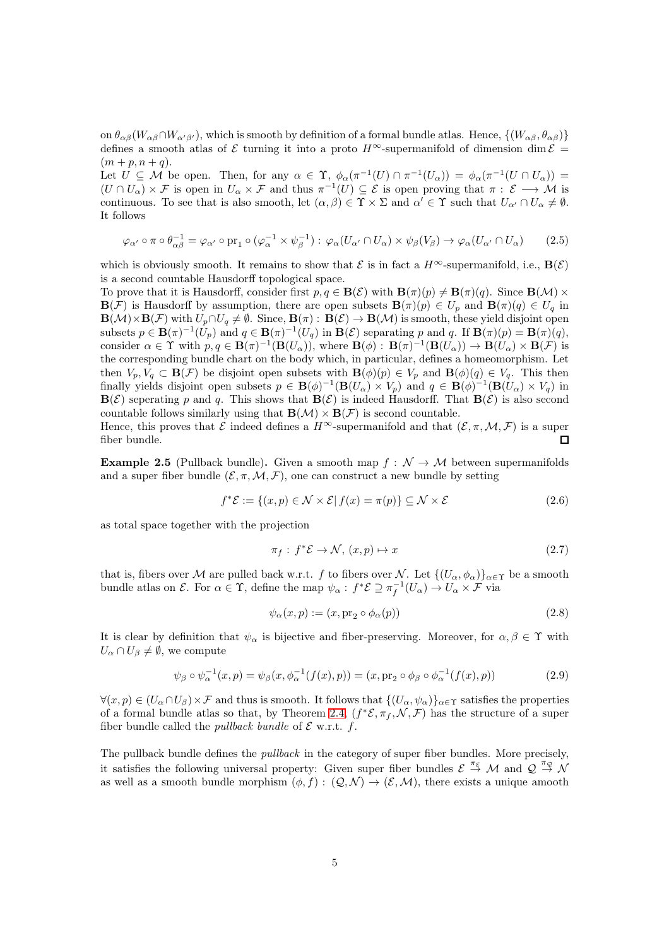on  $\theta_{\alpha\beta}(W_{\alpha\beta}\cap W_{\alpha'\beta'})$ , which is smooth by definition of a formal bundle atlas. Hence,  $\{(W_{\alpha\beta}, \theta_{\alpha\beta})\}$ defines a smooth atlas of E turning it into a proto  $H^{\infty}$ -supermanifold of dimension dim  $\mathcal{E}$  =  $(m + p, n + q).$ 

Let  $U \subseteq \mathcal{M}$  be open. Then, for any  $\alpha \in \Upsilon$ ,  $\phi_{\alpha}(\pi^{-1}(U) \cap \pi^{-1}(U_{\alpha})) = \phi_{\alpha}(\pi^{-1}(U \cap U_{\alpha}))$  $(U \cap U_\alpha) \times \mathcal{F}$  is open in  $U_\alpha \times \mathcal{F}$  and thus  $\pi^{-1}(U) \subseteq \mathcal{E}$  is open proving that  $\pi : \mathcal{E} \longrightarrow \mathcal{M}$  is continuous. To see that is also smooth, let  $(\alpha, \beta) \in \Upsilon \times \Sigma$  and  $\alpha' \in \Upsilon$  such that  $U_{\alpha'} \cap U_{\alpha} \neq \emptyset$ . It follows

$$
\varphi_{\alpha'} \circ \pi \circ \theta_{\alpha\beta}^{-1} = \varphi_{\alpha'} \circ \text{pr}_1 \circ (\varphi_{\alpha}^{-1} \times \psi_{\beta}^{-1}) : \varphi_{\alpha}(U_{\alpha'} \cap U_{\alpha}) \times \psi_{\beta}(V_{\beta}) \to \varphi_{\alpha}(U_{\alpha'} \cap U_{\alpha}) \tag{2.5}
$$

which is obviously smooth. It remains to show that  $\mathcal E$  is in fact a  $H^{\infty}$ -supermanifold, i.e.,  $\mathbf B(\mathcal E)$ is a second countable Hausdorff topological space.

To prove that it is Hausdorff, consider first  $p, q \in \mathbf{B}(\mathcal{E})$  with  $\mathbf{B}(\pi)(p) \neq \mathbf{B}(\pi)(q)$ . Since  $\mathbf{B}(\mathcal{M}) \times$  $\mathbf{B}(\mathcal{F})$  is Hausdorff by assumption, there are open subsets  $\mathbf{B}(\pi)(p) \in U_p$  and  $\mathbf{B}(\pi)(q) \in U_q$  in  $\mathbf{B}(\mathcal{M})\times\mathbf{B}(\mathcal{F})$  with  $U_p\cap U_q\neq\emptyset$ . Since,  $\mathbf{B}(\pi):\mathbf{B}(\mathcal{E})\to\mathbf{B}(\mathcal{M})$  is smooth, these yield disjoint open subsets  $p \in \mathbf{B}(\pi)^{-1}(U_p)$  and  $q \in \mathbf{B}(\pi)^{-1}(U_q)$  in  $\mathbf{B}(\mathcal{E})$  separating p and q. If  $\mathbf{B}(\pi)(p) = \mathbf{B}(\pi)(q)$ , consider  $\alpha \in \Upsilon$  with  $p, q \in \mathbf{B}(\pi)^{-1}(\mathbf{B}(U_{\alpha}))$ , where  $\mathbf{B}(\phi) : \mathbf{B}(\pi)^{-1}(\mathbf{B}(U_{\alpha})) \to \mathbf{B}(U_{\alpha}) \times \mathbf{B}(\mathcal{F})$  is the corresponding bundle chart on the body which, in particular, defines a homeomorphism. Let then  $V_p, V_q \subset \mathbf{B}(\mathcal{F})$  be disjoint open subsets with  $\mathbf{B}(\phi)(p) \in V_p$  and  $\mathbf{B}(\phi)(q) \in V_q$ . This then finally yields disjoint open subsets  $p \in \mathbf{B}(\phi)^{-1}(\mathbf{B}(U_\alpha) \times V_p)$  and  $q \in \mathbf{B}(\phi)^{-1}(\mathbf{B}(U_\alpha) \times V_q)$  in  $\mathbf{B}(\mathcal{E})$  seperating p and q. This shows that  $\mathbf{B}(\mathcal{E})$  is indeed Hausdorff. That  $\mathbf{B}(\mathcal{E})$  is also second countable follows similarly using that  $\mathbf{B}(\mathcal{M}) \times \mathbf{B}(\mathcal{F})$  is second countable.

Hence, this proves that  $\mathcal E$  indeed defines a  $H^{\infty}$ -supermanifold and that  $(\mathcal E, \pi, \mathcal M, \mathcal F)$  is a super fiber bundle. П

**Example 2.5** (Pullback bundle). Given a smooth map  $f : \mathcal{N} \to \mathcal{M}$  between supermanifolds and a super fiber bundle  $(\mathcal{E}, \pi, \mathcal{M}, \mathcal{F})$ , one can construct a new bundle by setting

$$
f^*\mathcal{E} := \{(x, p) \in \mathcal{N} \times \mathcal{E} | f(x) = \pi(p)\} \subseteq \mathcal{N} \times \mathcal{E}
$$
\n(2.6)

as total space together with the projection

$$
\pi_f: f^*\mathcal{E} \to \mathcal{N}, (x, p) \mapsto x \tag{2.7}
$$

that is, fibers over M are pulled back w.r.t. f to fibers over N. Let  $\{(U_\alpha,\phi_\alpha)\}_{\alpha\in\Upsilon}$  be a smooth bundle atlas on  $\mathcal{E}$ . For  $\alpha \in \Upsilon$ , define the map  $\psi_{\alpha} : f^* \mathcal{E} \supseteq \pi_f^{-1}(U_{\alpha}) \to U_{\alpha} \times \mathcal{F}$  via

$$
\psi_{\alpha}(x, p) := (x, \text{pr}_2 \circ \phi_{\alpha}(p)) \tag{2.8}
$$

It is clear by definition that  $\psi_{\alpha}$  is bijective and fiber-preserving. Moreover, for  $\alpha, \beta \in \Upsilon$  with  $U_{\alpha} \cap U_{\beta} \neq \emptyset$ , we compute

$$
\psi_{\beta} \circ \psi_{\alpha}^{-1}(x, p) = \psi_{\beta}(x, \phi_{\alpha}^{-1}(f(x), p)) = (x, \text{pr}_2 \circ \phi_{\beta} \circ \phi_{\alpha}^{-1}(f(x), p))
$$
\n(2.9)

 $\forall (x, p) \in (U_\alpha \cap U_\beta) \times \mathcal{F}$  and thus is smooth. It follows that  $\{(U_\alpha, \psi_\alpha)\}_{\alpha \in \Upsilon}$  satisfies the properties of a formal bundle atlas so that, by Theorem [2.4,](#page-3-0)  $(f^*\mathcal{E}, \pi_f, \mathcal{N}, \mathcal{F})$  has the structure of a super fiber bundle called the *pullback bundle* of  $\mathcal{E}$  w.r.t.  $f$ .

The pullback bundle defines the *pullback* in the category of super fiber bundles. More precisely, it satisfies the following universal property: Given super fiber bundles  $\mathcal{E} \stackrel{\pi_{\mathcal{E}}}{\rightarrow} \mathcal{M}$  and  $\mathcal{Q} \stackrel{\pi_{\mathcal{Q}}}{\rightarrow} \mathcal{N}$ as well as a smooth bundle morphism  $(\phi, f) : (Q, \mathcal{N}) \to (\mathcal{E}, \mathcal{M})$ , there exists a unique amooth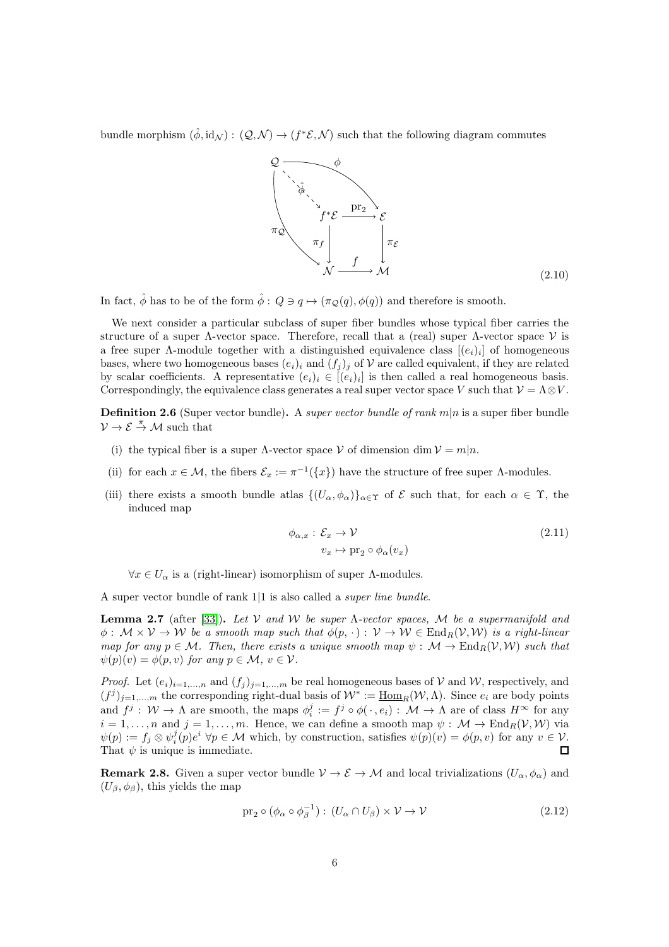bundle morphism  $(\hat{\phi}, id_{\mathcal{N}}): (Q, \mathcal{N}) \to (f^*\mathcal{E}, \mathcal{N})$  such that the following diagram commutes



In fact,  $\hat{\phi}$  has to be of the form  $\hat{\phi}$ :  $Q \ni q \mapsto (\pi_{\mathcal{Q}}(q), \phi(q))$  and therefore is smooth.

We next consider a particular subclass of super fiber bundles whose typical fiber carries the structure of a super  $\Lambda$ -vector space. Therefore, recall that a (real) super  $\Lambda$ -vector space  $\mathcal V$  is a free super  $\Lambda$ -module together with a distinguished equivalence class  $[(e_i)_i]$  of homogeneous bases, where two homogeneous bases  $(e_i)_i$  and  $(f_i)_j$  of V are called equivalent, if they are related by scalar coefficients. A representative  $(e_i)_i \in [(e_i)_i]$  is then called a real homogeneous basis. Correspondingly, the equivalence class generates a real super vector space V such that  $\mathcal{V} = \Lambda \otimes V$ .

**Definition 2.6** (Super vector bundle). A super vector bundle of rank  $m|n$  is a super fiber bundle  $\mathcal{V} \to \mathcal{E} \stackrel{\pi}{\to} \mathcal{M}$  such that

- (i) the typical fiber is a super  $\Lambda$ -vector space  $V$  of dimension dim  $V = m|n$ .
- (ii) for each  $x \in \mathcal{M}$ , the fibers  $\mathcal{E}_x := \pi^{-1}(\{x\})$  have the structure of free super  $\Lambda$ -modules.
- (iii) there exists a smooth bundle atlas  $\{(U_{\alpha}, \phi_{\alpha})\}_{\alpha \in \Upsilon}$  of  $\mathcal E$  such that, for each  $\alpha \in \Upsilon$ , the induced map

$$
\phi_{\alpha,x} : \mathcal{E}_x \to \mathcal{V}
$$
  
\n
$$
v_x \mapsto \text{pr}_2 \circ \phi_\alpha(v_x)
$$
\n(2.11)

 $\forall x \in U_{\alpha}$  is a (right-linear) isomorphism of super  $\Lambda$ -modules.

A super vector bundle of rank 1|1 is also called a super line bundle.

<span id="page-5-0"></span>**Lemma 2.7** (after [\[33\]](#page-61-4)). Let V and W be super  $\Lambda$ -vector spaces, M be a supermanifold and  $\phi: \mathcal{M} \times \mathcal{V} \to \mathcal{W}$  be a smooth map such that  $\phi(p, \cdot) : \mathcal{V} \to \mathcal{W} \in \text{End}_R(\mathcal{V}, \mathcal{W})$  is a right-linear map for any  $p \in \mathcal{M}$ . Then, there exists a unique smooth map  $\psi : \mathcal{M} \to \text{End}_R(\mathcal{V}, \mathcal{W})$  such that  $\psi(p)(v) = \phi(p, v)$  for any  $p \in \mathcal{M}, v \in \mathcal{V}$ .

*Proof.* Let  $(e_i)_{i=1,...,n}$  and  $(f_j)_{j=1,...,m}$  be real homogeneous bases of V and W, respectively, and  $(f^j)_{j=1,\dots,m}$  the corresponding right-dual basis of  $\mathcal{W}^* := \underline{\text{Hom}}_R(\mathcal{W}, \Lambda)$ . Since  $e_i$  are body points and  $f^j: \mathcal{W} \to \Lambda$  are smooth, the maps  $\phi_i^j := f^j \circ \phi(\cdot, e_i) : \mathcal{M} \to \Lambda$  are of class  $H^\infty$  for any  $i = 1, \ldots, n$  and  $j = 1, \ldots, m$ . Hence, we can define a smooth map  $\psi : \mathcal{M} \to \text{End}_R(\mathcal{V}, \mathcal{W})$  via  $\psi(p) := f_j \otimes \psi_i^j(p) e^i \; \forall p \in \mathcal{M} \text{ which, by construction, satisfies } \psi(p)(v) = \phi(p, v) \text{ for any } v \in \mathcal{V}.$ That  $\psi$  is unique is immediate.  $\Box$ 

**Remark 2.8.** Given a super vector bundle  $V \to \mathcal{E} \to \mathcal{M}$  and local trivializations  $(U_\alpha, \phi_\alpha)$  and  $(U_\beta, \phi_\beta)$ , this yields the map

$$
\text{pr}_2 \circ (\phi_\alpha \circ \phi_\beta^{-1}) : (U_\alpha \cap U_\beta) \times \mathcal{V} \to \mathcal{V} \tag{2.12}
$$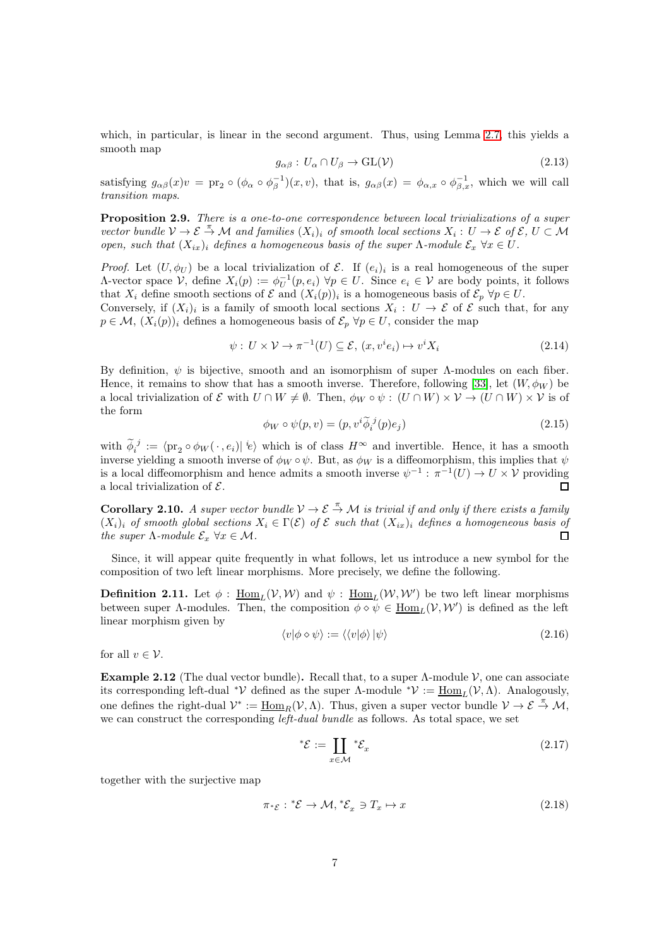which, in particular, is linear in the second argument. Thus, using Lemma [2.7,](#page-5-0) this yields a smooth map

$$
g_{\alpha\beta}: U_{\alpha} \cap U_{\beta} \to \text{GL}(\mathcal{V}) \tag{2.13}
$$

satisfying  $g_{\alpha\beta}(x)v = \text{pr}_2 \circ (\phi_\alpha \circ \phi_\beta^{-1})(x,v)$ , that is,  $g_{\alpha\beta}(x) = \phi_{\alpha,x} \circ \phi_{\beta,x}^{-1}$ , which we will call transition maps.

<span id="page-6-0"></span>Proposition 2.9. There is a one-to-one correspondence between local trivializations of a super vector bundle  $V \to \mathcal{E} \stackrel{\pi}{\to} \mathcal{M}$  and families  $(X_i)_i$  of smooth local sections  $X_i : U \to \mathcal{E}$  of  $\mathcal{E}, U \subset \mathcal{M}$ open, such that  $(X_{ix})_i$  defines a homogeneous basis of the super Λ-module  $\mathcal{E}_x \ \forall x \in U$ .

*Proof.* Let  $(U, \phi_U)$  be a local trivialization of  $\mathcal{E}$ . If  $(e_i)_i$  is a real homogeneous of the super  $Λ$ -vector space  $V$ , define  $X_i(p) := \phi_U^{-1}(p, e_i) \; \forall p \in U$ . Since  $e_i \in V$  are body points, it follows that  $X_i$  define smooth sections of  $\mathcal E$  and  $(X_i(p))_i$  is a homogeneous basis of  $\mathcal E_p$   $\forall p \in U$ .

Conversely, if  $(X_i)_i$  is a family of smooth local sections  $X_i: U \to \mathcal{E}$  of  $\mathcal{E}$  such that, for any  $p \in \mathcal{M}, (X_i(p))_i$  defines a homogeneous basis of  $\mathcal{E}_p \,\forall p \in U$ , consider the map

$$
\psi: U \times \mathcal{V} \to \pi^{-1}(U) \subseteq \mathcal{E}, (x, v^i e_i) \mapsto v^i X_i \tag{2.14}
$$

By definition,  $\psi$  is bijective, smooth and an isomorphism of super  $\Lambda$ -modules on each fiber. Hence, it remains to show that has a smooth inverse. Therefore, following [\[33\]](#page-61-4), let  $(W, \phi_W)$  be a local trivialization of  $\mathcal E$  with  $U \cap W \neq \emptyset$ . Then,  $\phi_W \circ \psi : (U \cap W) \times V \to (U \cap W) \times V$  is of the form

$$
\phi_W \circ \psi(p, v) = (p, v^i \widetilde{\phi}_i^{\ j}(p) e_j)
$$
\n(2.15)

with  $\widetilde{\phi}_i^j := \langle \text{pr}_2 \circ \phi_W(\cdot, e_i) | i \rangle$  which is of class  $H^\infty$  and invertible. Hence, it has a smooth inverse yielding a smooth inverse of  $\phi_W \circ \psi$ . But, as  $\phi_W$  is a diffeomorphism, this implies that  $\psi$ is a local diffeomorphism and hence admits a smooth inverse  $\psi^{-1}$ :  $\pi^{-1}(U) \to U \times V$  providing a local trivialization of  $\mathcal{E}$ .  $\Box$ 

**Corollary 2.10.** A super vector bundle  $V \to \mathcal{E} \to \mathcal{M}$  is trivial if and only if there exists a family  $(X_i)_i$  of smooth global sections  $X_i \in \Gamma(\mathcal{E})$  of  $\mathcal E$  such that  $(X_{ix})_i$  defines a homogeneous basis of the super  $\Lambda$ -module  $\mathcal{E}_x$   $\forall x \in \mathcal{M}$ .  $\Box$ 

Since, it will appear quite frequently in what follows, let us introduce a new symbol for the composition of two left linear morphisms. More precisely, we define the following.

<span id="page-6-1"></span>**Definition 2.11.** Let  $\phi$  :  $\underline{\text{Hom}}_L(V, W)$  and  $\psi$  :  $\underline{\text{Hom}}_L(W, W')$  be two left linear morphisms between super  $\Lambda$ -modules. Then, the composition  $\phi \diamond \psi \in \underline{\text{Hom}}_L(\mathcal{V}, \mathcal{W}')$  is defined as the left linear morphism given by

$$
\langle v|\phi \diamond \psi \rangle := \langle \langle v|\phi \rangle |\psi \rangle \tag{2.16}
$$

for all  $v \in \mathcal{V}$ .

Example 2.12 (The dual vector bundle). Recall that, to a super  $\Lambda$ -module  $\mathcal V$ , one can associate its corresponding left-dual <sup>\*</sup>*V* defined as the super Λ-module <sup>\*</sup>*V* :=  $\underline{\text{Hom}}_L(V, \Lambda)$ . Analogously, one defines the right-dual  $\mathcal{V}^* := \underline{\text{Hom}}_R(\mathcal{V}, \Lambda)$ . Thus, given a super vector bundle  $\mathcal{V} \to \mathcal{E} \stackrel{\pi}{\to} \mathcal{M}$ , we can construct the corresponding *left-dual bundle* as follows. As total space, we set

$$
^*\mathcal{E} := \coprod_{x \in \mathcal{M}} {}^*\mathcal{E}_x \tag{2.17}
$$

together with the surjective map

$$
\pi^* \varepsilon : {}^* \mathcal{E} \to \mathcal{M}, {}^* \mathcal{E}_x \ni T_x \mapsto x \tag{2.18}
$$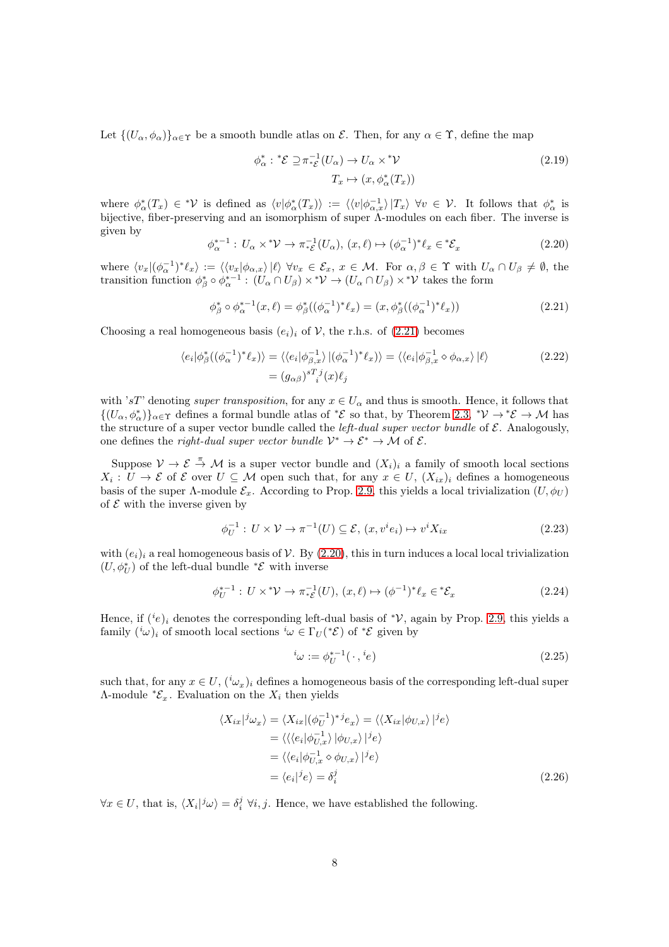Let  $\{(U_\alpha,\phi_\alpha)\}_{\alpha\in\Upsilon}$  be a smooth bundle atlas on  $\mathcal{E}$ . Then, for any  $\alpha\in\Upsilon$ , define the map

<span id="page-7-0"></span>
$$
\phi_{\alpha}^* : {}^*\mathcal{E} \supseteq \pi_{* \mathcal{E}}^{-1}(U_{\alpha}) \to U_{\alpha} \times {}^*\mathcal{V}
$$
\n
$$
T_x \mapsto (x, \phi_{\alpha}^*(T_x))
$$
\n(2.19)

<span id="page-7-1"></span>where  $\phi_{\alpha}^*(T_x) \in {}^*{\mathcal{V}}$  is defined as  $\langle v | \phi_{\alpha}^*(T_x) \rangle := \langle \langle v | \phi_{\alpha,x}^{-1} \rangle | T_x \rangle \ \forall v \in {\mathcal{V}}$ . It follows that  $\phi_{\alpha}^*$  is bijective, fiber-preserving and an isomorphism of super  $\Lambda$ -modules on each fiber. The inverse is given by

$$
\phi_{\alpha}^{*-1}: U_{\alpha} \times^* \mathcal{V} \to \pi_{* \mathcal{E}}^{-1}(U_{\alpha}), (x, \ell) \mapsto (\phi_{\alpha}^{-1})^* \ell_x \in^* \mathcal{E}_x \tag{2.20}
$$

where  $\langle v_x | (\phi_\alpha^{-1})^* \ell_x \rangle := \langle \langle v_x | \phi_{\alpha,x} \rangle | \ell \rangle \ \forall v_x \in \mathcal{E}_x, x \in \mathcal{M}$ . For  $\alpha, \beta \in \Upsilon$  with  $U_\alpha \cap U_\beta \neq \emptyset$ , the transition function  $\phi_{\beta}^* \circ \phi_{\alpha}^{*-1}$ :  $(U_{\alpha} \cap U_{\beta}) \times^* \mathcal{V} \to (U_{\alpha} \cap U_{\beta}) \times^* \mathcal{V}$  takes the form

$$
\phi_{\beta}^* \circ \phi_{\alpha}^{*-1}(x,\ell) = \phi_{\beta}^*((\phi_{\alpha}^{-1})^*\ell_x) = (x, \phi_{\beta}^*((\phi_{\alpha}^{-1})^*\ell_x))
$$
\n(2.21)

Choosing a real homogeneous basis  $(e_i)_i$  of V, the r.h.s. of [\(2.21\)](#page-7-0) becomes

$$
\langle e_i | \phi_{\beta}^* ((\phi_{\alpha}^{-1})^* \ell_x) \rangle = \langle \langle e_i | \phi_{\beta,x}^{-1} \rangle | (\phi_{\alpha}^{-1})^* \ell_x) \rangle = \langle \langle e_i | \phi_{\beta,x}^{-1} \diamond \phi_{\alpha,x} \rangle | \ell \rangle
$$
\n
$$
= (g_{\alpha\beta})^{s} i^j (x) \ell_j
$$
\n(2.22)

with 'sT' denoting super transposition, for any  $x \in U_\alpha$  and thus is smooth. Hence, it follows that  $\{(U_\alpha,\phi^*_\alpha)\}_{\alpha\in\Upsilon}$  defines a formal bundle atlas of  $^*\mathcal{E}$  so that, by Theorem [2.3,](#page-3-1)  $^*\mathcal{V}\to^*\mathcal{E}\to\mathcal{M}$  has the structure of a super vector bundle called the *left-dual super vector bundle* of  $\mathcal{E}$ . Analogously, one defines the *right-dual super vector bundle*  $\mathcal{V}^* \to \mathcal{E}^* \to \mathcal{M}$  of  $\mathcal{E}$ .

Suppose  $V \to \mathcal{E} \stackrel{\pi}{\to} \mathcal{M}$  is a super vector bundle and  $(X_i)_i$  a family of smooth local sections  $X_i: U \to \mathcal{E}$  of  $\mathcal{E}$  over  $U \subseteq \mathcal{M}$  open such that, for any  $x \in U$ ,  $(X_{ix})_i$  defines a homogeneous basis of the super Λ-module  $\mathcal{E}_x$ . According to Prop. [2.9,](#page-6-0) this yields a local trivialization  $(U, \phi_U)$ of  $\mathcal E$  with the inverse given by

$$
\phi_U^{-1}: U \times \mathcal{V} \to \pi^{-1}(U) \subseteq \mathcal{E}, (x, v^i e_i) \mapsto v^i X_{ix}
$$
\n
$$
(2.23)
$$

with  $(e_i)_i$  a real homogeneous basis of V. By [\(2.20\)](#page-7-1), this in turn induces a local local trivialization  $(U,\phi_U^*)$  of the left-dual bundle  $^*\mathcal{E}$  with inverse

$$
\phi_U^{*-1}: U \times^* \mathcal{V} \to \pi_{* \mathcal{E}}^{-1}(U), (x, \ell) \mapsto (\phi^{-1})^* \ell_x \in^* \mathcal{E}_x \tag{2.24}
$$

Hence, if  $({}^{i}e)_{i}$  denotes the corresponding left-dual basis of  ${}^*\mathcal{V}$ , again by Prop. [2.9,](#page-6-0) this yields a family  $({}^{i}\omega)_{i}$  of smooth local sections  ${}^{i}\omega \in \Gamma_{U}({}^{*}\mathcal{E})$  of  ${}^{*}\mathcal{E}$  given by

$$
{}^{i}\omega := \phi_{U}^{*-1}(\cdot, {}^{i}e) \tag{2.25}
$$

such that, for any  $x \in U$ ,  $({}^{i}\omega_x)_{i}$  defines a homogeneous basis of the corresponding left-dual super  $\Lambda$ -module  $^*{\mathcal E}_x$ . Evaluation on the  $X_i$  then yields

$$
\langle X_{ix}|^j \omega_x \rangle = \langle X_{ix}|(\phi_U^{-1})^{*j} e_x \rangle = \langle \langle X_{ix}| \phi_{U,x} \rangle |^{j} e \rangle
$$
  
\n
$$
= \langle \langle \langle e_i | \phi_{U,x}^{-1} \rangle | \phi_{U,x} \rangle |^{j} e \rangle
$$
  
\n
$$
= \langle \langle e_i | \phi_{U,x}^{-1} \diamond \phi_{U,x} \rangle |^{j} e \rangle
$$
  
\n
$$
= \langle e_i|^j e \rangle = \delta_i^j
$$
 (2.26)

 $\forall x \in U$ , that is,  $\langle X_i |^{j} \omega \rangle = \delta_i^j \ \forall i, j$ . Hence, we have established the following.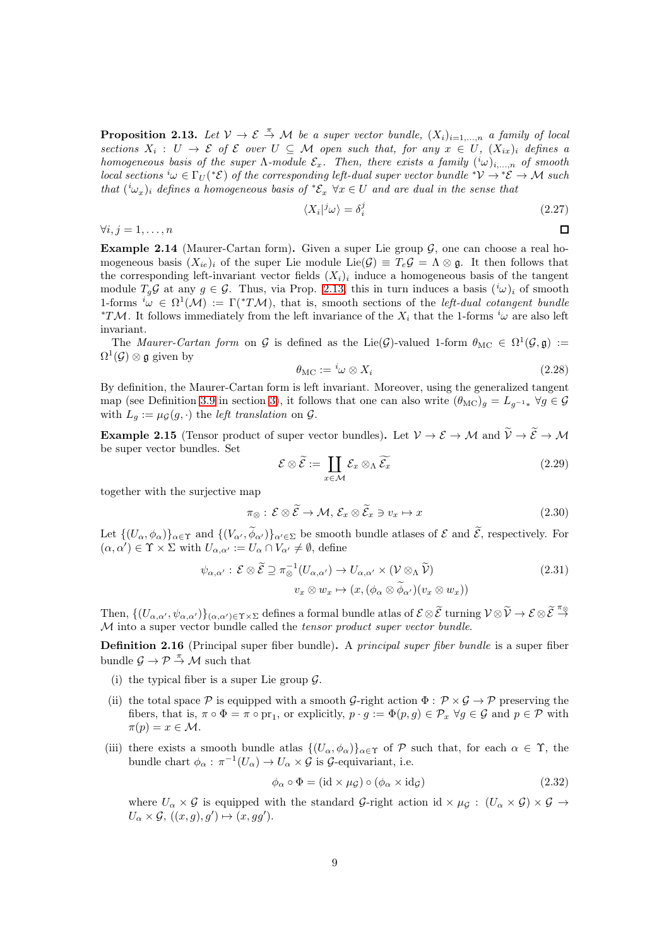<span id="page-8-0"></span>**Proposition 2.13.** Let  $V \to \mathcal{E} \stackrel{\pi}{\to} \mathcal{M}$  be a super vector bundle,  $(X_i)_{i=1,\dots,n}$  a family of local sections  $X_i: U \to \mathcal{E}$  of  $\mathcal{E}$  over  $U \subseteq \mathcal{M}$  open such that, for any  $x \in U$ ,  $(X_{ix})_i$  defines a homogeneous basis of the super  $\Lambda$ -module  $\mathcal{E}_x$ . Then, there exists a family  $({}^{i}\omega)_{i,...,n}$  of smooth local sections  ${}^i\omega \in \Gamma_U({}^*\mathcal{E})$  of the corresponding left-dual super vector bundle  ${}^*\mathcal{V} \to {}^*\mathcal{E} \to \mathcal{M}$  such that  $({}^{i}\omega_{x})_{i}$  defines a homogeneous basis of  ${}^{*}\mathcal{E}_{x}$   $\forall x \in U$  and are dual in the sense that

$$
\langle X_i |^j \omega \rangle = \delta_i^j \tag{2.27}
$$

 $\Box$ 

 $\forall i, j = 1, \ldots, n$ 

<span id="page-8-1"></span>**Example 2.14** (Maurer-Cartan form). Given a super Lie group  $\mathcal{G}$ , one can choose a real homogeneous basis  $(X_{ie})_i$  of the super Lie module Lie $(G) \equiv T_e \mathcal{G} = \Lambda \otimes \mathfrak{g}$ . It then follows that the corresponding left-invariant vector fields  $(X_i)_i$  induce a homogeneous basis of the tangent module  $T_g\mathcal{G}$  at any  $g \in \mathcal{G}$ . Thus, via Prop. [2.13,](#page-8-0) this in turn induces a basis  $({}^i\omega)_i$  of smooth 1-forms  ${}^i\omega \in \Omega^1(\mathcal{M}) := \Gamma({}^*T\mathcal{M})$ , that is, smooth sections of the *left-dual cotangent bundle* <sup>\*T</sup>M. It follows immediately from the left invariance of the  $X_i$  that the 1-forms <sup>i</sup> $\omega$  are also left invariant.

The *Maurer-Cartan form* on G is defined as the Lie(G)-valued 1-form  $\theta_{MC} \in \Omega^1(\mathcal{G}, \mathfrak{g}) :=$  $\Omega^1(\mathcal{G})\otimes\mathfrak{g}$  given by

$$
\theta_{\rm MC} := {}^{i}\omega \otimes X_i \tag{2.28}
$$

By definition, the Maurer-Cartan form is left invariant. Moreover, using the generalized tangent map (see Definition [3.9](#page-18-0) in section [3\)](#page-14-0), it follows that one can also write  $(\theta_{MC})_g = L_{g^{-1}*} \forall g \in \mathcal{G}$ with  $L_g := \mu \mathcal{G}(g, \cdot)$  the *left translation* on  $\mathcal{G}$ .

**Example 2.15** (Tensor product of super vector bundles). Let  $V \to \mathcal{E} \to \mathcal{M}$  and  $\widetilde{V} \to \widetilde{\mathcal{E}} \to \mathcal{M}$ be super vector bundles. Set

$$
\mathcal{E} \otimes \widetilde{\mathcal{E}} := \coprod_{x \in \mathcal{M}} \mathcal{E}_x \otimes_{\Lambda} \widetilde{\mathcal{E}_x}
$$
 (2.29)

together with the surjective map

$$
\pi_{\otimes} : \mathcal{E} \otimes \widetilde{\mathcal{E}} \to \mathcal{M}, \, \mathcal{E}_x \otimes \widetilde{\mathcal{E}}_x \ni v_x \mapsto x \tag{2.30}
$$

Let  $\{(U_\alpha,\phi_\alpha)\}_{\alpha\in\Upsilon}$  and  $\{(V_{\alpha'},\phi_{\alpha'})\}_{\alpha'\in\Sigma}$  be smooth bundle atlases of  $\mathcal E$  and  $\mathcal E$ , respectively. For  $(\alpha, \alpha') \in \Upsilon \times \Sigma$  with  $U_{\alpha, \alpha'} := U_{\alpha} \cap V_{\alpha'} \neq \emptyset$ , define

$$
\psi_{\alpha,\alpha'} : \mathcal{E} \otimes \widetilde{\mathcal{E}} \supseteq \pi_{\otimes}^{-1}(U_{\alpha,\alpha'}) \to U_{\alpha,\alpha'} \times (\mathcal{V} \otimes_{\Lambda} \widetilde{\mathcal{V}})
$$
\n
$$
v_x \otimes w_x \mapsto (x, (\phi_{\alpha} \otimes \widetilde{\phi}_{\alpha'})(v_x \otimes w_x))
$$
\n(2.31)

Then,  $\{(U_{\alpha,\alpha'},\psi_{\alpha,\alpha'})\}_{(\alpha,\alpha')\in \Upsilon\times \Sigma}$  defines a formal bundle atlas of  $\mathcal{E}\otimes \widetilde{\mathcal{E}}$  turning  $\mathcal{V}\otimes \widetilde{\mathcal{V}}\to \mathcal{E}\otimes \widetilde{\mathcal{E}} \stackrel{\pi_{\otimes}}{\to}$ M into a super vector bundle called the tensor product super vector bundle.

**Definition 2.16** (Principal super fiber bundle). A *principal super fiber bundle* is a super fiber bundle  $\mathcal{G} \to \mathcal{P} \to \mathcal{M}$  such that

- (i) the typical fiber is a super Lie group  $\mathcal{G}$ .
- (ii) the total space P is equipped with a smooth G-right action  $\Phi : \mathcal{P} \times \mathcal{G} \to \mathcal{P}$  preserving the fibers, that is,  $\pi \circ \Phi = \pi \circ \text{pr}_1$ , or explicitly,  $p \cdot g := \Phi(p, g) \in \mathcal{P}_x \ \forall g \in \mathcal{G}$  and  $p \in \mathcal{P}$  with  $\pi(p) = x \in \mathcal{M}.$
- (iii) there exists a smooth bundle atlas  $\{(U_{\alpha}, \phi_{\alpha})\}_{\alpha \in \Upsilon}$  of P such that, for each  $\alpha \in \Upsilon$ , the bundle chart  $\phi_{\alpha} : \pi^{-1}(U_{\alpha}) \to U_{\alpha} \times \mathcal{G}$  is  $\mathcal{G}$ -equivariant, i.e.

$$
\phi_{\alpha} \circ \Phi = (\text{id} \times \mu_{\mathcal{G}}) \circ (\phi_{\alpha} \times \text{id}_{\mathcal{G}}) \tag{2.32}
$$

where  $U_{\alpha} \times \mathcal{G}$  is equipped with the standard  $\mathcal{G}\text{-right action id} \times \mu_{\mathcal{G}} : (U_{\alpha} \times \mathcal{G}) \times \mathcal{G} \rightarrow$  $U_{\alpha} \times \mathcal{G}, ((x, g), g') \mapsto (x, gg').$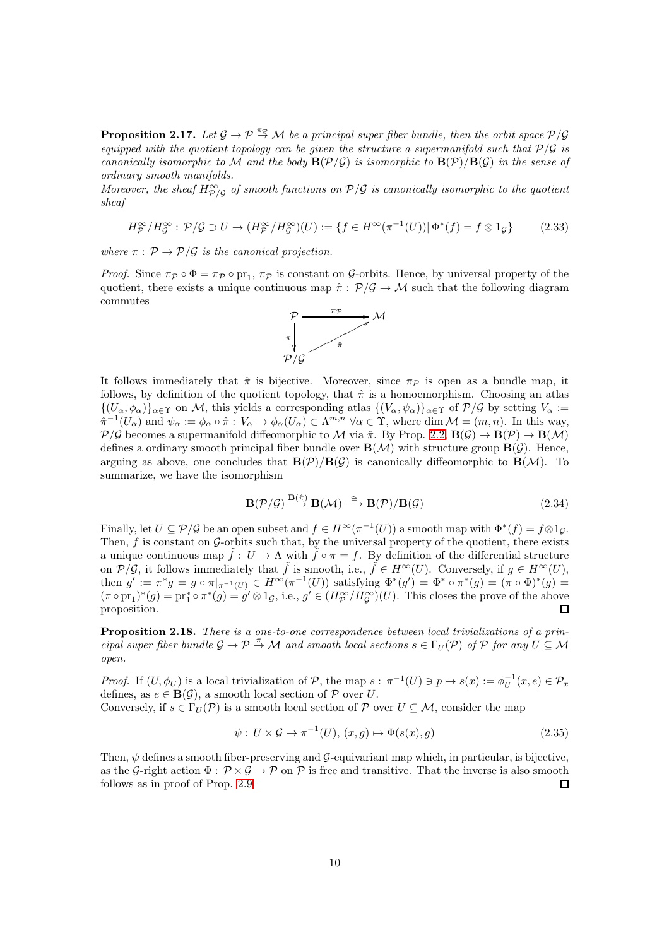<span id="page-9-0"></span>**Proposition 2.17.** Let  $\mathcal{G} \to \mathcal{P} \stackrel{\pi_{\mathcal{P}}}{\to} \mathcal{M}$  be a principal super fiber bundle, then the orbit space  $\mathcal{P}/\mathcal{G}$ equipped with the quotient topology can be given the structure a supermanifold such that  $P/G$  is canonically isomorphic to M and the body  $B(\mathcal{P}/\mathcal{G})$  is isomorphic to  $B(\mathcal{P})/B(\mathcal{G})$  in the sense of ordinary smooth manifolds.

Moreover, the sheaf  $H^{\infty}_{\mathcal{P}/\mathcal{G}}$  of smooth functions on  $\mathcal{P}/\mathcal{G}$  is canonically isomorphic to the quotient sheaf

$$
H_P^{\infty}/H_G^{\infty} : \mathcal{P}/\mathcal{G} \supset U \to (H_P^{\infty}/H_G^{\infty})(U) := \{ f \in H^{\infty}(\pi^{-1}(U)) | \Phi^*(f) = f \otimes 1_{\mathcal{G}} \}
$$
(2.33)

where  $\pi : \mathcal{P} \to \mathcal{P}/\mathcal{G}$  is the canonical projection.

*Proof.* Since  $\pi_{\mathcal{P}} \circ \Phi = \pi_{\mathcal{P}} \circ \text{pr}_1$ ,  $\pi_{\mathcal{P}}$  is constant on G-orbits. Hence, by universal property of the quotient, there exists a unique continuous map  $\hat{\pi}: \mathcal{P}/\mathcal{G} \to \mathcal{M}$  such that the following diagram commutes



It follows immediately that  $\hat{\pi}$  is bijective. Moreover, since  $\pi_{\mathcal{P}}$  is open as a bundle map, it follows, by definition of the quotient topology, that  $\hat{\pi}$  is a homoemorphism. Choosing an atlas  ${(U_\alpha, \phi_\alpha)}_{\alpha \in \Upsilon}$  on M, this yields a corresponding atlas  ${(V_\alpha, \psi_\alpha)}_{\alpha \in \Upsilon}$  of  $\mathcal{P}/\mathcal{G}$  by setting  $V_\alpha :=$  $\hat{\pi}^{-1}(U_{\alpha})$  and  $\psi_{\alpha} := \phi_{\alpha} \circ \hat{\pi} : V_{\alpha} \to \phi_{\alpha}(U_{\alpha}) \subset \Lambda^{m,n} \ \forall \alpha \in \Upsilon$ , where  $\dim \mathcal{M} = (m, n)$ . In this way,  $\mathcal{P}/\mathcal{G}$  becomes a supermanifold diffeomorphic to M via  $\hat{\pi}$ . By Prop. [2.2,](#page-3-2)  $\mathbf{B}(\mathcal{G}) \to \mathbf{B}(\mathcal{P}) \to \mathbf{B}(\mathcal{M})$ defines a ordinary smooth principal fiber bundle over  $\mathbf{B}(\mathcal{M})$  with structure group  $\mathbf{B}(\mathcal{G})$ . Hence, arguing as above, one concludes that  $\mathbf{B}(\mathcal{P})/\mathbf{B}(\mathcal{G})$  is canonically diffeomorphic to  $\mathbf{B}(\mathcal{M})$ . To summarize, we have the isomorphism

 $\equiv$   $\cdots$ 

$$
\mathbf{B}(\mathcal{P}/\mathcal{G}) \xrightarrow{\mathbf{B}(\hat{\pi})} \mathbf{B}(\mathcal{M}) \xrightarrow{\cong} \mathbf{B}(\mathcal{P})/\mathbf{B}(\mathcal{G})
$$
\n(2.34)

Finally, let  $U \subseteq \mathcal{P}/\mathcal{G}$  be an open subset and  $f \in H^{\infty}(\pi^{-1}(U))$  a smooth map with  $\Phi^*(f) = f \otimes 1_{\mathcal{G}}$ . Then,  $f$  is constant on  $\mathcal{G}$ -orbits such that, by the universal property of the quotient, there exists a unique continuous map  $\tilde{f}: U \to \Lambda$  with  $\tilde{f} \circ \pi = f$ . By definition of the differential structure on  $\mathcal{P}/\mathcal{G}$ , it follows immediately that  $\tilde{f}$  is smooth, i.e.,  $\tilde{f} \in H^{\infty}(U)$ . Conversely, if  $g \in H^{\infty}(U)$ , then  $g' := \pi^* g = g \circ \pi|_{\pi^{-1}(U)} \in H^{\infty}(\pi^{-1}(U))$  satisfying  $\Phi^*(g') = \Phi^* \circ \pi^*(g) = (\pi \circ \Phi)^*(g) =$  $(\pi \circ pr_1)^*(g) = pr_1^* \circ \pi^*(g) = g' \otimes 1_{\mathcal{G}},$  i.e.,  $g' \in (H_P^{\infty}/H_{\mathcal{G}}^{\infty})(U)$ . This closes the prove of the above proposition.  $\Box$ 

Proposition 2.18. There is a one-to-one correspondence between local trivializations of a principal super fiber bundle  $\mathcal{G} \to \mathcal{P} \stackrel{\pi}{\to} \mathcal{M}$  and smooth local sections  $s \in \Gamma_U(\mathcal{P})$  of  $\mathcal{P}$  for any  $U \subseteq \mathcal{M}$ open.

*Proof.* If  $(U, \phi_U)$  is a local trivialization of  $P$ , the map  $s : \pi^{-1}(U) \ni p \mapsto s(x) := \phi_U^{-1}(x, e) \in \mathcal{P}_x$ defines, as  $e \in \mathbf{B}(\mathcal{G})$ , a smooth local section of  $\mathcal P$  over U.

Conversely, if  $s \in \Gamma_U(\mathcal{P})$  is a smooth local section of  $\mathcal{P}$  over  $U \subseteq \mathcal{M}$ , consider the map

$$
\psi: U \times \mathcal{G} \to \pi^{-1}(U), (x, g) \mapsto \Phi(s(x), g)
$$
\n
$$
(2.35)
$$

Then,  $\psi$  defines a smooth fiber-preserving and  $\mathcal{G}$ -equivariant map which, in particular, is bijective, as the G-right action  $\Phi : \mathcal{P} \times \mathcal{G} \to \mathcal{P}$  on  $\mathcal{P}$  is free and transitive. That the inverse is also smooth follows as in proof of Prop. [2.9.](#page-6-0)  $\Box$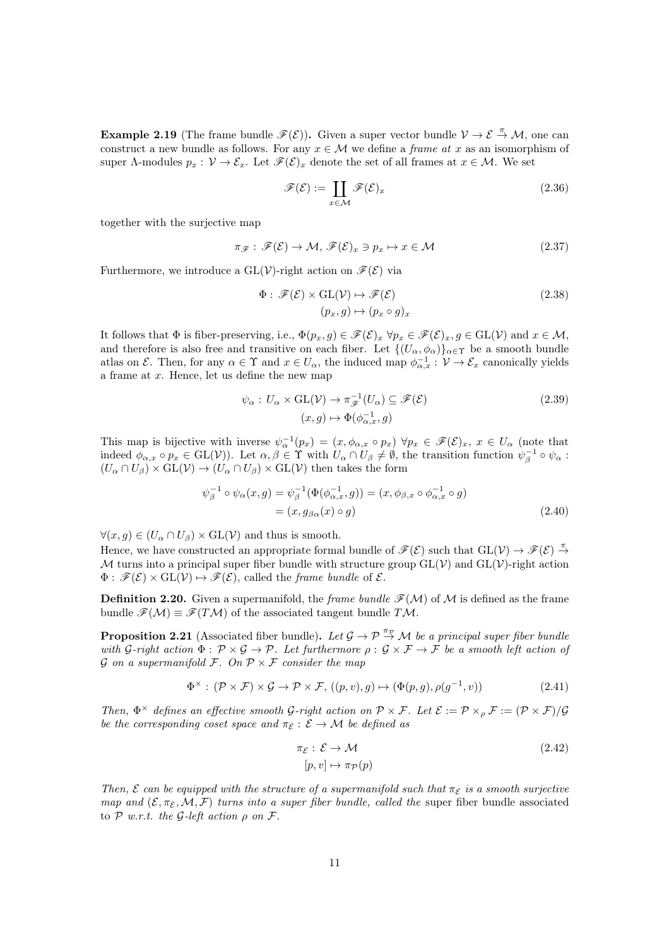**Example 2.19** (The frame bundle  $\mathscr{F}(\mathcal{E})$ ). Given a super vector bundle  $\mathcal{V} \to \mathcal{E} \to \mathcal{M}$ , one can construct a new bundle as follows. For any  $x \in \mathcal{M}$  we define a *frame at x* as an isomorphism of super  $\Lambda$ -modules  $p_x : \mathcal{V} \to \mathcal{E}_x$ . Let  $\mathscr{F}(\mathcal{E})_x$  denote the set of all frames at  $x \in \mathcal{M}$ . We set

$$
\mathscr{F}(\mathcal{E}) := \coprod_{x \in \mathcal{M}} \mathscr{F}(\mathcal{E})_x \tag{2.36}
$$

together with the surjective map

$$
\pi_{\mathscr{F}}:\mathscr{F}(\mathcal{E})\to\mathcal{M},\mathscr{F}(\mathcal{E})_x\ni p_x\mapsto x\in\mathcal{M}
$$
\n(2.37)

Furthermore, we introduce a  $GL(V)$ -right action on  $\mathscr{F}(\mathcal{E})$  via

$$
\Phi: \mathscr{F}(\mathcal{E}) \times \mathrm{GL}(\mathcal{V}) \mapsto \mathscr{F}(\mathcal{E})
$$
  

$$
(p_x, g) \mapsto (p_x \circ g)_x
$$
 (2.38)

It follows that  $\Phi$  is fiber-preserving, i.e.,  $\Phi(p_x, g) \in \mathscr{F}(\mathcal{E})_x \,\forall p_x \in \mathscr{F}(\mathcal{E})_x, g \in \text{GL}(\mathcal{V})$  and  $x \in \mathcal{M}$ , and therefore is also free and transitive on each fiber. Let  $\{(U_\alpha, \phi_\alpha)\}_{\alpha \in \Upsilon}$  be a smooth bundle atlas on  $\mathcal{E}$ . Then, for any  $\alpha \in \Upsilon$  and  $x \in U_\alpha$ , the induced map  $\phi_{\alpha,x}^{-1} : \mathcal{V} \to \mathcal{E}_x$  canonically yields a frame at x. Hence, let us define the new map

$$
\psi_{\alpha}: U_{\alpha} \times \mathrm{GL}(\mathcal{V}) \to \pi_{\mathscr{F}}^{-1}(U_{\alpha}) \subseteq \mathscr{F}(\mathcal{E})
$$
\n
$$
(x, g) \mapsto \Phi(\phi_{\alpha,x}^{-1}, g)
$$
\n
$$
(2.39)
$$

This map is bijective with inverse  $\psi_{\alpha}^{-1}(p_x) = (x, \phi_{\alpha,x} \circ p_x) \,\forall p_x \in \mathscr{F}(\mathcal{E})_x, x \in U_{\alpha}$  (note that indeed  $\phi_{\alpha,x} \circ p_x \in GL(V)$ ). Let  $\alpha, \beta \in \Upsilon$  with  $U_\alpha \cap U_\beta \neq \emptyset$ , the transition function  $\psi_\beta^{-1} \circ \psi_\alpha$ :  $(U_\alpha \cap U_\beta) \times \mathrm{GL}(\mathcal{V}) \to (U_\alpha \cap U_\beta) \times \mathrm{GL}(\mathcal{V})$  then takes the form

$$
\psi_{\beta}^{-1} \circ \psi_{\alpha}(x, g) = \psi_{\beta}^{-1}(\Phi(\phi_{\alpha, x}^{-1}, g)) = (x, \phi_{\beta, x} \circ \phi_{\alpha, x}^{-1} \circ g)
$$

$$
= (x, g_{\beta\alpha}(x) \circ g)
$$
(2.40)

 $\forall (x, g) \in (U_\alpha \cap U_\beta) \times \text{GL}(\mathcal{V})$  and thus is smooth.

Hence, we have constructed an appropriate formal bundle of  $\mathscr{F}(\mathcal{E})$  such that  $GL(\mathcal{V}) \to \mathscr{F}(\mathcal{E}) \stackrel{\pi}{\to}$ M turns into a principal super fiber bundle with structure group  $GL(V)$  and  $GL(V)$ -right action  $\Phi : \mathscr{F}(\mathcal{E}) \times \mathrm{GL}(\mathcal{V}) \mapsto \mathscr{F}(\mathcal{E})$ , called the *frame bundle* of  $\mathcal{E}$ .

**Definition 2.20.** Given a supermanifold, the *frame bundle*  $\mathcal{F}(M)$  of M is defined as the frame bundle  $\mathscr{F}(\mathcal{M}) \equiv \mathscr{F}(T\mathcal{M})$  of the associated tangent bundle  $T\mathcal{M}$ .

<span id="page-10-0"></span>**Proposition 2.21** (Associated fiber bundle). Let  $\mathcal{G} \to \mathcal{P} \stackrel{\pi_{\mathcal{P}}}{\to} \mathcal{M}$  be a principal super fiber bundle with G-right action  $\Phi : \mathcal{P} \times \mathcal{G} \to \mathcal{P}$ . Let furthermore  $\rho : \mathcal{G} \times \mathcal{F} \to \mathcal{F}$  be a smooth left action of G on a supermanifold F. On  $P \times F$  consider the map

$$
\Phi^{\times} : (\mathcal{P} \times \mathcal{F}) \times \mathcal{G} \to \mathcal{P} \times \mathcal{F}, ((p, v), g) \mapsto (\Phi(p, g), \rho(g^{-1}, v))
$$
\n(2.41)

Then,  $\Phi^{\times}$  defines an effective smooth G-right action on  $\mathcal{P} \times \mathcal{F}$ . Let  $\mathcal{E} := \mathcal{P} \times_{\rho} \mathcal{F} := (\mathcal{P} \times \mathcal{F})/\mathcal{G}$ be the corresponding coset space and  $\pi_{\mathcal{E}} : \mathcal{E} \to \mathcal{M}$  be defined as

$$
\pi_{\mathcal{E}} : \mathcal{E} \to \mathcal{M}
$$
  
[p, v]  $\mapsto \pi_{\mathcal{P}}(p)$  (2.42)

Then,  $\mathcal E$  can be equipped with the structure of a supermanifold such that  $\pi_{\mathcal E}$  is a smooth surjective map and  $(\mathcal{E}, \pi_{\mathcal{E}}, \mathcal{M}, \mathcal{F})$  turns into a super fiber bundle, called the super fiber bundle associated to  $P$  w.r.t. the  $G$ -left action  $\rho$  on  $\mathcal{F}$ .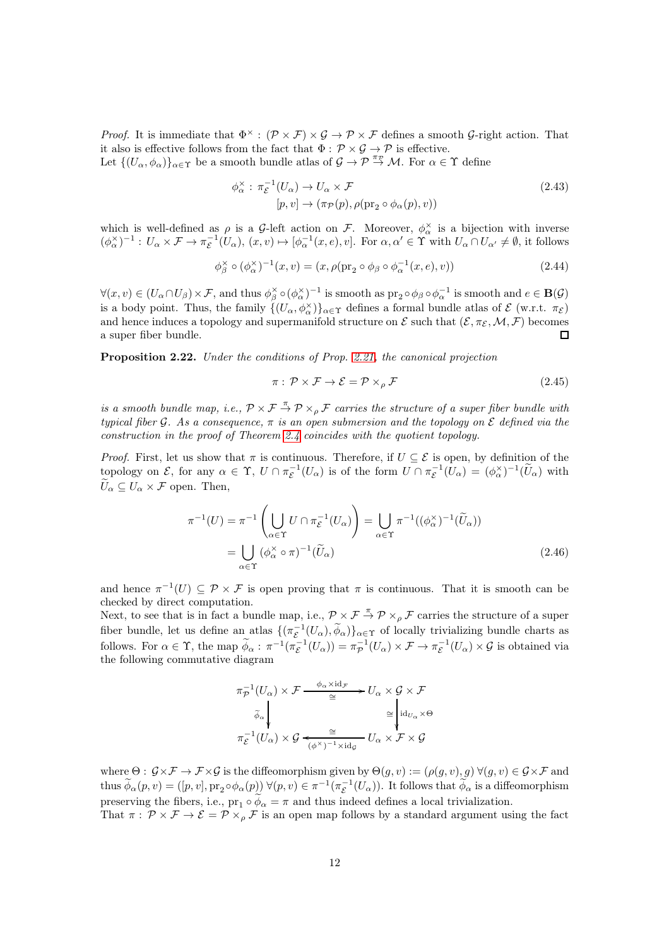*Proof.* It is immediate that  $\Phi^{\times}$ :  $(\mathcal{P} \times \mathcal{F}) \times \mathcal{G} \to \mathcal{P} \times \mathcal{F}$  defines a smooth  $\mathcal{G}\text{-right action}$ . That it also is effective follows from the fact that  $\Phi : \mathcal{P} \times \mathcal{G} \to \mathcal{P}$  is effective. Let  $\{(U_\alpha,\phi_\alpha)\}_{\alpha\in\Upsilon}$  be a smooth bundle atlas of  $\mathcal{G}\to\overline{\mathcal{P}}\stackrel{\pi_{\mathcal{P}}}{\to}\mathcal{M}$ . For  $\alpha\in\Upsilon$  define

$$
\phi_{\alpha}^{\times} : \pi_{\mathcal{E}}^{-1}(U_{\alpha}) \to U_{\alpha} \times \mathcal{F}
$$
\n(2.43)

$$
[p, v] \to (\pi_{\mathcal{P}}(p), \rho(\text{pr}_2 \circ \phi_\alpha(p), v))
$$
\n
$$
[p, v] \to (\pi_{\mathcal{P}}(p), \rho(\text{pr}_2 \circ \phi_\alpha(p), v))
$$
\n
$$
(2.43)
$$

which is well-defined as  $\rho$  is a G-left action on F. Moreover,  $\phi_{\alpha}^{\times}$  is a bijection with inverse  $(\phi_\alpha^{\times})^{-1}: U_\alpha \times \mathcal{F} \to \pi_{\mathcal{E}}^{-1}(U_\alpha), (x, v) \mapsto [\phi_\alpha^{-1}(x, e), v].$  For  $\alpha, \alpha' \in \Upsilon$  with  $U_\alpha \cap U_{\alpha'} \neq \emptyset$ , it follows

$$
\phi_{\beta}^{\times} \circ (\phi_{\alpha}^{\times})^{-1}(x, v) = (x, \rho(\text{pr}_2 \circ \phi_{\beta} \circ \phi_{\alpha}^{-1}(x, e), v))
$$
\n(2.44)

 $\forall (x, v) \in (U_\alpha \cap U_\beta) \times \mathcal{F}$ , and thus  $\phi_\beta^\times \circ (\phi_\alpha^\times)^{-1}$  is smooth as  $\text{pr}_2 \circ \phi_\beta \circ \phi_\alpha^{-1}$  is smooth and  $e \in \mathbf{B}(\mathcal{G})$ is a body point. Thus, the family  $\{(U_\alpha,\phi_\alpha^\times)\}_{\alpha\in\Upsilon}$  defines a formal bundle atlas of  $\mathcal E$  (w.r.t.  $\pi_{\mathcal E}$ ) and hence induces a topology and supermanifold structure on  $\mathcal E$  such that  $(\mathcal E, \pi_{\mathcal E}, \mathcal M, \mathcal F)$  becomes a super fiber bundle.  $\Box$ 

<span id="page-11-0"></span>Proposition 2.22. Under the conditions of Prop. [2.21,](#page-10-0) the canonical projection

$$
\pi: \mathcal{P} \times \mathcal{F} \to \mathcal{E} = \mathcal{P} \times_{\rho} \mathcal{F}
$$
\n
$$
(2.45)
$$

is a smooth bundle map, i.e.,  $\mathcal{P} \times \mathcal{F} \stackrel{\pi}{\to} \mathcal{P} \times_{\rho} \mathcal{F}$  carries the structure of a super fiber bundle with typical fiber G. As a consequence,  $\pi$  is an open submersion and the topology on E defined via the construction in the proof of Theorem [2.4](#page-3-0) coincides with the quotient topology.

*Proof.* First, let us show that  $\pi$  is continuous. Therefore, if  $U \subseteq \mathcal{E}$  is open, by definition of the topology on  $\mathcal{E}$ , for any  $\alpha \in \Upsilon$ ,  $U \cap \pi_{\mathcal{E}}^{-1}(U_{\alpha})$  is of the form  $U \cap \pi_{\mathcal{E}}^{-1}(U_{\alpha}) = (\phi_{\alpha}^{\times})^{-1}(\widetilde{U}_{\alpha})$  with  $\widetilde{U}_{\alpha} \subset U_{\alpha} \times \mathcal{F}$  open. Then,

$$
\pi^{-1}(U) = \pi^{-1}\left(\bigcup_{\alpha \in \Upsilon} U \cap \pi_{\mathcal{E}}^{-1}(U_{\alpha})\right) = \bigcup_{\alpha \in \Upsilon} \pi^{-1}((\phi_{\alpha}^{\times})^{-1}(\widetilde{U}_{\alpha}))
$$

$$
= \bigcup_{\alpha \in \Upsilon} (\phi_{\alpha}^{\times} \circ \pi)^{-1}(\widetilde{U}_{\alpha})
$$
(2.46)

and hence  $\pi^{-1}(U) \subseteq \mathcal{P} \times \mathcal{F}$  is open proving that  $\pi$  is continuous. That it is smooth can be checked by direct computation.

Next, to see that is in fact a bundle map, i.e.,  $\mathcal{P} \times \mathcal{F} \stackrel{\pi}{\to} \mathcal{P} \times_{\rho} \mathcal{F}$  carries the structure of a super fiber bundle, let us define an atlas  $\{(\pi_{\mathcal{E}}^{-1}(U_{\alpha}), \widetilde{\phi}_{\alpha})\}_{\alpha \in \Upsilon}$  of locally trivializing bundle charts as follows. For  $\alpha \in \Upsilon$ , the map  $\widetilde{\phi}_{\alpha}$ :  $\pi^{-1}(\pi_{\mathcal{E}}^{-1}(U_{\alpha})) = \pi_{\mathcal{P}}^{-1}(U_{\alpha}) \times \mathcal{F} \to \pi_{\mathcal{E}}^{-1}(U_{\alpha}) \times \mathcal{G}$  is obtained via the following commutative diagram

$$
\pi_{\mathcal{P}}^{-1}(U_{\alpha}) \times \mathcal{F} \xrightarrow{\phi_{\alpha} \times \mathrm{id}_{\mathcal{F}}} U_{\alpha} \times \mathcal{G} \times \mathcal{F}
$$
\n
$$
\widetilde{\phi}_{\alpha} \downarrow \qquad \qquad \cong \qquad \downarrow \mathrm{id}_{U_{\alpha}} \times \Theta
$$
\n
$$
\pi_{\mathcal{E}}^{-1}(U_{\alpha}) \times \mathcal{G} \xleftarrow{\cong} U_{\alpha} \times \mathcal{F} \times \mathcal{G}
$$

where  $\Theta: \mathcal{G} \times \mathcal{F} \to \mathcal{F} \times \mathcal{G}$  is the diffeomorphism given by  $\Theta(g, v) := (\rho(g, v), g) \forall (g, v) \in \mathcal{G} \times \mathcal{F}$  and thus  $\widetilde{\phi}_{\alpha}(p,v) = ([p,v], pr_2 \circ \phi_{\alpha}(p)) \ \forall (p,v) \in \pi^{-1}(\pi_{\mathcal{E}}^{-1}(U_{\alpha}))$ . It follows that  $\widetilde{\phi}_{\alpha}$  is a diffeomorphism preserving the fibers, i.e.,  $pr_1 \circ \phi_\alpha = \pi$  and thus indeed defines a local trivialization. That  $\pi$ :  $\mathcal{P} \times \mathcal{F} \to \mathcal{E} = \mathcal{P} \times_{\rho} \mathcal{F}$  is an open map follows by a standard argument using the fact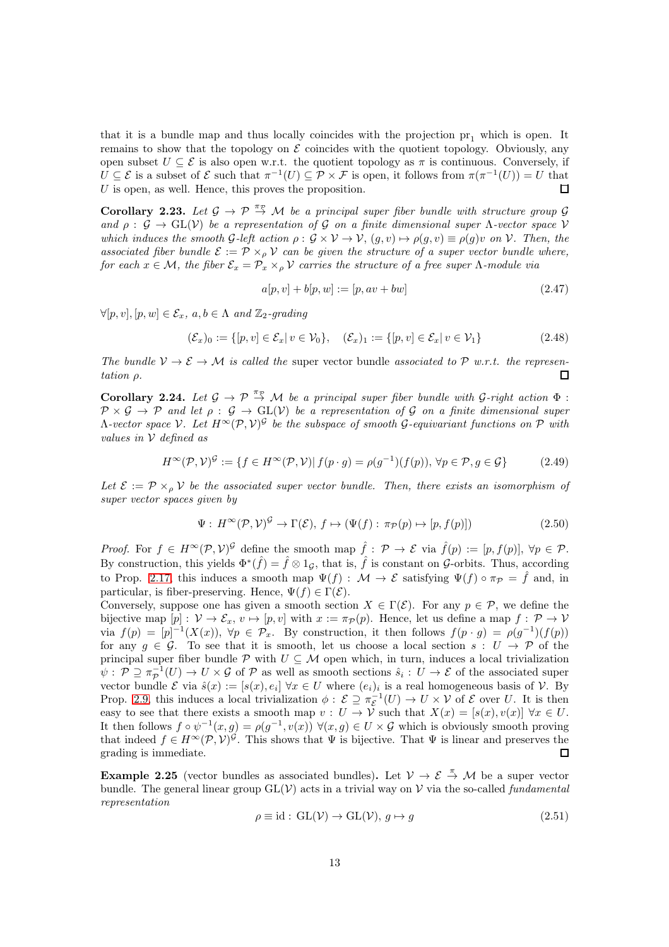that it is a bundle map and thus locally coincides with the projection  $pr_1$  which is open. It remains to show that the topology on  $\mathcal E$  coincides with the quotient topology. Obviously, any open subset  $U \subseteq \mathcal{E}$  is also open w.r.t. the quotient topology as  $\pi$  is continuous. Conversely, if  $U \subseteq \mathcal{E}$  is a subset of  $\mathcal{E}$  such that  $\pi^{-1}(U) \subseteq \mathcal{P} \times \mathcal{F}$  is open, it follows from  $\pi(\pi^{-1}(U)) = U$  that  $U$  is open, as well. Hence, this proves the proposition. П

Corollary 2.23. Let  $\mathcal{G} \to \mathcal{P} \stackrel{\pi_{\mathcal{P}}}{\to} \mathcal{M}$  be a principal super fiber bundle with structure group  $\mathcal{G}$ and  $\rho : \mathcal{G} \to \text{GL}(\mathcal{V})$  be a representation of G on a finite dimensional super  $\Lambda$ -vector space  $\mathcal{V}$ which induces the smooth G-left action  $\rho: \mathcal{G} \times \mathcal{V} \to \mathcal{V}$ ,  $(g, v) \mapsto \rho(g, v) \equiv \rho(g)v$  on  $\mathcal{V}$ . Then, the associated fiber bundle  $\mathcal{E} := \mathcal{P} \times_{\rho} \mathcal{V}$  can be given the structure of a super vector bundle where, for each  $x \in \mathcal{M}$ , the fiber  $\mathcal{E}_x = \mathcal{P}_x \times_{\rho} \mathcal{V}$  carries the structure of a free super  $\Lambda$ -module via

$$
a[p, v] + b[p, w] := [p, av + bw]
$$
\n(2.47)

 $\forall [p, v], [p, w] \in \mathcal{E}_x, a, b \in \Lambda \text{ and } \mathbb{Z}_2\text{-}grading$ 

$$
(\mathcal{E}_x)_0 := \{ [p, v] \in \mathcal{E}_x | v \in \mathcal{V}_0 \}, \quad (\mathcal{E}_x)_1 := \{ [p, v] \in \mathcal{E}_x | v \in \mathcal{V}_1 \}
$$
(2.48)

The bundle  $V \to \mathcal{E} \to \mathcal{M}$  is called the super vector bundle associated to P w.r.t. the representation ρ. П

<span id="page-12-0"></span>Corollary 2.24. Let  $\mathcal{G} \to \mathcal{P} \stackrel{\pi_{\mathcal{P}}}{\to} \mathcal{M}$  be a principal super fiber bundle with  $\mathcal{G}\text{-right action } \Phi$ :  $\mathcal{P} \times \mathcal{G} \to \mathcal{P}$  and let  $\rho : \mathcal{G} \to GL(V)$  be a representation of G on a finite dimensional super  $\Lambda$ -vector space V. Let  $H^{\infty}(\mathcal{P},\mathcal{V})^{\mathcal{G}}$  be the subspace of smooth  $\mathcal{G}$ -equivariant functions on  $\mathcal{P}$  with values in V defined as

$$
H^{\infty}(\mathcal{P},\mathcal{V})^{\mathcal{G}} := \{ f \in H^{\infty}(\mathcal{P},\mathcal{V}) | f(p \cdot g) = \rho(g^{-1})(f(p)), \forall p \in \mathcal{P}, g \in \mathcal{G} \}
$$
(2.49)

Let  $\mathcal{E} := \mathcal{P} \times_{\rho} \mathcal{V}$  be the associated super vector bundle. Then, there exists an isomorphism of super vector spaces given by

$$
\Psi: H^{\infty}(\mathcal{P}, \mathcal{V})^{\mathcal{G}} \to \Gamma(\mathcal{E}), f \mapsto (\Psi(f): \pi_{\mathcal{P}}(p) \mapsto [p, f(p)])
$$
\n(2.50)

*Proof.* For  $f \in H^{\infty}(\mathcal{P}, V)^{\mathcal{G}}$  define the smooth map  $\hat{f} : \mathcal{P} \to \mathcal{E}$  via  $\hat{f}(p) := [p, f(p)], \forall p \in \mathcal{P}$ . By construction, this yields  $\Phi^*(\hat{f}) = \hat{f} \otimes 1_{\mathcal{G}}$ , that is,  $\hat{f}$  is constant on  $\mathcal{G}$ -orbits. Thus, according to Prop. [2.17,](#page-9-0) this induces a smooth map  $\Psi(f) : \mathcal{M} \to \mathcal{E}$  satisfying  $\Psi(f) \circ \pi_{\mathcal{P}} = \hat{f}$  and, in particular, is fiber-preserving. Hence,  $\Psi(f) \in \Gamma(\mathcal{E})$ .

Conversely, suppose one has given a smooth section  $X \in \Gamma(\mathcal{E})$ . For any  $p \in \mathcal{P}$ , we define the bijective map  $[p]: \mathcal{V} \to \mathcal{E}_x, v \mapsto [p, v]$  with  $x := \pi_{\mathcal{P}}(p)$ . Hence, let us define a map  $f: \mathcal{P} \to \mathcal{V}$ via  $f(p) = [p]^{-1}(X(x))$ ,  $\forall p \in \mathcal{P}_x$ . By construction, it then follows  $f(p \cdot g) = \rho(g^{-1})(f(p))$ for any  $g \in \mathcal{G}$ . To see that it is smooth, let us choose a local section  $s : U \to \mathcal{P}$  of the principal super fiber bundle P with  $U \subseteq \mathcal{M}$  open which, in turn, induces a local trivialization  $\psi: \mathcal{P} \supseteq \pi_{\mathcal{P}}^{-1}(U) \to U \times \mathcal{G}$  of  $\mathcal{P}$  as well as smooth sections  $\hat{s}_i: U \to \mathcal{E}$  of the associated super vector bundle  $\mathcal E$  via  $\hat s(x) := [s(x), e_i]$   $\forall x \in U$  where  $(e_i)_i$  is a real homogeneous basis of  $\mathcal V$ . By Prop. [2.9,](#page-6-0) this induces a local trivialization  $\phi$  :  $\mathcal{E} \supseteq \pi_{\mathcal{E}}^{-1}(U) \to U \times V$  of  $\mathcal{E}$  over U. It is then easy to see that there exists a smooth map  $v : U \to V$  such that  $X(x) = [s(x), v(x)] \,\forall x \in U$ . It then follows  $f \circ \psi^{-1}(x,g) = \rho(g^{-1}, v(x))$   $\forall (x,g) \in U \times \mathcal{G}$  which is obviously smooth proving that indeed  $f \in H^{\infty}(\mathcal{P}, \mathcal{V})^{\mathcal{G}}$ . This shows that  $\Psi$  is bijective. That  $\Psi$  is linear and preserves the grading is immediate.  $\Box$ 

**Example 2.25** (vector bundles as associated bundles). Let  $V \to \mathcal{E} \stackrel{\pi}{\to} \mathcal{M}$  be a super vector bundle. The general linear group  $GL(V)$  acts in a trivial way on V via the so-called *fundamental* representation

$$
\rho \equiv \text{id} : \text{GL}(\mathcal{V}) \to \text{GL}(\mathcal{V}), \ g \mapsto g \tag{2.51}
$$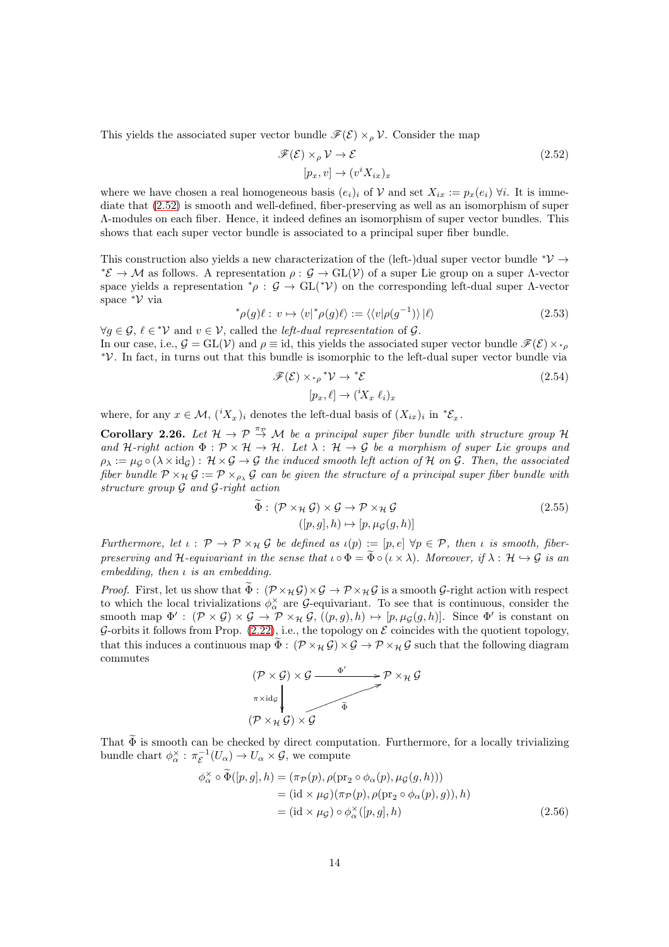This yields the associated super vector bundle  $\mathscr{F}(\mathcal{E}) \times_{\rho} \mathcal{V}$ . Consider the map

<span id="page-13-0"></span>
$$
\mathcal{F}(\mathcal{E}) \times_{\rho} \mathcal{V} \to \mathcal{E}
$$
  
[ $p_x, v$ ]  $\to (v^i X_{ix})_x$  (2.52)

where we have chosen a real homogeneous basis  $(e_i)_i$  of V and set  $X_{ir} := p_x(e_i)$   $\forall i$ . It is immediate that [\(2.52\)](#page-13-0) is smooth and well-defined, fiber-preserving as well as an isomorphism of super Λ-modules on each fiber. Hence, it indeed defines an isomorphism of super vector bundles. This shows that each super vector bundle is associated to a principal super fiber bundle.

This construction also yields a new characterization of the (left-)dual super vector bundle  $^*{\cal V} \rightarrow$  $*{\mathcal{E}} \to {\mathcal{M}}$  as follows. A representation  $\rho: {\mathcal{G}} \to GL({\mathcal{V}})$  of a super Lie group on a super  $\Lambda$ -vector space yields a representation  $^*\rho$ :  $\mathcal{G} \to GL(^*\mathcal{V})$  on the corresponding left-dual super  $\Lambda$ -vector space  $\mathcal{V}$  via

$$
^{\ast}\rho(g)\ell:\,v\mapsto\langle v|^{\ast}\rho(g)\ell\rangle:=\langle\langle v|\rho(g^{-1})\rangle|\ell\rangle\tag{2.53}
$$

 $\forall g \in \mathcal{G}, \ell \in \mathcal{V}$  and  $v \in \mathcal{V}$ , called the *left-dual representation* of  $\mathcal{G}$ . In our case, i.e.,  $\mathcal{G} = GL(V)$  and  $\rho \equiv id$ , this yields the associated super vector bundle  $\mathscr{F}(\mathcal{E}) \times_{\gamma_{\rho}}$ V ∗ . In fact, in turns out that this bundle is isomorphic to the left-dual super vector bundle via

$$
\mathscr{F}(\mathcal{E}) \times_{^* \rho}^* \mathcal{V} \to ^* \mathcal{E} \tag{2.54}
$$

$$
[p_x, \ell] \to ({}^i X_x \ell_i)_x
$$

where, for any  $x \in \mathcal{M}$ ,  $({}^{i}X_{x})_{i}$  denotes the left-dual basis of  $(X_{ix})_{i}$  in  ${}^{*}E_{x}$ .

<span id="page-13-1"></span>Corollary 2.26. Let  $H \to \mathcal{P} \stackrel{\pi_{\mathcal{P}}}{\to} \mathcal{M}$  be a principal super fiber bundle with structure group H and H-right action  $\Phi : \mathcal{P} \times \mathcal{H} \to \mathcal{H}$ . Let  $\lambda : \mathcal{H} \to \mathcal{G}$  be a morphism of super Lie groups and  $\rho_{\lambda} := \mu_{\mathcal{G}} \circ (\lambda \times \mathrm{id}_{\mathcal{G}}) : \mathcal{H} \times \mathcal{G} \to \mathcal{G}$  the induced smooth left action of H on G. Then, the associated fiber bundle  $P \times_{\mathcal{H}} \mathcal{G} := \mathcal{P} \times_{\rho_{\lambda}} \mathcal{G}$  can be given the structure of a principal super fiber bundle with structure group  $\mathcal G$  and  $\mathcal G$ -right action

$$
\widetilde{\Phi}: (\mathcal{P} \times_{\mathcal{H}} \mathcal{G}) \times \mathcal{G} \to \mathcal{P} \times_{\mathcal{H}} \mathcal{G}
$$
\n
$$
([p, g], h) \mapsto [p, \mu_{\mathcal{G}}(g, h)]
$$
\n(2.55)

Furthermore, let  $\iota : \mathcal{P} \to \mathcal{P} \times_{\mathcal{H}} \mathcal{G}$  be defined as  $\iota(p) := [p, e] \,\forall p \in \mathcal{P}$ , then  $\iota$  is smooth, fiberpreserving and H-equivariant in the sense that  $\iota \circ \Phi = \widetilde{\Phi} \circ (\iota \times \lambda)$ . Moreover, if  $\lambda : \mathcal{H} \hookrightarrow \mathcal{G}$  is an embedding, then  $\iota$  is an embedding.

*Proof.* First, let us show that  $\widetilde{\Phi}: (\mathcal{P} \times_{\mathcal{H}} \mathcal{G}) \times \mathcal{G} \to \mathcal{P} \times_{\mathcal{H}} \mathcal{G}$  is a smooth  $\mathcal{G}\text{-right action with respect}$ to which the local trivializations  $\phi_{\alpha}^{\times}$  are  $\mathcal{G}$ -equivariant. To see that is continuous, consider the smooth map  $\Phi' : (\mathcal{P} \times \mathcal{G}) \times \mathcal{G} \to \mathcal{P} \times_{\mathcal{H}} \mathcal{G}, ((p, g), h) \mapsto [p, \mu_{\mathcal{G}}(g, h)].$  Since  $\Phi'$  is constant on G-orbits it follows from Prop.  $(2.22)$ , i.e., the topology on  $\mathcal E$  coincides with the quotient topology, that this induces a continuous map  $\widetilde{\Phi}: (\mathcal{P} \times_{\mathcal{H}} \mathcal{G}) \times \mathcal{G} \to \mathcal{P} \times_{\mathcal{H}} \mathcal{G}$  such that the following diagram commutes

$$
(\mathcal{P} \times \mathcal{G}) \times \mathcal{G} \xrightarrow{\Phi'} \mathcal{P} \times_{\mathcal{H}} \mathcal{G}
$$
\n
$$
\uparrow \qquad \qquad \downarrow \qquad \qquad \downarrow
$$
\n
$$
(\mathcal{P} \times_{\mathcal{H}} \mathcal{G}) \times \mathcal{G} \qquad \qquad \downarrow
$$

That  $\Phi$  is smooth can be checked by direct computation. Furthermore, for a locally trivializing bundle chart  $\phi_{\alpha}^{\times} : \pi_{\mathcal{E}}^{-1}(U_{\alpha}) \to U_{\alpha} \times \mathcal{G}$ , we compute

$$
\phi_{\alpha}^{\times} \circ \widetilde{\Phi}([p,g],h) = (\pi_{\mathcal{P}}(p), \rho(\text{pr}_2 \circ \phi_{\alpha}(p), \mu_{\mathcal{G}}(g,h))) \n= (\text{id} \times \mu_{\mathcal{G}})(\pi_{\mathcal{P}}(p), \rho(\text{pr}_2 \circ \phi_{\alpha}(p), g)), h) \n= (\text{id} \times \mu_{\mathcal{G}}) \circ \phi_{\alpha}^{\times}([p,g], h)
$$
\n(2.56)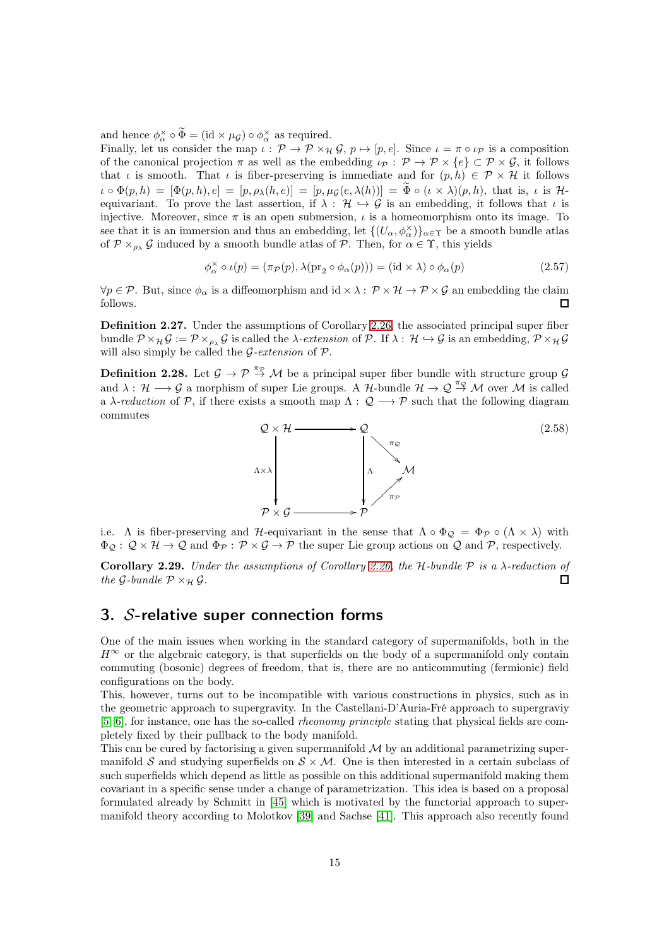and hence  $\phi_{\alpha}^{\times} \circ \tilde{\Phi} = (\text{id} \times \mu_{\mathcal{G}}) \circ \phi_{\alpha}^{\times}$  as required.

Finally, let us consider the map  $\iota : \mathcal{P} \to \mathcal{P} \times_{\mathcal{H}} \mathcal{G}, p \mapsto [p, e]$ . Since  $\iota = \pi \circ \iota_{\mathcal{P}}$  is a composition of the canonical projection  $\pi$  as well as the embedding  $\iota_{\mathcal{P}} : \mathcal{P} \to \mathcal{P} \times \{e\} \subset \mathcal{P} \times \mathcal{G}$ , it follows that  $\iota$  is smooth. That  $\iota$  is fiber-preserving is immediate and for  $(p, h) \in \mathcal{P} \times \mathcal{H}$  it follows  $\iota \circ \Phi(p,h) = [\Phi(p,h), e] = [p, \rho_\lambda(h,e)] = [p, \mu_\mathcal{G}(e, \lambda(h))] = \widetilde{\Phi} \circ (\iota \times \lambda)(p,h),$  that is,  $\iota$  is Hequivariant. To prove the last assertion, if  $\lambda : \mathcal{H} \hookrightarrow \mathcal{G}$  is an embedding, it follows that  $\iota$  is injective. Moreover, since  $\pi$  is an open submersion,  $\iota$  is a homeomorphism onto its image. To see that it is an immersion and thus an embedding, let  $\{(U_\alpha,\phi_\alpha^\times)\}_{\alpha\in\Upsilon}$  be a smooth bundle atlas of  $\mathcal{P} \times_{\rho_{\lambda}} \mathcal{G}$  induced by a smooth bundle atlas of  $\mathcal{P}$ . Then, for  $\alpha \in \Upsilon$ , this yields

$$
\phi_{\alpha}^{\times} \circ \iota(p) = (\pi_{\mathcal{P}}(p), \lambda(\text{pr}_2 \circ \phi_{\alpha}(p))) = (\text{id} \times \lambda) \circ \phi_{\alpha}(p) \tag{2.57}
$$

 $\forall p \in \mathcal{P}$ . But, since  $\phi_{\alpha}$  is a diffeomorphism and id  $\times \lambda : \mathcal{P} \times \mathcal{H} \to \mathcal{P} \times \mathcal{G}$  an embedding the claim follows.  $\Box$ 

Definition 2.27. Under the assumptions of Corollary [2.26,](#page-13-1) the associated principal super fiber bundle  $\mathcal{P} \times_{\mathcal{H}} \mathcal{G} := \mathcal{P} \times_{\rho_{\lambda}} \mathcal{G}$  is called the  $\lambda$ -extension of  $\mathcal{P}$ . If  $\lambda : \mathcal{H} \hookrightarrow \mathcal{G}$  is an embedding,  $\mathcal{P} \times_{\mathcal{H}} \mathcal{G}$ will also simply be called the  $G$ -extension of  $P$ .

**Definition 2.28.** Let  $\mathcal{G} \to \mathcal{P} \stackrel{\pi_{\mathcal{P}}}{\to} \mathcal{M}$  be a principal super fiber bundle with structure group  $\mathcal{G}$ and  $\lambda: \mathcal{H} \longrightarrow \mathcal{G}$  a morphism of super Lie groups. A  $\mathcal{H}$ -bundle  $\mathcal{H} \rightarrow \mathcal{Q} \stackrel{\pi_{\mathcal{Q}}}{\rightarrow} \mathcal{M}$  over  $\mathcal{M}$  is called a  $\lambda$ -reduction of P, if there exists a smooth map  $\Lambda: \mathcal{Q} \longrightarrow \mathcal{P}$  such that the following diagram commutes



i.e. Λ is fiber-preserving and H-equivariant in the sense that  $\Lambda \circ \Phi_{\mathcal{Q}} = \Phi_{\mathcal{P}} \circ (\Lambda \times \lambda)$  with  $\Phi_{\mathcal{Q}}: \mathcal{Q} \times \mathcal{H} \to \mathcal{Q}$  and  $\Phi_{\mathcal{P}}: \mathcal{P} \times \mathcal{G} \to \mathcal{P}$  the super Lie group actions on  $\mathcal{Q}$  and  $\mathcal{P}$ , respectively.

Corollary 2.29. Under the assumptions of Corollary [2.26,](#page-13-1) the H-bundle  $P$  is a  $\lambda$ -reduction of the G-bundle  $P \times_{\mathcal{H}} \mathcal{G}$ . П

## <span id="page-14-0"></span>3. S-relative super connection forms

One of the main issues when working in the standard category of supermanifolds, both in the  $H^{\infty}$  or the algebraic category, is that superfields on the body of a supermanifold only contain commuting (bosonic) degrees of freedom, that is, there are no anticommuting (fermionic) field configurations on the body.

This, however, turns out to be incompatible with various constructions in physics, such as in the geometric approach to supergravity. In the Castellani-D'Auria-Fré approach to supergraviy [\[5,](#page-60-0) [6\]](#page-60-1), for instance, one has the so-called rheonomy principle stating that physical fields are completely fixed by their pullback to the body manifold.

This can be cured by factorising a given supermanifold  $\mathcal M$  by an additional parametrizing supermanifold S and studying superfields on  $S \times M$ . One is then interested in a certain subclass of such superfields which depend as little as possible on this additional supermanifold making them covariant in a specific sense under a change of parametrization. This idea is based on a proposal formulated already by Schmitt in [\[45\]](#page-62-2) which is motivated by the functorial approach to supermanifold theory according to Molotkov [\[39\]](#page-62-0) and Sachse [\[41\]](#page-62-10). This approach also recently found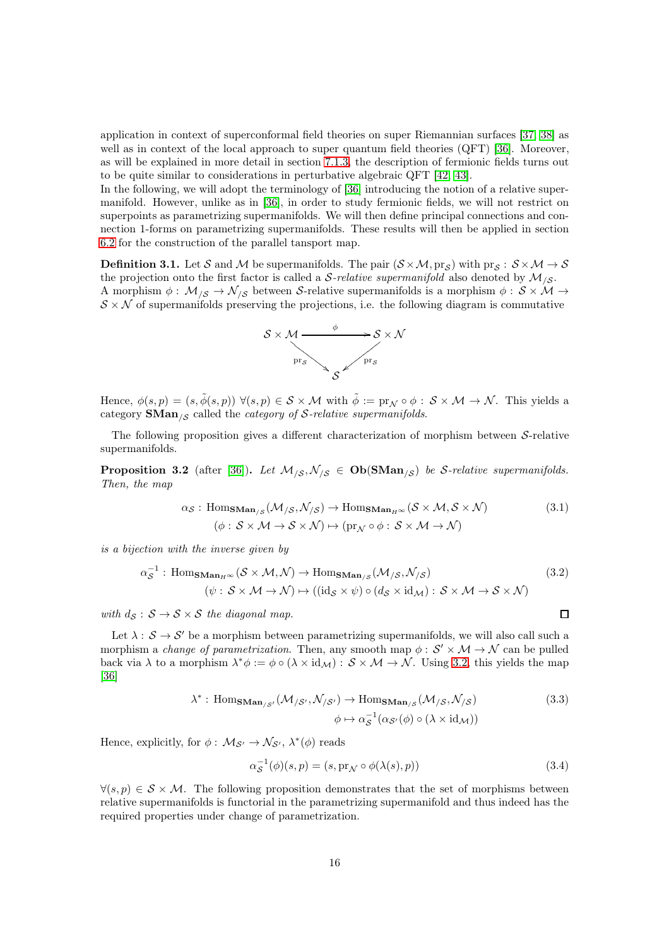application in context of superconformal field theories on super Riemannian surfaces [\[37,](#page-61-7) [38\]](#page-61-8) as well as in context of the local approach to super quantum field theories (QFT) [\[36\]](#page-61-5). Moreover, as will be explained in more detail in section [7.1.3,](#page-48-0) the description of fermionic fields turns out to be quite similar to considerations in perturbative algebraic QFT [\[42,](#page-62-3) [43\]](#page-62-4).

In the following, we will adopt the terminology of [\[36\]](#page-61-5) introducing the notion of a relative supermanifold. However, unlike as in [\[36\]](#page-61-5), in order to study fermionic fields, we will not restrict on superpoints as parametrizing supermanifolds. We will then define principal connections and connection 1-forms on parametrizing supermanifolds. These results will then be applied in section [6.2](#page-35-0) for the construction of the parallel tansport map.

**Definition 3.1.** Let S and M be supermanifolds. The pair  $(S \times M, pr_S)$  with  $pr_S: S \times M \rightarrow S$ the projection onto the first factor is called a S-relative supermanifold also denoted by  $M_{\sqrt{S}}$ . A morphism  $\phi: \mathcal{M}_{\mathcal{S}} \to \mathcal{N}_{\mathcal{S}}$  between S-relative supermanifolds is a morphism  $\phi: \mathcal{S} \times \mathcal{M} \to$  $S \times \mathcal{N}$  of supermanifolds preserving the projections, i.e. the following diagram is commutative



Hence,  $\phi(s,p) = (s, \tilde{\phi}(s,p)) \ \forall (s,p) \in S \times \mathcal{M}$  with  $\tilde{\phi} := \text{pr}_{\mathcal{N}} \circ \phi : S \times \mathcal{M} \to \mathcal{N}$ . This yields a category  $\mathbf{SMan}_{\mathcal{S}}$  called the *category of*  $\mathcal{S}\text{-relative supermanifolds.}$ 

The following proposition gives a different characterization of morphism between  $S$ -relative supermanifolds.

**Proposition 3.2** (after [\[36\]](#page-61-5)). Let  $M_{\langle S}, N_{\langle S} \in \text{Ob}(\text{SMan}_{\langle S})$  be S-relative supermanifolds. Then, the map

$$
\alpha_{\mathcal{S}} : \text{Hom}_{\text{SMan}_{/\mathcal{S}}}(M_{/\mathcal{S}}, \mathcal{N}_{/\mathcal{S}}) \to \text{Hom}_{\text{SMan}_{H^{\infty}}}(S \times M, S \times \mathcal{N})
$$
\n
$$
(\phi : S \times M \to S \times \mathcal{N}) \mapsto (\text{pr}_{\mathcal{N}} \circ \phi : S \times M \to \mathcal{N})
$$
\n(3.1)

is a bijection with the inverse given by

$$
\alpha_{\mathcal{S}}^{-1} : \text{Hom}_{\text{SMan}_{H^{\infty}}}(\mathcal{S} \times \mathcal{M}, \mathcal{N}) \to \text{Hom}_{\text{SMan}_{/\mathcal{S}}}(\mathcal{M}_{/\mathcal{S}}, \mathcal{N}_{/\mathcal{S}})
$$
\n
$$
(\psi : \mathcal{S} \times \mathcal{M} \to \mathcal{N}) \mapsto ((\text{id}_{\mathcal{S}} \times \psi) \circ (d_{\mathcal{S}} \times \text{id}_{\mathcal{M}}) : \mathcal{S} \times \mathcal{M} \to \mathcal{S} \times \mathcal{N})
$$
\n(3.2)

with  $d_S : S \to S \times S$  the diagonal map.

Let  $\lambda : \mathcal{S} \to \mathcal{S}'$  be a morphism between parametrizing supermanifolds, we will also call such a morphism a *change of parametrization*. Then, any smooth map  $\phi : \mathcal{S}' \times \mathcal{M} \to \mathcal{N}$  can be pulled back via  $\lambda$  to a morphism  $\lambda^*\phi := \phi \circ (\lambda \times id_{\mathcal{M}}) : \mathcal{S} \times \mathcal{M} \to \mathcal{N}$ . Using [3.2,](#page-15-0) this yields the map [\[36\]](#page-61-5)

$$
\lambda^* : \text{Hom}_{\text{SMan}_{\text{SS}}}(M_{\text{SS'}}, \mathcal{N}_{\text{SS'}}) \to \text{Hom}_{\text{SMan}_{\text{SS}}}(M_{\text{SS}}, \mathcal{N}_{\text{SS}})
$$
\n
$$
\phi \mapsto \alpha_{\mathcal{S}}^{-1}(\alpha_{\mathcal{S}'}(\phi) \circ (\lambda \times \text{id}_{\mathcal{M}}))
$$
\n(3.3)

Hence, explicitly, for  $\phi: \mathcal{M}_{\mathcal{S}'} \to \mathcal{N}_{\mathcal{S}'}, \lambda^*(\phi)$  reads

$$
\alpha_{\mathcal{S}}^{-1}(\phi)(s,p) = (s, \text{pr}_{\mathcal{N}} \circ \phi(\lambda(s), p)) \tag{3.4}
$$

<span id="page-15-3"></span><span id="page-15-2"></span><span id="page-15-1"></span><span id="page-15-0"></span> $\Box$ 

 $\forall (s, p) \in S \times \mathcal{M}$ . The following proposition demonstrates that the set of morphisms between relative supermanifolds is functorial in the parametrizing supermanifold and thus indeed has the required properties under change of parametrization.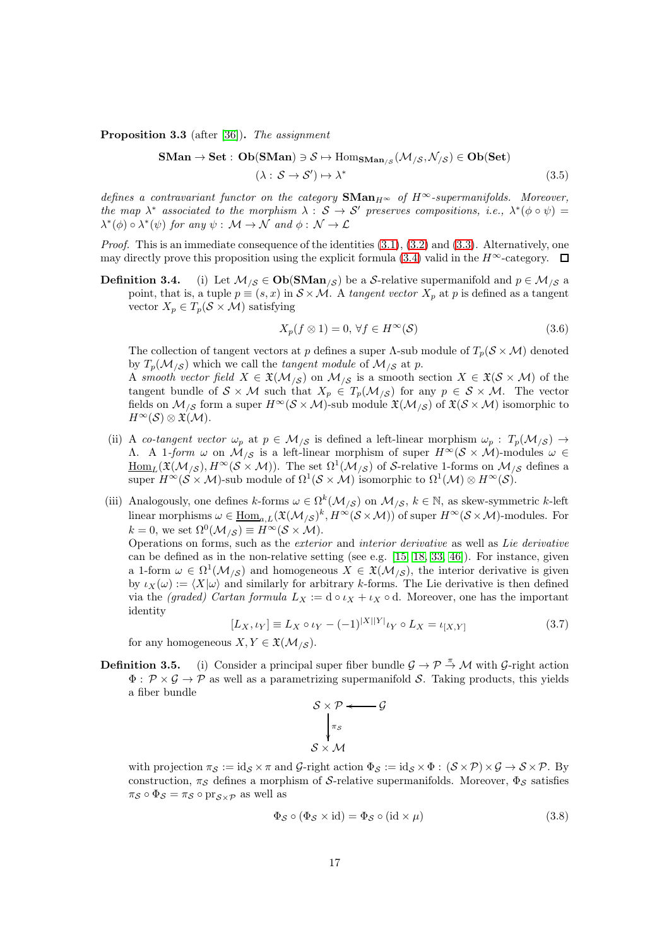Proposition 3.3 (after [\[36\]](#page-61-5)). The assignment

$$
\mathbf{SMan} \to \mathbf{Set}: \mathbf{Ob}(\mathbf{SMan}) \ni \mathcal{S} \mapsto \mathrm{Hom}_{\mathbf{SMan}_{/\mathcal{S}}}(\mathcal{M}_{/\mathcal{S}}, \mathcal{N}_{/\mathcal{S}}) \in \mathbf{Ob}(\mathbf{Set})
$$
  

$$
(\lambda: \mathcal{S} \to \mathcal{S}') \mapsto \lambda^* \tag{3.5}
$$

defines a contravariant functor on the category  $\mathbf{SMan}_{H^{\infty}}$  of  $H^{\infty}$ -supermanifolds. Moreover, the map  $\lambda^*$  associated to the morphism  $\lambda : S \to S'$  preserves compositions, i.e.,  $\lambda^*(\phi \circ \psi) =$  $\lambda^*(\phi) \circ \lambda^*(\psi)$  for any  $\psi : \mathcal{M} \to \mathcal{N}$  and  $\phi : \mathcal{N} \to \mathcal{L}$ 

*Proof.* This is an immediate consequence of the identities  $(3.1)$ ,  $(3.2)$  and  $(3.3)$ . Alternatively, one may directly prove this proposition using the explicit formula [\(3.4\)](#page-15-3) valid in the  $H^{\infty}$ -category.  $\Box$ 

**Definition 3.4.** (i) Let  $M_{\beta} \in Ob(SMan_{\beta})$  be a S-relative supermanifold and  $p \in M_{\beta}$  a point, that is, a tuple  $p \equiv (s, x)$  in  $S \times M$ . A tangent vector  $X_p$  at p is defined as a tangent vector  $X_p \in T_p(\mathcal{S} \times \mathcal{M})$  satisfying

$$
X_p(f \otimes 1) = 0, \,\forall f \in H^\infty(\mathcal{S})\tag{3.6}
$$

The collection of tangent vectors at p defines a super  $\Lambda$ -sub module of  $T_p(\mathcal{S} \times \mathcal{M})$  denoted by  $T_p(\mathcal{M}_{\beta})$  which we call the tangent module of  $\mathcal{M}_{\beta}$  at p.

A smooth vector field  $X \in \mathfrak{X}(\mathcal{M}_{/\mathcal{S}})$  on  $\mathcal{M}_{/\mathcal{S}}$  is a smooth section  $X \in \mathfrak{X}(\mathcal{S} \times \mathcal{M})$  of the tangent bundle of  $S \times M$  such that  $X_p \in T_p(\mathcal{M}_{/\mathcal{S}})$  for any  $p \in \mathcal{S} \times \mathcal{M}$ . The vector fields on  $M_{\text{AS}}$  form a super  $H^{\infty}(\mathcal{S} \times \mathcal{M})$ -sub module  $\mathfrak{X}(\mathcal{M}_{\text{AS}})$  of  $\mathfrak{X}(\mathcal{S} \times \mathcal{M})$  isomorphic to  $H^{\infty}(\mathcal{S})\otimes \mathfrak{X}(\mathcal{M}).$ 

- (ii) A co-tangent vector  $\omega_p$  at  $p \in \mathcal{M}_{\setminus \mathcal{S}}$  is defined a left-linear morphism  $\omega_p : T_p(\mathcal{M}_{\setminus \mathcal{S}}) \to$ Λ. A 1-form ω on  $\mathcal{M}_{\mathcal{S}}$  is a left-linear morphism of super  $H^{\infty}(\mathcal{S} \times \mathcal{M})$ -modules ω ∈  $\underline{\mathrm{Hom}}_L(\mathfrak{X}(\mathcal{M}_{/\mathcal{S}}), H^{\infty}(\mathcal{S} \times \mathcal{M}))$ . The set  $\Omega^1(\mathcal{M}_{/\mathcal{S}})$  of S-relative 1-forms on  $\mathcal{M}_{/\mathcal{S}}$  defines a super  $H^{\infty}(\mathcal{S} \times \mathcal{M})$ -sub module of  $\Omega^1(\mathcal{S} \times \mathcal{M})$  isomorphic to  $\Omega^1(\mathcal{M}) \otimes H^{\infty}(\mathcal{S})$ .
- (iii) Analogously, one defines  $k$ -forms  $\omega \in \Omega^k(\mathcal{M}_{\setminus \mathcal{S}})$  on  $\mathcal{M}_{\setminus \mathcal{S}}$ ,  $k \in \mathbb{N}$ , as skew-symmetric k-left linear morphisms  $\omega \in \underline{\text{Hom}}_{a,L}(\mathfrak{X}(\mathcal{M}_{/\mathcal{S}})^k, H^{\infty}(\mathcal{S} \times \mathcal{M}))$  of super  $H^{\infty}(\mathcal{S} \times \mathcal{M})$ -modules. For  $k = 0$ , we set  $\Omega^0(\mathcal{M}_{/\mathcal{S}}) \equiv H^\infty(\mathcal{S} \times \mathcal{M})$ .

Operations on forms, such as the exterior and interior derivative as well as Lie derivative can be defined as in the non-relative setting (see e.g.  $[15, 18, 33, 46]$  $[15, 18, 33, 46]$  $[15, 18, 33, 46]$  $[15, 18, 33, 46]$ ). For instance, given a 1-form  $\omega \in \Omega^1(\mathcal{M}_{\mathcal{S}})$  and homogeneous  $X \in \mathfrak{X}(\mathcal{M}_{\mathcal{S}})$ , the interior derivative is given by  $\iota_X(\omega) := \langle X | \omega \rangle$  and similarly for arbitrary k-forms. The Lie derivative is then defined via the *(graded)* Cartan formula  $L_X := d \circ \iota_X + \iota_X \circ d$ . Moreover, one has the important identity

$$
[L_X, \iota_Y] \equiv L_X \circ \iota_Y - (-1)^{|X||Y|} \iota_Y \circ L_X = \iota_{[X,Y]} \tag{3.7}
$$

 $\mathcal G$ 

<span id="page-16-0"></span>for any homogeneous  $X, Y \in \mathfrak{X}(\mathcal{M}_{\setminus \mathcal{S}}).$ 

**Definition 3.5.** (i) Consider a principal super fiber bundle  $\mathcal{G} \to \mathcal{P} \to \mathcal{M}$  with  $\mathcal{G}$ -right action  $\Phi : \mathcal{P} \times \mathcal{G} \rightarrow \mathcal{P}$  as well as a parametrizing supermanifold S. Taking products, this yields a fiber bundle

$$
\begin{array}{c}\nS \times \mathcal{P} \longleftarrow \\
\downarrow^{\pi_{\mathcal{S}}} \\
S \times \mathcal{M}\n\end{array}
$$

with projection  $\pi_{\mathcal{S}} := id_{\mathcal{S}} \times \pi$  and  $\mathcal{G}\text{-right action } \Phi_{\mathcal{S}} := id_{\mathcal{S}} \times \Phi : (\mathcal{S} \times \mathcal{P}) \times \mathcal{G} \to \mathcal{S} \times \mathcal{P}$ . By construction,  $\pi_{\mathcal{S}}$  defines a morphism of S-relative supermanifolds. Moreover,  $\Phi_{\mathcal{S}}$  satisfies  $\pi_{\mathcal{S}} \circ \Phi_{\mathcal{S}} = \pi_{\mathcal{S}} \circ \text{pr}_{\mathcal{S} \times \mathcal{P}}$  as well as

$$
\Phi_{\mathcal{S}} \circ (\Phi_{\mathcal{S}} \times \text{id}) = \Phi_{\mathcal{S}} \circ (\text{id} \times \mu) \tag{3.8}
$$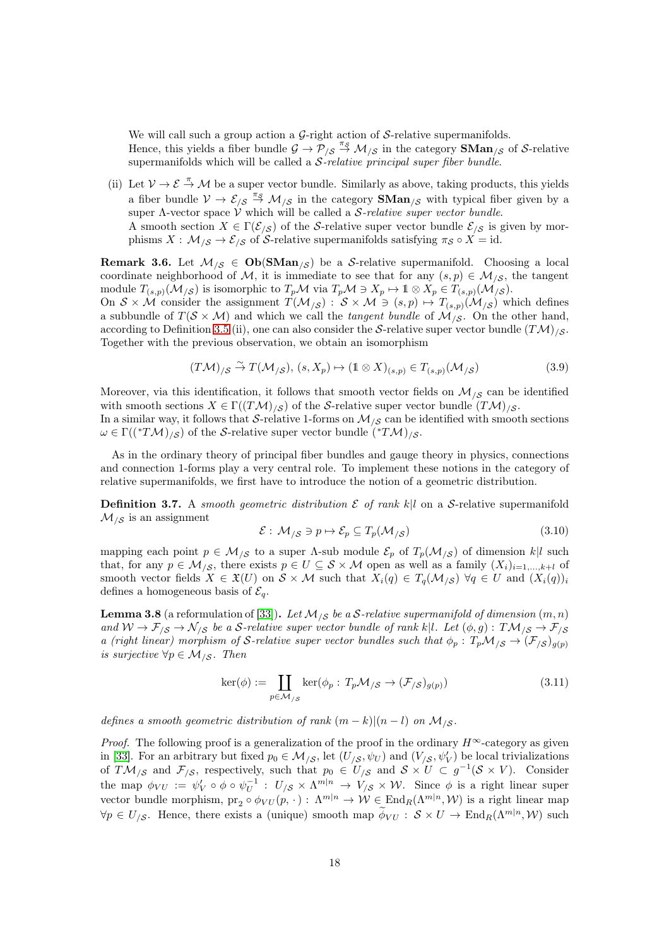We will call such a group action a  $\mathcal{G}\text{-right action}$  of  $\mathcal{S}\text{-relative supermanifolds.}$ 

Hence, this yields a fiber bundle  $\mathcal{G} \to \mathcal{P}_{\backslash S} \stackrel{\pi_S}{\to} \mathcal{M}_{\backslash S}$  in the category **SMan**<sub>/S</sub> of S-relative supermanifolds which will be called a  $S$ -relative principal super fiber bundle.

(ii) Let  $V \to \mathcal{E} \stackrel{\pi}{\to} \mathcal{M}$  be a super vector bundle. Similarly as above, taking products, this yields a fiber bundle  $V \to \mathcal{E}_{\beta S} \stackrel{\pi_S}{\to} \mathcal{M}_{\beta S}$  in the category  $\mathbf{SMan}_{\beta S}$  with typical fiber given by a super  $\Lambda$ -vector space  $\dot{V}$  which will be called a *S*-relative super vector bundle. A smooth section  $X \in \Gamma(\mathcal{E}_{\setminus \mathcal{S}})$  of the S-relative super vector bundle  $\mathcal{E}_{\setminus \mathcal{S}}$  is given by morphisms  $X: \mathcal{M}_{\mathcal{S}} \to \mathcal{E}_{\mathcal{S}}$  of S-relative supermanifolds satisfying  $\pi_{\mathcal{S}} \circ X = id$ .

<span id="page-17-0"></span>**Remark 3.6.** Let  $M_{\text{S}} \in \text{Ob}(\text{SMan}_{\text{S}})$  be a S-relative supermanifold. Choosing a local coordinate neighborhood of M, it is immediate to see that for any  $(s, p) \in \mathcal{M}_{\gamma, \mathcal{S}}$ , the tangent module  $T_{(s,p)}(\mathcal{M}_{\beta})$  is isomorphic to  $T_p\mathcal{M}$  via  $T_p\mathcal{M} \ni X_p \mapsto \mathbb{1} \otimes X_p \in T_{(s,p)}(\mathcal{M}_{\beta}).$ On  $S \times \mathcal{M}$  consider the assignment  $T(\mathcal{M}_{\setminus S})$ :  $S \times \mathcal{M} \ni (s,p) \mapsto T_{(s,p)}(\mathcal{M}_{\setminus S})$  which defines a subbundle of  $T(S \times M)$  and which we call the *tangent bundle* of  $\mathcal{M}_{\ell}$ . On the other hand, according to Definition 3.5 (ii), one can also consider the S-relative super vector bundle  $(TM)_{\ell, S}$ . Together with the previous observation, we obtain an isomorphism

$$
(T\mathcal{M})_{/\mathcal{S}} \stackrel{\sim}{\to} T(\mathcal{M}_{/\mathcal{S}}), (s, X_p) \mapsto (\mathbb{1} \otimes X)_{(s,p)} \in T_{(s,p)}(\mathcal{M}_{/\mathcal{S}})
$$
(3.9)

Moreover, via this identification, it follows that smooth vector fields on  $\mathcal{M}_{\beta S}$  can be identified with smooth sections  $X \in \Gamma((T\mathcal{M})_{\ell S})$  of the S-relative super vector bundle  $(T\mathcal{M})_{\ell S}$ .

In a similar way, it follows that S-relative 1-forms on  $\mathcal{M}_{\mathcal{S}}$  can be identified with smooth sections  $\omega \in \Gamma((^*TM)_{/\mathcal{S}})$  of the S-relative super vector bundle  $(^*TM)_{/\mathcal{S}}$ .

As in the ordinary theory of principal fiber bundles and gauge theory in physics, connections and connection 1-forms play a very central role. To implement these notions in the category of relative supermanifolds, we first have to introduce the notion of a geometric distribution.

**Definition 3.7.** A smooth geometric distribution  $\mathcal{E}$  of rank k|l on a S-relative supermanifold  $\mathcal{M}_{\mathcal{S}}$  is an assignment

$$
\mathcal{E}: \mathcal{M}_{/\mathcal{S}} \ni p \mapsto \mathcal{E}_p \subseteq T_p(\mathcal{M}_{/\mathcal{S}}) \tag{3.10}
$$

mapping each point  $p \in \mathcal{M}_{\gamma, S}$  to a super  $\Lambda$ -sub module  $\mathcal{E}_p$  of  $T_p(\mathcal{M}_{\gamma, S})$  of dimension  $k|l$  such that, for any  $p \in \mathcal{M}_{\gamma, \mathcal{S}}$ , there exists  $p \in U \subseteq \mathcal{S} \times \mathcal{M}$  open as well as a family  $(X_i)_{i=1,\dots,k+l}$  of smooth vector fields  $X \in \mathfrak{X}(U)$  on  $S \times \mathcal{M}$  such that  $X_i(q) \in T_q(\mathcal{M}_{\delta}) \ \forall q \in U$  and  $(X_i(q))_i$ defines a homogeneous basis of  $\mathcal{E}_q$ .

<span id="page-17-1"></span>**Lemma 3.8** (a reformulation of [\[33\]](#page-61-4)). Let  $\mathcal{M}_{\setminus S}$  be a S-relative supermanifold of dimension  $(m, n)$ and  $W \to \mathcal{F}_{\mathcal{S}} \to \mathcal{N}_{\mathcal{S}}$  be a S-relative super vector bundle of rank k|l. Let  $(\phi, g) : T\mathcal{M}_{\mathcal{S}} \to \mathcal{F}_{\mathcal{S}}$ a (right linear) morphism of S-relative super vector bundles such that  $\phi_p : T_p \mathcal{M}_{\gamma S} \to (\mathcal{F}_{\gamma S})_{g(p)}$ is surjective  $\forall p \in \mathcal{M}_{\beta}$ . Then

$$
\ker(\phi) := \coprod_{p \in \mathcal{M}_{/\mathcal{S}}} \ker(\phi_p : T_p \mathcal{M}_{/\mathcal{S}} \to (\mathcal{F}_{/\mathcal{S}})_{g(p)})
$$
(3.11)

defines a smooth geometric distribution of rank  $(m-k)|(n-l)$  on  $\mathcal{M}_{\ell, S}$ .

*Proof.* The following proof is a generalization of the proof in the ordinary  $H^{\infty}$ -category as given in [\[33\]](#page-61-4). For an arbitrary but fixed  $p_0 \in M_{\/S}$ , let  $(U_{\/S}, \psi_U)$  and  $(V_{\/S}, \psi'_V)$  be local trivializations of  $T\mathcal{M}_{\beta}$  and  $\mathcal{F}_{\beta}$ , respectively, such that  $p_0 \in U_{\beta}$  and  $\mathcal{S} \times U \subset g^{-1}(\mathcal{S} \times V)$ . Consider the map  $\phi_{VU} := \psi_V' \circ \phi \circ \psi_U^{-1} : U_{\mathcal{S}} \times \Lambda^{m|n} \to V_{\mathcal{S}} \times \mathcal{W}$ . Since  $\phi$  is a right linear super vector bundle morphism,  $pr_2 \circ \phi_{VU}(p, \cdot) : \Lambda^{m|n} \to W \in \text{End}_R(\Lambda^{m|n}, W)$  is a right linear map  $\forall p \in U_{\mathcal{S}}$ . Hence, there exists a (unique) smooth map  $\phi_{VU} : \mathcal{S} \times U \to \text{End}_{R}(\Lambda^{m|n}, W)$  such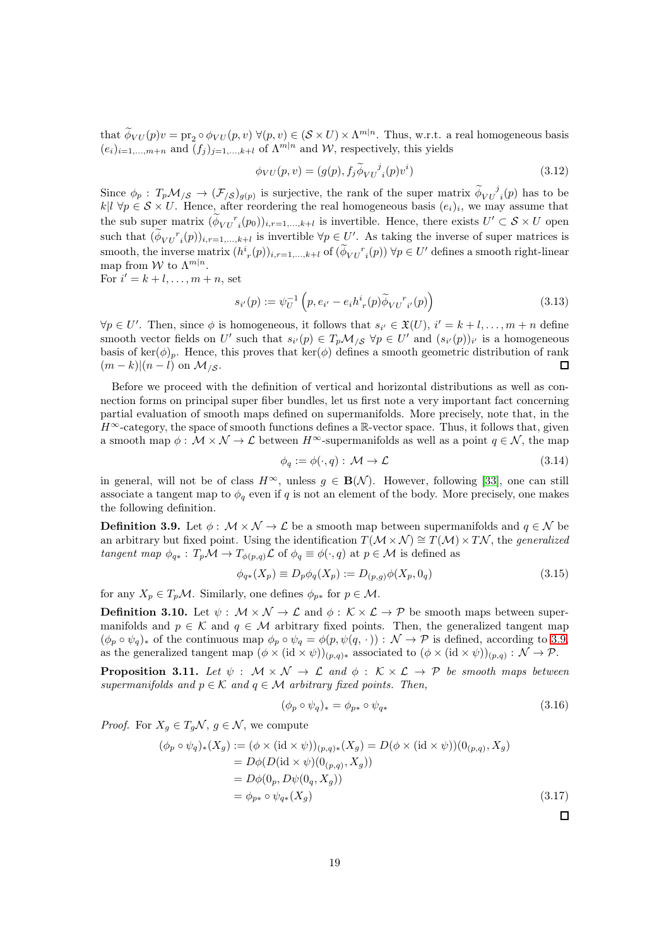that  $\phi_{VU}(p)v = \text{pr}_2 \circ \phi_{VU}(p, v) \ \forall (p, v) \in (\mathcal{S} \times U) \times \Lambda^{m|n}$ . Thus, w.r.t. a real homogeneous basis  $(e_i)_{i=1,\dots,m+n}$  and  $(f_j)_{j=1,\dots,k+l}$  of  $\Lambda^{m|n}$  and  $W$ , respectively, this yields

$$
\phi_{VU}(p,v) = (g(p), f_j \widetilde{\phi}_{VU}^j{}_i(p)v^i)
$$
\n(3.12)

Since  $\phi_p$ :  $T_p \mathcal{M}_{\beta} \to (\mathcal{F}_{\beta})_{g(p)}$  is surjective, the rank of the super matrix  $\widetilde{\phi}_{VU}^{\ j}(p)$  has to be  $k\vert l \rangle \forall p \in \mathcal{S} \times U$ . Hence, after reordering the real homogeneous basis  $(e_i)_i$ , we may assume that the sub super matrix  $(\phi_{VU}^r{}_i(p_0))_{i,r=1,\dots,k+l}$  is invertible. Hence, there exists  $U' \subset \mathcal{S} \times U$  open such that  $(\phi_{VU}^r(i))_{i,r=1,\dots,k+l}$  is invertible  $\forall p \in U'$ . As taking the inverse of super matrices is smooth, the inverse matrix  $(h_r^i(p))_{i,r=1,\dots,k+l}$  of  $(\phi_{VU}^r{}_i(p)) \forall p \in U'$  defines a smooth right-linear map from W to  $\Lambda^{m|n}$ .

For  $i' = k + l, \ldots, m + n$ , set

$$
s_{i'}(p) := \psi_U^{-1} \left( p, e_{i'} - e_i h^i_r(p) \widetilde{\phi}_{VU}^r{}_{i'}(p) \right)
$$
 (3.13)

 $\forall p \in U'.$  Then, since  $\phi$  is homogeneous, it follows that  $s_{i'} \in \mathfrak{X}(U), i' = k + l, \ldots, m + n$  define smooth vector fields on U' such that  $s_{i'}(p) \in T_p \mathcal{M}_{\beta}$   $\forall p \in U'$  and  $(s_{i'}(p))_{i'}$  is a homogeneous basis of ker( $\phi$ )<sub>p</sub>. Hence, this proves that ker( $\phi$ ) defines a smooth geometric distribution of rank  $(m-k)|(n-l)$  on  $\mathcal{M}_{\mathcal{S}}$ . П

Before we proceed with the definition of vertical and horizontal distributions as well as connection forms on principal super fiber bundles, let us first note a very important fact concerning partial evaluation of smooth maps defined on supermanifolds. More precisely, note that, in the  $H^{\infty}$ -category, the space of smooth functions defines a R-vector space. Thus, it follows that, given a smooth map  $\phi: \mathcal{M} \times \mathcal{N} \to \mathcal{L}$  between  $H^{\infty}$ -supermanifolds as well as a point  $q \in \mathcal{N}$ , the map

$$
\phi_q := \phi(\cdot, q) : \mathcal{M} \to \mathcal{L} \tag{3.14}
$$

in general, will not be of class  $H^{\infty}$ , unless  $g \in \mathbf{B}(\mathcal{N})$ . However, following [\[33\]](#page-61-4), one can still associate a tangent map to  $\phi_q$  even if q is not an element of the body. More precisely, one makes the following definition.

<span id="page-18-0"></span>**Definition 3.9.** Let  $\phi : \mathcal{M} \times \mathcal{N} \to \mathcal{L}$  be a smooth map between supermanifolds and  $q \in \mathcal{N}$  be an arbitrary but fixed point. Using the identification  $T(M \times N) \cong T(M) \times TN$ , the *generalized* tangent map  $\phi_{q*}: T_p \mathcal{M} \to T_{\phi(p,q)} \mathcal{L}$  of  $\phi_q \equiv \phi(\cdot, q)$  at  $p \in \mathcal{M}$  is defined as

$$
\phi_{q*}(X_p) \equiv D_p \phi_q(X_p) := D_{(p,q)} \phi(X_p, 0_q) \tag{3.15}
$$

for any  $X_p \in T_p\mathcal{M}$ . Similarly, one defines  $\phi_{p*}$  for  $p \in \mathcal{M}$ .

**Definition 3.10.** Let  $\psi$  :  $\mathcal{M} \times \mathcal{N} \to \mathcal{L}$  and  $\phi$  :  $\mathcal{K} \times \mathcal{L} \to \mathcal{P}$  be smooth maps between supermanifolds and  $p \in \mathcal{K}$  and  $q \in \mathcal{M}$  arbitrary fixed points. Then, the generalized tangent map  $(\phi_p \circ \psi_q)_*$  of the continuous map  $\phi_p \circ \psi_q = \phi(p, \psi(q, \cdot)) : \mathcal{N} \to \mathcal{P}$  is defined, according to [3.9,](#page-18-0) as the generalized tangent map  $(\phi \times (\text{id} \times \psi))_{(p,q)*}$  associated to  $(\phi \times (\text{id} \times \psi))_{(p,q)} : \mathcal{N} \to \mathcal{P}$ .

<span id="page-18-1"></span>**Proposition 3.11.** Let  $\psi$  :  $\mathcal{M} \times \mathcal{N} \rightarrow \mathcal{L}$  and  $\phi$  :  $\mathcal{K} \times \mathcal{L} \rightarrow \mathcal{P}$  be smooth maps between supermanifolds and  $p \in \mathcal{K}$  and  $q \in \mathcal{M}$  arbitrary fixed points. Then,

$$
(\phi_p \circ \psi_q)_* = \phi_{p*} \circ \psi_{q*} \tag{3.16}
$$

*Proof.* For  $X_q \in T_q \mathcal{N}, q \in \mathcal{N}$ , we compute

$$
(\phi_p \circ \psi_q)_*(X_g) := (\phi \times (\mathrm{id} \times \psi))_{(p,q)*}(X_g) = D(\phi \times (\mathrm{id} \times \psi))(0_{(p,q)}, X_g)
$$
  
\n
$$
= D\phi(D(\mathrm{id} \times \psi))(0_{(p,q)}, X_g))
$$
  
\n
$$
= D\phi(0_p, D\psi(0_q, X_g))
$$
  
\n
$$
= \phi_{p*} \circ \psi_{q*}(X_g)
$$
\n(3.17)

 $\Box$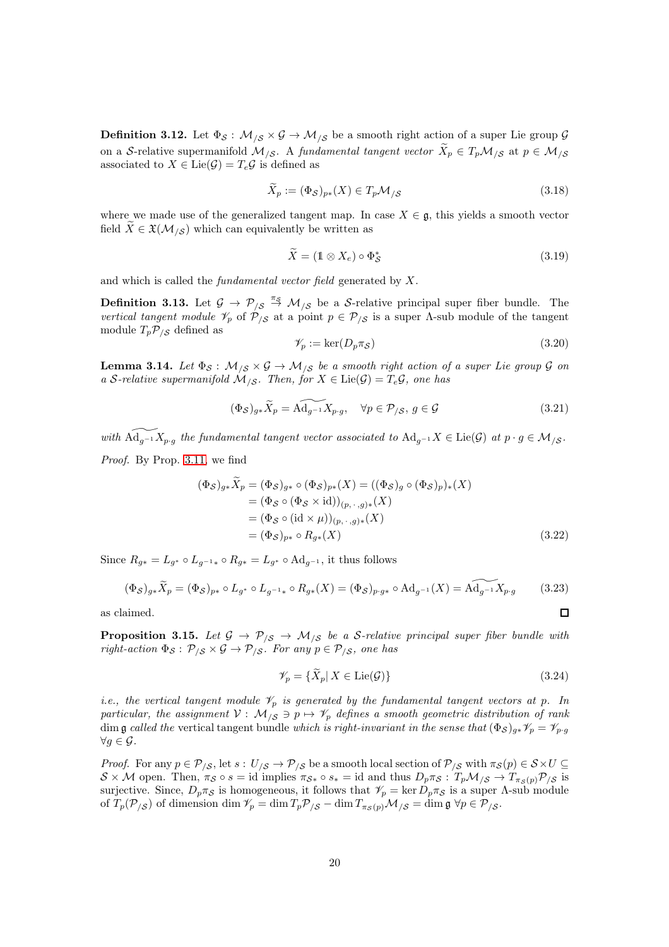**Definition 3.12.** Let  $\Phi_{\mathcal{S}}: \mathcal{M}_{\mathcal{S}} \times \mathcal{G} \to \mathcal{M}_{\mathcal{S}}$  be a smooth right action of a super Lie group  $\mathcal{G}$ on a S-relative supermanifold  $M_{\beta}$ . A fundamental tangent vector  $X_p \in T_p \mathcal{M}_{\beta}$  at  $p \in \mathcal{M}_{\beta}$ associated to  $X \in \text{Lie}(\mathcal{G}) = T_e \mathcal{G}$  is defined as

$$
\widetilde{X}_p := (\Phi_{\mathcal{S}})_{p*}(X) \in T_p \mathcal{M}_{/\mathcal{S}}
$$
\n(3.18)

where we made use of the generalized tangent map. In case  $X \in \mathfrak{g}$ , this yields a smooth vector field  $X \in \mathfrak{X}(\mathcal{M}_{\mathfrak{S}})$  which can equivalently be written as

$$
\widetilde{X} = (\mathbb{1} \otimes X_e) \circ \Phi_{\mathcal{S}}^* \tag{3.19}
$$

and which is called the fundamental vector field generated by X.

**Definition 3.13.** Let  $\mathcal{G} \to \mathcal{P}_{/\mathcal{S}} \stackrel{\pi_{\mathcal{S}}}{\to} \mathcal{M}_{/\mathcal{S}}$  be a S-relative principal super fiber bundle. The vertical tangent module  $\mathcal{V}_p$  of  $\mathcal{P}_{\mathcal{S}}$  at a point  $p \in \mathcal{P}_{\mathcal{S}}$  is a super A-sub module of the tangent module  $T_p \mathcal{P}_{\beta}$  defined as

$$
\mathscr{V}_p := \ker(D_p \pi_{\mathcal{S}}) \tag{3.20}
$$

<span id="page-19-1"></span>**Lemma 3.14.** Let  $\Phi_{\mathcal{S}}$ :  $\mathcal{M}_{\mathcal{S}} \times \mathcal{G} \rightarrow \mathcal{M}_{\mathcal{S}}$  be a smooth right action of a super Lie group  $\mathcal{G}$  on a S-relative supermanifold  $\mathcal{M}_{\mathcal{S}}$ . Then, for  $X \in \text{Lie}(\mathcal{G}) = T_e \mathcal{G}$ , one has

$$
(\Phi_{\mathcal{S}})_{g*}\widetilde{X}_p = \widetilde{\mathrm{Ad}_{g^{-1}}X_{p\cdot g}}, \quad \forall p \in \mathcal{P}_{/\mathcal{S}}, \, g \in \mathcal{G}
$$
\n
$$
(3.21)
$$

with  $\widetilde{\mathrm{Ad}_{g-1}X_{p\cdot g}}$  the fundamental tangent vector associated to  $\mathrm{Ad}_{g^{-1}}X \in \mathrm{Lie}(\mathcal{G})$  at  $p \cdot g \in \mathcal{M}_{/\mathcal{S}}$ . Proof. By Prop. [3.11,](#page-18-1) we find

$$
(\Phi_S)_{g*} X_p = (\Phi_S)_{g*} \circ (\Phi_S)_{p*} (X) = ((\Phi_S)_g \circ (\Phi_S)_p)_*(X)
$$
  
\n
$$
= (\Phi_S \circ (\Phi_S \times \text{id}))_{(p, \cdot, g)*} (X)
$$
  
\n
$$
= (\Phi_S \circ (\text{id} \times \mu))_{(p, \cdot, g)*} (X)
$$
  
\n
$$
= (\Phi_S)_{p*} \circ R_{g*} (X)
$$
\n(3.22)

Since  $R_{q*} = L_{q*} \circ L_{q^{-1}*} \circ R_{q*} = L_{q*} \circ \text{Ad}_{q^{-1}}$ , it thus follows

$$
(\Phi_{\mathcal{S}})_{g*}\widetilde{X}_p = (\Phi_{\mathcal{S}})_{p*} \circ L_{g*} \circ L_{g^{-1}*} \circ R_{g*}(X) = (\Phi_{\mathcal{S}})_{p\cdot g*} \circ \mathrm{Ad}_{g^{-1}}(X) = \widetilde{\mathrm{Ad}_{g^{-1}}}X_{p\cdot g}
$$
(3.23)

as claimed.

**Proposition 3.15.** Let  $\mathcal{G} \to \mathcal{P}_{\mathcal{S}} \to \mathcal{M}_{\mathcal{S}}$  be a S-relative principal super fiber bundle with right-action  $\Phi_{\mathcal{S}}: \mathcal{P}_{\mathcal{S}} \times \mathcal{G} \rightarrow \mathcal{P}_{\mathcal{S}}$ . For any  $p \in \mathcal{P}_{\mathcal{S}}$ , one has

<span id="page-19-0"></span>
$$
\mathscr{V}_p = \{ \widetilde{X}_p | X \in \text{Lie}(\mathcal{G}) \} \tag{3.24}
$$

 $\Box$ 

i.e., the vertical tangent module  $\mathcal{V}_p$  is generated by the fundamental tangent vectors at p. In particular, the assignment  $V: M_{\frac{1}{s}} \ni p \mapsto \mathscr{V}_p$  defines a smooth geometric distribution of rank dim g called the vertical tangent bundle which is right-invariant in the sense that  $(\Phi_{\mathcal{S}})_{g*}\mathcal{V}_p = \mathcal{V}_{p \cdot g}$  $\forall g \in \mathcal{G}$ .

*Proof.* For any  $p \in \mathcal{P}_{\mathcal{S}}$ , let  $s: U_{\mathcal{S}} \to \mathcal{P}_{\mathcal{S}}$  be a smooth local section of  $\mathcal{P}_{\mathcal{S}}$  with  $\pi_{\mathcal{S}}(p) \in \mathcal{S} \times U \subseteq$  $S \times M$  open. Then,  $\pi_S \circ s = \text{id}$  implies  $\pi_{S^*} \circ s_* = \text{id}$  and thus  $D_p \pi_S : T_p \mathcal{M}_{S} \to T_{\pi_S(p)} \mathcal{P}_{S}$  is surjective. Since,  $D_p \pi_{\mathcal{S}}$  is homogeneous, it follows that  $\mathcal{V}_p = \ker D_p \pi_{\mathcal{S}}$  is a super  $\Lambda$ -sub module of  $T_p(\mathcal{P}_{\mathcal{S}})$  of dimension dim  $\mathcal{V}_p = \dim T_p \mathcal{P}_{\mathcal{S}} - \dim T_{\pi_S(p)} \mathcal{M}_{\mathcal{S}} = \dim \mathfrak{g} \ \forall p \in \mathcal{P}_{\mathcal{S}}$ .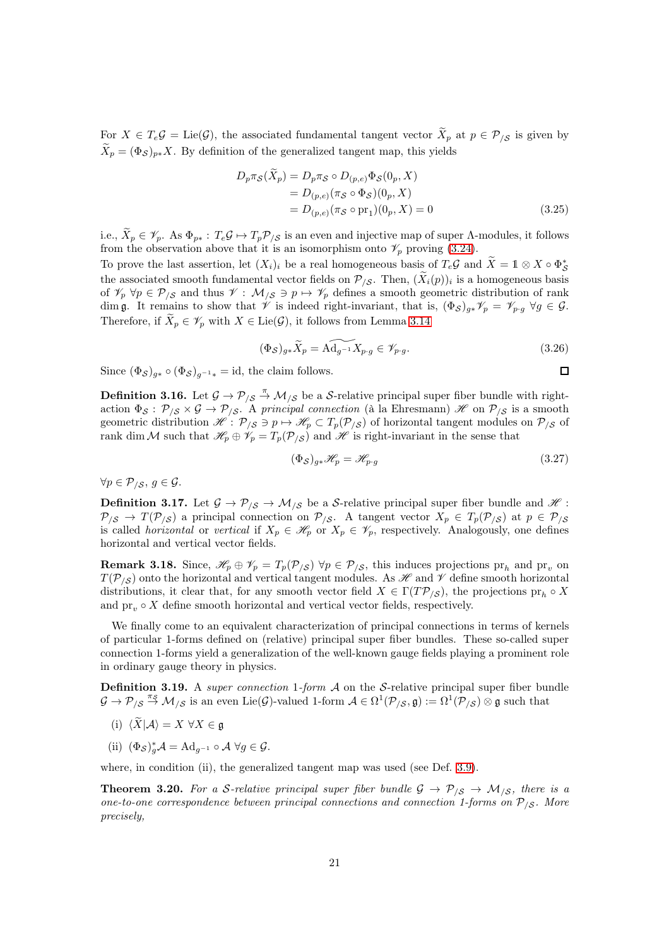For  $X \in T_e \mathcal{G} = \text{Lie}(\mathcal{G})$ , the associated fundamental tangent vector  $X_p$  at  $p \in \mathcal{P}_{/\mathcal{S}}$  is given by  $\widetilde{X}_p = (\Phi_{\mathcal{S}})_{p*}X$ . By definition of the generalized tangent map, this yields

$$
D_p \pi_S(X_p) = D_p \pi_S \circ D_{(p,e)} \Phi_S(0_p, X)
$$
  
= 
$$
D_{(p,e)} (\pi_S \circ \Phi_S)(0_p, X)
$$
  
= 
$$
D_{(p,e)} (\pi_S \circ pr_1)(0_p, X) = 0
$$
 (3.25)

i.e.,  $\widetilde{X}_p \in \mathscr{V}_p$ . As  $\Phi_{p*}: T_e \mathcal{G} \mapsto T_p \mathcal{P}_{/\mathcal{S}}$  is an even and injective map of super Λ-modules, it follows from the observation above that it is an isomorphism onto  $\mathcal{V}_p$  proving [\(3.24\)](#page-19-0).

To prove the last assertion, let  $(X_i)_i$  be a real homogeneous basis of  $T_e\mathcal{G}$  and  $\widetilde{X} = \mathbb{1} \otimes X \circ \Phi_{\mathcal{S}}^*$ the associated smooth fundamental vector fields on  $\mathcal{P}_{\mathcal{S}}$ . Then,  $(X_i(p))_i$  is a homogeneous basis of  $\mathscr{V}_p \ \forall p \in \mathcal{P}_{\mathscr{S}}$  and thus  $\mathscr{V} : \mathcal{M}_{\mathscr{S}} \ni p \mapsto \mathscr{V}_p$  defines a smooth geometric distribution of rank dim g. It remains to show that  $\mathscr V$  is indeed right-invariant, that is,  $(\Phi_{\mathcal S})_{g*}\mathscr V_p=\mathscr V_{p\cdot g}\ \forall g\in\mathcal G$ . Therefore, if  $\widetilde{X}_p \in \mathscr{V}_p$  with  $X \in \text{Lie}(\mathcal{G})$ , it follows from Lemma [3.14](#page-19-1)

$$
(\Phi_{\mathcal{S}})_{g*}\widetilde{X}_p = \widetilde{\mathrm{Ad}_{g^{-1}}}X_{p\cdot g} \in \mathscr{V}_{p\cdot g}.\tag{3.26}
$$

Since  $(\Phi_{\mathcal{S}})_{a*} \circ (\Phi_{\mathcal{S}})_{a^{-1}*} = id$ , the claim follows.

**Definition 3.16.** Let  $\mathcal{G} \to \mathcal{P}_{\mathcal{S}} \stackrel{\pi}{\to} \mathcal{M}_{\mathcal{S}}$  be a S-relative principal super fiber bundle with rightaction  $\Phi_{\mathcal{S}}: \mathcal{P}_{/\mathcal{S}} \times \mathcal{G} \to \mathcal{P}_{/\mathcal{S}}$ . A principal connection (à la Ehresmann) H on  $\mathcal{P}_{/\mathcal{S}}$  is a smooth geometric distribution  $\mathscr{H}: \mathcal{P}_{\mathscr{S}} \ni p \mapsto \mathscr{H}_p \subset T_p(\mathcal{P}_{\mathscr{S}})$  of horizontal tangent modules on  $\mathcal{P}_{\mathscr{S}}$  of rank dim M such that  $\mathscr{H}_p \oplus \mathscr{V}_p = T_p(\mathcal{P}_{\setminus \mathcal{S}})$  and  $\mathscr{H}$  is right-invariant in the sense that

$$
(\Phi_{\mathcal{S}})_{g*}\mathcal{H}_p = \mathcal{H}_{p \cdot g} \tag{3.27}
$$

 $\Box$ 

 $\forall p \in \mathcal{P}_{\langle \mathcal{S}, q \rangle} \in \mathcal{G}.$ 

**Definition 3.17.** Let  $\mathcal{G} \to \mathcal{P}_{\mathcal{S}} \to \mathcal{M}_{\mathcal{S}}$  be a S-relative principal super fiber bundle and  $\mathcal{H}$ :  $P_{\beta} \rightarrow T(\mathcal{P}_{\beta})$  a principal connection on  $\mathcal{P}_{\beta}$ . A tangent vector  $X_p \in T_p(\mathcal{P}_{\beta})$  at  $p \in \mathcal{P}_{\beta}$ is called *horizontal* or *vertical* if  $X_p \in \mathscr{H}_p$  or  $X_p \in \mathscr{V}_p$ , respectively. Analogously, one defines horizontal and vertical vector fields.

<span id="page-20-1"></span>**Remark 3.18.** Since,  $\mathcal{H}_p \oplus \mathcal{V}_p = T_p(\mathcal{P}_{/\mathcal{S}}) \ \forall p \in \mathcal{P}_{/\mathcal{S}}$ , this induces projections  $pr_h$  and  $pr_v$  on  $T(\mathcal{P}_{\setminus S})$  onto the horizontal and vertical tangent modules. As  $\mathscr H$  and  $\mathscr V$  define smooth horizontal distributions, it clear that, for any smooth vector field  $X \in \Gamma(T\mathcal{P}_{\langle S})$ , the projections  $pr_h \circ X$ and  $\text{pr}_v \circ X$  define smooth horizontal and vertical vector fields, respectively.

We finally come to an equivalent characterization of principal connections in terms of kernels of particular 1-forms defined on (relative) principal super fiber bundles. These so-called super connection 1-forms yield a generalization of the well-known gauge fields playing a prominent role in ordinary gauge theory in physics.

<span id="page-20-0"></span>**Definition 3.19.** A super connection 1-form  $A$  on the S-relative principal super fiber bundle  $\mathcal{G} \to \mathcal{P}_{/\mathcal{S}} \stackrel{\pi_{\mathcal{S}}}{\to} \mathcal{M}_{/\mathcal{S}}$  is an even Lie( $\mathcal{G}$ )-valued 1-form  $\mathcal{A} \in \Omega^1(\mathcal{P}_{/\mathcal{S}}, \mathfrak{g}) := \Omega^1(\mathcal{P}_{/\mathcal{S}}) \otimes \mathfrak{g}$  such that

- (i)  $\langle \widetilde{X} | A \rangle = X \ \forall X \in \mathfrak{g}$
- (ii)  $(\Phi_{\mathcal{S}})_g^* A = \mathrm{Ad}_{g^{-1}} \circ A \; \forall g \in \mathcal{G}.$

where, in condition (ii), the generalized tangent map was used (see Def. [3.9\)](#page-18-0).

**Theorem 3.20.** For a S-relative principal super fiber bundle  $G \rightarrow \mathcal{P}_{/S} \rightarrow \mathcal{M}_{/S}$ , there is a one-to-one correspondence between principal connections and connection 1-forms on  $P_{\beta}$ . More precisely,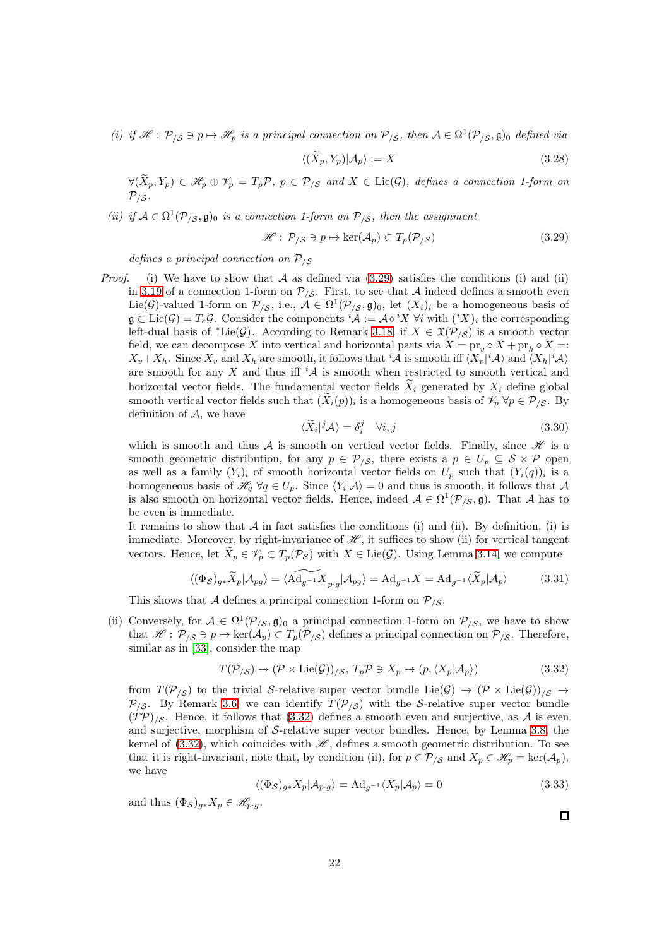(i) if  $\mathcal{H}: \mathcal{P}_{/\mathcal{S}} \ni p \mapsto \mathcal{H}_p$  is a principal connection on  $\mathcal{P}_{/\mathcal{S}}$ , then  $\mathcal{A} \in \Omega^1(\mathcal{P}_{/\mathcal{S}}, \mathfrak{g})_0$  defined via

<span id="page-21-0"></span>
$$
\langle (\widetilde{X}_p, Y_p) | \mathcal{A}_p \rangle := X \tag{3.28}
$$

 $\forall (\widetilde{X}_p, Y_p) \in \mathscr{H}_p \oplus \mathscr{V}_p = T_p \mathcal{P}, \ p \in \mathcal{P}_{/\mathcal{S}} \ \text{and} \ X \in \mathrm{Lie}(\mathcal{G}), \ \text{defines a connection 1-form on}$  $\mathcal{P}_{/\mathcal{S}}$  .

(ii) if  $A \in \Omega^1(\mathcal{P}_{\setminus \mathcal{S}}, \mathfrak{g})_0$  is a connection 1-form on  $\mathcal{P}_{\setminus \mathcal{S}}$ , then the assignment

$$
\mathcal{H}: \mathcal{P}_{/\mathcal{S}} \ni p \mapsto \ker(\mathcal{A}_p) \subset T_p(\mathcal{P}_{/\mathcal{S}}) \tag{3.29}
$$

defines a principal connection on  $P_{\text{S}}$ 

*Proof.* (i) We have to show that A as defined via  $(3.29)$  satisfies the conditions (i) and (ii) in [3.19](#page-20-0) of a connection 1-form on  $\mathcal{P}_{\mathcal{S}}$ . First, to see that A indeed defines a smooth even Lie(G)-valued 1-form on  $\mathcal{P}_{\langle S}$ , i.e.,  $\mathcal{A} \in \Omega^1(\mathcal{P}_{\langle S}, \mathfrak{g})_0$ , let  $(X_i)_i$  be a homogeneous basis of  $\mathfrak{g} \subset \mathrm{Lie}(\mathcal{G}) = T_e \mathcal{G}$ . Consider the components  ${}^i \mathcal{A} := \mathcal{A} \diamond {}^i X \; \forall i$  with  $({}^i X)_i$  the corresponding left-dual basis of \*Lie( $\mathcal{G}$ ). According to Remark [3.18,](#page-20-1) if  $X \in \mathfrak{X}(\mathcal{P}_{/\mathcal{S}})$  is a smooth vector field, we can decompose X into vertical and horizontal parts via  $X = \text{pr}_v \circ X + \text{pr}_h \circ X =$ :  $X_v+X_h$ . Since  $X_v$  and  $X_h$  are smooth, it follows that 'A is smooth iff  $\langle X_v|^i A \rangle$  and  $\langle X_h|^i A \rangle$ are smooth for any X and thus iff  $^i\mathcal{A}$  is smooth when restricted to smooth vertical and horizontal vector fields. The fundamental vector fields  $\tilde{X}_i$  generated by  $X_i$  define global smooth vertical vector fields such that  $(\widetilde{X}_i(p))_i$  is a homogeneous basis of  $\mathscr{V}_p \,\forall p \in \mathcal{P}_{/\mathcal{S}}$ . By definition of  $A$ , we have

$$
\langle \widetilde{X}_i | ^j \mathcal{A} \rangle = \delta_i^j \quad \forall i, j \tag{3.30}
$$

which is smooth and thus A is smooth on vertical vector fields. Finally, since  $\mathcal H$  is a smooth geometric distribution, for any  $p \in \mathcal{P}_{\mathcal{S}}$ , there exists a  $p \in U_p \subseteq \mathcal{S} \times \mathcal{P}$  open as well as a family  $(Y_i)_i$  of smooth horizontal vector fields on  $U_p$  such that  $(Y_i(q))_i$  is a homogeneous basis of  $\mathcal{H}_q \ \forall q \in U_p$ . Since  $\langle Y_i | \mathcal{A} \rangle = 0$  and thus is smooth, it follows that A is also smooth on horizontal vector fields. Hence, indeed  $A \in \Omega^1(\mathcal{P}_{/\mathcal{S}}, \mathfrak{g})$ . That A has to be even is immediate.

It remains to show that  $A$  in fact satisfies the conditions (i) and (ii). By definition, (i) is immediate. Moreover, by right-invariance of  $\mathscr{H}$ , it suffices to show (ii) for vertical tangent vectors. Hence, let  $\tilde{X}_p \in \mathscr{V}_p \subset T_p(\mathcal{P}_\mathcal{S})$  with  $X \in \text{Lie}(\mathcal{G})$ . Using Lemma [3.14,](#page-19-1) we compute

$$
\langle (\Phi_{\mathcal{S}})_{g*} \widetilde{X}_p | \mathcal{A}_{pg} \rangle = \langle \widetilde{\mathrm{Ad}_{g^{-1}} X}_{p \cdot g} | \mathcal{A}_{pg} \rangle = \mathrm{Ad}_{g^{-1}} X = \mathrm{Ad}_{g^{-1}} \langle \widetilde{X}_p | \mathcal{A}_p \rangle \tag{3.31}
$$

This shows that A defines a principal connection 1-form on  $\mathcal{P}_{\mathcal{S}}$ .

(ii) Conversely, for  $A \in \Omega^1(\mathcal{P}_{\langle \mathcal{S}}, \mathfrak{g})_0$  a principal connection 1-form on  $\mathcal{P}_{\langle \mathcal{S}, \mathfrak{g} \rangle}$  we have to show that  $\mathscr{H} : \mathcal{P}_{\langle \mathcal{S} \rangle} \ni p \mapsto \ker(\mathcal{A}_p) \subset T_p(\mathcal{P}_{\langle \mathcal{S} \rangle})$  defines a principal connection on  $\mathcal{P}_{\langle \mathcal{S} \rangle}$ . Therefore, similar as in [\[33\]](#page-61-4), consider the map

<span id="page-21-1"></span>
$$
T(\mathcal{P}_{/\mathcal{S}}) \to (\mathcal{P} \times \text{Lie}(\mathcal{G}))_{/\mathcal{S}}, T_p \mathcal{P} \ni X_p \mapsto (p, \langle X_p | \mathcal{A}_p \rangle) \tag{3.32}
$$

from  $T(\mathcal{P}_{\mathcal{S}})$  to the trivial S-relative super vector bundle Lie(G)  $\rightarrow$   $(\mathcal{P} \times \text{Lie}(G))_{\mathcal{S}}$   $\rightarrow$  $P_{\beta}$ . By Remark [3.6,](#page-17-0) we can identify  $T(P_{\beta})$  with the S-relative super vector bundle  $(TP)_{\ell, S}$ . Hence, it follows that [\(3.32\)](#page-21-1) defines a smooth even and surjective, as A is even and surjective, morphism of S-relative super vector bundles. Hence, by Lemma [3.8,](#page-17-1) the kernel of [\(3.32\)](#page-21-1), which coincides with  $\mathcal{H}$ , defines a smooth geometric distribution. To see that it is right-invariant, note that, by condition (ii), for  $p \in \mathcal{P}_{\ell S}$  and  $X_p \in \mathcal{H}_p = \text{ker}(\mathcal{A}_p)$ , we have

$$
\langle (\Phi_{\mathcal{S}})_{g*} X_p | \mathcal{A}_{p \cdot g} \rangle = \mathrm{Ad}_{g^{-1}} \langle X_p | \mathcal{A}_p \rangle = 0 \tag{3.33}
$$

and thus  $(\Phi_{\mathcal{S}})_{g*}X_p \in \mathscr{H}_{p \cdot g}$ .

 $\Box$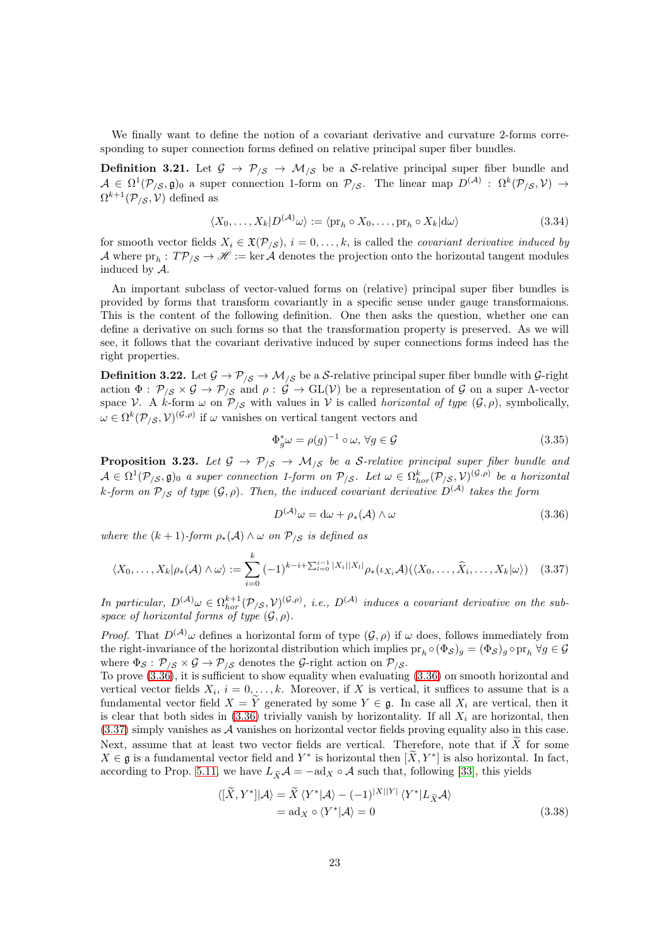We finally want to define the notion of a covariant derivative and curvature 2-forms corresponding to super connection forms defined on relative principal super fiber bundles.

**Definition 3.21.** Let  $\mathcal{G} \to \mathcal{P}_{\mathcal{S}} \to \mathcal{M}_{\mathcal{S}}$  be a S-relative principal super fiber bundle and  $\mathcal{A} \in \Omega^1(\mathcal{P}_{/\mathcal{S}}, \mathfrak{g})_0$  a super connection 1-form on  $\mathcal{P}_{/\mathcal{S}}$ . The linear map  $D^{(\mathcal{A})}: \Omega^k(\mathcal{P}_{/\mathcal{S}}, \mathcal{V}) \to$  $\Omega^{k+1}(\mathcal{P}_{/\mathcal{S}}, \mathcal{V})$  defined as

$$
\langle X_0, \dots, X_k | D^{(A)} \omega \rangle := \langle \text{pr}_h \circ X_0, \dots, \text{pr}_h \circ X_k | d\omega \rangle \tag{3.34}
$$

for smooth vector fields  $X_i \in \mathfrak{X}(\mathcal{P}_{\mathcal{S}}), i = 0, \ldots, k$ , is called the *covariant derivative induced by* A where  $pr_h: T\mathcal{P}_{/\mathcal{S}} \to \mathcal{H} := \ker \mathcal{A}$  denotes the projection onto the horizontal tangent modules induced by A.

An important subclass of vector-valued forms on (relative) principal super fiber bundles is provided by forms that transform covariantly in a specific sense under gauge transformaions. This is the content of the following definition. One then asks the question, whether one can define a derivative on such forms so that the transformation property is preserved. As we will see, it follows that the covariant derivative induced by super connections forms indeed has the right properties.

**Definition 3.22.** Let  $\mathcal{G} \to \mathcal{P}_{\mathcal{S}} \to \mathcal{M}_{\mathcal{S}}$  be a S-relative principal super fiber bundle with  $\mathcal{G}$ -right action  $\Phi: \mathcal{P}_{/\mathcal{S}} \times \mathcal{G} \to \mathcal{P}_{/\mathcal{S}}$  and  $\rho: \mathcal{G} \to GL(V)$  be a representation of  $\mathcal{G}$  on a super Λ-vector space V. A k-form  $\omega$  on  $\mathcal{P}_{\mathcal{S}}$  with values in V is called *horizontal of type*  $(\mathcal{G}, \rho)$ , symbolically,  $\omega \in \Omega^k(\mathcal{P}_{/\mathcal{S}}, \mathcal{V})^{(\mathcal{G}, \rho)}$  if  $\omega$  vanishes on vertical tangent vectors and

$$
\Phi_g^* \omega = \rho(g)^{-1} \circ \omega, \,\forall g \in \mathcal{G} \tag{3.35}
$$

<span id="page-22-2"></span>**Proposition 3.23.** Let  $\mathcal{G} \to \mathcal{P}_{/\mathcal{S}} \to \mathcal{M}_{/\mathcal{S}}$  be a S-relative principal super fiber bundle and  $\mathcal{A} \in \Omega^1(\mathcal{P}_{/\mathcal{S}}, \mathfrak{g})_0$  a super connection 1-form on  $\mathcal{P}_{/\mathcal{S}}$ . Let  $\omega \in \Omega^k_{hor}(\mathcal{P}_{/\mathcal{S}}, \mathcal{V})^{(\mathcal{G}, \rho)}$  be a horizontal k-form on  $\mathcal{P}_{/\mathcal{S}}$  of type  $(\mathcal{G}, \rho)$ . Then, the induced covariant derivative  $D^{(\mathcal{A})}$  takes the form

<span id="page-22-1"></span><span id="page-22-0"></span>
$$
D^{(\mathcal{A})}\omega = d\omega + \rho_*(\mathcal{A}) \wedge \omega \tag{3.36}
$$

where the  $(k + 1)$ -form  $\rho_*(A) \wedge \omega$  on  $P_{\beta}$  is defined as

$$
\langle X_0, \ldots, X_k | \rho_*(\mathcal{A}) \wedge \omega \rangle := \sum_{i=0}^k (-1)^{k-i+\sum_{l=0}^{i-1} |X_l|} \rho_*(\iota_{X_i}\mathcal{A}) (\langle X_0, \ldots, \widehat{X}_i, \ldots, X_k | \omega \rangle) \tag{3.37}
$$

In particular,  $D^{(\mathcal{A})} \omega \in \Omega^{k+1}_{hor}(\mathcal{P}_{/\mathcal{S}}, \mathcal{V})^{(\mathcal{G}, \rho)}$ , i.e.,  $D^{(\mathcal{A})}$  induces a covariant derivative on the subspace of horizontal forms of type  $(\mathcal{G}, \rho)$ .

*Proof.* That  $D^{(\mathcal{A})}\omega$  defines a horizontal form of type  $(\mathcal{G}, \rho)$  if  $\omega$  does, follows immediately from the right-invariance of the horizontal distribution which implies  $pr_h \circ (\Phi_{\mathcal{S}})_g = (\Phi_{\mathcal{S}})_g \circ pr_h \ \forall g \in \mathcal{G}$ where  $\Phi_{\mathcal{S}}: \mathcal{P}_{/\mathcal{S}} \times \mathcal{G} \rightarrow \mathcal{P}_{/\mathcal{S}}$  denotes the  $\mathcal{G}\text{-right action on } \mathcal{P}_{/\mathcal{S}}$ .

To prove [\(3.36\)](#page-22-0), it is sufficient to show equality when evaluating [\(3.36\)](#page-22-0) on smooth horizontal and vertical vector fields  $X_i$ ,  $i = 0, \ldots, k$ . Moreover, if X is vertical, it suffices to assume that is a fundamental vector field  $X = Y$  generated by some  $Y \in \mathfrak{g}$ . In case all  $X_i$  are vertical, then it is clear that both sides in  $(3.36)$  trivially vanish by horizontality. If all  $X_i$  are horizontal, then [\(3.37\)](#page-22-1) simply vanishes as A vanishes on horizontal vector fields proving equality also in this case. Next, assume that at least two vector fields are vertical. Therefore, note that if  $\widetilde{X}$  for some  $X \in \mathfrak{g}$  is a fundamental vector field and  $Y^*$  is horizontal then  $[\tilde{X}, Y^*]$  is also horizontal. In fact, according to Prop. [5.11,](#page-31-1) we have  $L_{\tilde{X}}A = -\text{ad}_X \circ A$  such that, following [\[33\]](#page-61-4), this yields

$$
\langle [X, Y^*] | \mathcal{A} \rangle = \tilde{X} \langle Y^* | \mathcal{A} \rangle - (-1)^{|X||Y|} \langle Y^* | L_{\tilde{X}} \mathcal{A} \rangle
$$
  
= ad<sub>X</sub> o  $\langle Y^* | \mathcal{A} \rangle = 0$  (3.38)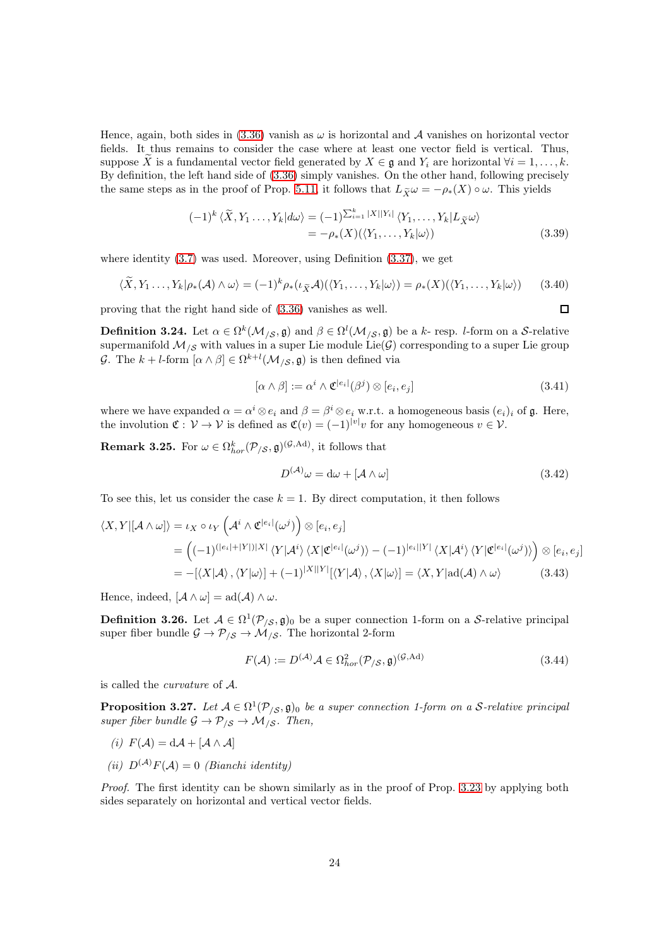Hence, again, both sides in [\(3.36\)](#page-22-0) vanish as  $\omega$  is horizontal and A vanishes on horizontal vector fields. It thus remains to consider the case where at least one vector field is vertical. Thus, suppose X is a fundamental vector field generated by  $X \in \mathfrak{g}$  and  $Y_i$  are horizontal  $\forall i = 1, \ldots, k$ . By definition, the left hand side of [\(3.36\)](#page-22-0) simply vanishes. On the other hand, following precisely the same steps as in the proof of Prop. [5.11,](#page-31-1) it follows that  $L_{\widetilde{X}} \omega = -\rho_*(X) \circ \omega$ . This yields

$$
(-1)^{k} \langle \widetilde{X}, Y_{1} \dots, Y_{k} | d\omega \rangle = (-1)^{\sum_{i=1}^{k} |X| |Y_{i}|} \langle Y_{1}, \dots, Y_{k} | L_{\widetilde{X}} \omega \rangle
$$
  
=  $-\rho_{*}(X) (\langle Y_{1}, \dots, Y_{k} | \omega \rangle)$  (3.39)

where identity  $(3.7)$  was used. Moreover, using Definition  $(3.37)$ , we get

$$
\langle \widetilde{X}, Y_1 \dots, Y_k | \rho_*(A) \wedge \omega \rangle = (-1)^k \rho_*(\iota_{\widetilde{X}} A)(\langle Y_1, \dots, Y_k | \omega \rangle) = \rho_*(X)(\langle Y_1, \dots, Y_k | \omega \rangle) \tag{3.40}
$$

proving that the right hand side of [\(3.36\)](#page-22-0) vanishes as well.

**Definition 3.24.** Let  $\alpha \in \Omega^k(\mathcal{M}_{\setminus \mathcal{S}}, \mathfrak{g})$  and  $\beta \in \Omega^l(\mathcal{M}_{\setminus \mathcal{S}}, \mathfrak{g})$  be a k- resp. *l*-form on a S-relative supermanifold  $\mathcal{M}_{/\mathcal{S}}$  with values in a super Lie module Lie( $\mathcal{G})$  corresponding to a super Lie group G. The  $k+l$ -form  $[\alpha \wedge \beta] \in \Omega^{k+l}(\mathcal{M}_{/\mathcal{S}}, \mathfrak{g})$  is then defined via

$$
[\alpha \wedge \beta] := \alpha^i \wedge \mathfrak{C}^{|e_i|}(\beta^j) \otimes [e_i, e_j]
$$
\n(3.41)

 $\Box$ 

where we have expanded  $\alpha = \alpha^i \otimes e_i$  and  $\beta = \beta^i \otimes e_i$  w.r.t. a homogeneous basis  $(e_i)_i$  of  $\mathfrak{g}$ . Here, the involution  $\mathfrak{C}: \mathcal{V} \to \mathcal{V}$  is defined as  $\mathfrak{C}(v) = (-1)^{|v|}v$  for any homogeneous  $v \in \mathcal{V}$ .

<span id="page-23-0"></span>**Remark 3.25.** For  $\omega \in \Omega_{hor}^k(\mathcal{P}_{/\mathcal{S}}, \mathfrak{g})^{(\mathcal{G}, \text{Ad})}$ , it follows that

$$
D^{(\mathcal{A})}\omega = d\omega + [\mathcal{A} \wedge \omega] \tag{3.42}
$$

To see this, let us consider the case  $k = 1$ . By direct computation, it then follows

$$
\langle X, Y | [\mathcal{A} \wedge \omega] \rangle = \iota_X \circ \iota_Y \left( \mathcal{A}^i \wedge \mathfrak{C}^{|e_i|}(\omega^j) \right) \otimes [e_i, e_j]
$$
  
= 
$$
\left( (-1)^{(|e_i| + |Y|)|X|} \langle Y | \mathcal{A}^i \rangle \langle X | \mathfrak{C}^{|e_i|}(\omega^j) \rangle - (-1)^{|e_i| |Y|} \langle X | \mathcal{A}^i \rangle \langle Y | \mathfrak{C}^{|e_i|}(\omega^j) \rangle \right) \otimes [e_i, e_j]
$$
  
= 
$$
- [\langle X | \mathcal{A} \rangle, \langle Y | \omega \rangle] + (-1)^{|X| |Y|} [\langle Y | \mathcal{A} \rangle, \langle X | \omega \rangle] = \langle X, Y | ad(\mathcal{A}) \wedge \omega \rangle
$$
(3.43)

Hence, indeed,  $[\mathcal{A} \wedge \omega] = \text{ad}(\mathcal{A}) \wedge \omega$ .

**Definition 3.26.** Let  $A \in \Omega^1(\mathcal{P}_{\setminus \mathcal{S}}, \mathfrak{g})_0$  be a super connection 1-form on a S-relative principal super fiber bundle  $\mathcal{G} \to \mathcal{P}_{\mathcal{S}} \to \mathcal{M}_{\mathcal{S}}$ . The horizontal 2-form

$$
F(\mathcal{A}) := D^{(\mathcal{A})} \mathcal{A} \in \Omega_{hor}^2(\mathcal{P}_{/\mathcal{S}}, \mathfrak{g})^{(\mathcal{G}, \text{Ad})}
$$
(3.44)

is called the curvature of A.

**Proposition 3.27.** Let  $A \in \Omega^1(\mathcal{P}_{\setminus \mathcal{S}}, \mathfrak{g})_0$  be a super connection 1-form on a S-relative principal super fiber bundle  $\mathcal{G} \to \mathcal{P}_{\mathcal{S}} \to \mathcal{M}_{\mathcal{S}}$ . Then,

- (i)  $F(\mathcal{A}) = d\mathcal{A} + [\mathcal{A} \wedge \mathcal{A}]$
- (ii)  $D^{(\mathcal{A})}F(\mathcal{A})=0$  (Bianchi identity)

Proof. The first identity can be shown similarly as in the proof of Prop. [3.23](#page-22-2) by applying both sides separately on horizontal and vertical vector fields.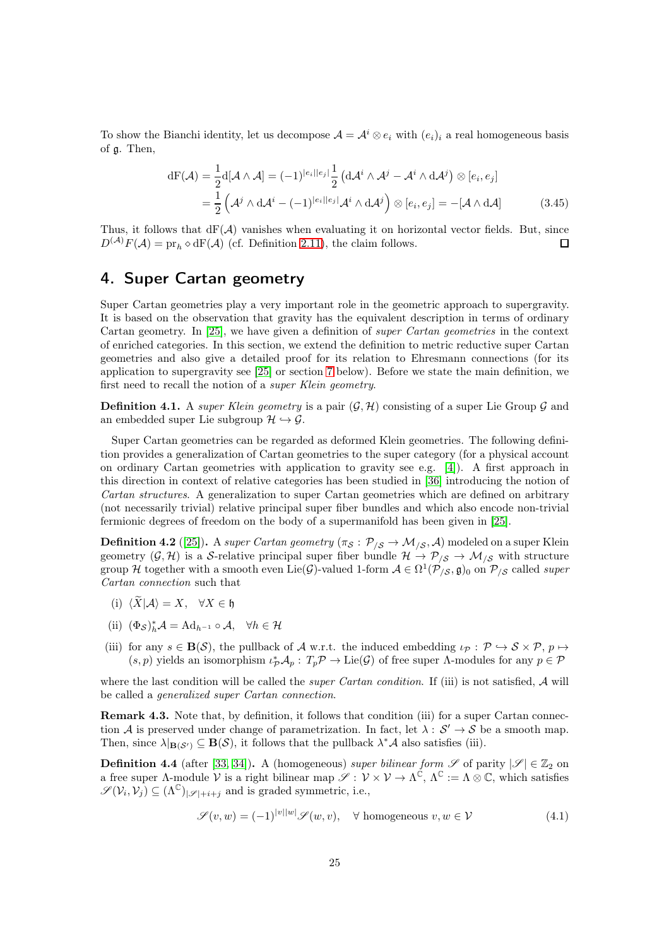To show the Bianchi identity, let us decompose  $\mathcal{A} = \mathcal{A}^i \otimes e_i$  with  $(e_i)_i$  a real homogeneous basis of g. Then,

$$
dF(\mathcal{A}) = \frac{1}{2} d[\mathcal{A} \wedge \mathcal{A}] = (-1)^{|e_i||e_j|} \frac{1}{2} (d\mathcal{A}^i \wedge \mathcal{A}^j - \mathcal{A}^i \wedge d\mathcal{A}^j) \otimes [e_i, e_j]
$$
  
= 
$$
\frac{1}{2} (\mathcal{A}^j \wedge d\mathcal{A}^i - (-1)^{|e_i||e_j|} \mathcal{A}^i \wedge d\mathcal{A}^j) \otimes [e_i, e_j] = -[\mathcal{A} \wedge d\mathcal{A}]
$$
(3.45)

Thus, it follows that  $dF(\mathcal{A})$  vanishes when evaluating it on horizontal vector fields. But, since  $D^{(\mathcal{A})}F(\mathcal{A}) = \text{pr}_h \diamond dF(\mathcal{A})$  (cf. Definition [2.11\)](#page-6-1), the claim follows.  $\Box$ 

## <span id="page-24-0"></span>4. Super Cartan geometry

Super Cartan geometries play a very important role in the geometric approach to supergravity. It is based on the observation that gravity has the equivalent description in terms of ordinary Cartan geometry. In [\[25\]](#page-61-6), we have given a definition of super Cartan geometries in the context of enriched categories. In this section, we extend the definition to metric reductive super Cartan geometries and also give a detailed proof for its relation to Ehresmann connections (for its application to supergravity see [\[25\]](#page-61-6) or section [7](#page-41-0) below). Before we state the main definition, we first need to recall the notion of a super Klein geometry.

**Definition 4.1.** A super Klein geometry is a pair  $(G, \mathcal{H})$  consisting of a super Lie Group G and an embedded super Lie subgroup  $\mathcal{H} \hookrightarrow \mathcal{G}$ .

Super Cartan geometries can be regarded as deformed Klein geometries. The following definition provides a generalization of Cartan geometries to the super category (for a physical account on ordinary Cartan geometries with application to gravity see e.g. [\[4\]](#page-60-3)). A first approach in this direction in context of relative categories has been studied in [\[36\]](#page-61-5) introducing the notion of Cartan structures. A generalization to super Cartan geometries which are defined on arbitrary (not necessarily trivial) relative principal super fiber bundles and which also encode non-trivial fermionic degrees of freedom on the body of a supermanifold has been given in [\[25\]](#page-61-6).

<span id="page-24-2"></span>**Definition 4.2** ([\[25\]](#page-61-6)). A super Cartan geometry  $(\pi_{\mathcal{S}} : \mathcal{P}_{\mathcal{S}} \to \mathcal{M}_{\mathcal{S}}, \mathcal{A})$  modeled on a super Klein geometry  $(G, H)$  is a S-relative principal super fiber bundle  $H \to P_{\beta} \to M_{\beta}$  with structure group H together with a smooth even Lie(G)-valued 1-form  $\mathcal{A} \in \Omega^1(\mathcal{P}_{/\mathcal{S}}, \mathfrak{g})_0$  on  $\mathcal{P}_{/\mathcal{S}}$  called super Cartan connection such that

- (i)  $\langle \widetilde{X} | A \rangle = X$ ,  $\forall X \in \mathfrak{h}$
- (ii)  $(\Phi_{\mathcal{S}})^*_{h} \mathcal{A} = \mathrm{Ad}_{h^{-1}} \circ \mathcal{A}, \quad \forall h \in \mathcal{H}$
- (iii) for any  $s \in \mathbf{B}(\mathcal{S})$ , the pullback of A w.r.t. the induced embedding  $\iota_{\mathcal{P}} : \mathcal{P} \hookrightarrow \mathcal{S} \times \mathcal{P}$ ,  $p \mapsto$  $(s, p)$  yields an isomorphism  $\iota^*_{\mathcal{P}}\mathcal{A}_p: T_p\mathcal{P} \to \mathrm{Lie}(\mathcal{G})$  of free super  $\Lambda$ -modules for any  $p \in \mathcal{P}$

where the last condition will be called the *super Cartan condition*. If (iii) is not satisfied,  $A$  will be called a generalized super Cartan connection.

Remark 4.3. Note that, by definition, it follows that condition (iii) for a super Cartan connection A is preserved under change of parametrization. In fact, let  $\lambda: S' \to S$  be a smooth map. Then, since  $\lambda|_{\mathbf{B}(\mathcal{S}')} \subseteq \mathbf{B}(\mathcal{S})$ , it follows that the pullback  $\lambda^* \mathcal{A}$  also satisfies (iii).

<span id="page-24-1"></span>**Definition 4.4** (after [\[33,](#page-61-4) [34\]](#page-61-10)). A (homogeneous) super bilinear form  $\mathscr S$  of parity  $|\mathscr S| \in \mathbb{Z}_2$  on a free super  $\Lambda$ -module  $\mathcal V$  is a right bilinear map  $\mathscr S : \mathcal V \times \mathcal V \to \Lambda^{\mathbb C}$ ,  $\Lambda^{\mathbb C} := \Lambda \otimes \mathbb C$ , which satisfies  $\mathscr{S}(\mathcal{V}_i, \mathcal{V}_j) \subseteq (\Lambda^{\mathbb{C}})_{|\mathscr{S}|+i+j}$  and is graded symmetric, i.e.,

$$
\mathcal{S}(v, w) = (-1)^{|v||w|} \mathcal{S}(w, v), \quad \forall \text{ homogeneous } v, w \in \mathcal{V}
$$
\n(4.1)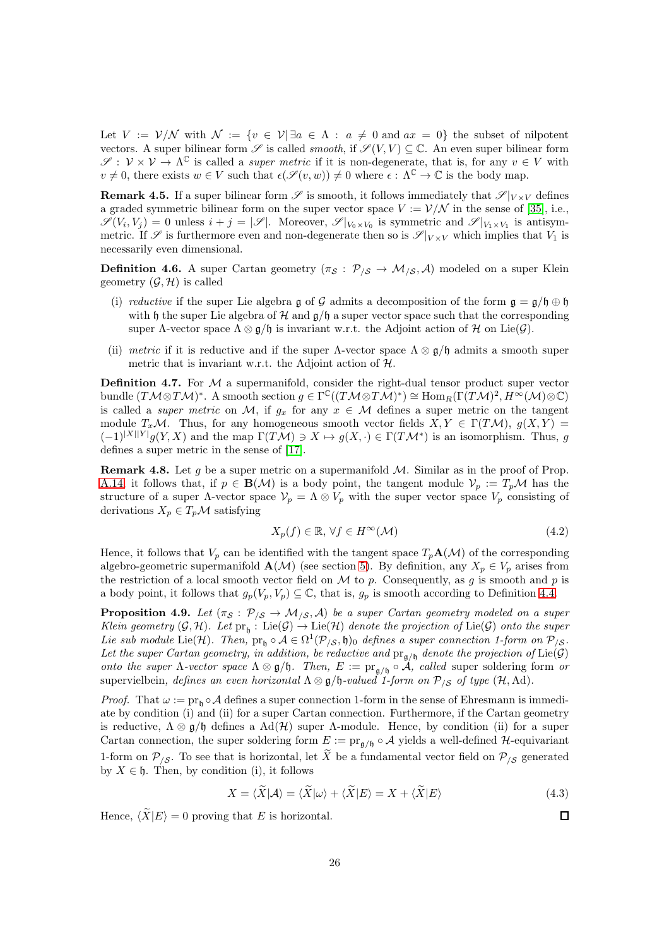Let  $V := \mathcal{V}/\mathcal{N}$  with  $\mathcal{N} := \{v \in \mathcal{V} \mid \exists a \in \Lambda : a \neq 0 \text{ and } ax = 0\}$  the subset of nilpotent vectors. A super bilinear form  $\mathscr S$  is called *smooth*, if  $\mathscr S(V, V) \subseteq \mathbb C$ . An even super bilinear form  $\mathscr{S}: \mathcal{V} \times \mathcal{V} \to \Lambda^{\mathbb{C}}$  is called a *super metric* if it is non-degenerate, that is, for any  $v \in V$  with  $v \neq 0$ , there exists  $w \in V$  such that  $\epsilon(\mathscr{S}(v, w)) \neq 0$  where  $\epsilon : \Lambda^{\mathbb{C}} \to \mathbb{C}$  is the body map.

**Remark 4.5.** If a super bilinear form  $\mathscr S$  is smooth, it follows immediately that  $\mathscr S|_{V\times V}$  defines a graded symmetric bilinear form on the super vector space  $V := \mathcal{V}/\mathcal{N}$  in the sense of [\[35\]](#page-61-11), i.e.,  $\mathscr{S}(V_i, V_j) = 0$  unless  $i + j = |\mathscr{S}|$ . Moreover,  $\mathscr{S}|_{V_0 \times V_0}$  is symmetric and  $\mathscr{S}|_{V_1 \times V_1}$  is antisymmetric. If  $\mathscr S$  is furthermore even and non-degenerate then so is  $\mathscr S|_{V\times V}$  which implies that  $V_1$  is necessarily even dimensional.

**Definition 4.6.** A super Cartan geometry  $(\pi_{\mathcal{S}} : \mathcal{P}_{/\mathcal{S}} \to \mathcal{M}_{/\mathcal{S}}, \mathcal{A})$  modeled on a super Klein geometry  $(\mathcal{G}, \mathcal{H})$  is called

- (i) reductive if the super Lie algebra g of G admits a decomposition of the form  $\mathfrak{g} = \mathfrak{g}/\mathfrak{h} \oplus \mathfrak{h}$ with h the super Lie algebra of H and  $\alpha$ /h a super vector space such that the corresponding super Λ-vector space  $\Lambda \otimes \mathfrak{g}/\mathfrak{h}$  is invariant w.r.t. the Adjoint action of H on Lie( $\mathcal{G}$ ).
- (ii) metric if it is reductive and if the super  $\Lambda$ -vector space  $\Lambda \otimes \mathfrak{g}/\mathfrak{h}$  admits a smooth super metric that is invariant w.r.t. the Adjoint action of  $H$ .

Definition 4.7. For M a supermanifold, consider the right-dual tensor product super vector bundle  $(T\mathcal{M}\otimes T\mathcal{M})^*$ . A smooth section  $g\in \Gamma^\mathbb{C}((T\mathcal{M}\otimes T\mathcal{M})^*)\cong \text{Hom}_R(\Gamma(T\mathcal{M})^2,H^\infty(\mathcal{M})\otimes \mathbb{C})$ is called a *super metric* on M, if  $g_x$  for any  $x \in M$  defines a super metric on the tangent module  $T_x\mathcal{M}$ . Thus, for any homogeneous smooth vector fields  $X, Y \in \Gamma(T\mathcal{M})$ ,  $g(X, Y) =$  $(-1)^{|X||Y|}g(Y,X)$  and the map  $\Gamma(TM) \ni X \mapsto g(X,\cdot) \in \Gamma(TM^*)$  is an isomorphism. Thus, g defines a super metric in the sense of [\[17\]](#page-60-4).

**Remark 4.8.** Let g be a super metric on a supermanifold  $M$ . Similar as in the proof of Prop. [A.14,](#page-56-1) it follows that, if  $p \in \mathbf{B}(\mathcal{M})$  is a body point, the tangent module  $\mathcal{V}_p := T_p \mathcal{M}$  has the structure of a super  $\Lambda$ -vector space  $V_p = \Lambda \otimes V_p$  with the super vector space  $V_p$  consisting of derivations  $X_p \in T_p \mathcal{M}$  satisfying

$$
X_p(f) \in \mathbb{R}, \,\forall f \in H^\infty(\mathcal{M})\tag{4.2}
$$

Hence, it follows that  $V_p$  can be identified with the tangent space  $T_p\mathbf{A}(\mathcal{M})$  of the corresponding algebro-geometric supermanifold  $\mathbf{A}(\mathcal{M})$  (see section [5\)](#page-28-0). By definition, any  $X_p \in V_p$  arises from the restriction of a local smooth vector field on  $\mathcal M$  to p. Consequently, as g is smooth and p is a body point, it follows that  $g_p(V_p, V_p) \subseteq \mathbb{C}$ , that is,  $g_p$  is smooth according to Definition [4.4.](#page-24-1)

<span id="page-25-0"></span>**Proposition 4.9.** Let  $(\pi_{\mathcal{S}} : \mathcal{P}_{/\mathcal{S}} \to \mathcal{M}_{/\mathcal{S}}, \mathcal{A})$  be a super Cartan geometry modeled on a super Klein geometry  $(G, H)$ . Let  $pr_{\mathfrak{h}}$  : Lie $(G) \to$  Lie $(\mathcal{H})$  denote the projection of Lie $(G)$  onto the super Lie sub module Lie(H). Then,  $pr_{\mathfrak{h}} \circ A \in \Omega^1(\mathcal{P}_{/\mathcal{S}}, \mathfrak{h})_0$  defines a super connection 1-form on  $\mathcal{P}_{/\mathcal{S}}$ . Let the super Cartan geometry, in addition, be reductive and  $pr_{\mathfrak{g}/\mathfrak{h}}$  denote the projection of  $Lie(\mathcal{G})$ onto the super  $\Lambda$ -vector space  $\Lambda \otimes \mathfrak{g}/\mathfrak{h}$ . Then,  $E := \text{pr}_{\mathfrak{g}/\mathfrak{h}} \circ A$ , called super soldering form or supervielbein, defines an even horizontal  $\Lambda \otimes \mathfrak{g}/\mathfrak{h}$ -valued 1-form on  $\mathcal{P}_{\setminus S}$  of type  $(\mathcal{H}, \mathrm{Ad})$ .

*Proof.* That  $\omega := \text{pr}_{h} \circ A$  defines a super connection 1-form in the sense of Ehresmann is immediate by condition (i) and (ii) for a super Cartan connection. Furthermore, if the Cartan geometry is reductive,  $\Lambda \otimes \mathfrak{g}/\mathfrak{h}$  defines a Ad(H) super  $\Lambda$ -module. Hence, by condition (ii) for a super Cartan connection, the super soldering form  $E := \text{pr}_{\mathfrak{a}/\mathfrak{h}} \circ A$  yields a well-defined H-equivariant 1-form on  $\mathcal{P}_{\mathcal{S}}$ . To see that is horizontal, let  $\widetilde{X}$  be a fundamental vector field on  $\mathcal{P}_{\mathcal{S}}$  generated by  $X \in \mathfrak{h}$ . Then, by condition (i), it follows

$$
X = \langle \widetilde{X} | \mathcal{A} \rangle = \langle \widetilde{X} | \omega \rangle + \langle \widetilde{X} | E \rangle = X + \langle \widetilde{X} | E \rangle \tag{4.3}
$$

Hence,  $\langle \widetilde{X}|E \rangle = 0$  proving that E is horizontal.

 $\Box$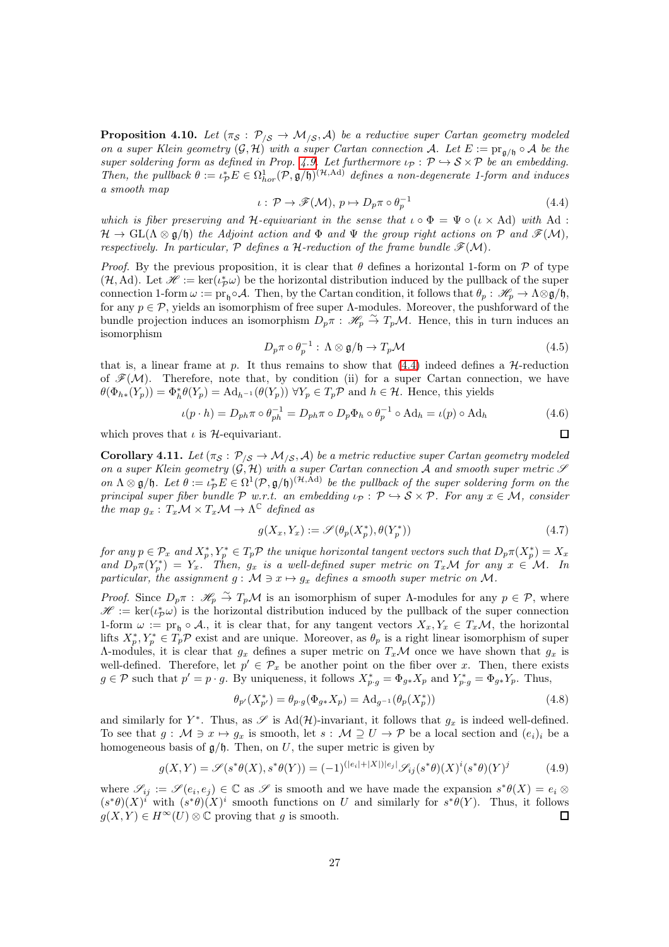**Proposition 4.10.** Let  $(\pi_{\mathcal{S}} : \mathcal{P}_{/\mathcal{S}} \to \mathcal{M}_{/\mathcal{S}}, \mathcal{A})$  be a reductive super Cartan geometry modeled on a super Klein geometry  $(G, \mathcal{H})$  with a super Cartan connection A. Let  $E := \text{pr}_{\mathfrak{q}/\mathfrak{h}} \circ \mathcal{A}$  be the super soldering form as defined in Prop. [4.9.](#page-25-0) Let furthermore  $\iota_{\mathcal{P}} : \mathcal{P} \hookrightarrow \mathcal{S} \times \mathcal{P}$  be an embedding. Then, the pullback  $\theta := \iota_{\mathcal{P}}^* E \in \Omega^1_{hor}(\mathcal{P}, \mathfrak{g}/\mathfrak{h})^{(\mathcal{H}, \mathrm{Ad})}$  defines a non-degenerate 1-form and induces a smooth map

$$
\iota: \mathcal{P} \to \mathscr{F}(\mathcal{M}), \, p \mapsto D_p \pi \circ \theta_p^{-1} \tag{4.4}
$$

<span id="page-26-0"></span>which is fiber preserving and H-equivariant in the sense that  $\iota \circ \Phi = \Psi \circ (\iota \times \text{Ad})$  with Ad:  $\mathcal{H} \to \mathrm{GL}(\Lambda \otimes \mathfrak{g}/\mathfrak{h})$  the Adjoint action and  $\Phi$  and  $\Psi$  the group right actions on P and  $\mathscr{F}(\mathcal{M})$ , respectively. In particular,  $P$  defines a H-reduction of the frame bundle  $\mathcal{F}(\mathcal{M})$ .

*Proof.* By the previous proposition, it is clear that  $\theta$  defines a horizontal 1-form on  $\mathcal P$  of type  $(\mathcal{H}, \text{Ad})$ . Let  $\mathscr{H} := \ker(\iota_{\mathcal{P}}^*\omega)$  be the horizontal distribution induced by the pullback of the super connection 1-form  $\omega := \text{pr}_{\mathfrak{h}} \circ A$ . Then, by the Cartan condition, it follows that  $\theta_p : \mathscr{H}_p \to \Lambda \otimes \mathfrak{g}/\mathfrak{h}$ , for any  $p \in \mathcal{P}$ , yields an isomorphism of free super Λ-modules. Moreover, the pushforward of the bundle projection induces an isomorphism  $D_p \pi : \mathcal{H}_p \overset{\sim}{\to} T_p \mathcal{M}$ . Hence, this in turn induces an isomorphism

$$
D_p \pi \circ \theta_p^{-1} : \Lambda \otimes \mathfrak{g} / \mathfrak{h} \to T_p \mathcal{M}
$$
\n
$$
(4.5)
$$

 $\Box$ 

that is, a linear frame at p. It thus remains to show that  $(4.4)$  indeed defines a H-reduction of  $\mathscr{F}(M)$ . Therefore, note that, by condition (ii) for a super Cartan connection, we have  $\theta(\Phi_{h*}(Y_p)) = \Phi_h^*\theta(Y_p) = \text{Ad}_{h^{-1}}(\theta(Y_p)) \ \forall Y_p \in T_p\mathcal{P}$  and  $h \in \mathcal{H}$ . Hence, this yields

$$
\iota(p \cdot h) = D_{ph} \pi \circ \theta_{ph}^{-1} = D_{ph} \pi \circ D_p \Phi_h \circ \theta_p^{-1} \circ \text{Ad}_h = \iota(p) \circ \text{Ad}_h \tag{4.6}
$$

which proves that  $\iota$  is  $\mathcal{H}$ -equivariant.

<span id="page-26-1"></span>**Corollary 4.11.** Let  $(\pi_S : \mathcal{P}_{\setminus S} \to \mathcal{M}_{\setminus S}, \mathcal{A})$  be a metric reductive super Cartan geometry modeled on a super Klein geometry  $(\mathcal{G}, \mathcal{H})$  with a super Cartan connection A and smooth super metric  $\mathcal{S}$ on  $\Lambda \otimes \mathfrak{g}/\mathfrak{h}$ . Let  $\theta := \iota_{\mathcal{P}}^* E \in \Omega^1(\mathcal{P}, \mathfrak{g}/\mathfrak{h})^{(\mathcal{H}, \mathrm{Ad})}$  be the pullback of the super soldering form on the principal super fiber bundle P w.r.t. an embedding  $\iota_{\mathcal{P}} : \mathcal{P} \hookrightarrow \mathcal{S} \times \mathcal{P}$ . For any  $x \in \mathcal{M}$ , consider the map  $g_x: T_x \mathcal{M} \times T_x \mathcal{M} \to \Lambda^{\mathbb{C}}$  defined as

$$
g(X_x, Y_x) := \mathscr{S}(\theta_p(X_p^*), \theta(Y_p^*))
$$
\n(4.7)

for any  $p \in \mathcal{P}_x$  and  $X_p^*, Y_p^* \in T_p\mathcal{P}$  the unique horizontal tangent vectors such that  $D_p\pi(X_p^*)=X_x$ and  $D_p \pi(Y_p^*) = Y_x$ . Then,  $g_x$  is a well-defined super metric on  $T_x\mathcal{M}$  for any  $x \in \mathcal{M}$ . In particular, the assignment  $g : \mathcal{M} \ni x \mapsto g_x$  defines a smooth super metric on M.

*Proof.* Since  $D_p \pi$ :  $\mathcal{H}_p \overset{\sim}{\to} T_p \mathcal{M}$  is an isomorphism of super  $\Lambda$ -modules for any  $p \in \mathcal{P}$ , where  $\mathscr{H} := \ker(\iota_{\mathcal{P}}^*\omega)$  is the horizontal distribution induced by the pullback of the super connection 1-form  $\omega := \text{pr}_{\mathfrak{h}} \circ A$ , it is clear that, for any tangent vectors  $X_x, Y_x \in T_x\mathcal{M}$ , the horizontal lifts  $X_p^*, Y_p^* \in T_p\mathcal{P}$  exist and are unique. Moreover, as  $\theta_p$  is a right linear isomorphism of super Λ-modules, it is clear that  $g_x$  defines a super metric on  $T_x\mathcal{M}$  once we have shown that  $g_x$  is well-defined. Therefore, let  $p' \in \mathcal{P}_x$  be another point on the fiber over x. Then, there exists  $g \in \mathcal{P}$  such that  $p' = p \cdot g$ . By uniqueness, it follows  $X_{p \cdot g}^* = \Phi_{g*} X_p$  and  $Y_{p \cdot g}^* = \Phi_{g*} Y_p$ . Thus,

$$
\theta_{p'}(X_{p'}^*) = \theta_{p \cdot g}(\Phi_{g*} X_p) = \mathrm{Ad}_{g^{-1}}(\theta_p(X_p^*)) \tag{4.8}
$$

and similarly for  $Y^*$ . Thus, as  $\mathscr S$  is Ad( $\mathcal H$ )-invariant, it follows that  $g_x$  is indeed well-defined. To see that  $g : \mathcal{M} \ni x \mapsto g_x$  is smooth, let  $s : \mathcal{M} \supseteq U \to \mathcal{P}$  be a local section and  $(e_i)_i$  be a homogeneous basis of  $g/h$ . Then, on U, the super metric is given by

$$
g(X,Y) = \mathscr{S}(s^*\theta(X), s^*\theta(Y)) = (-1)^{(|e_i|+|X|)|e_j|} \mathscr{S}_{ij}(s^*\theta)(X)^i(s^*\theta)(Y)^j
$$
(4.9)

where  $\mathscr{S}_{ij} := \mathscr{S}(e_i, e_j) \in \mathbb{C}$  as  $\mathscr{S}$  is smooth and we have made the expansion  $s^*\theta(X) = e_i \otimes$  $(s^*\theta)(X)^i$  with  $(s^*\theta)(X)^i$  smooth functions on U and similarly for  $s^*\theta(Y)$ . Thus, it follows  $g(X, Y) \in H^{\infty}(U) \otimes \mathbb{C}$  proving that g is smooth.  $\Box$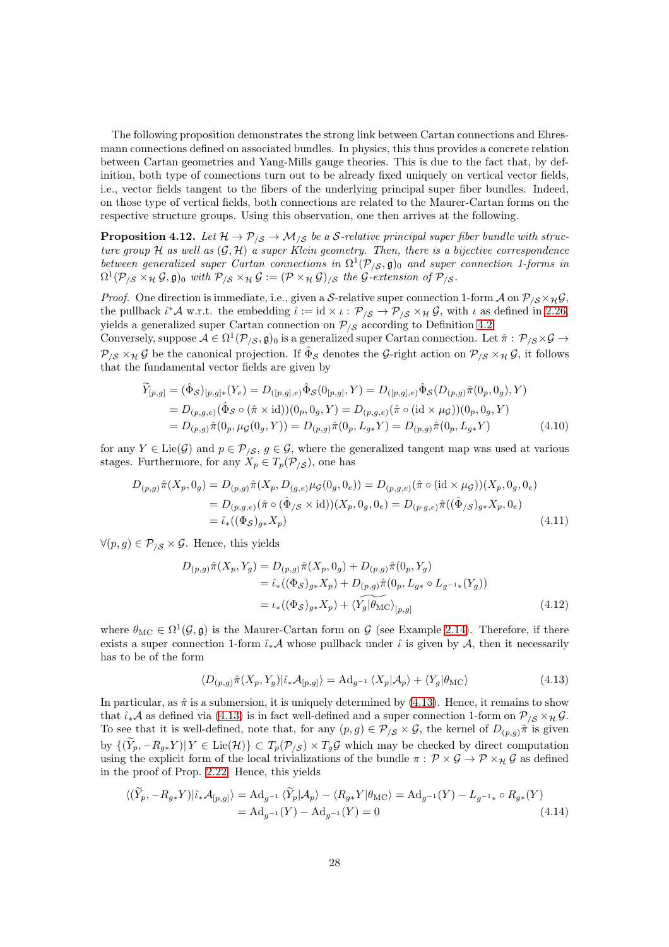The following proposition demonstrates the strong link between Cartan connections and Ehresmann connections defined on associated bundles. In physics, this thus provides a concrete relation between Cartan geometries and Yang-Mills gauge theories. This is due to the fact that, by definition, both type of connections turn out to be already fixed uniquely on vertical vector fields, i.e., vector fields tangent to the fibers of the underlying principal super fiber bundles. Indeed, on those type of vertical fields, both connections are related to the Maurer-Cartan forms on the respective structure groups. Using this observation, one then arrives at the following.

<span id="page-27-1"></span>**Proposition 4.12.** Let  $H \to \mathcal{P}_{\mathcal{S}} \to \mathcal{M}_{\mathcal{S}}$  be a S-relative principal super fiber bundle with structure group H as well as  $(G, \mathcal{H})$  a super Klein geometry. Then, there is a bijective correspondence between generalized super Cartan connections in  $\Omega^1(\mathcal{P}_{/\mathcal{S}}, \mathfrak{g})_0$  and super connection 1-forms in  $\Omega^1(\mathcal{P}_{/\mathcal{S}} \times_{\mathcal{H}} \mathcal{G}, \mathfrak{g})_0$  with  $\mathcal{P}_{/\mathcal{S}} \times_{\mathcal{H}} \mathcal{G} := (\mathcal{P} \times_{\mathcal{H}} \mathcal{G})_{/\mathcal{S}}$  the G-extension of  $\mathcal{P}_{/\mathcal{S}}$ .

*Proof.* One direction is immediate, i.e., given a S-relative super connection 1-form A on  $\mathcal{P}_{\beta} \times_{\mathcal{H}} \mathcal{G}$ , the pullback  $\hat{\iota}^* A$  w.r.t. the embedding  $\hat{\iota} := id \times \iota : \mathcal{P}_{\langle \mathcal{S} \rangle} \to \mathcal{P}_{\langle \mathcal{S} \times \mathcal{H} \mathcal{G}, \mathcal{S} \rangle}$ , with  $\iota$  as defined in [2.26,](#page-13-1) yields a generalized super Cartan connection on  $P_{\beta}$  according to Definition [4.2.](#page-24-2)

Conversely, suppose  $\mathcal{A} \in \Omega^1(\mathcal{P}_{/\mathcal{S}}, \mathfrak{g})_0$  is a generalized super Cartan connection. Let  $\hat{\pi}: \mathcal{P}_{/\mathcal{S}} \times \mathcal{G} \to$  $\mathcal{P}_{/\mathcal{S}} \times_{\mathcal{H}} \mathcal{G}$  be the canonical projection. If  $\hat{\Phi}_{\mathcal{S}}$  denotes the G-right action on  $\mathcal{P}_{/\mathcal{S}} \times_{\mathcal{H}} \mathcal{G}$ , it follows that the fundamental vector fields are given by

$$
\begin{split} \widetilde{Y}_{[p,g]} &= (\hat{\Phi}_{\mathcal{S}})_{[p,g]*}(Y_e) = D_{([p,g],e)} \hat{\Phi}_{\mathcal{S}}(0_{[p,g]}, Y) = D_{([p,g],e)} \hat{\Phi}_{\mathcal{S}}(D_{(p,g)} \hat{\pi}(0_p, 0_g), Y) \\ &= D_{(p,g,e)} (\hat{\Phi}_{\mathcal{S}} \circ (\hat{\pi} \times \text{id})) (0_p, 0_g, Y) = D_{(p,g,e)} (\hat{\pi} \circ (\text{id} \times \mu_{\mathcal{G}})) (0_p, 0_g, Y) \\ &= D_{(p,g)} \hat{\pi}(0_p, \mu_{\mathcal{G}}(0_g, Y)) = D_{(p,g)} \hat{\pi}(0_p, L_{g*} Y) = D_{(p,g)} \hat{\pi}(0_p, L_{g*} Y) \end{split} \tag{4.10}
$$

for any  $Y \in \text{Lie}(\mathcal{G})$  and  $p \in \mathcal{P}_{\ell, \mathcal{S}}, g \in \mathcal{G}$ , where the generalized tangent map was used at various stages. Furthermore, for any  $X_p \in T_p(\mathcal{P}_{\langle S \rangle})$ , one has

$$
D_{(p,g)}\hat{\pi}(X_p, 0_g) = D_{(p,g)}\hat{\pi}(X_p, D_{(g,e)}\mu_{\mathcal{G}}(0_g, 0_e)) = D_{(p,g,e)}(\hat{\pi} \circ (\text{id} \times \mu_{\mathcal{G}}))(X_p, 0_g, 0_e)
$$
  
= 
$$
D_{(p,g,e)}(\hat{\pi} \circ (\hat{\Phi}_{/\mathcal{S}} \times \text{id}))(X_p, 0_g, 0_e) = D_{(p \cdot g,e)}\hat{\pi}((\hat{\Phi}_{/\mathcal{S}})_{g*}X_p, 0_e)
$$
  
= 
$$
\hat{\iota}_*( (\Phi_{\mathcal{S}})_{g*}X_p)
$$
(4.11)

 $\forall (p, g) \in \mathcal{P}_{\ell S} \times \mathcal{G}$ . Hence, this yields

$$
D_{(p,g)}\hat{\pi}(X_p, Y_g) = D_{(p,g)}\hat{\pi}(X_p, 0_g) + D_{(p,g)}\hat{\pi}(0_p, Y_g)
$$
  
=  $\hat{\iota}_*((\Phi_S)_{g*}X_p) + D_{(p,g)}\hat{\pi}(0_p, L_{g*} \circ L_{g^{-1}*}(Y_g))$   
=  $\iota_*((\Phi_S)_{g*}X_p) + \langle Y_g | \hat{\theta}_{\text{MC}} \rangle_{[p,g]}$  (4.12)

where  $\theta_{MC} \in \Omega^1(\mathcal{G}, \mathfrak{g})$  is the Maurer-Cartan form on  $\mathcal{G}$  (see Example [2.14\)](#page-8-1). Therefore, if there exists a super connection 1-form  $\hat{\iota}_*A$  whose pullback under  $\hat{\iota}$  is given by A, then it necessarily has to be of the form

<span id="page-27-0"></span>
$$
\langle D_{(p,g)}\hat{\pi}(X_p, Y_g)|\hat{\iota}_*\mathcal{A}_{[p,g]}\rangle = \mathrm{Ad}_{g^{-1}} \langle X_p|\mathcal{A}_p\rangle + \langle Y_g|\theta_{\mathrm{MC}}\rangle \tag{4.13}
$$

In particular, as  $\hat{\pi}$  is a submersion, it is uniquely determined by [\(4.13\)](#page-27-0). Hence, it remains to show that  $\hat{\iota}_*A$  as defined via [\(4.13\)](#page-27-0) is in fact well-defined and a super connection 1-form on  $\mathcal{P}_{\iota S} \times_{\mathcal{H}} \mathcal{G}$ . To see that it is well-defined, note that, for any  $(p, g) \in \mathcal{P}_{/\mathcal{S}} \times \mathcal{G}$ , the kernel of  $D_{(p,g)}\hat{\pi}$  is given by  $\{(\widetilde{Y}_p, -R_{g*}Y) | Y \in \text{Lie}(\mathcal{H})\} \subset T_p(\mathcal{P}_{\mathcal{S}}) \times T_g\mathcal{G}$  which may be checked by direct computation using the explicit form of the local trivializations of the bundle  $\pi$ :  $\mathcal{P} \times \mathcal{G} \to \mathcal{P} \times_{\mathcal{H}} \mathcal{G}$  as defined in the proof of Prop. [2.22.](#page-11-0) Hence, this yields

$$
\langle (\tilde{Y}_p, -R_{g*}Y)|\hat{\iota}_*\mathcal{A}_{[p,g]}\rangle = \mathrm{Ad}_{g^{-1}} \langle \tilde{Y}_p|\mathcal{A}_p\rangle - \langle R_{g*}Y|\theta_{\mathrm{MC}}\rangle = \mathrm{Ad}_{g^{-1}}(Y) - L_{g^{-1}*} \circ R_{g*}(Y)
$$
  
=  $\mathrm{Ad}_{g^{-1}}(Y) - \mathrm{Ad}_{g^{-1}}(Y) = 0$  (4.14)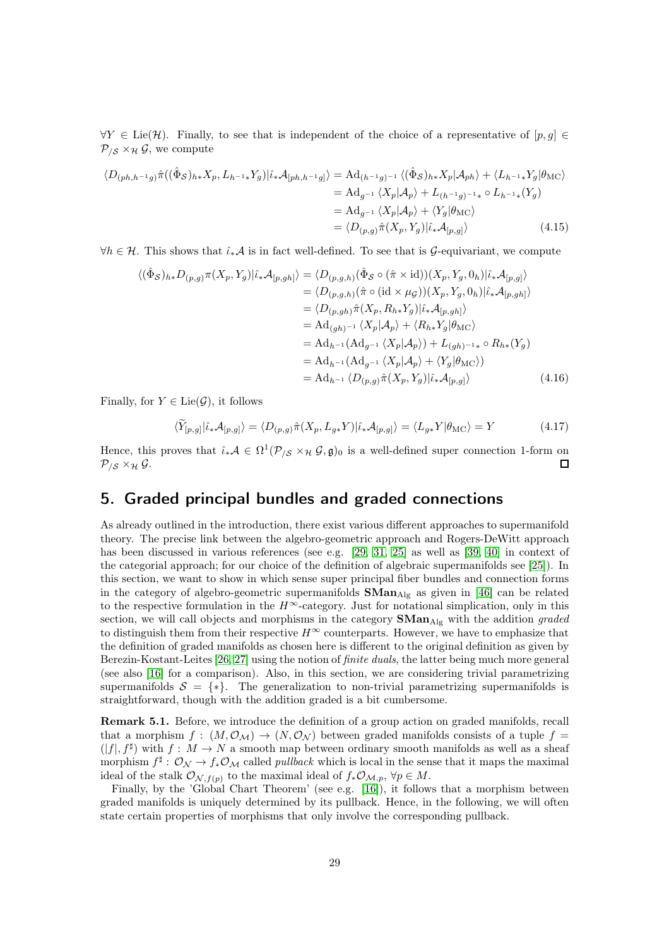$\forall Y \in \text{Lie}(\mathcal{H})$ . Finally, to see that is independent of the choice of a representative of  $[p, g] \in$  $\mathcal{P}_{\beta} \times_{\mathcal{H}} \mathcal{G}$ , we compute

$$
\langle D_{(ph,h^{-1}g)}\hat{\pi}((\hat{\Phi}_{\mathcal{S}})_{h*}X_{p}, L_{h^{-1}*}Y_{g})|\hat{\iota}_{*}\mathcal{A}_{[ph,h^{-1}g]}\rangle = \mathrm{Ad}_{(h^{-1}g)^{-1}}\langle(\hat{\Phi}_{\mathcal{S}})_{h*}X_{p}|\mathcal{A}_{ph}\rangle + \langle L_{h^{-1}*}Y_{g}|\theta_{\mathrm{MC}}\rangle
$$
  
\n
$$
= \mathrm{Ad}_{g^{-1}}\langle X_{p}|\mathcal{A}_{p}\rangle + L_{(h^{-1}g)^{-1}*} \circ L_{h^{-1}*}(Y_{g})
$$
  
\n
$$
= \mathrm{Ad}_{g^{-1}}\langle X_{p}|\mathcal{A}_{p}\rangle + \langle Y_{g}|\theta_{\mathrm{MC}}\rangle
$$
  
\n
$$
= \langle D_{(p,g)}\hat{\pi}(X_{p},Y_{g})|\hat{\iota}_{*}\mathcal{A}_{[p,g]}\rangle
$$
 (4.15)

 $\forall h \in \mathcal{H}$ . This shows that  $\hat{\iota}_* \mathcal{A}$  is in fact well-defined. To see that is  $\mathcal{G}$ -equivariant, we compute

$$
\langle (\hat{\Phi}_{\mathcal{S}})_{h*} D_{(p,g)} \pi(X_p, Y_g) | \hat{\iota}_* \mathcal{A}_{[p,gh]} \rangle = \langle D_{(p,g,h)} (\hat{\Phi}_{\mathcal{S}} \circ (\hat{\pi} \times \text{id})) (X_p, Y_g, 0_h) | \hat{\iota}_* \mathcal{A}_{[p,g]} \rangle
$$
  
\n
$$
= \langle D_{(p,g,h)} (\hat{\pi} \circ (\text{id} \times \mu_{\mathcal{G}})) (X_p, Y_g, 0_h) | \hat{\iota}_* \mathcal{A}_{[p,gh]} \rangle
$$
  
\n
$$
= \langle D_{(p,g,h)} \hat{\pi}(X_p, R_{h*} Y_g) | \hat{\iota}_* \mathcal{A}_{[p,gh]} \rangle
$$
  
\n
$$
= \mathrm{Ad}_{(gh)^{-1}} \langle X_p | \mathcal{A}_p \rangle + \langle R_{h*} Y_g | \theta_{\mathrm{MC}} \rangle
$$
  
\n
$$
= \mathrm{Ad}_{h^{-1}} (\mathrm{Ad}_{g^{-1}} \langle X_p | \mathcal{A}_p \rangle + \langle Y_g | \theta_{\mathrm{MC}} \rangle)
$$
  
\n
$$
= \mathrm{Ad}_{h^{-1}} (\mathrm{Ad}_{g^{-1}} \langle X_p | \mathcal{A}_p \rangle + \langle Y_g | \theta_{\mathrm{MC}} \rangle)
$$
  
\n
$$
= \mathrm{Ad}_{h^{-1}} \langle D_{(p,g)} \hat{\pi}(X_p, Y_g) | \hat{\iota}_* \mathcal{A}_{[p,g]} \rangle \qquad (4.16)
$$

Finally, for  $Y \in \text{Lie}(\mathcal{G})$ , it follows

$$
\langle \widetilde{Y}_{[p,g]} | \widehat{\iota}_* \mathcal{A}_{[p,g]} \rangle = \langle D_{(p,g)} \widehat{\pi}(X_p, L_{g*} Y) | \widehat{\iota}_* \mathcal{A}_{[p,g]} \rangle = \langle L_{g*} Y | \theta_{\rm MC} \rangle = Y \tag{4.17}
$$

Hence, this proves that  $\hat{\iota}_* A \in \Omega^1(\mathcal{P}_{\langle \mathcal{S} \times \mathcal{H} \mathcal{G}, \mathfrak{g} \rangle_0})$  is a well-defined super connection 1-form on  $\mathcal{P}_{\beta} \times_{\mathcal{H}} \mathcal{G}.$  $\Box$ 

## <span id="page-28-0"></span>5. Graded principal bundles and graded connections

As already outlined in the introduction, there exist various different approaches to supermanifold theory. The precise link between the algebro-geometric approach and Rogers-DeWitt approach has been discussed in various references (see e.g. [\[29,](#page-61-12) [31,](#page-61-3) [25\]](#page-61-6) as well as [\[39,](#page-62-0) [40\]](#page-62-1) in context of the categorial approach; for our choice of the definition of algebraic supermanifolds see [\[25\]](#page-61-6)). In this section, we want to show in which sense super principal fiber bundles and connection forms in the category of algebro-geometric supermanifolds  $\mathbf{SMan}_{\mathrm{Alg}}$  as given in [\[46\]](#page-62-7) can be related to the respective formulation in the  $H^{\infty}$ -category. Just for notational simplication, only in this section, we will call objects and morphisms in the category  $\mathbf{SMan}_{\mathrm{Alg}}$  with the addition graded to distinguish them from their respective  $H^{\infty}$  counterparts. However, we have to emphasize that the definition of graded manifolds as chosen here is different to the original definition as given by Berezin-Kostant-Leites [\[26,](#page-61-0) [27\]](#page-61-1) using the notion of finite duals, the latter being much more general (see also [\[16\]](#page-60-5) for a comparison). Also, in this section, we are considering trivial parametrizing supermanifolds  $S = \{*\}.$  The generalization to non-trivial parametrizing supermanifolds is straightforward, though with the addition graded is a bit cumbersome.

Remark 5.1. Before, we introduce the definition of a group action on graded manifolds, recall that a morphism  $f : (M, \mathcal{O}_M) \to (N, \mathcal{O}_N)$  between graded manifolds consists of a tuple  $f =$  $(|f|, f^{\sharp})$  with  $f: M \to N$  a smooth map between ordinary smooth manifolds as well as a sheaf morphism  $f^{\sharp}: \mathcal{O}_{\mathcal{N}} \to f_* \mathcal{O}_{\mathcal{M}}$  called *pullback* which is local in the sense that it maps the maximal ideal of the stalk  $\mathcal{O}_{\mathcal{N},f(p)}$  to the maximal ideal of  $f_*\mathcal{O}_{\mathcal{M},p}, \forall p \in M$ .

Finally, by the 'Global Chart Theorem' (see e.g. [\[16\]](#page-60-5)), it follows that a morphism between graded manifolds is uniquely determined by its pullback. Hence, in the following, we will often state certain properties of morphisms that only involve the corresponding pullback.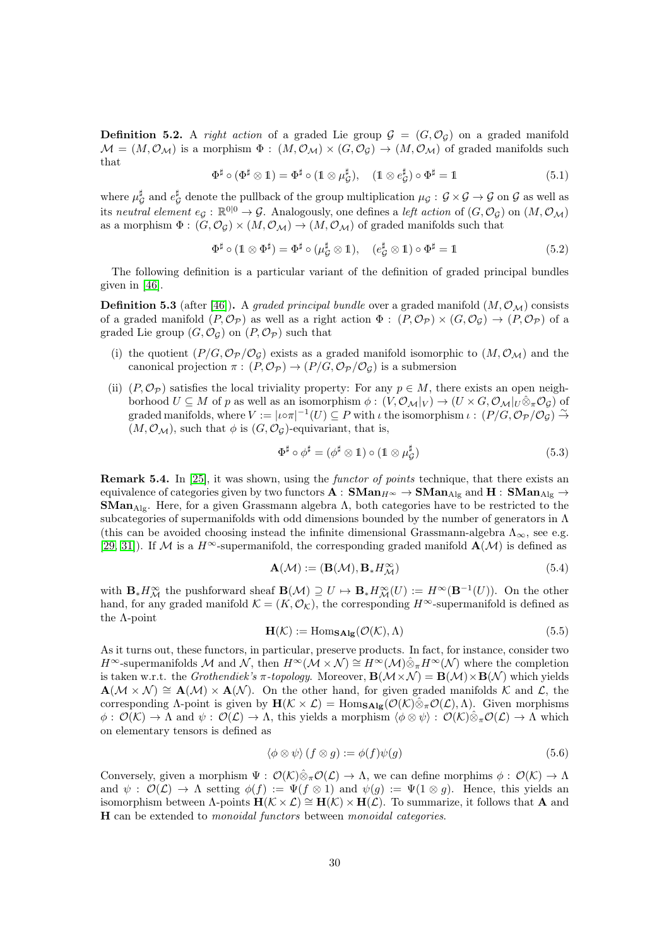**Definition 5.2.** A right action of a graded Lie group  $\mathcal{G} = (G, \mathcal{O}_G)$  on a graded manifold  $M = (M, \mathcal{O}_M)$  is a morphism  $\Phi : (M, \mathcal{O}_M) \times (G, \mathcal{O}_G) \to (M, \mathcal{O}_M)$  of graded manifolds such that

$$
\Phi^{\sharp} \circ (\Phi^{\sharp} \otimes 1) = \Phi^{\sharp} \circ (1 \otimes \mu_{\mathcal{G}}^{\sharp}), \quad (1 \otimes e_{\mathcal{G}}^{\sharp}) \circ \Phi^{\sharp} = 1 \tag{5.1}
$$

where  $\mu_{\mathcal{G}}^{\sharp}$  and  $e_{\mathcal{G}}^{\sharp}$  denote the pullback of the group multiplication  $\mu_{\mathcal{G}}: \mathcal{G} \times \mathcal{G} \to \mathcal{G}$  on  $\mathcal{G}$  as well as its neutral element  $e_{\mathcal{G}}: \mathbb{R}^{0|0} \to \mathcal{G}$ . Analogously, one defines a left action of  $(G, \mathcal{O}_{\mathcal{G}})$  on  $(M, \mathcal{O}_{\mathcal{M}})$ as a morphism  $\Phi: (G, \mathcal{O}_{\mathcal{G}}) \times (M, \mathcal{O}_{\mathcal{M}}) \to (M, \mathcal{O}_{\mathcal{M}})$  of graded manifolds such that

$$
\Phi^{\sharp} \circ (\mathbb{1} \otimes \Phi^{\sharp}) = \Phi^{\sharp} \circ (\mu_{\mathcal{G}}^{\sharp} \otimes \mathbb{1}), \quad (e_{\mathcal{G}}^{\sharp} \otimes \mathbb{1}) \circ \Phi^{\sharp} = \mathbb{1}
$$
 (5.2)

The following definition is a particular variant of the definition of graded principal bundles given in [\[46\]](#page-62-7).

**Definition 5.3** (after [\[46\]](#page-62-7)). A graded principal bundle over a graded manifold  $(M, \mathcal{O}_M)$  consists of a graded manifold  $(P, \mathcal{O}_{\mathcal{P}})$  as well as a right action  $\Phi: (P, \mathcal{O}_{\mathcal{P}}) \times (G, \mathcal{O}_{\mathcal{G}}) \to (P, \mathcal{O}_{\mathcal{P}})$  of a graded Lie group  $(G, \mathcal{O}_G)$  on  $(P, \mathcal{O}_P)$  such that

- (i) the quotient  $(P/G, \mathcal{O}_{\mathcal{P}}/\mathcal{O}_{\mathcal{G}})$  exists as a graded manifold isomorphic to  $(M, \mathcal{O}_{\mathcal{M}})$  and the canonical projection  $\pi$ :  $(P, \mathcal{O}_{\mathcal{P}}) \rightarrow (P/G, \mathcal{O}_{\mathcal{P}}/\mathcal{O}_{\mathcal{G}})$  is a submersion
- (ii)  $(P, \mathcal{O}_P)$  satisfies the local triviality property: For any  $p \in M$ , there exists an open neighborhood  $U \subseteq M$  of p as well as an isomorphism  $\phi : (V, \mathcal{O}_M|_V) \to (U \times G, \mathcal{O}_M|_U \hat{\otimes}_{\pi} \mathcal{O}_{\mathcal{G}})$  of graded manifolds, where  $V := |\iota \circ \pi|^{-1}(U) \subseteq P$  with  $\iota$  the isomorphism  $\iota : (P/G, \mathcal{O}_{\mathcal{P}}/\mathcal{O}_{\mathcal{G}}) \stackrel{\sim}{\to}$  $(M, \mathcal{O}_M)$ , such that  $\phi$  is  $(G, \mathcal{O}_G)$ -equivariant, that is,

$$
\Phi^{\sharp} \circ \phi^{\sharp} = (\phi^{\sharp} \otimes 1) \circ (1 \otimes \mu_{\mathcal{G}}^{\sharp}) \tag{5.3}
$$

<span id="page-29-0"></span>**Remark 5.4.** In [\[25\]](#page-61-6), it was shown, using the *functor of points* technique, that there exists an equivalence of categories given by two functors  $A : \mathbf{SMan}_{H^{\infty}} \to \mathbf{SMan}_{\mathrm{Alg}}$  and  $H : \mathbf{SMan}_{\mathrm{Alg}} \to$ **SMan**<sub>Alg</sub>. Here, for a given Grassmann algebra  $\Lambda$ , both categories have to be restricted to the subcategories of supermanifolds with odd dimensions bounded by the number of generators in  $\Lambda$ (this can be avoided choosing instead the infinite dimensional Grassmann-algebra  $\Lambda_{\infty}$ , see e.g. [\[29,](#page-61-12) [31\]](#page-61-3)). If M is a  $H^{\infty}$ -supermanifold, the corresponding graded manifold  $\mathbf{A}(\mathcal{M})$  is defined as

$$
\mathbf{A}(\mathcal{M}) := (\mathbf{B}(\mathcal{M}), \mathbf{B}_{*} H^{\infty}_{\mathcal{M}})
$$
\n(5.4)

with  $\mathbf{B}_{*}H^{\infty}_{\mathcal{M}}$  the pushforward sheaf  $\mathbf{B}(\mathcal{M}) \supseteq U \mapsto \mathbf{B}_{*}H^{\infty}_{\mathcal{M}}(U) := H^{\infty}(\mathbf{B}^{-1}(U)).$  On the other hand, for any graded manifold  $\mathcal{K} = (K, \mathcal{O}_K)$ , the corresponding  $H^{\infty}$ -supermanifold is defined as the Λ-point

$$
\mathbf{H}(\mathcal{K}) := \text{Hom}_{\mathbf{SAlg}}(\mathcal{O}(\mathcal{K}), \Lambda)
$$
\n(5.5)

As it turns out, these functors, in particular, preserve products. In fact, for instance, consider two  $H^{\infty}$ -supermanifolds M and N, then  $H^{\infty}(\mathcal{M}\times\mathcal{N})\cong H^{\infty}(\mathcal{M})\hat{\otimes}_{\pi}H^{\infty}(\mathcal{N})$  where the completion is taken w.r.t. the Grothendiek's  $\pi$ -topology. Moreover,  $\mathbf{B}(\mathcal{M}\times\mathcal{N})=\mathbf{B}(\mathcal{M})\times\mathbf{B}(\mathcal{N})$  which yields  $\mathbf{A}(\mathcal{M}\times\mathcal{N})\cong\mathbf{A}(\mathcal{M})\times\mathbf{A}(\mathcal{N}).$  On the other hand, for given graded manifolds K and L, the corresponding Λ-point is given by  $H(\mathcal{K} \times \mathcal{L}) = \text{Hom}_{\mathbf{SAlg}}(\mathcal{O}(\mathcal{K}) \hat{\otimes}_{\pi} \mathcal{O}(\mathcal{L}), \Lambda)$ . Given morphisms  $\phi$ :  $\mathcal{O}(\mathcal{K}) \to \Lambda$  and  $\psi$ :  $\mathcal{O}(\mathcal{L}) \to \Lambda$ , this yields a morphism  $\langle \phi \otimes \psi \rangle$ :  $\mathcal{O}(\mathcal{K}) \hat{\otimes}_{\pi} \mathcal{O}(\mathcal{L}) \to \Lambda$  which on elementary tensors is defined as

$$
\langle \phi \otimes \psi \rangle (f \otimes g) := \phi(f)\psi(g) \tag{5.6}
$$

Conversely, given a morphism  $\Psi : \mathcal{O}(\mathcal{K}) \hat{\otimes}_{\pi} \mathcal{O}(\mathcal{L}) \to \Lambda$ , we can define morphims  $\phi : \mathcal{O}(\mathcal{K}) \to \Lambda$ and  $\psi: \mathcal{O}(\mathcal{L}) \to \Lambda$  setting  $\phi(f) := \Psi(f \otimes 1)$  and  $\psi(g) := \Psi(1 \otimes g)$ . Hence, this yields an isomorphism between  $\Lambda$ -points  $H(\mathcal{K} \times \mathcal{L}) \cong H(\mathcal{K}) \times H(\mathcal{L})$ . To summarize, it follows that **A** and H can be extended to monoidal functors between monoidal categories.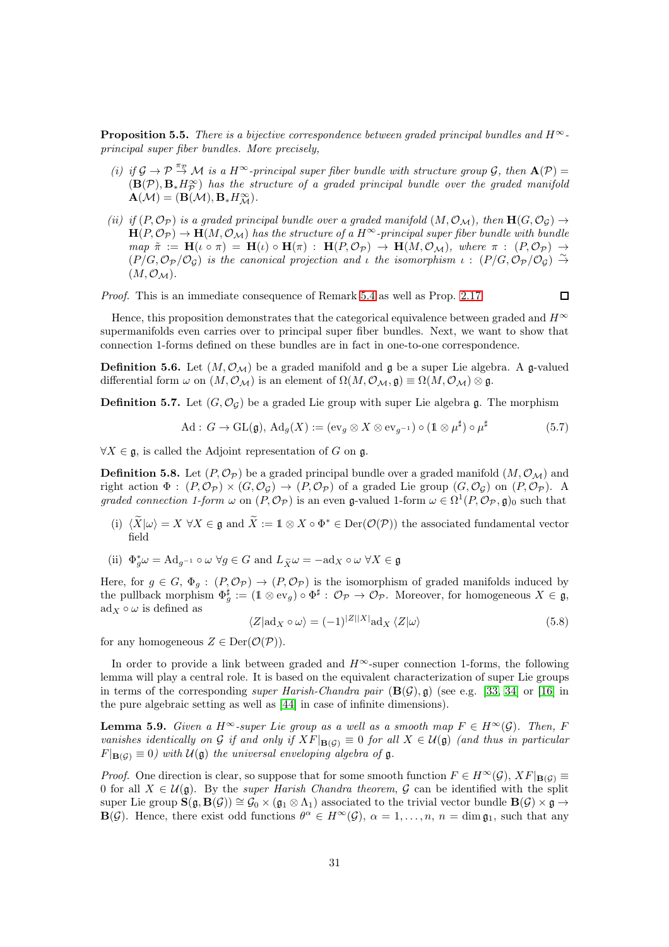<span id="page-30-1"></span>**Proposition 5.5.** There is a bijective correspondence between graded principal bundles and  $H^{\infty}$ principal super fiber bundles. More precisely,

- (i) if  $\mathcal{G} \to \mathcal{P} \stackrel{\pi_{\mathcal{P}}}{\to} \mathcal{M}$  is a  $H^{\infty}$ -principal super fiber bundle with structure group  $\mathcal{G}$ , then  $\mathbf{A}(\mathcal{P}) =$  $(\mathbf{B}(\mathcal{P}), \mathbf{B}_{*} H_{\mathcal{P}}^{\infty})$  has the structure of a graded principal bundle over the graded manifold  $\mathbf{A}(\mathcal{M}) = (\mathbf{B}(\mathcal{M}), \mathbf{B}_{*}H^{\infty}_{\mathcal{M}}).$
- (ii) if  $(P, \mathcal{O}_P)$  is a graded principal bundle over a graded manifold  $(M, \mathcal{O}_M)$ , then  $H(G, \mathcal{O}_G) \rightarrow$  $H(P, \mathcal{O}_{\mathcal{P}}) \to H(M, \mathcal{O}_{\mathcal{M}})$  has the structure of a  $H^{\infty}$ -principal super fiber bundle with bundle  $map \ \tilde{\pi} := \mathbf{H}(\iota \circ \pi) = \mathbf{H}(\iota) \circ \mathbf{H}(\pi) : \mathbf{H}(P, \mathcal{O}_{\mathcal{P}}) \to \mathbf{H}(M, \mathcal{O}_{\mathcal{M}}),$  where  $\pi : (P, \mathcal{O}_{\mathcal{P}}) \to$  $(P/G, \mathcal{O}_{\mathcal{P}}/\mathcal{O}_{\mathcal{G}})$  is the canonical projection and *i* the isomorphism  $\iota : (P/G, \mathcal{O}_{\mathcal{P}}/\mathcal{O}_{\mathcal{G}}) \stackrel{\sim}{\rightarrow}$  $(M, \mathcal{O}_M)$ .

Proof. This is an immediate consequence of Remark [5.4](#page-29-0) as well as Prop. [2.17.](#page-9-0)

 $\Box$ 

Hence, this proposition demonstrates that the categorical equivalence between graded and  $H^{\infty}$ supermanifolds even carries over to principal super fiber bundles. Next, we want to show that connection 1-forms defined on these bundles are in fact in one-to-one correspondence.

**Definition 5.6.** Let  $(M, \mathcal{O}_M)$  be a graded manifold and g be a super Lie algebra. A g-valued differential form  $\omega$  on  $(M, \mathcal{O}_\mathcal{M})$  is an element of  $\Omega(M, \mathcal{O}_\mathcal{M}, \mathfrak{g}) \equiv \Omega(M, \mathcal{O}_\mathcal{M}) \otimes \mathfrak{g}$ .

**Definition 5.7.** Let  $(G, \mathcal{O}_G)$  be a graded Lie group with super Lie algebra g. The morphism

$$
\text{Ad}: G \to \text{GL}(\mathfrak{g}), \text{Ad}_g(X) := (\text{ev}_g \otimes X \otimes \text{ev}_{g^{-1}}) \circ (\mathbb{1} \otimes \mu^{\sharp}) \circ \mu^{\sharp}
$$
(5.7)

 $\forall X \in \mathfrak{g}$ , is called the Adjoint representation of G on g.

**Definition 5.8.** Let  $(P, \mathcal{O}_P)$  be a graded principal bundle over a graded manifold  $(M, \mathcal{O}_M)$  and right action  $\Phi: (P, \mathcal{O}_{\mathcal{P}}) \times (G, \mathcal{O}_{\mathcal{G}}) \to (P, \mathcal{O}_{\mathcal{P}})$  of a graded Lie group  $(G, \mathcal{O}_{\mathcal{G}})$  on  $(P, \mathcal{O}_{\mathcal{P}})$ . A graded connection 1-form  $\omega$  on  $(P, \mathcal{O}_{\mathcal{P}})$  is an even g-valued 1-form  $\omega \in \Omega^1(P, \mathcal{O}_{\mathcal{P}}, \mathfrak{g})_0$  such that

- (i)  $\langle \widetilde{X} | \omega \rangle = X \ \forall X \in \mathfrak{g}$  and  $\widetilde{X} := \mathbb{1} \otimes X \circ \Phi^* \in \text{Der}(\mathcal{O}(\mathcal{P}))$  the associated fundamental vector field
- (ii)  $\Phi_g^* \omega = \text{Ad}_{g^{-1}} \circ \omega \ \forall g \in G$  and  $L_{\widetilde{X}} \omega = -\text{ad}_X \circ \omega \ \forall X \in \mathfrak{g}$

Here, for  $g \in G$ ,  $\Phi_g : (P, \mathcal{O}_{\mathcal{P}}) \to (P, \mathcal{O}_{\mathcal{P}})$  is the isomorphism of graded manifolds induced by the pullback morphism  $\Phi_g^{\sharp} := (\mathbb{1} \otimes \text{ev}_g) \circ \Phi^{\sharp} : \mathcal{O}_{\mathcal{P}} \to \mathcal{O}_{\mathcal{P}}$ . Moreover, for homogeneous  $X \in \mathfrak{g}$ ,  $\text{ad}_X \circ \omega$  is defined as

$$
\langle Z | \text{ad}_X \circ \omega \rangle = (-1)^{|Z||X|} \text{ad}_X \langle Z | \omega \rangle \tag{5.8}
$$

for any homogeneous  $Z \in \text{Der}(\mathcal{O}(\mathcal{P})).$ 

In order to provide a link between graded and  $H^{\infty}$ -super connection 1-forms, the following lemma will play a central role. It is based on the equivalent characterization of super Lie groups in terms of the corresponding *super Harish-Chandra pair*  $(\mathbf{B}(\mathcal{G}), \mathfrak{g})$  (see e.g. [\[33,](#page-61-4) [34\]](#page-61-10) or [\[16\]](#page-60-5) in the pure algebraic setting as well as [\[44\]](#page-62-11) in case of infinite dimensions).

<span id="page-30-0"></span>**Lemma 5.9.** Given a  $H^{\infty}$ -super Lie group as a well as a smooth map  $F \in H^{\infty}(\mathcal{G})$ . Then, F vanishes identically on G if and only if  $XF|_{\mathbf{B}(G)} \equiv 0$  for all  $X \in \mathcal{U}(\mathfrak{g})$  (and thus in particular  $F|_{\mathbf{B}(G)} \equiv 0$ ) with  $\mathcal{U}(\mathfrak{g})$  the universal enveloping algebra of  $\mathfrak{g}$ .

*Proof.* One direction is clear, so suppose that for some smooth function  $F \in H^{\infty}(\mathcal{G})$ ,  $XF|_{\mathbf{B}(\mathcal{G})} \equiv$ 0 for all  $X \in \mathcal{U}(\mathfrak{g})$ . By the *super Harish Chandra theorem*,  $\mathcal{G}$  can be identified with the split super Lie group  $\mathbf{S}(\mathfrak{g}, \mathbf{B}(\mathcal{G})) \cong \mathcal{G}_0 \times (\mathfrak{g}_1 \otimes \Lambda_1)$  associated to the trivial vector bundle  $\mathbf{B}(\mathcal{G}) \times \mathfrak{g} \to$  $\mathbf{B}(\mathcal{G})$ . Hence, there exist odd functions  $\theta^{\alpha} \in H^{\infty}(\mathcal{G})$ ,  $\alpha = 1, \ldots, n$ ,  $n = \dim \mathfrak{g}_1$ , such that any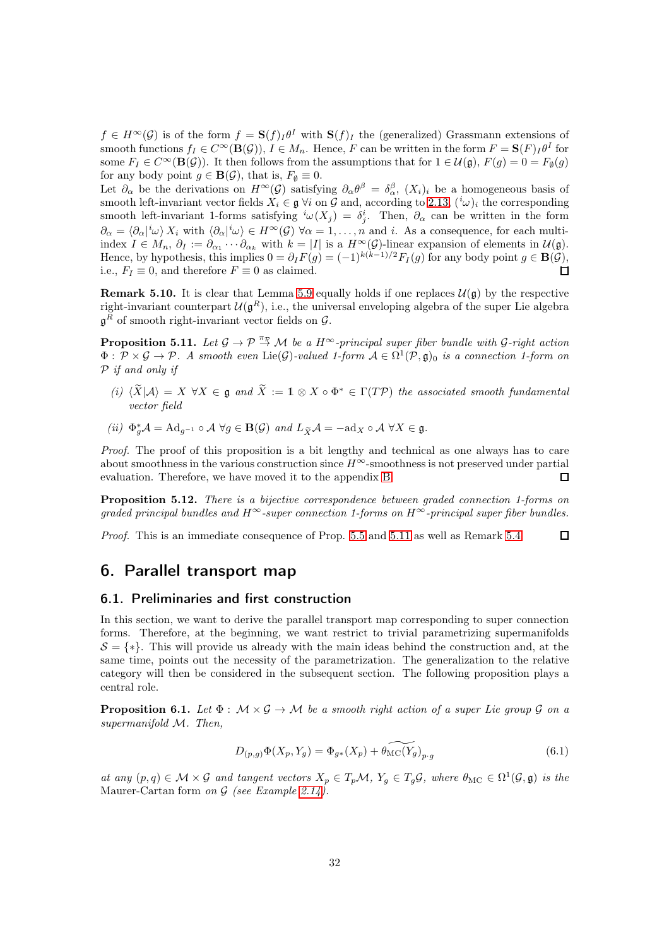$f \in H^{\infty}(\mathcal{G})$  is of the form  $f = \mathbf{S}(f) \cdot I^{\theta I}$  with  $\mathbf{S}(f) \cdot I$  the (generalized) Grassmann extensions of smooth functions  $f_I \in C^{\infty}(\mathbf{B}(\mathcal{G}))$ ,  $I \in M_n$ . Hence, F can be written in the form  $F = \mathbf{S}(F)_I \theta^I$  for some  $F_I \in C^{\infty}(\mathbf{B}(\mathcal{G}))$ . It then follows from the assumptions that for  $1 \in \mathcal{U}(\mathfrak{g})$ ,  $F(g) = 0 = F_{\emptyset}(g)$ for any body point  $g \in \mathbf{B}(\mathcal{G})$ , that is,  $F_{\emptyset} \equiv 0$ .

Let  $\partial_{\alpha}$  be the derivations on  $H^{\infty}(\mathcal{G})$  satisfying  $\partial_{\alpha}\theta^{\beta} = \delta_{\alpha}^{\beta}$ ,  $(X_i)_i$  be a homogeneous basis of smooth left-invariant vector fields  $X_i \in \mathfrak{g}$   $\forall i$  on G and, according to [2.13,](#page-8-0)  $({}^{i}\omega)_i$  the corresponding smooth left-invariant 1-forms satisfying  ${}^i\omega(X_j) = \delta^i_j$ . Then,  $\partial_\alpha$  can be written in the form  $\partial_{\alpha} = \langle \partial_{\alpha} |^{i} \omega \rangle X_{i}$  with  $\langle \partial_{\alpha} |^{i} \omega \rangle \in H^{\infty}(\mathcal{G})$   $\forall \alpha = 1, \ldots, n$  and i. As a consequence, for each multiindex  $I \in M_n$ ,  $\partial_I := \partial_{\alpha_1} \cdots \partial_{\alpha_k}$  with  $k = |I|$  is a  $H^{\infty}(\mathcal{G})$ -linear expansion of elements in  $\mathcal{U}(\mathfrak{g})$ . Hence, by hypothesis, this implies  $0 = \partial_I F(g) = (-1)^{k(k-1)/2} F_I(g)$  for any body point  $g \in \mathbf{B}(\mathcal{G})$ , i.e.,  $F_I \equiv 0$ , and therefore  $F \equiv 0$  as claimed.  $\Box$ 

**Remark 5.10.** It is clear that Lemma [5.9](#page-30-0) equally holds if one replaces  $\mathcal{U}(\mathfrak{g})$  by the respective right-invariant counterpart  $\mathcal{U}(\mathfrak{g}^R)$ , i.e., the universal enveloping algebra of the super Lie algebra  $\mathfrak{g}^R$  of smooth right-invariant vector fields on  $\mathcal{G}$ .

<span id="page-31-1"></span>**Proposition 5.11.** Let  $\mathcal{G} \to \mathcal{P} \stackrel{\pi_{\mathcal{P}}}{\to} \mathcal{M}$  be a  $H^{\infty}$ -principal super fiber bundle with  $\mathcal{G}$ -right action  $\Phi: \mathcal{P} \times \mathcal{G} \to \mathcal{P}$ . A smooth even Lie( $\mathcal{G}$ )-valued 1-form  $\mathcal{A} \in \Omega^1(\mathcal{P}, \mathfrak{g})_0$  is a connection 1-form on P if and only if

- (i)  $\langle \widetilde{X} | A \rangle = X \ \forall X \in \mathfrak{g}$  and  $\widetilde{X} := \mathbb{1} \otimes X \circ \Phi^* \in \Gamma(T\mathcal{P})$  the associated smooth fundamental vector field
- (ii)  $\Phi_g^* A = \text{Ad}_{g^{-1}} \circ A \; \forall g \in \mathbf{B}(\mathcal{G}) \text{ and } L_{\widetilde{X}} A = -\text{ad}_X \circ A \; \forall X \in \mathfrak{g}.$

Proof. The proof of this proposition is a bit lengthy and technical as one always has to care about smoothness in the various construction since  $H^{\infty}$ -smoothness is not preserved under partial evaluation. Therefore, we have moved it to the appendix [B.](#page-57-0)  $\Box$ 

Proposition 5.12. There is a bijective correspondence between graded connection 1-forms on qraded principal bundles and  $H^{\infty}$ -super connection 1-forms on  $H^{\infty}$ -principal super fiber bundles.

Proof. This is an immediate consequence of Prop. [5.5](#page-30-1) and [5.11](#page-31-1) as well as Remark [5.4.](#page-29-0)  $\Box$ 

### 6. Parallel transport map

#### <span id="page-31-0"></span>6.1. Preliminaries and first construction

In this section, we want to derive the parallel transport map corresponding to super connection forms. Therefore, at the beginning, we want restrict to trivial parametrizing supermanifolds  $S = \{*\}.$  This will provide us already with the main ideas behind the construction and, at the same time, points out the necessity of the parametrization. The generalization to the relative category will then be considered in the subsequent section. The following proposition plays a central role.

<span id="page-31-2"></span>**Proposition 6.1.** Let  $\Phi : \mathcal{M} \times \mathcal{G} \rightarrow \mathcal{M}$  be a smooth right action of a super Lie group  $\mathcal{G}$  on a supermanifold M. Then,

$$
D_{(p,g)}\Phi(X_p, Y_g) = \Phi_{g*}(X_p) + \widetilde{\theta_{\rm MC}(Y_g)}_{p \cdot g}
$$
\n(6.1)

at any  $(p,q) \in \mathcal{M} \times \mathcal{G}$  and tangent vectors  $X_p \in T_p\mathcal{M}$ ,  $Y_g \in T_g\mathcal{G}$ , where  $\theta_{MC} \in \Omega^1(\mathcal{G}, \mathfrak{g})$  is the Maurer-Cartan form on  $G$  (see Example [2.14\)](#page-8-1).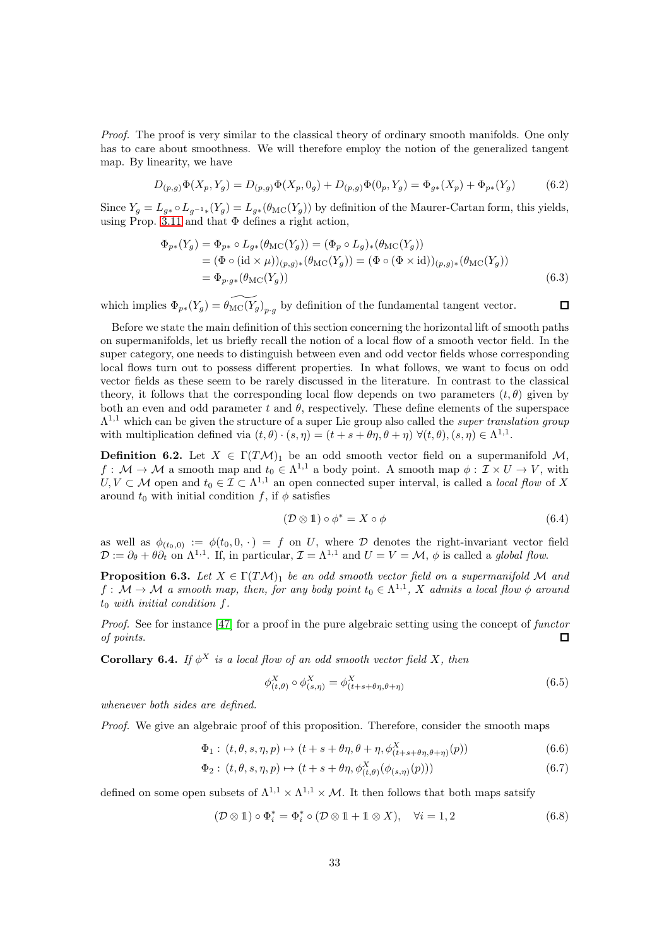Proof. The proof is very similar to the classical theory of ordinary smooth manifolds. One only has to care about smoothness. We will therefore employ the notion of the generalized tangent map. By linearity, we have

$$
D_{(p,g)}\Phi(X_p, Y_g) = D_{(p,g)}\Phi(X_p, 0_g) + D_{(p,g)}\Phi(0_p, Y_g) = \Phi_{g*}(X_p) + \Phi_{p*}(Y_g)
$$
(6.2)

Since  $Y_g = L_{g*} \circ L_{g^{-1}*}(Y_g) = L_{g*}(\theta_{MC}(Y_g))$  by definition of the Maurer-Cartan form, this yields, using Prop. [3.11](#page-18-1) and that  $\Phi$  defines a right action,

$$
\Phi_{p*}(Y_g) = \Phi_{p*} \circ L_{g*}(\theta_{\mathrm{MC}}(Y_g)) = (\Phi_p \circ L_g)_*(\theta_{\mathrm{MC}}(Y_g))
$$
  
=  $(\Phi \circ (\mathrm{id} \times \mu))_{(p,g)*}(\theta_{\mathrm{MC}}(Y_g)) = (\Phi \circ (\Phi \times \mathrm{id}))_{(p,g)*}(\theta_{\mathrm{MC}}(Y_g))$   
=  $\Phi_{p\cdot g*}(\theta_{\mathrm{MC}}(Y_g))$  (6.3)

which implies  $\Phi_{p*}(Y_g) = \widetilde{\theta_{\rm MC}(Y_g)}_{p,g}$  by definition of the fundamental tangent vector.

Before we state the main definition of this section concerning the horizontal lift of smooth paths on supermanifolds, let us briefly recall the notion of a local flow of a smooth vector field. In the super category, one needs to distinguish between even and odd vector fields whose corresponding local flows turn out to possess different properties. In what follows, we want to focus on odd vector fields as these seem to be rarely discussed in the literature. In contrast to the classical theory, it follows that the corresponding local flow depends on two parameters  $(t, \theta)$  given by both an even and odd parameter t and  $\theta$ , respectively. These define elements of the superspace  $\Lambda^{1,1}$  which can be given the structure of a super Lie group also called the *super translation group* with multiplication defined via  $(t, \theta) \cdot (s, \eta) = (t + s + \theta \eta, \theta + \eta) \ \forall (t, \theta), (s, \eta) \in \Lambda^{1,1}$ .

**Definition 6.2.** Let  $X \in \Gamma(TM)_1$  be an odd smooth vector field on a supermanifold M,  $f: \mathcal{M} \to \mathcal{M}$  a smooth map and  $t_0 \in \Lambda^{1,1}$  a body point. A smooth map  $\phi: \mathcal{I} \times U \to V$ , with  $U, V \subset M$  open and  $t_0 \in \mathcal{I} \subset \Lambda^{1,1}$  an open connected super interval, is called a *local flow* of X around  $t_0$  with initial condition f, if  $\phi$  satisfies

$$
(\mathcal{D}\otimes\mathbb{1})\circ\phi^* = X\circ\phi\tag{6.4}
$$

 $\Box$ 

as well as  $\phi_{(t_0,0)} := \phi(t_0,0, \cdot) = f$  on U, where D denotes the right-invariant vector field  $\mathcal{D} := \partial_{\theta} + \theta \partial_t$  on  $\Lambda^{1,1}$ . If, in particular,  $\mathcal{I} = \Lambda^{1,1}$  and  $U = V = \mathcal{M}, \phi$  is called a global flow.

<span id="page-32-0"></span>**Proposition 6.3.** Let  $X \in \Gamma(TM)_1$  be an odd smooth vector field on a supermanifold M and  $f: \mathcal{M} \to \mathcal{M}$  a smooth map, then, for any body point  $t_0 \in \Lambda^{1,1}$ , X admits a local flow  $\phi$  around  $t_0$  with initial condition f.

Proof. See for instance [\[47\]](#page-62-5) for a proof in the pure algebraic setting using the concept of functor of points.  $\Box$ 

**Corollary 6.4.** If  $\phi^X$  is a local flow of an odd smooth vector field X, then

$$
\phi_{(t,\theta)}^X \circ \phi_{(s,\eta)}^X = \phi_{(t+s+\theta\eta,\theta+\eta)}^X \tag{6.5}
$$

whenever both sides are defined.

Proof. We give an algebraic proof of this proposition. Therefore, consider the smooth maps

$$
\Phi_1: (t, \theta, s, \eta, p) \mapsto (t + s + \theta \eta, \theta + \eta, \phi^X_{(t + s + \theta \eta, \theta + \eta)}(p))
$$
\n(6.6)

$$
\Phi_2: (t, \theta, s, \eta, p) \mapsto (t + s + \theta \eta, \phi^X_{(t, \theta)}(\phi_{(s, \eta)}(p)))
$$
\n(6.7)

defined on some open subsets of  $\Lambda^{1,1} \times \Lambda^{1,1} \times \mathcal{M}$ . It then follows that both maps satsify

$$
(\mathcal{D}\otimes\mathbb{1})\circ\Phi_i^* = \Phi_i^*\circ(\mathcal{D}\otimes\mathbb{1} + \mathbb{1}\otimes X), \quad \forall i = 1, 2
$$
 (6.8)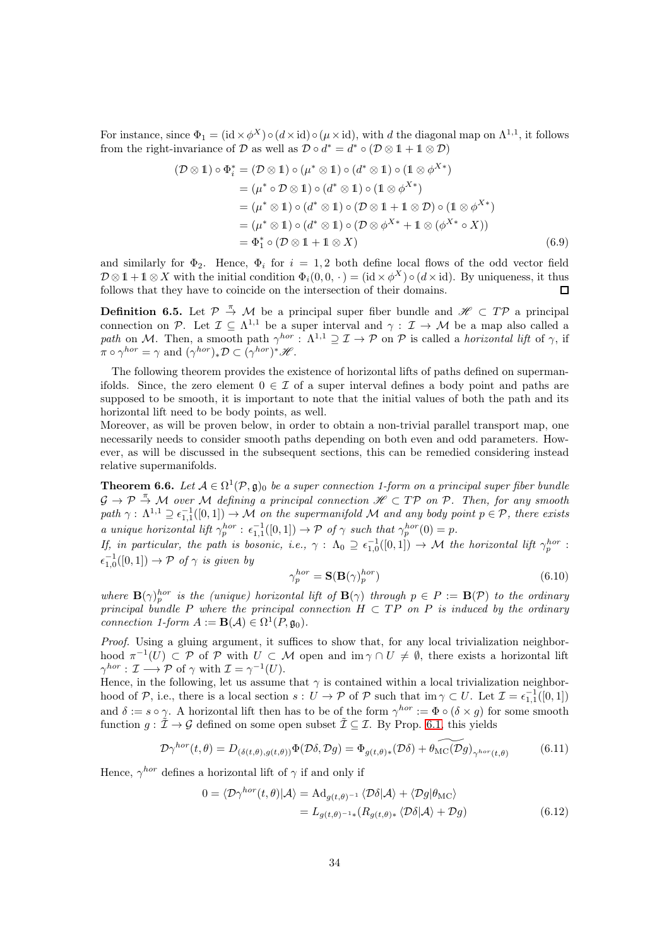For instance, since  $\Phi_1 = (\mathrm{id} \times \phi^X) \circ (d \times \mathrm{id}) \circ (\mu \times \mathrm{id})$ , with d the diagonal map on  $\Lambda^{1,1}$ , it follows from the right-invariance of D as well as  $\mathcal{D} \circ d^* = d^* \circ (\mathcal{D} \otimes 1 + 1 \otimes \mathcal{D})$ 

$$
(\mathcal{D} \otimes 1) \circ \Phi_i^* = (\mathcal{D} \otimes 1) \circ (\mu^* \otimes 1) \circ (d^* \otimes 1) \circ (1 \otimes \phi^{X*})
$$
  
\n
$$
= (\mu^* \circ \mathcal{D} \otimes 1) \circ (d^* \otimes 1) \circ (1 \otimes \phi^{X*})
$$
  
\n
$$
= (\mu^* \otimes 1) \circ (d^* \otimes 1) \circ (\mathcal{D} \otimes 1 + 1 \otimes \mathcal{D}) \circ (1 \otimes \phi^{X*})
$$
  
\n
$$
= (\mu^* \otimes 1) \circ (d^* \otimes 1) \circ (\mathcal{D} \otimes \phi^{X*} + 1 \otimes (\phi^{X*} \circ X))
$$
  
\n
$$
= \Phi_1^* \circ (\mathcal{D} \otimes 1 + 1 \otimes X) \qquad (6.9)
$$

and similarly for  $\Phi_2$ . Hence,  $\Phi_i$  for  $i = 1, 2$  both define local flows of the odd vector field  $\mathcal{D}\otimes\mathbb{1}+\mathbb{1}\otimes X$  with the initial condition  $\Phi_i(0,0,\cdot)=(\mathrm{id}\times\phi^X)\circ(d\times\mathrm{id})$ . By uniqueness, it thus follows that they have to coincide on the intersection of their domains.

**Definition 6.5.** Let  $\mathcal{P} \stackrel{\pi}{\rightarrow} \mathcal{M}$  be a principal super fiber bundle and  $\mathcal{H} \subset T\mathcal{P}$  a principal connection on P. Let  $\mathcal{I} \subseteq \Lambda^{1,1}$  be a super interval and  $\gamma: \mathcal{I} \to \mathcal{M}$  be a map also called a path on M. Then, a smooth path  $\gamma^{hor}$ :  $\Lambda^{1,1} \supseteq \mathcal{I} \to \mathcal{P}$  on  $\mathcal{P}$  is called a horizontal lift of  $\gamma$ , if  $\pi \circ \gamma^{hor} = \gamma \text{ and } (\gamma^{hor})_* \mathcal{D} \subset (\gamma^{hor})^* \mathcal{H}.$ 

The following theorem provides the existence of horizontal lifts of paths defined on supermanifolds. Since, the zero element  $0 \in \mathcal{I}$  of a super interval defines a body point and paths are supposed to be smooth, it is important to note that the initial values of both the path and its horizontal lift need to be body points, as well.

Moreover, as will be proven below, in order to obtain a non-trivial parallel transport map, one necessarily needs to consider smooth paths depending on both even and odd parameters. However, as will be discussed in the subsequent sections, this can be remedied considering instead relative supermanifolds.

<span id="page-33-0"></span>**Theorem 6.6.** Let  $A \in \Omega^1(\mathcal{P}, \mathfrak{g})_0$  be a super connection 1-form on a principal super fiber bundle  $G \to \mathcal{P} \stackrel{\pi}{\to} \mathcal{M}$  over M defining a principal connection  $\mathscr{H} \subset T\mathcal{P}$  on  $\mathcal{P}$ . Then, for any smooth path  $\gamma: \Lambda^{1,1} \supseteq \epsilon_{1,1}^{-1}([0,1]) \to \mathcal{M}$  on the supermanifold  $\mathcal M$  and any body point  $p \in \mathcal{P}$ , there exists a unique horizontal lift  $\gamma_p^{hor}$ :  $\epsilon_{1,1}^{-1}([0,1]) \to \mathcal{P}$  of  $\gamma$  such that  $\gamma_p^{hor}(0) = p$ .

If, in particular, the path is bosonic, i.e.,  $\gamma: \Lambda_0 \supseteq \epsilon_{1,0}^{-1}([0,1]) \to \mathcal{M}$  the horizontal lift  $\gamma_p^{hor}$ :  $\epsilon_{1,0}^{-1}([0,1]) \to \mathcal{P}$  of  $\gamma$  is given by

$$
\gamma_p^{hor} = \mathbf{S}(\mathbf{B}(\gamma)_p^{hor})\tag{6.10}
$$

where  $\mathbf{B}(\gamma)_{p}^{hor}$  is the (unique) horizontal lift of  $\mathbf{B}(\gamma)$  through  $p \in P := \mathbf{B}(\mathcal{P})$  to the ordinary principal bundle P where the principal connection  $H \subset TP$  on P is induced by the ordinary connection 1-form  $A := \mathbf{B}(\mathcal{A}) \in \Omega^1(P, \mathfrak{g}_0).$ 

Proof. Using a gluing argument, it suffices to show that, for any local trivialization neighborhood  $\pi^{-1}(U) \subset \mathcal{P}$  of  $\mathcal{P}$  with  $U \subset \mathcal{M}$  open and  $\text{im } \gamma \cap U \neq \emptyset$ , there exists a horizontal lift  $\gamma^{hor} : \mathcal{I} \longrightarrow \mathcal{P}$  of  $\gamma$  with  $\mathcal{I} = \gamma^{-1}(U)$ .

Hence, in the following, let us assume that  $\gamma$  is contained within a local trivialization neighborhood of  $P$ , i.e., there is a local section  $s: U \to P$  of  $P$  such that  $\text{im } \gamma \subset U$ . Let  $\mathcal{I} = \epsilon_{1,1}^{-1}([0,1])$ and  $\delta := s \circ \gamma$ . A horizontal lift then has to be of the form  $\gamma^{hor} := \Phi \circ (\delta \times g)$  for some smooth function  $g: \tilde{\mathcal{I}} \to \mathcal{G}$  defined on some open subset  $\tilde{\mathcal{I}} \subseteq \mathcal{I}$ . By Prop. [6.1,](#page-31-2) this yields

$$
\mathcal{D}\gamma^{hor}(t,\theta) = D_{(\delta(t,\theta),g(t,\theta))}\Phi(\mathcal{D}\delta,\mathcal{D}g) = \Phi_{g(t,\theta)*}(\mathcal{D}\delta) + \widetilde{\theta_{\rm MC}(\mathcal{D}g)}_{\gamma^{hor}(t,\theta)} \tag{6.11}
$$

Hence,  $\gamma^{hor}$  defines a horizontal lift of  $\gamma$  if and only if

$$
0 = \langle \mathcal{D}\gamma^{hor}(t,\theta)|\mathcal{A}\rangle = \mathrm{Ad}_{g(t,\theta)^{-1}}\langle \mathcal{D}\delta|\mathcal{A}\rangle + \langle \mathcal{D}g|\theta_{\mathrm{MC}}\rangle
$$
  
=  $L_{g(t,\theta)^{-1}*}(R_{g(t,\theta)*}\langle \mathcal{D}\delta|\mathcal{A}\rangle + \mathcal{D}g)$  (6.12)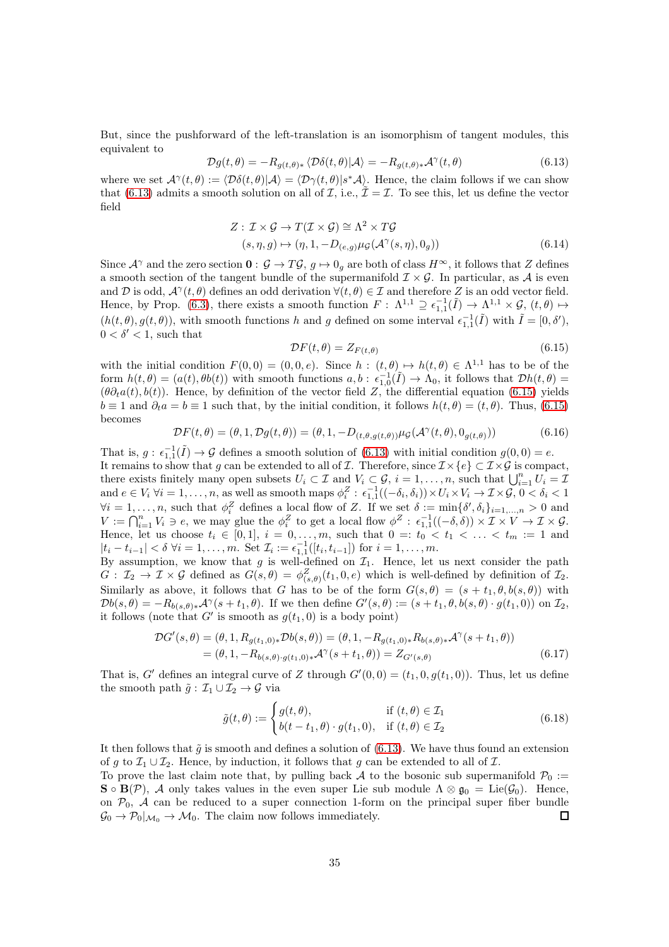But, since the pushforward of the left-translation is an isomorphism of tangent modules, this equivalent to

<span id="page-34-0"></span>
$$
\mathcal{D}g(t,\theta) = -R_{g(t,\theta)*}\langle \mathcal{D}\delta(t,\theta)|\mathcal{A}\rangle = -R_{g(t,\theta)*}\mathcal{A}^{\gamma}(t,\theta)
$$
(6.13)

where we set  $\mathcal{A}^{\gamma}(t, \theta) := \langle \mathcal{D}\delta(t, \theta)|\mathcal{A}\rangle = \langle \mathcal{D}\gamma(t, \theta)|s^*\mathcal{A}\rangle$ . Hence, the claim follows if we can show that [\(6.13\)](#page-34-0) admits a smooth solution on all of  $\mathcal I$ , i.e.,  $\tilde{\mathcal I} = \mathcal I$ . To see this, let us define the vector field

$$
Z: \mathcal{I} \times \mathcal{G} \to T(\mathcal{I} \times \mathcal{G}) \cong \Lambda^2 \times T\mathcal{G}
$$
  

$$
(s, \eta, g) \mapsto (\eta, 1, -D_{(e,g)}\mu_{\mathcal{G}}(\mathcal{A}^{\gamma}(s, \eta), 0_g))
$$
 (6.14)

Since  $\mathcal{A}^{\gamma}$  and the zero section  $\mathbf{0}: \mathcal{G} \to T\mathcal{G}, g \mapsto 0_g$  are both of class  $H^{\infty}$ , it follows that Z defines a smooth section of the tangent bundle of the supermanifold  $\mathcal{I} \times \mathcal{G}$ . In particular, as A is even and D is odd,  $\mathcal{A}^{\gamma}(t, \theta)$  defines an odd derivation  $\forall (t, \theta) \in \mathcal{I}$  and therefore Z is an odd vector field. Hence, by Prop. [\(6.3\)](#page-32-0), there exists a smooth function  $F: \Lambda^{1,1} \supseteq \epsilon_{1,1}^{-1}(\tilde{I}) \to \Lambda^{1,1} \times \mathcal{G}, (t, \theta) \mapsto$  $(h(t, \theta), g(t, \theta))$ , with smooth functions h and g defined on some interval  $\epsilon_{1,1}^{-1}(\tilde{I})$  with  $\tilde{I} = [0, \delta'),$  $0 < \delta' < 1$ , such that

<span id="page-34-1"></span>
$$
\mathcal{D}F(t,\theta) = Z_{F(t,\theta)}\tag{6.15}
$$

with the initial condition  $F(0,0) = (0,0,e)$ . Since  $h: (t,\theta) \mapsto h(t,\theta) \in \Lambda^{1,1}$  has to be of the form  $h(t, \theta) = (a(t), \theta b(t))$  with smooth functions  $a, b : \epsilon_{1,0}^{-1}(\tilde{I}) \to \Lambda_0$ , it follows that  $\mathcal{D}h(t, \theta) =$  $(\theta \partial_t a(t), b(t))$ . Hence, by definition of the vector field Z, the differential equation [\(6.15\)](#page-34-1) yields  $b \equiv 1$  and  $\partial_t a = b \equiv 1$  such that, by the initial condition, it follows  $h(t, \theta) = (t, \theta)$ . Thus, [\(6.15\)](#page-34-1) becomes

$$
\mathcal{D}F(t,\theta) = (\theta,1,\mathcal{D}g(t,\theta)) = (\theta,1,-D_{(t,\theta,g(t,\theta))}\mu_{\mathcal{G}}(\mathcal{A}^{\gamma}(t,\theta),0_{g(t,\theta)}))
$$
(6.16)

That is,  $g: \epsilon_{1,1}^{-1}(\tilde{I}) \to \mathcal{G}$  defines a smooth solution of [\(6.13\)](#page-34-0) with initial condition  $g(0,0) = e$ . It remains to show that g can be extended to all of I. Therefore, since  $\mathcal{I} \times \{e\} \subset \mathcal{I} \times \mathcal{G}$  is compact, there exists finitely many open subsets  $U_i \subset \mathcal{I}$  and  $V_i \subset \mathcal{G}$ ,  $i = 1, \ldots, n$ , such that  $\bigcup_{i=1}^n U_i = \mathcal{I}$ and  $e \in V_i \ \forall i = 1, \ldots, n$ , as well as smooth maps  $\phi_i^Z : \epsilon_{1,1}^{-1}((-\delta_i, \delta_i)) \times U_i \times V_i \to \mathcal{I} \times \mathcal{G}, 0 < \delta_i < 1$  $\forall i = 1, \ldots, n$ , such that  $\phi_i^Z$  defines a local flow of Z. If we set  $\delta := \min\{\delta', \delta_i\}_{i=1,\ldots,n} > 0$  and  $V := \bigcap_{i=1}^n V_i \ni e$ , we may glue the  $\phi_i^Z$  to get a local flow  $\phi^Z : \epsilon_{1,1}^{-1}((-\delta,\delta)) \times \mathcal{I} \times V \to \mathcal{I} \times \mathcal{G}$ . Hence, let us choose  $t_i \in [0,1], i = 0,\ldots,m$ , such that  $0 =: t_0 < t_1 < \ldots < t_m := 1$  and  $|t_i - t_{i-1}| < \delta \ \forall i = 1, \ldots, m.$  Set  $\mathcal{I}_i := \epsilon_{1,1}^{-1}([t_i, t_{i-1}])$  for  $i = 1, \ldots, m$ .

By assumption, we know that g is well-defined on  $\mathcal{I}_1$ . Hence, let us next consider the path  $G: \mathcal{I}_2 \to \mathcal{I} \times \mathcal{G}$  defined as  $G(s, \theta) = \phi_{(s, \theta)}^Z(t_1, 0, e)$  which is well-defined by definition of  $\mathcal{I}_2$ . Similarly as above, it follows that G has to be of the form  $G(s, \theta) = (s + t_1, \theta, b(s, \theta))$  with  $\mathcal{D}b(s,\theta) = -R_{b(s,\theta)*}\mathcal{A}^{\gamma}(s+t_1,\theta)$ . If we then define  $G'(s,\theta) := (s+t_1,\theta,b(s,\theta)\cdot g(t_1,0))$  on  $\mathcal{I}_2$ , it follows (note that G' is smooth as  $g(t_1, 0)$  is a body point)

$$
\mathcal{D}G'(s,\theta) = (\theta, 1, R_{g(t_1,0)*}\mathcal{D}b(s,\theta)) = (\theta, 1, -R_{g(t_1,0)*}R_{b(s,\theta)*}\mathcal{A}^{\gamma}(s+t_1,\theta)) \n= (\theta, 1, -R_{b(s,\theta)\cdot g(t_1,0)*}\mathcal{A}^{\gamma}(s+t_1,\theta)) = Z_{G'(s,\theta)} \tag{6.17}
$$

That is, G' defines an integral curve of Z through  $G'(0,0) = (t_1,0,g(t_1,0))$ . Thus, let us define the smooth path  $\tilde{g} : \mathcal{I}_1 \cup \mathcal{I}_2 \to \mathcal{G}$  via

$$
\tilde{g}(t,\theta) := \begin{cases} g(t,\theta), & \text{if } (t,\theta) \in \mathcal{I}_1 \\ b(t-t_1,\theta) \cdot g(t_1,0), & \text{if } (t,\theta) \in \mathcal{I}_2 \end{cases}
$$
\n(6.18)

It then follows that  $\tilde{g}$  is smooth and defines a solution of [\(6.13\)](#page-34-0). We have thus found an extension of g to  $\mathcal{I}_1 \cup \mathcal{I}_2$ . Hence, by induction, it follows that g can be extended to all of  $\mathcal{I}$ .

To prove the last claim note that, by pulling back A to the bosonic sub supermanifold  $P_0 :=$  $\mathbf{S} \circ \mathbf{B}(\mathcal{P})$ , A only takes values in the even super Lie sub module  $\Lambda \otimes \mathfrak{g}_0 = \text{Lie}(\mathcal{G}_0)$ . Hence, on  $\mathcal{P}_0$ , A can be reduced to a super connection 1-form on the principal super fiber bundle  $\mathcal{G}_0 \to \mathcal{P}_0|_{\mathcal{M}_0} \to \mathcal{M}_0$ . The claim now follows immediately.  $\Box$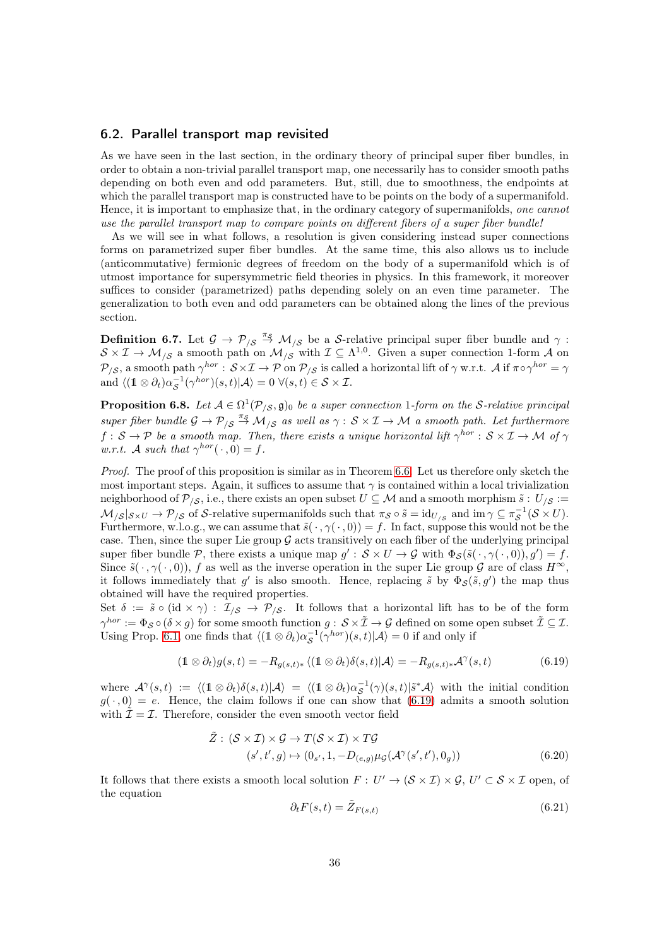#### <span id="page-35-0"></span>6.2. Parallel transport map revisited

As we have seen in the last section, in the ordinary theory of principal super fiber bundles, in order to obtain a non-trivial parallel transport map, one necessarily has to consider smooth paths depending on both even and odd parameters. But, still, due to smoothness, the endpoints at which the parallel transport map is constructed have to be points on the body of a supermanifold. Hence, it is important to emphasize that, in the ordinary category of supermanifolds, one cannot use the parallel transport map to compare points on different fibers of a super fiber bundle!

As we will see in what follows, a resolution is given considering instead super connections forms on parametrized super fiber bundles. At the same time, this also allows us to include (anticommutative) fermionic degrees of freedom on the body of a supermanifold which is of utmost importance for supersymmetric field theories in physics. In this framework, it moreover suffices to consider (parametrized) paths depending solely on an even time parameter. The generalization to both even and odd parameters can be obtained along the lines of the previous section.

**Definition 6.7.** Let  $\mathcal{G} \to \mathcal{P}_{\mathcal{S}} \stackrel{\pi_{\mathcal{S}}}{\to} \mathcal{M}_{\mathcal{S}}$  be a S-relative principal super fiber bundle and  $\gamma$ :  $S \times I \to M_{\beta}$  a smooth path on  $M_{\beta}$  with  $I \subseteq \Lambda^{1,0}$ . Given a super connection 1-form A on  $\mathcal{P}_{/\mathcal{S}}, \text{ a smooth path } \gamma^{hor}:\,\mathcal{S}\!\times\!\mathcal{I}\to\mathcal{P} \text{ on } \mathcal{P}_{/\mathcal{S}} \text{ is called a horizontal lift of } \gamma \text{ w.r.t. } \mathcal{A} \text{ if } \pi \circ \gamma^{hor}=\gamma$ and  $\langle (\mathbb{1} \otimes \partial_t) \alpha_{\mathcal{S}}^{-1}(\gamma^{hor})(s,t) | \mathcal{A} \rangle = 0 \; \forall (s,t) \in \mathcal{S} \times \mathcal{I}.$ 

<span id="page-35-2"></span>**Proposition 6.8.** Let  $A \in \Omega^1(\mathcal{P}_{\langle \mathcal{S}}, \mathfrak{g})_0$  be a super connection 1-form on the S-relative principal super fiber bundle  $\mathcal{G} \to \mathcal{P}_{/\mathcal{S}} \stackrel{\pi_{\mathcal{S}}}{\to} \mathcal{M}_{/\mathcal{S}}$  as well as  $\gamma : \mathcal{S} \times \mathcal{I} \to \mathcal{M}$  a smooth path. Let furthermore  $f: \mathcal{S} \to \mathcal{P}$  be a smooth map. Then, there exists a unique horizontal lift  $\gamma^{hor}: \mathcal{S} \times \mathcal{I} \to \mathcal{M}$  of  $\gamma$ w.r.t. A such that  $\gamma^{hor}(\cdot, 0) = f$ .

Proof. The proof of this proposition is similar as in Theorem [6.6.](#page-33-0) Let us therefore only sketch the most important steps. Again, it suffices to assume that  $\gamma$  is contained within a local trivialization neighborhood of  $\mathcal{P}_{\beta}$ , i.e., there exists an open subset  $U \subseteq \mathcal{M}$  and a smooth morphism  $\tilde{s}: U_{\beta} :=$  $\mathcal{M}_{\mathcal{S}}|_{\mathcal{S}\times U} \to \mathcal{P}_{\mathcal{S}}$  of S-relative supermanifolds such that  $\pi_{\mathcal{S}} \circ \tilde{s} = id_{U_{\mathcal{S}}}$  and  $\text{im } \gamma \subseteq \pi_{\mathcal{S}}^{-1}(\mathcal{S} \times U)$ . Furthermore, w.l.o.g., we can assume that  $\tilde{s}(\cdot, \gamma(\cdot, 0)) = f$ . In fact, suppose this would not be the case. Then, since the super Lie group  $G$  acts transitively on each fiber of the underlying principal super fiber bundle P, there exists a unique map  $g': S \times U \to G$  with  $\Phi_{\mathcal{S}}(\tilde{s}(\cdot, \gamma(\cdot, 0)), g') = f$ . Since  $\tilde{s}(\cdot,\gamma(\cdot,0)),$  f as well as the inverse operation in the super Lie group  $\mathcal G$  are of class  $H^{\infty}$ , it follows immediately that  $g'$  is also smooth. Hence, replacing  $\tilde{s}$  by  $\Phi_{\mathcal{S}}(\tilde{s}, g')$  the map thus obtained will have the required properties.

Set  $\delta := \tilde{s} \circ (\text{id} \times \gamma) : \mathcal{I}_{\beta} \to \mathcal{P}_{\beta}$ . It follows that a horizontal lift has to be of the form  $\gamma^{hor} := \Phi_{\mathcal{S}} \circ (\delta \times g)$  for some smooth function  $g: \mathcal{S} \times \tilde{\mathcal{I}} \to \mathcal{G}$  defined on some open subset  $\tilde{\mathcal{I}} \subseteq \mathcal{I}$ . Using Prop. [6.1,](#page-31-2) one finds that  $\langle (1 \otimes \partial_t) \alpha_S^{-1}(\gamma^{hor})(s,t) | A \rangle = 0$  if and only if

$$
(\mathbb{1} \otimes \partial_t)g(s,t) = -R_{g(s,t)*}\langle (\mathbb{1} \otimes \partial_t)\delta(s,t)|\mathcal{A}\rangle = -R_{g(s,t)*}\mathcal{A}^{\gamma}(s,t) \tag{6.19}
$$

where  $\mathcal{A}^{\gamma}(s,t) := \langle (\mathbb{1} \otimes \partial_t) \delta(s,t) | \mathcal{A} \rangle = \langle (\mathbb{1} \otimes \partial_t) \alpha_{\mathcal{S}}^{-1}(\gamma)(s,t) | \tilde{s}^* \mathcal{A} \rangle$  with the initial condition  $g(\cdot, 0) = e$ . Hence, the claim follows if one can show that [\(6.19\)](#page-35-1) admits a smooth solution with  $\tilde{\mathcal{I}} = \mathcal{I}$ . Therefore, consider the even smooth vector field

$$
\tilde{Z}: (\mathcal{S} \times \mathcal{I}) \times \mathcal{G} \to T(\mathcal{S} \times \mathcal{I}) \times T\mathcal{G}
$$
  

$$
(s', t', g) \mapsto (0_{s'}, 1, -D_{(e,g)}\mu_{\mathcal{G}}(\mathcal{A}^{\gamma}(s', t'), 0_g))
$$
 (6.20)

<span id="page-35-3"></span>It follows that there exists a smooth local solution  $F: U' \to (\mathcal{S} \times \mathcal{I}) \times \mathcal{G}, U' \subset \mathcal{S} \times \mathcal{I}$  open, of the equation

<span id="page-35-1"></span>
$$
\partial_t F(s,t) = \tilde{Z}_{F(s,t)}\tag{6.21}
$$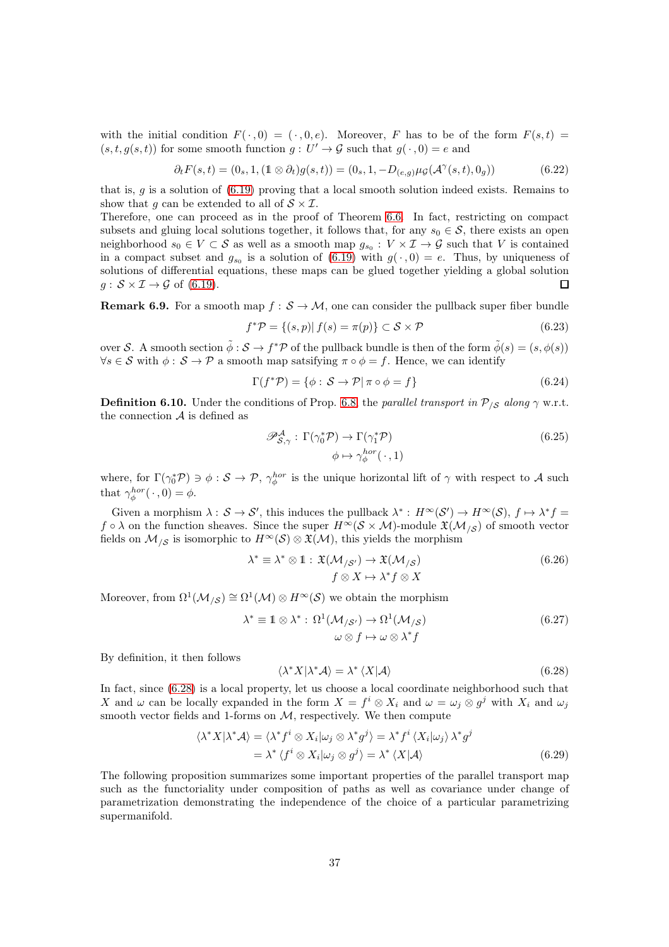with the initial condition  $F(\cdot, 0) = (\cdot, 0, e)$ . Moreover, F has to be of the form  $F(s,t) =$  $(s, t, g(s, t))$  for some smooth function  $g: U' \to \mathcal{G}$  such that  $g(\cdot, 0) = e$  and

$$
\partial_t F(s,t) = (0_s, 1, (1 \otimes \partial_t) g(s,t)) = (0_s, 1, -D_{(e,g)} \mu_G(\mathcal{A}^\gamma(s,t), 0_g))
$$
(6.22)

that is,  $g$  is a solution of  $(6.19)$  proving that a local smooth solution indeed exists. Remains to show that q can be extended to all of  $S \times \mathcal{I}$ .

Therefore, one can proceed as in the proof of Theorem [6.6.](#page-33-0) In fact, restricting on compact subsets and gluing local solutions together, it follows that, for any  $s_0 \in \mathcal{S}$ , there exists an open neighborhood  $s_0 \in V \subset S$  as well as a smooth map  $g_{s_0}: V \times I \to G$  such that V is contained in a compact subset and  $g_{s_0}$  is a solution of  $(6.19)$  with  $g(\cdot, 0) = e$ . Thus, by uniqueness of solutions of differential equations, these maps can be glued together yielding a global solution  $g: \mathcal{S} \times \mathcal{I} \rightarrow \mathcal{G}$  of [\(6.19\)](#page-35-1).  $\Box$ 

<span id="page-36-2"></span>**Remark 6.9.** For a smooth map  $f : \mathcal{S} \to \mathcal{M}$ , one can consider the pullback super fiber bundle

$$
f^*\mathcal{P} = \{(s, p) | f(s) = \pi(p)\} \subset \mathcal{S} \times \mathcal{P}
$$
\n
$$
(6.23)
$$

over S. A smooth section  $\tilde{\phi}: S \to f^* \mathcal{P}$  of the pullback bundle is then of the form  $\tilde{\phi}(s) = (s, \phi(s))$  $\forall s \in \mathcal{S}$  with  $\phi: \mathcal{S} \to \mathcal{P}$  a smooth map satsifying  $\pi \circ \phi = f$ . Hence, we can identify

$$
\Gamma(f^*\mathcal{P}) = \{\phi : \mathcal{S} \to \mathcal{P} | \pi \circ \phi = f\}
$$
\n(6.24)

<span id="page-36-3"></span>**Definition 6.10.** Under the conditions of Prop. [6.8,](#page-35-2) the parallel transport in  $P_{\ell S}$  along  $\gamma$  w.r.t. the connection  $A$  is defined as

<span id="page-36-1"></span>
$$
\mathcal{P}_{\mathcal{S},\gamma}^{\mathcal{A}} : \Gamma(\gamma_0^* \mathcal{P}) \to \Gamma(\gamma_1^* \mathcal{P})
$$
  
\n
$$
\phi \mapsto \gamma_{\phi}^{hor}(\cdot, 1)
$$
\n(6.25)

where, for  $\Gamma(\gamma_0^*\mathcal{P}) \ni \phi : \mathcal{S} \to \mathcal{P}$ ,  $\gamma_{\phi}^{hor}$  is the unique horizontal lift of  $\gamma$  with respect to A such that  $\gamma_{\phi}^{hor}(\cdot,0) = \phi$ .

Given a morphism  $\lambda: \mathcal{S} \to \mathcal{S}'$ , this induces the pullback  $\lambda^*: H^\infty(\mathcal{S}') \to H^\infty(\mathcal{S})$ ,  $f \mapsto \lambda^* f =$  $f \circ \lambda$  on the function sheaves. Since the super  $H^{\infty}(\mathcal{S} \times \mathcal{M})$ -module  $\mathfrak{X}(\mathcal{M}_{\setminus \mathcal{S}})$  of smooth vector fields on  $\mathcal{M}_{\mathcal{S}}$  is isomorphic to  $H^{\infty}(\mathcal{S}) \otimes \mathfrak{X}(\mathcal{M})$ , this yields the morphism

$$
\lambda^* \equiv \lambda^* \otimes 1 : \mathfrak{X}(\mathcal{M}_{/\mathcal{S}'}) \to \mathfrak{X}(\mathcal{M}_{/\mathcal{S}})
$$
  

$$
f \otimes X \mapsto \lambda^* f \otimes X
$$
 (6.26)

Moreover, from  $\Omega^1(\mathcal{M}_{/\mathcal{S}}) \cong \Omega^1(\mathcal{M}) \otimes H^{\infty}(\mathcal{S})$  we obtain the morphism

$$
\lambda^* \equiv \mathbb{1} \otimes \lambda^* : \Omega^1(\mathcal{M}_{/\mathcal{S}'}) \to \Omega^1(\mathcal{M}_{/\mathcal{S}}) \omega \otimes f \mapsto \omega \otimes \lambda^* f
$$
\n(6.27)

By definition, it then follows

<span id="page-36-0"></span>
$$
\langle \lambda^* X | \lambda^* A \rangle = \lambda^* \langle X | A \rangle \tag{6.28}
$$

In fact, since [\(6.28\)](#page-36-0) is a local property, let us choose a local coordinate neighborhood such that X and  $\omega$  can be locally expanded in the form  $X = f^i \otimes X_i$  and  $\omega = \omega_j \otimes g^j$  with  $X_i$  and  $\omega_j$ smooth vector fields and 1-forms on  $M$ , respectively. We then compute

$$
\langle \lambda^* X | \lambda^* A \rangle = \langle \lambda^* f^i \otimes X_i | \omega_j \otimes \lambda^* g^j \rangle = \lambda^* f^i \langle X_i | \omega_j \rangle \lambda^* g^j
$$
  
=  $\lambda^* \langle f^i \otimes X_i | \omega_j \otimes g^j \rangle = \lambda^* \langle X | A \rangle$  (6.29)

The following proposition summarizes some important properties of the parallel transport map such as the functoriality under composition of paths as well as covariance under change of parametrization demonstrating the independence of the choice of a particular parametrizing supermanifold.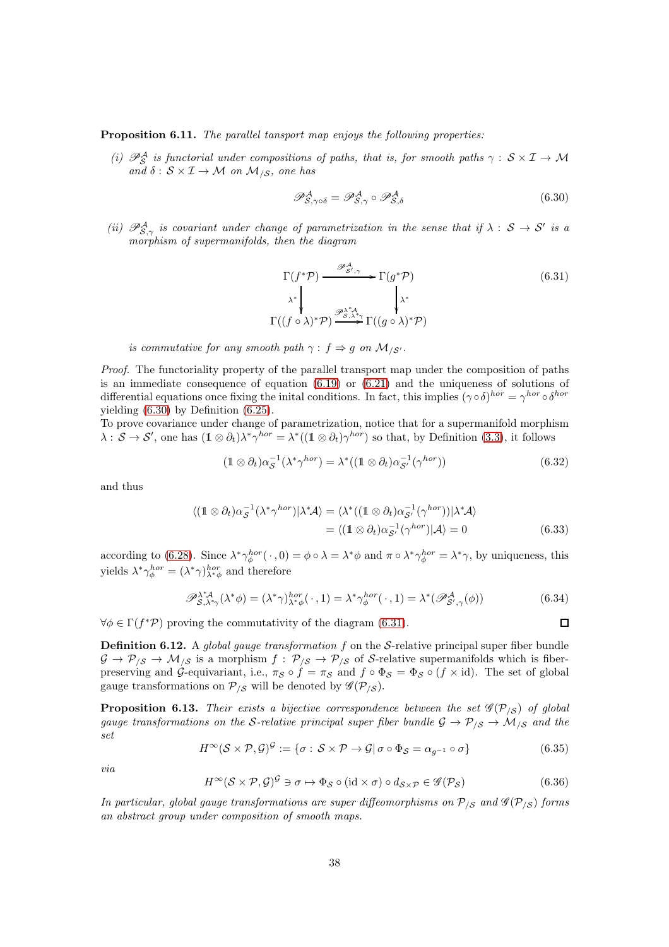Proposition 6.11. The parallel tansport map enjoys the following properties:

(i)  $\mathscr{P}^{\mathcal{A}}_{\mathcal{S}}$  is functorial under compositions of paths, that is, for smooth paths  $\gamma: \mathcal{S} \times \mathcal{I} \to \mathcal{M}$ and  $\delta: \mathcal{S} \times \mathcal{I} \rightarrow \mathcal{M}$  on  $\mathcal{M}_{/\mathcal{S}}$ , one has

<span id="page-37-1"></span><span id="page-37-0"></span>
$$
\mathscr{P}^{\mathcal{A}}_{\mathcal{S},\gamma\circ\delta} = \mathscr{P}^{\mathcal{A}}_{\mathcal{S},\gamma} \circ \mathscr{P}^{\mathcal{A}}_{\mathcal{S},\delta} \tag{6.30}
$$

(ii)  $\mathscr{P}^{\mathcal{A}}_{\mathcal{S},\gamma}$  is covariant under change of parametrization in the sense that if  $\lambda: \mathcal{S} \to \mathcal{S}'$  is a morphism of supermanifolds, then the diagram

$$
\Gamma(f^*\mathcal{P}) \xrightarrow{\mathcal{P}_{\mathcal{S}',\gamma}^{\mathcal{A}}} \Gamma(g^*\mathcal{P})
$$
\n
$$
\lambda^* \downarrow \qquad \qquad \downarrow \lambda^*
$$
\n
$$
\Gamma((f \circ \lambda)^*\mathcal{P}) \xrightarrow{\mathcal{P}_{\mathcal{S},\lambda^*\mathcal{A}}^{\lambda^*\mathcal{A}}} \Gamma((g \circ \lambda)^*\mathcal{P})
$$
\n
$$
(6.31)
$$

is commutative for any smooth path  $\gamma : f \Rightarrow g$  on  $\mathcal{M}_{\delta}$ .

Proof. The functoriality property of the parallel transport map under the composition of paths is an immediate consequence of equation [\(6.19\)](#page-35-1) or [\(6.21\)](#page-35-3) and the uniqueness of solutions of differential equations once fixing the inital conditions. In fact, this implies  $(\gamma \circ \delta)^{hor} = \gamma^{hor} \circ \delta^{hor}$ yielding [\(6.30\)](#page-37-0) by Definition [\(6.25\)](#page-36-1).

To prove covariance under change of parametrization, notice that for a supermanifold morphism  $\lambda: \mathcal{S} \to \mathcal{S}'$ , one has  $(1 \otimes \partial_t)\lambda^*\gamma^{hor} = \lambda^*((1 \otimes \partial_t)\gamma^{hor})$  so that, by Definition [\(3.3\)](#page-15-2), it follows

$$
(\mathbb{1} \otimes \partial_t)\alpha_{\mathcal{S}}^{-1}(\lambda^*\gamma^{hor}) = \lambda^*((\mathbb{1} \otimes \partial_t)\alpha_{\mathcal{S}'}^{-1}(\gamma^{hor}))
$$
\n(6.32)

and thus

$$
\langle (\mathbb{1} \otimes \partial_t) \alpha_{\mathcal{S}}^{-1} (\lambda^* \gamma^{hor}) | \lambda^* A \rangle = \langle \lambda^* ((\mathbb{1} \otimes \partial_t) \alpha_{\mathcal{S}'}^{-1} (\gamma^{hor}) ) | \lambda^* A \rangle
$$
  
= 
$$
\langle (\mathbb{1} \otimes \partial_t) \alpha_{\mathcal{S}'}^{-1} (\gamma^{hor}) | A \rangle = 0
$$
(6.33)

according to [\(6.28\)](#page-36-0). Since  $\lambda^* \gamma_{\phi}^{hor}(\cdot,0) = \phi \circ \lambda = \lambda^* \phi$  and  $\pi \circ \lambda^* \gamma_{\phi}^{hor} = \lambda^* \gamma$ , by uniqueness, this yields  $\lambda^* \gamma_{\phi}^{hor} = (\lambda^* \gamma)_{\lambda^* \phi}^{hor}$  and therefore

$$
\mathscr{P}_{\mathcal{S},\lambda^*\gamma}^{\lambda^*\mathcal{A}}(\lambda^*\phi) = (\lambda^*\gamma)_{\lambda^*\phi}^{hor}(\cdot\,,1) = \lambda^*\gamma_{\phi}^{hor}(\cdot\,,1) = \lambda^*(\mathscr{P}_{\mathcal{S}',\gamma}^{\mathcal{A}}(\phi))
$$
(6.34)

 $\Box$ 

 $\forall \phi \in \Gamma(f^*\mathcal{P})$  proving the commutativity of the diagram [\(6.31\)](#page-37-1).

**Definition 6.12.** A global gauge transformation  $f$  on the S-relative principal super fiber bundle  $G \to \mathcal{P}_{\mathcal{S}} \to \mathcal{M}_{\mathcal{S}}$  is a morphism  $f: \mathcal{P}_{\mathcal{S}} \to \mathcal{P}_{\mathcal{S}}$  of S-relative supermanifolds which is fiberpreserving and  $\mathcal{G}$ -equivariant, i.e.,  $\pi_{\mathcal{S}} \circ f = \pi_{\mathcal{S}}$  and  $f \circ \Phi_{\mathcal{S}} = \Phi_{\mathcal{S}} \circ (f \times id)$ . The set of global gauge transformations on  $P_{\beta}$  will be denoted by  $\mathscr{G}(P_{\beta})$ .

<span id="page-37-2"></span>**Proposition 6.13.** Their exists a bijective correspondence between the set  $\mathscr{G}(\mathcal{P}_{\setminus S})$  of global gauge transformations on the S-relative principal super fiber bundle  $\mathcal{G} \to \mathcal{P}_{/\mathcal{S}} \to \mathcal{M}_{/\mathcal{S}}$  and the set

$$
H^{\infty}(\mathcal{S} \times \mathcal{P}, \mathcal{G})^{\mathcal{G}} := \{ \sigma : \mathcal{S} \times \mathcal{P} \to \mathcal{G} | \sigma \circ \Phi_{\mathcal{S}} = \alpha_{g^{-1}} \circ \sigma \}
$$
(6.35)

via

$$
H^{\infty}(\mathcal{S} \times \mathcal{P}, \mathcal{G})^{\mathcal{G}} \ni \sigma \mapsto \Phi_{\mathcal{S}} \circ (\text{id} \times \sigma) \circ d_{\mathcal{S} \times \mathcal{P}} \in \mathscr{G}(\mathcal{P}_{\mathcal{S}})
$$
(6.36)

In particular, global gauge transformations are super diffeomorphisms on  $P_{\beta}$  and  $\mathscr{G}(P_{\beta})$  forms an abstract group under composition of smooth maps.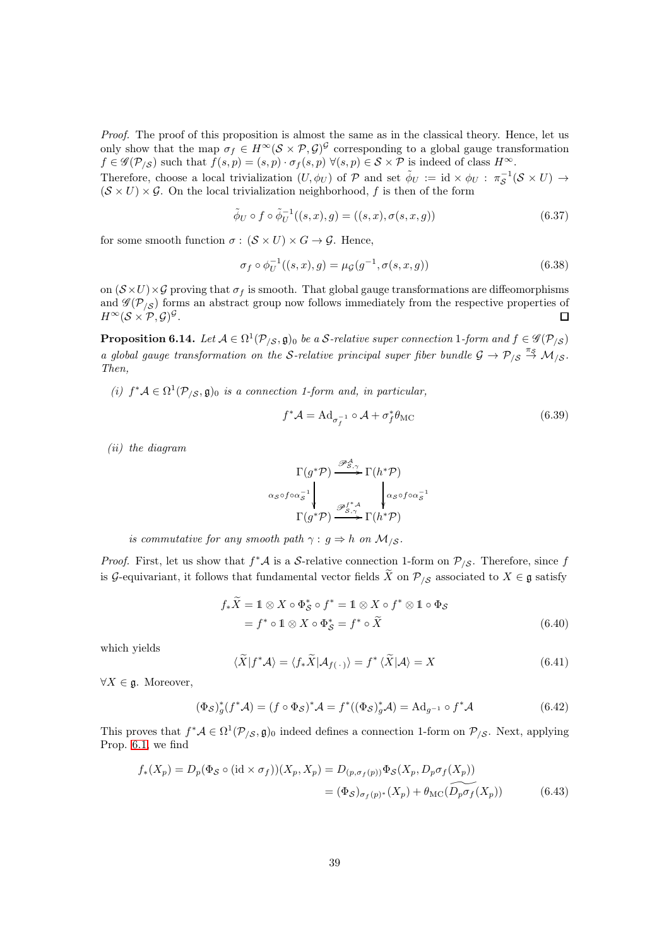Proof. The proof of this proposition is almost the same as in the classical theory. Hence, let us only show that the map  $\sigma_f \in H^{\infty}(\mathcal{S} \times \mathcal{P}, \mathcal{G})^{\mathcal{G}}$  corresponding to a global gauge transformation  $f \in \mathscr{G}(\mathcal{P}_{/\mathcal{S}})$  such that  $f(s,p) = (s,p) \cdot \sigma_f(s,p) \ \forall (s,p) \in \mathcal{S} \times \mathcal{P}$  is indeed of class  $H^{\infty}$ .

Therefore, choose a local trivialization  $(U, \phi_U)$  of  $P$  and set  $\tilde{\phi}_U := id \times \phi_U : \pi_{\mathcal{S}}^{-1}(\mathcal{S} \times U) \to$  $(\mathcal{S} \times U) \times \mathcal{G}$ . On the local trivialization neighborhood, f is then of the form

$$
\tilde{\phi}_U \circ f \circ \tilde{\phi}_U^{-1}((s, x), g) = ((s, x), \sigma(s, x, g)) \tag{6.37}
$$

for some smooth function  $\sigma : (\mathcal{S} \times U) \times G \rightarrow \mathcal{G}$ . Hence,

$$
\sigma_f \circ \phi_U^{-1}((s, x), g) = \mu_g(g^{-1}, \sigma(s, x, g)) \tag{6.38}
$$

on  $(\mathcal{S} \times U) \times \mathcal{G}$  proving that  $\sigma_f$  is smooth. That global gauge transformations are diffeomorphisms and  $\mathscr{G}(\mathcal{P}_{/\mathcal{S}})$  forms an abstract group now follows immediately from the respective properties of  $H^\infty({\mathcal S} \times {\mathcal P}, {\mathcal G})^{\mathcal G}.$ П

**Proposition 6.14.** Let  $A \in \Omega^1(\mathcal{P}_{\setminus \mathcal{S}}, \mathfrak{g})_0$  be a S-relative super connection 1-form and  $f \in \mathscr{G}(\mathcal{P}_{\setminus \mathcal{S}})$ a global gauge transformation on the S-relative principal super fiber bundle  $\mathcal{G} \to \mathcal{P}_{/\mathcal{S}} \stackrel{\pi_{\mathcal{S}}}{\to} \mathcal{M}_{/\mathcal{S}}$ . Then,

(i)  $f^*\mathcal{A} \in \Omega^1(\mathcal{P}_{/\mathcal{S}}, \mathfrak{g})_0$  is a connection 1-form and, in particular,

<span id="page-38-0"></span>
$$
f^* \mathcal{A} = \text{Ad}_{\sigma_f^{-1}} \circ \mathcal{A} + \sigma_f^* \theta_{\text{MC}}
$$
(6.39)

(ii) the diagram

$$
\Gamma(g^*\mathcal{P}) \xrightarrow{\mathscr{P}_{S,\gamma}^A} \Gamma(h^*\mathcal{P})
$$
\n
$$
\alpha_S \circ f \circ \alpha_S^{-1} \downarrow \qquad \qquad \downarrow \alpha_S \circ f \circ \alpha_S^{-1}
$$
\n
$$
\Gamma(g^*\mathcal{P}) \xrightarrow{\mathscr{P}_{S,\gamma}^{f^*A}} \Gamma(h^*\mathcal{P})
$$

is commutative for any smooth path  $\gamma : g \Rightarrow h$  on  $\mathcal{M}_{\beta}$ .

*Proof.* First, let us show that  $f^*\mathcal{A}$  is a S-relative connection 1-form on  $\mathcal{P}_{\mathcal{S}}$ . Therefore, since f is G-equivariant, it follows that fundamental vector fields  $\widetilde{X}$  on  $\mathcal{P}_{\mathcal{S}}$  associated to  $X \in \mathfrak{g}$  satisfy

$$
f_*\widetilde{X} = 1 \otimes X \circ \Phi_S^* \circ f^* = 1 \otimes X \circ f^* \otimes 1 \circ \Phi_S
$$
  
=  $f^* \circ 1 \otimes X \circ \Phi_S^* = f^* \circ \widetilde{X}$  (6.40)

which yields

$$
\langle \widetilde{X} | f^* \mathcal{A} \rangle = \langle f_* \widetilde{X} | \mathcal{A}_{f(\cdot)} \rangle = f^* \langle \widetilde{X} | \mathcal{A} \rangle = X \tag{6.41}
$$

 $\forall X \in \mathfrak{g}$ . Moreover,

$$
(\Phi_{\mathcal{S}})^*_{g}(f^*\mathcal{A}) = (f \circ \Phi_{\mathcal{S}})^*\mathcal{A} = f^*((\Phi_{\mathcal{S}})^*_{g}\mathcal{A}) = \mathrm{Ad}_{g^{-1}} \circ f^*\mathcal{A}
$$
(6.42)

This proves that  $f^*\mathcal{A} \in \Omega^1(\mathcal{P}_{/\mathcal{S}}, \mathfrak{g})_0$  indeed defines a connection 1-form on  $\mathcal{P}_{/\mathcal{S}}$ . Next, applying Prop. [6.1,](#page-31-2) we find

$$
f_*(X_p) = D_p(\Phi_{\mathcal{S}} \circ (\text{id} \times \sigma_f))(X_p, X_p) = D_{(p, \sigma_f(p))} \Phi_{\mathcal{S}}(X_p, D_p \sigma_f(X_p))
$$
  
=  $(\Phi_{\mathcal{S}})_{\sigma_f(p)^*}(X_p) + \theta_{\text{MC}}(\widetilde{D_p \sigma_f}(X_p))$  (6.43)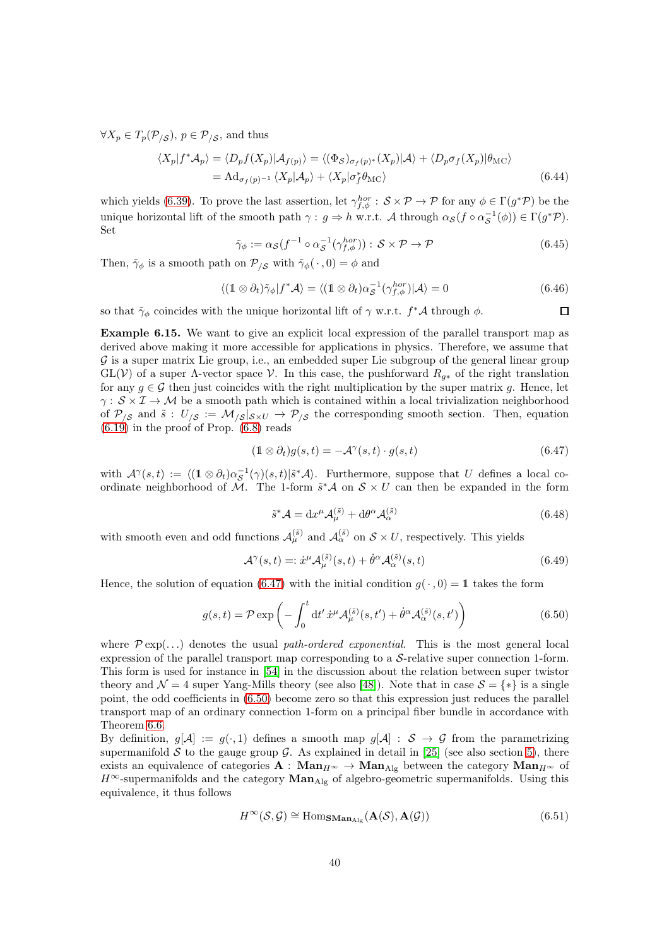$\forall X_p \in T_p(\mathcal{P}_{\langle \mathcal{S}}), p \in \mathcal{P}_{\langle \mathcal{S}}, \text{ and thus }$ 

$$
\langle X_p | f^* A_p \rangle = \langle D_p f(X_p) | A_{f(p)} \rangle = \langle (\Phi_S)_{\sigma_f(p)^*}(X_p) | A \rangle + \langle D_p \sigma_f(X_p) | \theta_{\text{MC}} \rangle
$$
  
= Ad<sub>\sigma\_f(p)^{-1} \langle X\_p | A\_p \rangle + \langle X\_p | \sigma\_f^\* \theta\_{\text{MC}} \rangle (6.44)</sub>

which yields [\(6.39\)](#page-38-0). To prove the last assertion, let  $\gamma_{f,\phi}^{hor}$  :  $S \times \mathcal{P} \to \mathcal{P}$  for any  $\phi \in \Gamma(g^*\mathcal{P})$  be the unique horizontal lift of the smooth path  $\gamma: g \Rightarrow h \text{ w.r.t. } A \text{ through } \alpha_{\mathcal{S}}(f \circ \alpha_{\mathcal{S}}^{-1}(\phi)) \in \Gamma(g^*\mathcal{P}).$ Set

$$
\tilde{\gamma}_{\phi} := \alpha_{\mathcal{S}}(f^{-1} \circ \alpha_{\mathcal{S}}^{-1}(\gamma_{f,\phi}^{hor})) : \mathcal{S} \times \mathcal{P} \to \mathcal{P}
$$
\n(6.45)

Then,  $\tilde{\gamma}_{\phi}$  is a smooth path on  $\mathcal{P}_{\beta}$  with  $\tilde{\gamma}_{\phi}(\cdot,0) = \phi$  and

$$
\langle (\mathbb{1} \otimes \partial_t) \tilde{\gamma}_{\phi} | f^* \mathcal{A} \rangle = \langle (\mathbb{1} \otimes \partial_t) \alpha_{\mathcal{S}}^{-1} (\gamma_{f,\phi}^{hor}) | \mathcal{A} \rangle = 0 \tag{6.46}
$$

<span id="page-39-1"></span> $\Box$ 

so that  $\tilde{\gamma}_{\phi}$  coincides with the unique horizontal lift of  $\gamma$  w.r.t.  $f^*\mathcal{A}$  through  $\phi$ .

<span id="page-39-2"></span>Example 6.15. We want to give an explicit local expression of the parallel transport map as derived above making it more accessible for applications in physics. Therefore, we assume that  $\mathcal G$  is a super matrix Lie group, i.e., an embedded super Lie subgroup of the general linear group  $GL(V)$  of a super  $\Lambda$ -vector space V. In this case, the pushforward  $R_{g*}$  of the right translation for any  $g \in \mathcal{G}$  then just coincides with the right multiplication by the super matrix g. Hence, let  $\gamma: \mathcal{S} \times \mathcal{I} \to \mathcal{M}$  be a smooth path which is contained within a local trivialization neighborhood of  $P_{\beta}$  and  $\tilde{s}: U_{\beta} := \mathcal{M}_{\beta} |_{\mathcal{S} \times U} \rightarrow \mathcal{P}_{\beta}$  the corresponding smooth section. Then, equation  $(6.19)$  in the proof of Prop.  $(6.8)$  reads

<span id="page-39-0"></span>
$$
(\mathbb{1} \otimes \partial_t)g(s,t) = -\mathcal{A}^{\gamma}(s,t) \cdot g(s,t)
$$
\n(6.47)

with  $\mathcal{A}^{\gamma}(s,t) := \langle (1 \otimes \partial_t) \alpha_{\mathcal{S}}^{-1}(\gamma)(s,t) | \tilde{s}^* \mathcal{A} \rangle$ . Furthermore, suppose that U defines a local coordinate neighborhood of M. The 1-form  $\tilde{s}^*\mathcal{A}$  on  $\mathcal{S} \times U$  can then be expanded in the form

$$
\tilde{s}^* \mathcal{A} = \mathrm{d}x^\mu \mathcal{A}^{(\tilde{s})}_\mu + \mathrm{d}\theta^\alpha \mathcal{A}^{(\tilde{s})}_\alpha \tag{6.48}
$$

with smooth even and odd functions  $\mathcal{A}^{(\tilde{s})}_{\mu}$  and  $\mathcal{A}^{(\tilde{s})}_{\alpha}$  on  $\mathcal{S} \times U$ , respectively. This yields

$$
\mathcal{A}^{\gamma}(s,t) =: \dot{x}^{\mu} \mathcal{A}_{\mu}^{(\tilde{s})}(s,t) + \dot{\theta}^{\alpha} \mathcal{A}_{\alpha}^{(\tilde{s})}(s,t)
$$
(6.49)

Hence, the solution of equation [\(6.47\)](#page-39-0) with the initial condition  $g(\cdot, 0) = 1$  takes the form

$$
g(s,t) = \mathcal{P} \exp\left(-\int_0^t dt' \dot{x}^\mu \mathcal{A}_\mu^{(\tilde{s})}(s,t') + \dot{\theta}^\alpha \mathcal{A}_\alpha^{(\tilde{s})}(s,t')\right)
$$
(6.50)

where  $\mathcal{P} \exp(\ldots)$  denotes the usual path-ordered exponential. This is the most general local expression of the parallel transport map corresponding to a  $S$ -relative super connection 1-form. This form is used for instance in [\[54\]](#page-62-12) in the discussion about the relation between super twistor theory and  $\mathcal{N} = 4$  super Yang-Mills theory (see also [\[48\]](#page-62-6)). Note that in case  $\mathcal{S} = \{ * \}$  is a single point, the odd coefficients in [\(6.50\)](#page-39-1) become zero so that this expression just reduces the parallel transport map of an ordinary connection 1-form on a principal fiber bundle in accordance with Theorem [6.6.](#page-33-0)

By definition,  $g[\mathcal{A}] := g(\cdot, 1)$  defines a smooth map  $g[\mathcal{A}] : \mathcal{S} \to \mathcal{G}$  from the parametrizing supermanifold S to the gauge group  $\mathcal G$ . As explained in detail in [\[25\]](#page-61-6) (see also section [5\)](#page-28-0), there exists an equivalence of categories  $\mathbf{A} : \mathbf{Man}_{H^{\infty}} \to \mathbf{Man}_{\mathrm{Alg}}$  between the category  $\mathbf{Man}_{H^{\infty}}$  of  $H^{\infty}$ -supermanifolds and the category  $\mathbf{Man}_{\mathrm{Alg}}$  of algebro-geometric supermanifolds. Using this equivalence, it thus follows

$$
H^{\infty}(\mathcal{S}, \mathcal{G}) \cong \text{Hom}_{\textbf{SMan}_{\text{Alg}}}(\mathbf{A}(\mathcal{S}), \mathbf{A}(\mathcal{G}))
$$
\n(6.51)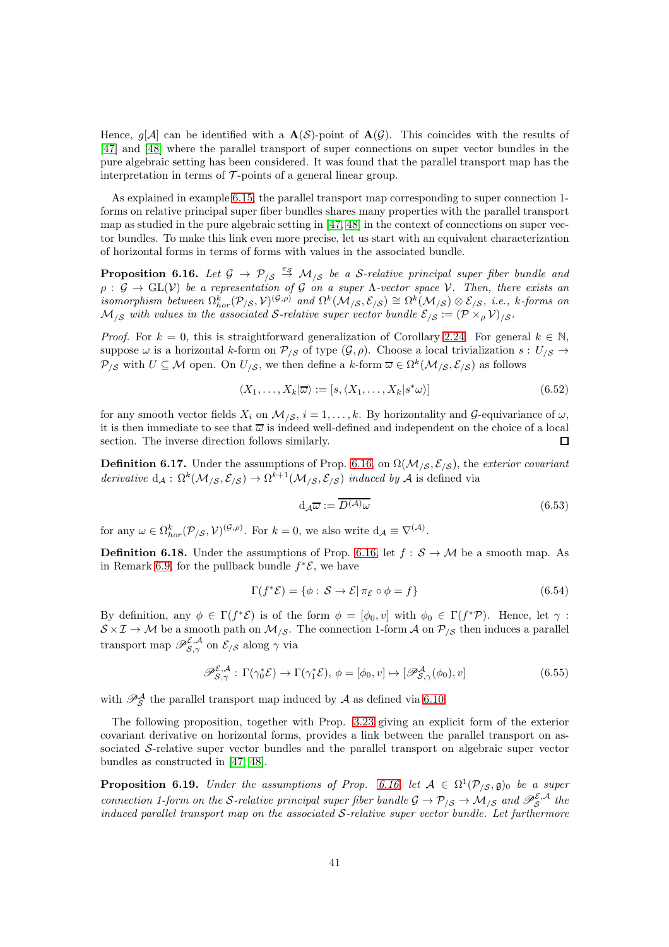Hence,  $q[\mathcal{A}]$  can be identified with a  $\mathbf{A}(\mathcal{S})$ -point of  $\mathbf{A}(\mathcal{G})$ . This coincides with the results of [\[47\]](#page-62-5) and [\[48\]](#page-62-6) where the parallel transport of super connections on super vector bundles in the pure algebraic setting has been considered. It was found that the parallel transport map has the interpretation in terms of  $\mathcal T$ -points of a general linear group.

As explained in example [6.15,](#page-39-2) the parallel transport map corresponding to super connection 1 forms on relative principal super fiber bundles shares many properties with the parallel transport map as studied in the pure algebraic setting in [\[47,](#page-62-5) [48\]](#page-62-6) in the context of connections on super vector bundles. To make this link even more precise, let us start with an equivalent characterization of horizontal forms in terms of forms with values in the associated bundle.

<span id="page-40-0"></span>**Proposition 6.16.** Let  $\mathcal{G} \to \mathcal{P}_{\mathcal{S}} \stackrel{\pi_S}{\to} \mathcal{M}_{\mathcal{S}}$  be a S-relative principal super fiber bundle and  $\rho: \mathcal{G} \to GL(\mathcal{V})$  be a representation of G on a super  $\Lambda$ -vector space V. Then, there exists an  $h_{\text{S}}$  isomorphism between  $\Omega^k_{hor}(\mathcal{P}_{/\mathcal{S}}, \mathcal{V})^{(\mathcal{G}, \rho)}$  and  $\Omega^k(\mathcal{M}_{/\mathcal{S}}, \mathcal{E}_{/\mathcal{S}}) \cong \Omega^k(\mathcal{M}_{/\mathcal{S}}) \otimes \mathcal{E}_{/\mathcal{S}},$  i.e., k-forms on  $M_{\ell S}$  with values in the associated S-relative super vector bundle  $\mathcal{E}_{\ell S} := (\mathcal{P} \times_{\rho} \mathcal{V})_{\ell S}$ .

*Proof.* For  $k = 0$ , this is straightforward generalization of Corollary [2.24.](#page-12-0) For general  $k \in \mathbb{N}$ , suppose  $\omega$  is a horizontal k-form on  $\mathcal{P}_{\mathcal{S}}$  of type  $(\mathcal{G}, \rho)$ . Choose a local trivialization  $s : U_{\mathcal{S}} \to$  $\mathcal{P}_{\beta}$  with  $U \subseteq \mathcal{M}$  open. On  $U_{\beta}$ , we then define a k-form  $\overline{\omega} \in \Omega^k(\mathcal{M}_{\beta}, \mathcal{E}_{\beta})$  as follows

$$
\langle X_1, \dots, X_k | \overline{\omega} \rangle := [s, \langle X_1, \dots, X_k | s^* \omega \rangle]
$$
\n(6.52)

for any smooth vector fields  $X_i$  on  $\mathcal{M}_{\beta}$ ,  $i = 1, \ldots, k$ . By horizontality and  $\mathcal{G}$ -equivariance of  $\omega$ , it is then immediate to see that  $\overline{\omega}$  is indeed well-defined and independent on the choice of a local section. The inverse direction follows similarly.

**Definition 6.17.** Under the assumptions of Prop. [6.16,](#page-40-0) on  $\Omega(\mathcal{M}_{\beta}, \mathcal{E}_{\beta})$ , the exterior covariant derivative  $d_A: \Omega^k(\mathcal{M}_{\setminus \mathcal{S}}, \mathcal{E}_{\setminus \mathcal{S}}) \to \Omega^{k+1}(\mathcal{M}_{\setminus \mathcal{S}}, \mathcal{E}_{\setminus \mathcal{S}})$  induced by A is defined via

<span id="page-40-1"></span>
$$
d_{\mathcal{A}}\overline{\omega} := \overline{D^{(\mathcal{A})}\omega} \tag{6.53}
$$

for any  $\omega \in \Omega_{hor}^k(\mathcal{P}_{/\mathcal{S}}, \mathcal{V})^{(\mathcal{G}, \rho)}$ . For  $k = 0$ , we also write  $d_{\mathcal{A}} \equiv \nabla^{(\mathcal{A})}$ .

**Definition 6.18.** Under the assumptions of Prop. [6.16,](#page-40-0) let  $f : \mathcal{S} \to \mathcal{M}$  be a smooth map. As in Remark [6.9,](#page-36-2) for the pullback bundle  $f^*\mathcal{E}$ , we have

$$
\Gamma(f^*\mathcal{E}) = \{\phi : \mathcal{S} \to \mathcal{E} | \pi_{\mathcal{E}} \circ \phi = f\}
$$
\n(6.54)

By definition, any  $\phi \in \Gamma(f^*\mathcal{E})$  is of the form  $\phi = [\phi_0, v]$  with  $\phi_0 \in \Gamma(f^*\mathcal{P})$ . Hence, let  $\gamma$ :  $S \times I \to M$  be a smooth path on  $M_{\sqrt{S}}$ . The connection 1-form A on  $P_{\sqrt{S}}$  then induces a parallel transport map  $\mathscr{P}_{\mathcal{S},\gamma}^{\mathcal{E},\mathcal{A}}$  on  $\mathcal{E}_{/\mathcal{S}}$  along  $\gamma$  via

$$
\mathscr{P}_{\mathcal{S},\gamma}^{\mathcal{E},\mathcal{A}}:\Gamma(\gamma_0^*\mathcal{E})\to\Gamma(\gamma_1^*\mathcal{E}),\,\phi=[\phi_0,v]\mapsto[\mathscr{P}_{\mathcal{S},\gamma}^{\mathcal{A}}(\phi_0),v]
$$
(6.55)

with  $\mathcal{P}^{\mathcal{A}}_{\mathcal{S}}$  the parallel transport map induced by  $\mathcal{A}$  as defined via [6.10.](#page-36-3)

The following proposition, together with Prop. [3.23](#page-22-2) giving an explicit form of the exterior covariant derivative on horizontal forms, provides a link between the parallel transport on associated S-relative super vector bundles and the parallel transport on algebraic super vector bundles as constructed in [\[47,](#page-62-5) [48\]](#page-62-6).

**Proposition 6.19.** Under the assumptions of Prop. [6.16,](#page-40-0) let  $A \in \Omega^1(\mathcal{P}_{\setminus \mathcal{S}}, \mathfrak{g})_0$  be a super connection 1-form on the S-relative principal super fiber bundle  $\mathcal{G} \to \mathcal{P}_{/\mathcal{S}} \to \mathcal{M}_{/\mathcal{S}}$  and  $\mathscr{P}_{\mathcal{S}}^{\mathcal{E},\mathcal{A}}$  the induced parallel transport map on the associated  $S$ -relative super vector bundle. Let furthermore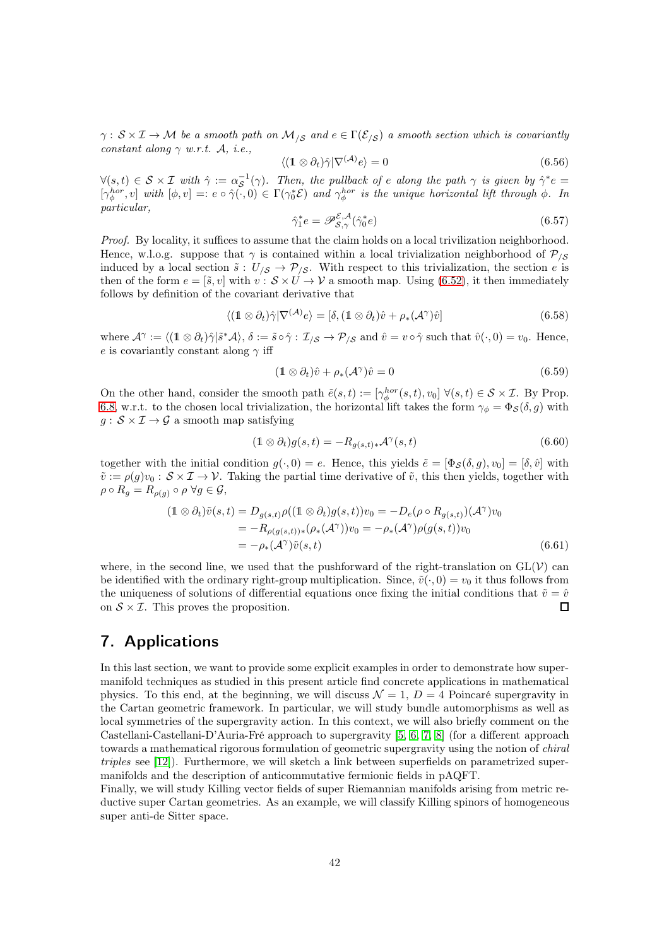$\gamma: \mathcal{S} \times \mathcal{I} \to \mathcal{M}$  be a smooth path on  $\mathcal{M}_{\mathcal{S}}$  and  $e \in \Gamma(\mathcal{E}_{\mathcal{S}})$  a smooth section which is covariantly constant along  $\gamma$  w.r.t. A, i.e.,

$$
\langle (\mathbb{1} \otimes \partial_t) \hat{\gamma} | \nabla^{(\mathcal{A})} e \rangle = 0 \tag{6.56}
$$

 $\forall (s,t) \in S \times I$  with  $\hat{\gamma} := \alpha_S^{-1}(\gamma)$ . Then, the pullback of e along the path  $\gamma$  is given by  $\hat{\gamma}^*e =$  $[\gamma_{\phi}^{hor}, v]$  with  $[\phi, v] =: e \circ \hat{\gamma}(\cdot, 0) \in \Gamma(\gamma_0^* \mathcal{E})$  and  $\gamma_{\phi}^{hor}$  is the unique horizontal lift through  $\phi$ . In particular,

$$
\hat{\gamma}_1^* e = \mathscr{P}_{\mathcal{S}, \gamma}^{\mathcal{E}, \mathcal{A}} (\hat{\gamma}_0^* e) \tag{6.57}
$$

Proof. By locality, it suffices to assume that the claim holds on a local trivilization neighborhood. Hence, w.l.o.g. suppose that  $\gamma$  is contained within a local trivialization neighborhood of  $\mathcal{P}_{\ell, S}$ induced by a local section  $\tilde{s}: U_{\/cal S} \to \mathcal{P}_{\/\mathcal{S}}$ . With respect to this trivialization, the section e is then of the form  $e = [\tilde{s}, v]$  with  $v : \mathcal{S} \times U \to V$  a smooth map. Using [\(6.52\)](#page-40-1), it then immediately follows by definition of the covariant derivative that

$$
\langle (\mathbb{1} \otimes \partial_t) \hat{\gamma} | \nabla^{(\mathcal{A})} e \rangle = [\delta, (\mathbb{1} \otimes \partial_t) \hat{v} + \rho_*(\mathcal{A}^{\gamma}) \hat{v}]
$$
(6.58)

where  $\mathcal{A}^{\gamma} := \langle (\mathbb{1} \otimes \partial_t) \hat{\gamma} | \tilde{s}^* \mathcal{A} \rangle, \delta := \tilde{s} \circ \hat{\gamma} : \mathcal{I}_{\langle \mathcal{S} \rangle} \to \mathcal{P}_{\langle \mathcal{S} \rangle}$  and  $\hat{v} = v \circ \hat{\gamma}$  such that  $\hat{v}(\cdot, 0) = v_0$ . Hence, e is covariantly constant along  $\gamma$  iff

$$
(\mathbb{1} \otimes \partial_t)\hat{v} + \rho_*(\mathcal{A}^\gamma)\hat{v} = 0 \tag{6.59}
$$

On the other hand, consider the smooth path  $\tilde{e}(s,t) := [\gamma_{\phi}^{hor}(s,t), v_0] \; \forall (s,t) \in \mathcal{S} \times \mathcal{I}$ . By Prop. [6.8,](#page-35-2) w.r.t. to the chosen local trivialization, the horizontal lift takes the form  $\gamma_{\phi} = \Phi_{\mathcal{S}}(\delta, g)$  with  $g : \mathcal{S} \times \mathcal{I} \rightarrow \mathcal{G}$  a smooth map satisfying

$$
(\mathbb{1} \otimes \partial_t)g(s,t) = -R_{g(s,t)*} \mathcal{A}^{\gamma}(s,t)
$$
\n(6.60)

together with the initial condition  $g(\cdot, 0) = e$ . Hence, this yields  $\tilde{e} = [\Phi_{\mathcal{S}}(\delta, g), v_0] = [\delta, \hat{v}]$  with  $\tilde{v} := \rho(g)v_0 : \mathcal{S} \times \mathcal{I} \to \mathcal{V}$ . Taking the partial time derivative of  $\tilde{v}$ , this then yields, together with  $\rho \circ R_q = R_{\rho(q)} \circ \rho \; \forall g \in \mathcal{G},$ 

$$
(1 \otimes \partial_t)\tilde{v}(s,t) = D_{g(s,t)}\rho((1 \otimes \partial_t)g(s,t))v_0 = -D_e(\rho \circ R_{g(s,t)})(\mathcal{A}^{\gamma})v_0
$$
  
=  $-R_{\rho(g(s,t))*}(\rho_*(\mathcal{A}^{\gamma}))v_0 = -\rho_*(\mathcal{A}^{\gamma})\rho(g(s,t))v_0$   
=  $-\rho_*(\mathcal{A}^{\gamma})\tilde{v}(s,t)$  (6.61)

where, in the second line, we used that the pushforward of the right-translation on  $GL(V)$  can be identified with the ordinary right-group multiplication. Since,  $\tilde{v}(\cdot, 0) = v_0$  it thus follows from the uniqueness of solutions of differential equations once fixing the initial conditions that  $\tilde{v} = \hat{v}$ on  $S \times I$ . This proves the proposition.  $\Box$ 

## <span id="page-41-0"></span>7. Applications

In this last section, we want to provide some explicit examples in order to demonstrate how supermanifold techniques as studied in this present article find concrete applications in mathematical physics. To this end, at the beginning, we will discuss  $\mathcal{N} = 1, D = 4$  Poincaré supergravity in the Cartan geometric framework. In particular, we will study bundle automorphisms as well as local symmetries of the supergravity action. In this context, we will also briefly comment on the Castellani-Castellani-D'Auria-Fré approach to supergravity [\[5,](#page-60-0) [6,](#page-60-1) [7,](#page-60-6) [8\]](#page-60-7) (for a different approach towards a mathematical rigorous formulation of geometric supergravity using the notion of *chiral* triples see [\[12\]](#page-60-8)). Furthermore, we will sketch a link between superfields on parametrized supermanifolds and the description of anticommutative fermionic fields in pAQFT.

Finally, we will study Killing vector fields of super Riemannian manifolds arising from metric reductive super Cartan geometries. As an example, we will classify Killing spinors of homogeneous super anti-de Sitter space.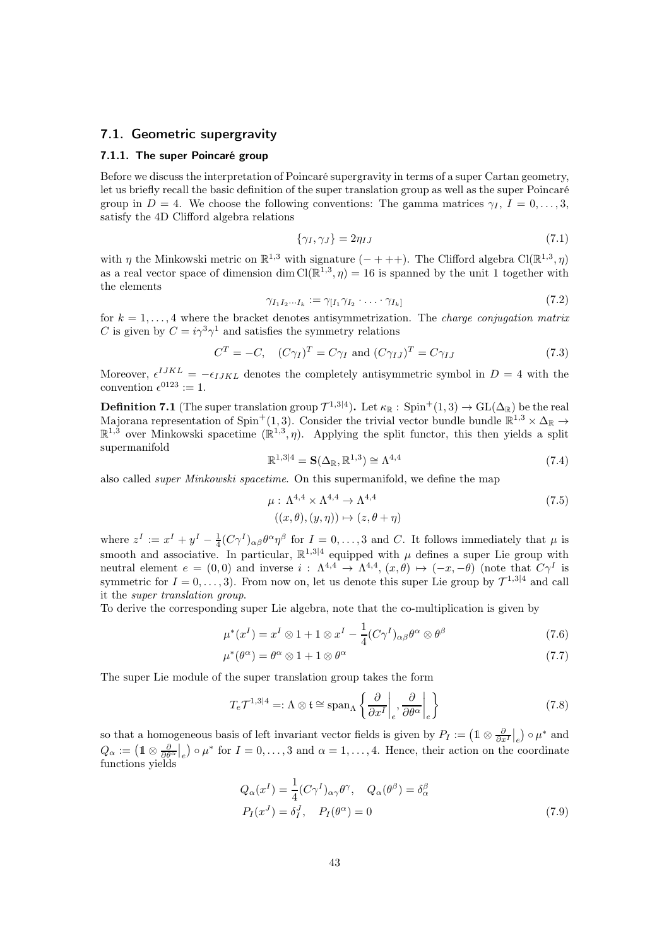#### 7.1. Geometric supergravity

#### 7.1.1. The super Poincaré group

Before we discuss the interpretation of Poincaré supergravity in terms of a super Cartan geometry, let us briefly recall the basic definition of the super translation group as well as the super Poincaré group in  $D = 4$ . We choose the following conventions: The gamma matrices  $\gamma_I$ ,  $I = 0, \ldots, 3$ , satisfy the 4D Clifford algebra relations

$$
\{\gamma_I, \gamma_J\} = 2\eta_{IJ} \tag{7.1}
$$

with  $\eta$  the Minkowski metric on  $\mathbb{R}^{1,3}$  with signature  $(- + + +)$ . The Clifford algebra Cl( $\mathbb{R}^{1,3}, \eta$ ) as a real vector space of dimension dim  $\text{Cl}(\mathbb{R}^{1,3}, \eta) = 16$  is spanned by the unit 1 together with the elements

$$
\gamma_{I_1 I_2 \cdots I_k} := \gamma_{[I_1} \gamma_{I_2} \cdot \ldots \cdot \gamma_{I_k]} \tag{7.2}
$$

for  $k = 1, \ldots, 4$  where the bracket denotes antisymmetrization. The *charge conjugation matrix* C is given by  $C = i\gamma^3 \gamma^1$  and satisfies the symmetry relations

$$
CT = -C, \quad (C\gamma_I)^T = C\gamma_I \text{ and } (C\gamma_{IJ})^T = C\gamma_{IJ}
$$
\n(7.3)

Moreover,  $\epsilon^{IJKL} = -\epsilon_{IJKL}$  denotes the completely antisymmetric symbol in  $D = 4$  with the convention  $\epsilon^{0123} := 1$ .

**Definition 7.1** (The super translation group  $\mathcal{T}^{1,3|4}$ ). Let  $\kappa_{\mathbb{R}}$ :  $\text{Spin}^+(1,3) \to \text{GL}(\Delta_{\mathbb{R}})$  be the real Majorana representation of Spin<sup>+</sup>(1,3). Consider the trivial vector bundle bundle  $\mathbb{R}^{1,3} \times \Delta_{\mathbb{R}} \to$  $\mathbb{R}^{1,3}$  over Minkowski spacetime  $(\mathbb{R}^{1,3}, \eta)$ . Applying the split functor, this then yields a split supermanifold

$$
\mathbb{R}^{1,3|4} = \mathbf{S}(\Delta_{\mathbb{R}}, \mathbb{R}^{1,3}) \cong \Lambda^{4,4} \tag{7.4}
$$

also called super Minkowski spacetime. On this supermanifold, we define the map

$$
\mu: \Lambda^{4,4} \times \Lambda^{4,4} \to \Lambda^{4,4}
$$
  

$$
((x,\theta),(y,\eta)) \mapsto (z,\theta+\eta)
$$
 (7.5)

where  $z^I := x^I + y^I - \frac{1}{4}(C\gamma^I)_{\alpha\beta}\theta^{\alpha}\eta^{\beta}$  for  $I = 0, \ldots, 3$  and C. It follows immediately that  $\mu$  is smooth and associative. In particular,  $\mathbb{R}^{1,3|4}$  equipped with  $\mu$  defines a super Lie group with neutral element  $e = (0,0)$  and inverse  $i: \Lambda^{4,4} \to \Lambda^{4,4}, (x,\theta) \mapsto (-x,-\theta)$  (note that  $C\gamma^I$  is symmetric for  $I = 0, \ldots, 3$ ). From now on, let us denote this super Lie group by  $\mathcal{T}^{1,3|4}$  and call it the super translation group.

To derive the corresponding super Lie algebra, note that the co-multiplication is given by

$$
\mu^*(x^I) = x^I \otimes 1 + 1 \otimes x^I - \frac{1}{4} (C\gamma^I)_{\alpha\beta} \theta^{\alpha} \otimes \theta^{\beta}
$$
\n(7.6)

$$
\mu^*(\theta^\alpha) = \theta^\alpha \otimes 1 + 1 \otimes \theta^\alpha \tag{7.7}
$$

The super Lie module of the super translation group takes the form

$$
T_e \mathcal{T}^{1,3|4} =: \Lambda \otimes \mathfrak{t} \cong \text{span}_{\Lambda} \left\{ \frac{\partial}{\partial x^I} \Big|_e, \frac{\partial}{\partial \theta^{\alpha}} \Big|_e \right\} \tag{7.8}
$$

so that a homogeneous basis of left invariant vector fields is given by  $P_I := (\mathbb{1} \otimes \frac{\partial}{\partial x^I}|_e) \circ \mu^*$  and  $Q_{\alpha} := (\mathbb{1} \otimes \frac{\partial}{\partial \theta^{\alpha}}|_{e}) \circ \mu^*$  for  $I = 0, \ldots, 3$  and  $\alpha = 1, \ldots, 4$ . Hence, their action on the coordinate functions yields

$$
Q_{\alpha}(x^{I}) = \frac{1}{4} (C\gamma^{I})_{\alpha\gamma} \theta^{\gamma}, \quad Q_{\alpha}(\theta^{\beta}) = \delta_{\alpha}^{\beta}
$$
  
\n
$$
P_{I}(x^{J}) = \delta_{I}^{J}, \quad P_{I}(\theta^{\alpha}) = 0
$$
\n(7.9)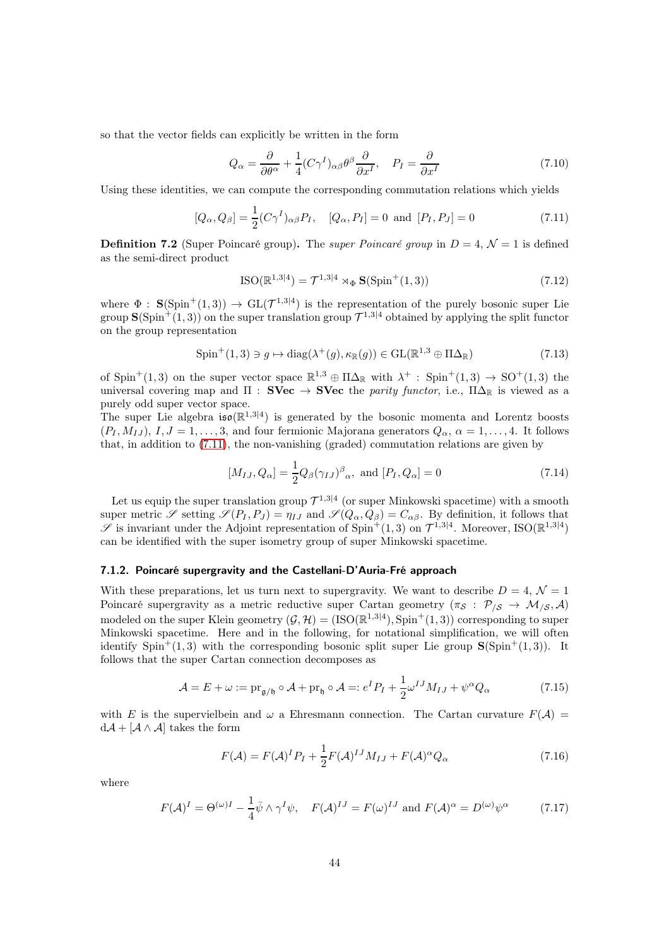so that the vector fields can explicitly be written in the form

$$
Q_{\alpha} = \frac{\partial}{\partial \theta^{\alpha}} + \frac{1}{4} (C\gamma^{I})_{\alpha\beta} \theta^{\beta} \frac{\partial}{\partial x^{I}}, \quad P_{I} = \frac{\partial}{\partial x^{I}}
$$
(7.10)

Using these identities, we can compute the corresponding commutation relations which yields

$$
[Q_{\alpha}, Q_{\beta}] = \frac{1}{2} (C\gamma^{I})_{\alpha\beta} P_{I}, \quad [Q_{\alpha}, P_{I}] = 0 \text{ and } [P_{I}, P_{J}] = 0 \tag{7.11}
$$

**Definition 7.2** (Super Poincaré group). The *super Poincaré group* in  $D = 4$ ,  $\mathcal{N} = 1$  is defined as the semi-direct product

<span id="page-43-0"></span>
$$
ISO(\mathbb{R}^{1,3|4}) = \mathcal{T}^{1,3|4} \rtimes_{\Phi} \mathbf{S}(\text{Spin}^+(1,3))
$$
\n(7.12)

where  $\Phi$  :  $\mathbf{S}(\text{Spin}^+(1,3)) \to \text{GL}(\mathcal{T}^{1,3|4})$  is the representation of the purely bosonic super Lie group  $\mathbf{S}(\mathrm{Spin}^+(1,3))$  on the super translation group  $\mathcal{T}^{1,3|4}$  obtained by applying the split functor on the group representation

$$
\text{Spin}^+(1,3) \ni g \mapsto \text{diag}(\lambda^+(g), \kappa_{\mathbb{R}}(g)) \in \text{GL}(\mathbb{R}^{1,3} \oplus \Pi \Delta_{\mathbb{R}}) \tag{7.13}
$$

of Spin<sup>+</sup>(1,3) on the super vector space  $\mathbb{R}^{1,3} \oplus \Pi\Delta_{\mathbb{R}}$  with  $\lambda^+$ : Spin<sup>+</sup>(1,3)  $\rightarrow$  SO<sup>+</sup>(1,3) the universal covering map and  $\Pi$  : SVec  $\rightarrow$  SVec the parity functor, i.e.,  $\Pi\Delta_{\mathbb{R}}$  is viewed as a purely odd super vector space.

The super Lie algebra  $\mathfrak{iso}(\mathbb{R}^{1,3|4})$  is generated by the bosonic momenta and Lorentz boosts  $(P_I, M_{IJ}), I, J = 1, \ldots, 3$ , and four fermionic Majorana generators  $Q_\alpha, \alpha = 1, \ldots, 4$ . It follows that, in addition to [\(7.11\)](#page-43-0), the non-vanishing (graded) commutation relations are given by

$$
[M_{IJ}, Q_{\alpha}] = \frac{1}{2} Q_{\beta} (\gamma_{IJ})^{\beta}{}_{\alpha}, \text{ and } [P_I, Q_{\alpha}] = 0 \tag{7.14}
$$

Let us equip the super translation group  $\mathcal{T}^{1,3|4}$  (or super Minkowski spacetime) with a smooth super metric  $\mathscr S$  setting  $\mathscr S(P_I, P_J) = \eta_{IJ}$  and  $\mathscr S(Q_\alpha, Q_\beta) = C_{\alpha\beta}$ . By definition, it follows that  $\mathscr S$  is invariant under the Adjoint representation of Spin<sup>+</sup>(1,3) on  $\mathcal T^{1,3|4}$ . Moreover, ISO( $\mathbb{R}^{1,3|4}$ ) can be identified with the super isometry group of super Minkowski spacetime.

#### 7.1.2. Poincaré supergravity and the Castellani-D'Auria-Fré approach

With these preparations, let us turn next to supergravity. We want to describe  $D = 4, \mathcal{N} = 1$ Poincaré supergravity as a metric reductive super Cartan geometry  $(\pi_{\mathcal{S}} : \mathcal{P}_{\mathcal{S}} \to \mathcal{M}_{\mathcal{S}}, \mathcal{A})$ modeled on the super Klein geometry  $(\mathcal{G}, \mathcal{H}) = (\text{ISO}(\mathbb{R}^{1,3|4}), \text{Spin}^+(1,3))$  corresponding to super Minkowski spacetime. Here and in the following, for notational simplification, we will often identify  $Spin^+(1,3)$  with the corresponding bosonic split super Lie group  $S(Spin^+(1,3))$ . It follows that the super Cartan connection decomposes as

$$
\mathcal{A} = E + \omega := \text{pr}_{\mathfrak{g}/\mathfrak{h}} \circ \mathcal{A} + \text{pr}_{\mathfrak{h}} \circ \mathcal{A} =: e^I P_I + \frac{1}{2} \omega^{IJ} M_{IJ} + \psi^\alpha Q_\alpha \tag{7.15}
$$

with E is the supervielbein and  $\omega$  a Ehresmann connection. The Cartan curvature  $F(\mathcal{A}) =$  $d\mathcal{A} + [\mathcal{A} \wedge \mathcal{A}]$  takes the form

<span id="page-43-2"></span><span id="page-43-1"></span>
$$
F(\mathcal{A}) = F(\mathcal{A})^I P_I + \frac{1}{2} F(\mathcal{A})^{IJ} M_{IJ} + F(\mathcal{A})^\alpha Q_\alpha
$$
\n(7.16)

where

$$
F(\mathcal{A})^I = \Theta^{(\omega)I} - \frac{1}{4}\bar{\psi} \wedge \gamma^I \psi, \quad F(\mathcal{A})^{IJ} = F(\omega)^{IJ} \text{ and } F(\mathcal{A})^{\alpha} = D^{(\omega)} \psi^{\alpha} \tag{7.17}
$$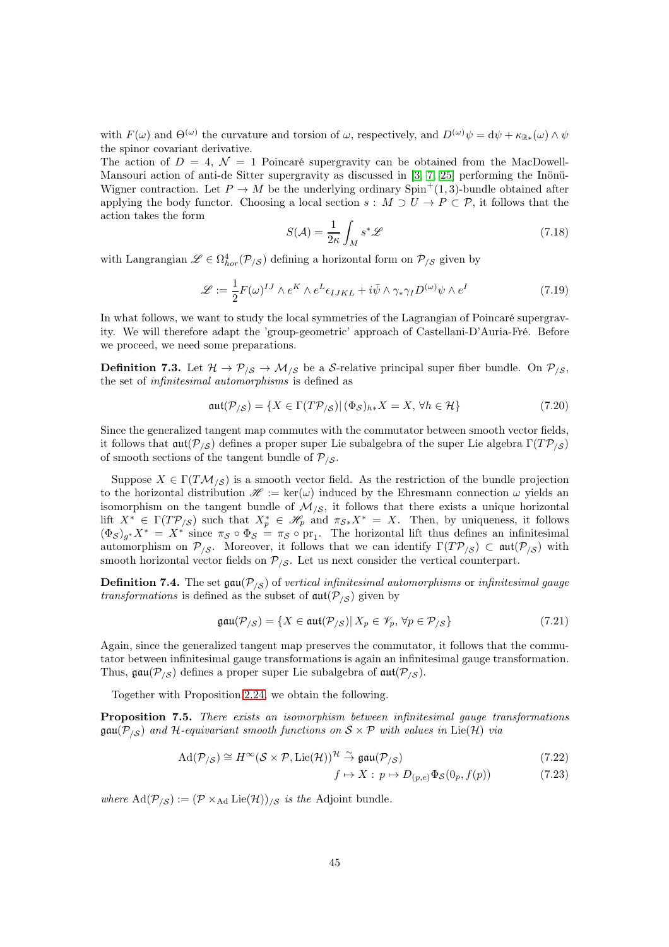with  $F(\omega)$  and  $\Theta^{(\omega)}$  the curvature and torsion of  $\omega$ , respectively, and  $D^{(\omega)}\psi = d\psi + \kappa_{\mathbb{R}^*}(\omega) \wedge \psi$ the spinor covariant derivative.

The action of  $D = 4$ ,  $\mathcal{N} = 1$  Poincaré supergravity can be obtained from the MacDowell-Mansouri action of anti-de Sitter supergravity as discussed in [\[3,](#page-60-9) [7,](#page-60-6) [25\]](#page-61-6) performing the Inönü-Wigner contraction. Let  $P \to M$  be the underlying ordinary Spin<sup>+</sup>(1,3)-bundle obtained after applying the body functor. Choosing a local section  $s : M \supset U \to P \subset \mathcal{P}$ , it follows that the action takes the form

$$
S(\mathcal{A}) = \frac{1}{2\kappa} \int_{M} s^* \mathcal{L}
$$
 (7.18)

with Langrangian  $\mathscr{L} \in \Omega^4_{hor}(\mathcal{P}_{/\mathcal{S}})$  defining a horizontal form on  $\mathcal{P}_{/\mathcal{S}}$  given by

$$
\mathcal{L} := \frac{1}{2} F(\omega)^{IJ} \wedge e^K \wedge e^L \epsilon_{IJKL} + i\bar{\psi} \wedge \gamma_* \gamma_I D^{(\omega)} \psi \wedge e^I \tag{7.19}
$$

In what follows, we want to study the local symmetries of the Lagrangian of Poincaré supergravity. We will therefore adapt the 'group-geometric' approach of Castellani-D'Auria-Fré. Before we proceed, we need some preparations.

<span id="page-44-0"></span>**Definition 7.3.** Let  $\mathcal{H} \to \mathcal{P}_{\mathcal{S}} \to \mathcal{M}_{\mathcal{S}}$  be a S-relative principal super fiber bundle. On  $\mathcal{P}_{\mathcal{S}}$ , the set of infinitesimal automorphisms is defined as

$$
\mathfrak{aut}(\mathcal{P}_{/\mathcal{S}}) = \{ X \in \Gamma(T\mathcal{P}_{/\mathcal{S}}) | (\Phi_{\mathcal{S}})_{h*} X = X, \forall h \in \mathcal{H} \}
$$
\n
$$
(7.20)
$$

Since the generalized tangent map commutes with the commutator between smooth vector fields, it follows that  $\frak{aut}(\mathcal{P}_{\setminus S})$  defines a proper super Lie subalgebra of the super Lie algebra  $\Gamma(T\mathcal{P}_{\setminus S})$ of smooth sections of the tangent bundle of  $\mathcal{P}_{\mathcal{S}}$ .

Suppose  $X \in \Gamma(TM_{\setminus S})$  is a smooth vector field. As the restriction of the bundle projection to the horizontal distribution  $\mathscr{H} := \ker(\omega)$  induced by the Ehresmann connection  $\omega$  yields an isomorphism on the tangent bundle of  $\mathcal{M}_{\beta}$ , it follows that there exists a unique horizontal lift  $X^* \in \Gamma(T\mathcal{P}_{\setminus S})$  such that  $X_p^* \in \mathcal{H}_p$  and  $\pi_{\mathcal{S}*}X^* = X$ . Then, by uniqueness, it follows  $(\Phi_{\mathcal{S}})_{g^*}X^* = X^*$  since  $\pi_{\mathcal{S}} \circ \Phi_{\mathcal{S}} = \pi_{\mathcal{S}} \circ \text{pr}_1$ . The horizontal lift thus defines an infinitesimal automorphism on  $\mathcal{P}_{\mathcal{S}}$ . Moreover, it follows that we can identify  $\Gamma(T\mathcal{P}_{\mathcal{S}}) \subset \mathfrak{aut}(\mathcal{P}_{\mathcal{S}})$  with smooth horizontal vector fields on  $P_{\beta}$ . Let us next consider the vertical counterpart.

**Definition 7.4.** The set  $\text{gau}(\mathcal{P}_{\setminus S})$  of vertical infinitesimal automorphisms or infinitesimal gauge transformations is defined as the subset of  $\mathfrak{aut}(\mathcal{P}_{\setminus S})$  given by

$$
\text{gau}(\mathcal{P}_{/\mathcal{S}}) = \{ X \in \text{aut}(\mathcal{P}_{/\mathcal{S}}) | X_p \in \mathcal{V}_p, \forall p \in \mathcal{P}_{/\mathcal{S}} \}
$$
(7.21)

Again, since the generalized tangent map preserves the commutator, it follows that the commutator between infinitesimal gauge transformations is again an infinitesimal gauge transformation. Thus,  $\mathfrak{gau}(\mathcal{P}_{\ell S})$  defines a proper super Lie subalgebra of  $\mathfrak{aut}(\mathcal{P}_{\ell S})$ .

Together with Proposition [2.24,](#page-12-0) we obtain the following.

Proposition 7.5. There exists an isomorphism between infinitesimal gauge transformations  $\mathfrak{gau}(\mathcal{P}_{\setminus S})$  and H-equivariant smooth functions on  $S \times \mathcal{P}$  with values in Lie(H) via

$$
\mathrm{Ad}(\mathcal{P}_{/\mathcal{S}}) \cong H^{\infty}(\mathcal{S} \times \mathcal{P}, \mathrm{Lie}(\mathcal{H}))^{\mathcal{H}} \stackrel{\sim}{\to} \mathfrak{gau}(\mathcal{P}_{/\mathcal{S}}) \tag{7.22}
$$

$$
f \mapsto X : p \mapsto D_{(p,e)} \Phi_{\mathcal{S}}(0_p, f(p)) \tag{7.23}
$$

where  $\text{Ad}(\mathcal{P}_{\setminus \mathcal{S}}) := (\mathcal{P} \times_{\text{Ad}} \text{Lie}(\mathcal{H}))_{\setminus \mathcal{S}}$  is the Adjoint bundle.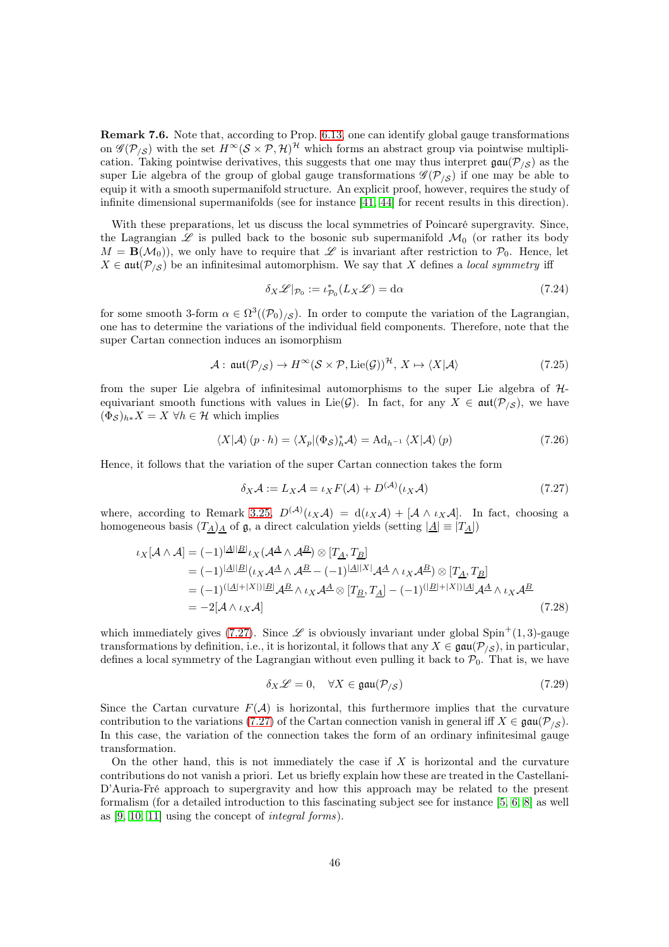Remark 7.6. Note that, according to Prop. [6.13,](#page-37-2) one can identify global gauge transformations on  $\mathscr{G}(\mathcal{P}_{/\mathcal{S}})$  with the set  $H^{\infty}(\mathcal{S}\times\mathcal{P},\mathcal{H})^{\mathcal{H}}$  which forms an abstract group via pointwise multiplication. Taking pointwise derivatives, this suggests that one may thus interpret  $\text{gau}(\mathcal{P}_{\setminus S})$  as the super Lie algebra of the group of global gauge transformations  $\mathcal{G}(\mathcal{P}_{\setminus\mathcal{S}})$  if one may be able to equip it with a smooth supermanifold structure. An explicit proof, however, requires the study of infinite dimensional supermanifolds (see for instance [\[41,](#page-62-10) [44\]](#page-62-11) for recent results in this direction).

With these preparations, let us discuss the local symmetries of Poincaré supergravity. Since, the Lagrangian  $\mathscr L$  is pulled back to the bosonic sub supermanifold  $\mathcal M_0$  (or rather its body  $M = \mathbf{B}(\mathcal{M}_0)$ , we only have to require that  $\mathscr L$  is invariant after restriction to  $\mathcal P_0$ . Hence, let  $X \in \text{aut}(\mathcal{P}_{\setminus S})$  be an infinitesimal automorphism. We say that X defines a local symmetry iff

<span id="page-45-1"></span>
$$
\delta_X \mathcal{L}|_{\mathcal{P}_0} := \iota_{\mathcal{P}_0}^*(L_X \mathcal{L}) = \mathrm{d}\alpha \tag{7.24}
$$

for some smooth 3-form  $\alpha \in \Omega^3((\mathcal{P}_0)_{\setminus \mathcal{S}})$ . In order to compute the variation of the Lagrangian, one has to determine the variations of the individual field components. Therefore, note that the super Cartan connection induces an isomorphism

$$
\mathcal{A}: \operatorname{aut}(\mathcal{P}_{/\mathcal{S}}) \to H^{\infty}(\mathcal{S} \times \mathcal{P}, \operatorname{Lie}(\mathcal{G}))^{\mathcal{H}}, X \mapsto \langle X | \mathcal{A} \rangle \tag{7.25}
$$

from the super Lie algebra of infinitesimal automorphisms to the super Lie algebra of Hequivariant smooth functions with values in Lie( $\mathcal{G}$ ). In fact, for any  $X \in \text{aut}(\mathcal{P}_{\setminus S})$ , we have  $(\Phi_{\mathcal{S}})_{h*}X = X \ \forall h \in \mathcal{H}$  which implies

$$
\langle X|\mathcal{A}\rangle(p \cdot h) = \langle X_p|(\Phi_{\mathcal{S}})_h^* \mathcal{A}\rangle = \mathrm{Ad}_{h^{-1}} \langle X|\mathcal{A}\rangle(p) \tag{7.26}
$$

Hence, it follows that the variation of the super Cartan connection takes the form

<span id="page-45-0"></span>
$$
\delta_X \mathcal{A} := L_X \mathcal{A} = \iota_X F(\mathcal{A}) + D^{(\mathcal{A})}(\iota_X \mathcal{A})
$$
\n(7.27)

where, according to Remark [3.25,](#page-23-0)  $D^{(\mathcal{A})}(\iota_X \mathcal{A}) = d(\iota_X \mathcal{A}) + [\mathcal{A} \wedge \iota_X \mathcal{A}]$ . In fact, choosing a homogeneous basis  $(T_A)_A$  of  $\mathfrak{g}$ , a direct calculation yields (setting  $|\underline{A}| \equiv |T_A|$ )

$$
\iota_X[\mathcal{A}\wedge\mathcal{A}] = (-1)^{|\mathcal{A}||\mathcal{B}|}\iota_X(\mathcal{A}^{\mathcal{A}}\wedge\mathcal{A}^{\mathcal{B}}) \otimes [T_{\mathcal{A}}, T_{\mathcal{B}}]
$$
  
\n
$$
= (-1)^{|\mathcal{A}||\mathcal{B}|}(\iota_X\mathcal{A}^{\mathcal{A}}\wedge\mathcal{A}^{\mathcal{B}} - (-1)^{|\mathcal{A}||X|}\mathcal{A}^{\mathcal{A}}\wedge\iota_X\mathcal{A}^{\mathcal{B}}) \otimes [T_{\mathcal{A}}, T_{\mathcal{B}}]
$$
  
\n
$$
= (-1)^{(|\mathcal{A}|+|X|)|\mathcal{B}|}\mathcal{A}^{\mathcal{B}}\wedge\iota_X\mathcal{A}^{\mathcal{A}} \otimes [T_{\mathcal{B}}, T_{\mathcal{A}}] - (-1)^{(|\mathcal{B}|+|X|)|\mathcal{A}}\mathcal{A}^{\mathcal{A}}\wedge\iota_X\mathcal{A}^{\mathcal{B}}
$$
  
\n
$$
= -2[\mathcal{A}\wedge\iota_X\mathcal{A}] \qquad (7.28)
$$

which immediately gives [\(7.27\)](#page-45-0). Since  $\mathscr L$  is obviously invariant under global Spin<sup>+</sup>(1,3)-gauge transformations by definition, i.e., it is horizontal, it follows that any  $X \in \mathfrak{gau}(\mathcal{P}_{\langle S}\rangle)$ , in particular, defines a local symmetry of the Lagrangian without even pulling it back to  $P_0$ . That is, we have

$$
\delta_X \mathcal{L} = 0, \quad \forall X \in \mathfrak{gau}(\mathcal{P}_{/\mathcal{S}}) \tag{7.29}
$$

Since the Cartan curvature  $F(\mathcal{A})$  is horizontal, this furthermore implies that the curvature contribution to the variations [\(7.27\)](#page-45-0) of the Cartan connection vanish in general iff  $X \in \mathfrak{gau}(\mathcal{P}_{\ell, S})$ . In this case, the variation of the connection takes the form of an ordinary infinitesimal gauge transformation.

On the other hand, this is not immediately the case if  $X$  is horizontal and the curvature contributions do not vanish a priori. Let us briefly explain how these are treated in the Castellani-D'Auria-Fré approach to supergravity and how this approach may be related to the present formalism (for a detailed introduction to this fascinating subject see for instance [\[5,](#page-60-0) [6,](#page-60-1) [8\]](#page-60-7) as well as [\[9,](#page-60-10) [10,](#page-60-11) [11\]](#page-60-12) using the concept of integral forms).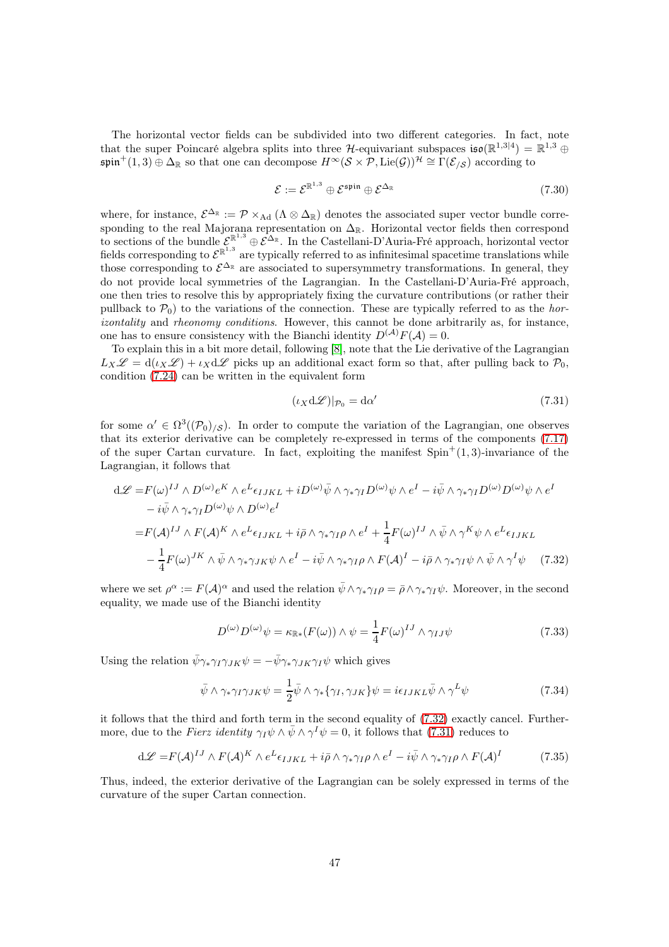The horizontal vector fields can be subdivided into two different categories. In fact, note that the super Poincaré algebra splits into three H-equivariant subspaces  $\mathfrak{iso}(\mathbb{R}^{1,3|4}) = \mathbb{R}^{1,3} \oplus$  $\mathfrak{spin}^+(1,3) \oplus \Delta_{\mathbb{R}}$  so that one can decompose  $H^{\infty}(\mathcal{S} \times \mathcal{P}, \text{Lie}(\mathcal{G}))^{\mathcal{H}} \cong \Gamma(\mathcal{E}_{\mathcal{S}})$  according to

$$
\mathcal{E} := \mathcal{E}^{\mathbb{R}^{1,3}} \oplus \mathcal{E}^{\mathfrak{spin}} \oplus \mathcal{E}^{\Delta_{\mathbb{R}}} \tag{7.30}
$$

where, for instance,  $\mathcal{E}^{\Delta_{\mathbb{R}}} := \mathcal{P} \times_{\text{Ad}} (\Lambda \otimes \Delta_{\mathbb{R}})$  denotes the associated super vector bundle corresponding to the real Majorana representation on  $\Delta_{\mathbb{R}}$ . Horizontal vector fields then correspond to sections of the bundle  $\mathcal{E}^{\mathbb{R}^{1,3}} \oplus \mathcal{E}^{\Delta_{\mathbb{R}}}$ . In the Castellani-D'Auria-Fré approach, horizontal vector fields corresponding to  $\mathcal{E}^{\mathbb{R}^{1,3}}$  are typically referred to as infinitesimal spacetime translations while those corresponding to  $\mathcal{E}^{\Delta_{\mathbb{R}}}$  are associated to supersymmetry transformations. In general, they do not provide local symmetries of the Lagrangian. In the Castellani-D'Auria-Fré approach, one then tries to resolve this by appropriately fixing the curvature contributions (or rather their pullback to  $\mathcal{P}_0$ ) to the variations of the connection. These are typically referred to as the horizontality and rheonomy conditions. However, this cannot be done arbitrarily as, for instance, one has to ensure consistency with the Bianchi identity  $D^{(\mathcal{A})}F(\mathcal{A})=0$ .

To explain this in a bit more detail, following [\[8\]](#page-60-7), note that the Lie derivative of the Lagrangian  $L_X\mathscr{L} = d(\iota_X\mathscr{L}) + \iota_X d\mathscr{L}$  picks up an additional exact form so that, after pulling back to  $\mathcal{P}_0$ , condition [\(7.24\)](#page-45-1) can be written in the equivalent form

<span id="page-46-1"></span><span id="page-46-0"></span>
$$
(\iota_X \mathrm{d}\mathscr{L})|_{\mathcal{P}_0} = \mathrm{d}\alpha' \tag{7.31}
$$

for some  $\alpha' \in \Omega^3((\mathcal{P}_0)_{\ell}S)$ . In order to compute the variation of the Lagrangian, one observes that its exterior derivative can be completely re-expressed in terms of the components [\(7.17\)](#page-43-1) of the super Cartan curvature. In fact, exploiting the manifest  $Spin<sup>+</sup>(1,3)$ -invariance of the Lagrangian, it follows that

$$
d\mathcal{L} = F(\omega)^{IJ} \wedge D^{(\omega)} e^K \wedge e^L \epsilon_{IJKL} + iD^{(\omega)} \bar{\psi} \wedge \gamma_* \gamma_I D^{(\omega)} \psi \wedge e^I - i \bar{\psi} \wedge \gamma_* \gamma_I D^{(\omega)} D^{(\omega)} \psi \wedge e^I
$$
  
\n
$$
- i \bar{\psi} \wedge \gamma_* \gamma_I D^{(\omega)} \psi \wedge D^{(\omega)} e^I
$$
  
\n
$$
= F(\mathcal{A})^{IJ} \wedge F(\mathcal{A})^K \wedge e^L \epsilon_{IJKL} + i \bar{\rho} \wedge \gamma_* \gamma_I \rho \wedge e^I + \frac{1}{4} F(\omega)^{IJ} \wedge \bar{\psi} \wedge \gamma^K \psi \wedge e^L \epsilon_{IJKL}
$$
  
\n
$$
- \frac{1}{4} F(\omega)^{JK} \wedge \bar{\psi} \wedge \gamma_* \gamma_{JK} \psi \wedge e^I - i \bar{\psi} \wedge \gamma_* \gamma_I \rho \wedge F(\mathcal{A})^I - i \bar{\rho} \wedge \gamma_* \gamma_I \psi \wedge \bar{\psi} \wedge \gamma^I \psi \qquad (7.32)
$$

where we set  $\rho^{\alpha} := F(\mathcal{A})^{\alpha}$  and used the relation  $\bar{\psi} \wedge \gamma_* \gamma_I \rho = \bar{\rho} \wedge \gamma_* \gamma_I \psi$ . Moreover, in the second equality, we made use of the Bianchi identity

$$
D^{(\omega)}D^{(\omega)}\psi = \kappa_{\mathbb{R}^*}(F(\omega)) \wedge \psi = \frac{1}{4}F(\omega)^{IJ} \wedge \gamma_{IJ}\psi
$$
\n(7.33)

Using the relation  $\bar{\psi}\gamma_*\gamma_I\gamma_{JK}\psi = -\bar{\psi}\gamma_*\gamma_{JK}\gamma_I\psi$  which gives

<span id="page-46-2"></span>
$$
\bar{\psi} \wedge \gamma_* \gamma_I \gamma_{JK} \psi = \frac{1}{2} \bar{\psi} \wedge \gamma_* \{ \gamma_I, \gamma_{JK} \} \psi = i \epsilon_{IJKL} \bar{\psi} \wedge \gamma^L \psi \tag{7.34}
$$

it follows that the third and forth term in the second equality of [\(7.32\)](#page-46-0) exactly cancel. Furthermore, due to the Fierz identity  $\gamma_I \psi \wedge \bar{\psi} \wedge \gamma^I \psi = 0$ , it follows that [\(7.31\)](#page-46-1) reduces to

$$
d\mathcal{L} = F(\mathcal{A})^{IJ} \wedge F(\mathcal{A})^K \wedge e^L \epsilon_{IJKL} + i\bar{\rho} \wedge \gamma_* \gamma_I \rho \wedge e^I - i\bar{\psi} \wedge \gamma_* \gamma_I \rho \wedge F(\mathcal{A})^I \tag{7.35}
$$

Thus, indeed, the exterior derivative of the Lagrangian can be solely expressed in terms of the curvature of the super Cartan connection.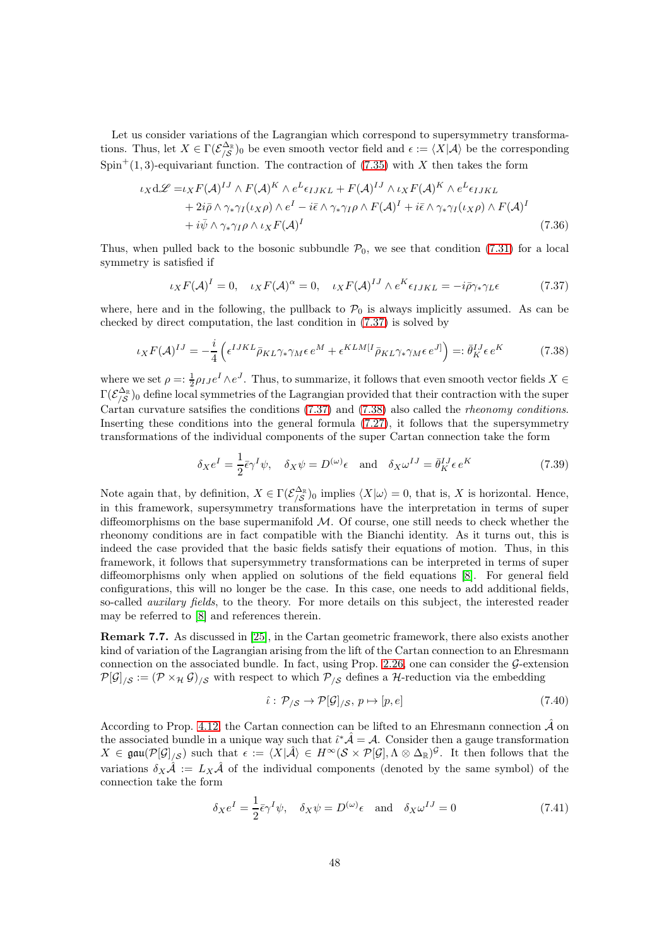Let us consider variations of the Lagrangian which correspond to supersymmetry transformations. Thus, let  $X \in \Gamma(\mathcal{E}_{\setminus \mathcal{S}}^{\Delta_{\mathbb{R}}})_0$  be even smooth vector field and  $\epsilon := \langle X | \mathcal{A} \rangle$  be the corresponding  $Spin<sup>+</sup>(1, 3)$ -equivariant function. The contraction of [\(7.35\)](#page-46-2) with X then takes the form

$$
\iota_X d\mathcal{L} = \iota_X F(\mathcal{A})^{IJ} \wedge F(\mathcal{A})^K \wedge e^L \epsilon_{IJKL} + F(\mathcal{A})^{IJ} \wedge \iota_X F(\mathcal{A})^K \wedge e^L \epsilon_{IJKL}
$$
  
+  $2i\bar{\rho} \wedge \gamma_* \gamma_I (\iota_X \rho) \wedge e^I - i\bar{\epsilon} \wedge \gamma_* \gamma_I \rho \wedge F(\mathcal{A})^I + i\bar{\epsilon} \wedge \gamma_* \gamma_I (\iota_X \rho) \wedge F(\mathcal{A})^I$   
+  $i\bar{\psi} \wedge \gamma_* \gamma_I \rho \wedge \iota_X F(\mathcal{A})^I$  (7.36)

Thus, when pulled back to the bosonic subbundle  $\mathcal{P}_0$ , we see that condition [\(7.31\)](#page-46-1) for a local symmetry is satisfied if

<span id="page-47-1"></span><span id="page-47-0"></span>
$$
\iota_X F(\mathcal{A})^I = 0, \quad \iota_X F(\mathcal{A})^\alpha = 0, \quad \iota_X F(\mathcal{A})^{IJ} \wedge e^K \epsilon_{IJKL} = -i \bar{\rho} \gamma_* \gamma_L \epsilon \tag{7.37}
$$

where, here and in the following, the pullback to  $P_0$  is always implicitly assumed. As can be checked by direct computation, the last condition in [\(7.37\)](#page-47-0) is solved by

$$
\iota_X F(\mathcal{A})^{IJ} = -\frac{i}{4} \left( \epsilon^{IJKL} \bar{\rho}_{KL} \gamma_* \gamma_M \epsilon \, e^M + \epsilon^{KLM[I} \bar{\rho}_{KL} \gamma_* \gamma_M \epsilon \, e^{J]} \right) =: \bar{\theta}_K^{IJ} \epsilon \, e^K \tag{7.38}
$$

where we set  $\rho = \frac{1}{2} \rho_{IJ} e^I \wedge e^J$ . Thus, to summarize, it follows that even smooth vector fields  $X \in$  $\Gamma(\mathcal{E}_{/\mathcal{S}}^{\Delta_{\mathbb{R}}})_0$  define local symmetries of the Lagrangian provided that their contraction with the super Cartan curvature satsifies the conditions [\(7.37\)](#page-47-0) and [\(7.38\)](#page-47-1) also called the rheonomy conditions. Inserting these conditions into the general formula [\(7.27\)](#page-45-0), it follows that the supersymmetry transformations of the individual components of the super Cartan connection take the form

$$
\delta_X e^I = \frac{1}{2} \bar{\epsilon} \gamma^I \psi, \quad \delta_X \psi = D^{(\omega)} \epsilon \quad \text{and} \quad \delta_X \omega^{IJ} = \bar{\theta}^{IJ}_K \epsilon e^K \tag{7.39}
$$

Note again that, by definition,  $X \in \Gamma(\mathcal{E}_{\beta}^{\Delta_{\mathbb{R}}})_0$  implies  $\langle X | \omega \rangle = 0$ , that is, X is horizontal. Hence, in this framework, supersymmetry transformations have the interpretation in terms of super diffeomorphisms on the base supermanifold M. Of course, one still needs to check whether the rheonomy conditions are in fact compatible with the Bianchi identity. As it turns out, this is indeed the case provided that the basic fields satisfy their equations of motion. Thus, in this framework, it follows that supersymmetry transformations can be interpreted in terms of super diffeomorphisms only when applied on solutions of the field equations [\[8\]](#page-60-7). For general field configurations, this will no longer be the case. In this case, one needs to add additional fields, so-called *auxilary fields*, to the theory. For more details on this subject, the interested reader may be referred to [\[8\]](#page-60-7) and references therein.

Remark 7.7. As discussed in [\[25\]](#page-61-6), in the Cartan geometric framework, there also exists another kind of variation of the Lagrangian arising from the lift of the Cartan connection to an Ehresmann connection on the associated bundle. In fact, using Prop. [2.26,](#page-13-1) one can consider the  $\mathcal{G}\text{-extension}$  $\mathcal{P}[\mathcal{G}]_{\setminus\mathcal{S}} := (\mathcal{P} \times_{\mathcal{H}} \mathcal{G})_{\setminus\mathcal{S}}$  with respect to which  $\mathcal{P}_{\setminus\mathcal{S}}$  defines a H-reduction via the embedding

$$
\hat{\iota}: \mathcal{P}_{/\mathcal{S}} \to \mathcal{P}[\mathcal{G}]_{/\mathcal{S}}, \, p \mapsto [p, e] \tag{7.40}
$$

According to Prop. [4.12,](#page-27-1) the Cartan connection can be lifted to an Ehresmann connection  $\hat{\mathcal{A}}$  on the associated bundle in a unique way such that  $\hat{i}^*\hat{\mathcal{A}} = \mathcal{A}$ . Consider then a gauge transformation  $X \in \mathfrak{gau}(\mathcal{P}[\mathcal{G}]_{/\mathcal{S}})$  such that  $\epsilon := \langle X | \hat{\mathcal{A}} \rangle \in H^{\infty}(\mathcal{S} \times \mathcal{P}[\mathcal{G}], \Lambda \otimes \Delta_{\mathbb{R}})^{\mathcal{G}}$ . It then follows that the variations  $\delta_X \hat{\mathcal{A}} := L_X \hat{\mathcal{A}}$  of the individual components (denoted by the same symbol) of the connection take the form

$$
\delta_X e^I = \frac{1}{2} \bar{\epsilon} \gamma^I \psi, \quad \delta_X \psi = D^{(\omega)} \epsilon \quad \text{and} \quad \delta_X \omega^{IJ} = 0 \tag{7.41}
$$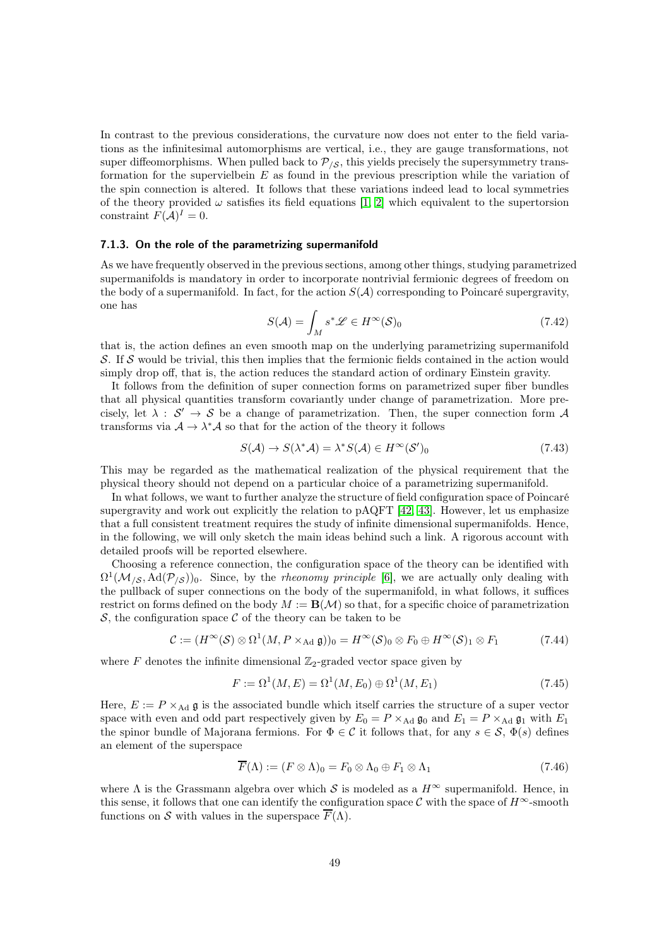In contrast to the previous considerations, the curvature now does not enter to the field variations as the infinitesimal automorphisms are vertical, i.e., they are gauge transformations, not super diffeomorphisms. When pulled back to  $\mathcal{P}_{\mathcal{S}}$ , this yields precisely the supersymmetry transformation for the supervielbein  $E$  as found in the previous prescription while the variation of the spin connection is altered. It follows that these variations indeed lead to local symmetries of the theory provided  $\omega$  satisfies its field equations [\[1,](#page-60-13) [2\]](#page-60-14) which equivalent to the supertorsion constraint  $F(A)^{I} = 0$ .

#### <span id="page-48-0"></span>7.1.3. On the role of the parametrizing supermanifold

As we have frequently observed in the previous sections, among other things, studying parametrized supermanifolds is mandatory in order to incorporate nontrivial fermionic degrees of freedom on the body of a supermanifold. In fact, for the action  $S(\mathcal{A})$  corresponding to Poincaré supergravity, one has

$$
S(\mathcal{A}) = \int_{M} s^* \mathcal{L} \in H^{\infty}(\mathcal{S})_0
$$
\n(7.42)

that is, the action defines an even smooth map on the underlying parametrizing supermanifold S. If S would be trivial, this then implies that the fermionic fields contained in the action would simply drop off, that is, the action reduces the standard action of ordinary Einstein gravity.

It follows from the definition of super connection forms on parametrized super fiber bundles that all physical quantities transform covariantly under change of parametrization. More precisely, let  $\lambda : S' \to S$  be a change of parametrization. Then, the super connection form A transforms via  $A \to \lambda^* A$  so that for the action of the theory it follows

$$
S(\mathcal{A}) \to S(\lambda^* \mathcal{A}) = \lambda^* S(\mathcal{A}) \in H^\infty(\mathcal{S}')_0 \tag{7.43}
$$

This may be regarded as the mathematical realization of the physical requirement that the physical theory should not depend on a particular choice of a parametrizing supermanifold.

In what follows, we want to further analyze the structure of field configuration space of Poincaré supergravity and work out explicitly the relation to  $\text{pAQFT}$  [\[42,](#page-62-3) [43\]](#page-62-4). However, let us emphasize that a full consistent treatment requires the study of infinite dimensional supermanifolds. Hence, in the following, we will only sketch the main ideas behind such a link. A rigorous account with detailed proofs will be reported elsewhere.

Choosing a reference connection, the configuration space of the theory can be identified with  $\Omega^1(\mathcal{M}_{/\mathcal{S}}, \text{Ad}(\mathcal{P}_{/\mathcal{S}}))_0$ . Since, by the *rheonomy principle* [\[6\]](#page-60-1), we are actually only dealing with the pullback of super connections on the body of the supermanifold, in what follows, it suffices restrict on forms defined on the body  $M := \mathbf{B}(\mathcal{M})$  so that, for a specific choice of parametrization S, the configuration space  $\mathcal C$  of the theory can be taken to be

$$
\mathcal{C} := (H^{\infty}(\mathcal{S}) \otimes \Omega^1(M, P \times_{\text{Ad}} \mathfrak{g}))_0 = H^{\infty}(\mathcal{S})_0 \otimes F_0 \oplus H^{\infty}(\mathcal{S})_1 \otimes F_1 \tag{7.44}
$$

where F denotes the infinite dimensional  $\mathbb{Z}_2$ -graded vector space given by

$$
F := \Omega^1(M, E) = \Omega^1(M, E_0) \oplus \Omega^1(M, E_1)
$$
\n(7.45)

Here,  $E := P \times_{\text{Ad}} \mathfrak{g}$  is the associated bundle which itself carries the structure of a super vector space with even and odd part respectively given by  $E_0 = P \times_{\text{Ad}} \mathfrak{g}_0$  and  $E_1 = P \times_{\text{Ad}} \mathfrak{g}_1$  with  $E_1$ the spinor bundle of Majorana fermions. For  $\Phi \in \mathcal{C}$  it follows that, for any  $s \in \mathcal{S}$ ,  $\Phi(s)$  defines an element of the superspace

$$
\overline{F}(\Lambda) := (F \otimes \Lambda)_0 = F_0 \otimes \Lambda_0 \oplus F_1 \otimes \Lambda_1 \tag{7.46}
$$

where  $\Lambda$  is the Grassmann algebra over which S is modeled as a  $H^{\infty}$  supermanifold. Hence, in this sense, it follows that one can identify the configuration space C with the space of  $H^{\infty}$ -smooth functions on S with values in the superspace  $\overline{F}(\Lambda)$ .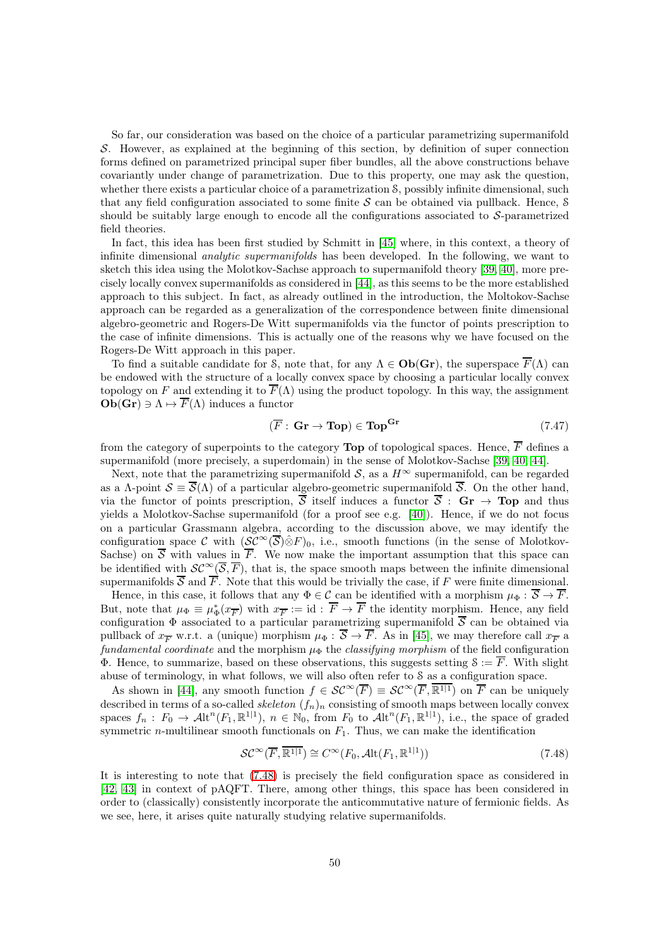So far, our consideration was based on the choice of a particular parametrizing supermanifold S. However, as explained at the beginning of this section, by definition of super connection forms defined on parametrized principal super fiber bundles, all the above constructions behave covariantly under change of parametrization. Due to this property, one may ask the question, whether there exists a particular choice of a parametrization  $\mathcal{S}$ , possibly infinite dimensional, such that any field configuration associated to some finite  $S$  can be obtained via pullback. Hence,  $S$ should be suitably large enough to encode all the configurations associated to  $S$ -parametrized field theories.

In fact, this idea has been first studied by Schmitt in [\[45\]](#page-62-2) where, in this context, a theory of infinite dimensional *analytic supermanifolds* has been developed. In the following, we want to sketch this idea using the Molotkov-Sachse approach to supermanifold theory [\[39,](#page-62-0) [40\]](#page-62-1), more precisely locally convex supermanifolds as considered in [\[44\]](#page-62-11), as this seems to be the more established approach to this subject. In fact, as already outlined in the introduction, the Moltokov-Sachse approach can be regarded as a generalization of the correspondence between finite dimensional algebro-geometric and Rogers-De Witt supermanifolds via the functor of points prescription to the case of infinite dimensions. This is actually one of the reasons why we have focused on the Rogers-De Witt approach in this paper.

To find a suitable candidate for S, note that, for any  $\Lambda \in \mathbf{Ob}(\mathbf{Gr})$ , the superspace  $\overline{F}(\Lambda)$  can be endowed with the structure of a locally convex space by choosing a particular locally convex topology on F and extending it to  $\overline{F}(\Lambda)$  using the product topology. In this way, the assignment  $\mathbf{Ob}(\mathbf{Gr}) \ni \Lambda \mapsto \overline{F}(\Lambda)$  induces a functor

$$
(\overline{F} : \mathbf{Gr} \to \mathbf{Top}) \in \mathbf{Top}^{\mathbf{Gr}} \tag{7.47}
$$

from the category of superpoints to the category **Top** of topological spaces. Hence,  $\overline{F}$  defines a supermanifold (more precisely, a superdomain) in the sense of Molotkov-Sachse [\[39,](#page-62-0) [40,](#page-62-1) [44\]](#page-62-11).

Next, note that the parametrizing supermanifold  $S$ , as a  $H^{\infty}$  supermanifold, can be regarded as a Λ-point  $\mathcal{S} \equiv \overline{\mathcal{S}}(\Lambda)$  of a particular algebro-geometric supermanifold  $\overline{\mathcal{S}}$ . On the other hand, via the functor of points prescription,  $\overline{S}$  itself induces a functor  $\overline{S}$ :  $\mathbf{Gr} \to \mathbf{Top}$  and thus yields a Molotkov-Sachse supermanifold (for a proof see e.g. [\[40\]](#page-62-1)). Hence, if we do not focus on a particular Grassmann algebra, according to the discussion above, we may identify the configuration space C with  $(\mathcal{SC}^{\infty}(\overline{\mathcal{S}})\hat{\otimes}F)_0$ , i.e., smooth functions (in the sense of Molotkov-Sachse) on  $\overline{S}$  with values in  $\overline{F}$ . We now make the important assumption that this space can be identified with  $\mathcal{SC}^{\infty}(\overline{S}, \overline{F})$ , that is, the space smooth maps between the infinite dimensional supermanifolds  $\overline{S}$  and  $\overline{F}$ . Note that this would be trivially the case, if F were finite dimensional.

Hence, in this case, it follows that any  $\Phi \in \mathcal{C}$  can be identified with a morphism  $\mu_{\Phi}: \overline{\mathcal{S}} \to \overline{\mathcal{F}}$ . But, note that  $\mu_{\Phi} \equiv \mu_{\Phi}^*(x_{\overline{F}})$  with  $x_{\overline{F}} := id : \overline{F} \to \overline{F}$  the identity morphism. Hence, any field configuration  $\Phi$  associated to a particular parametrizing supermanifold  $\overline{S}$  can be obtained via pullback of  $x_{\overline{F}}$  w.r.t. a (unique) morphism  $\mu_{\Phi}: S \to F$ . As in [\[45\]](#page-62-2), we may therefore call  $x_{\overline{F}}$  a fundamental coordinate and the morphism  $\mu_{\Phi}$  the classifying morphism of the field configuration  $\Phi$ . Hence, to summarize, based on these observations, this suggests setting  $\mathcal{S} := \overline{F}$ . With slight abuse of terminology, in what follows, we will also often refer to S as a configuration space.

As shown in [\[44\]](#page-62-11), any smooth function  $f \in \mathcal{SC}^{\infty}(\overline{F}) \equiv \mathcal{SC}^{\infty}(\overline{F}, \overline{\mathbb{R}^{1|1}})$  on  $\overline{F}$  can be uniquely described in terms of a so-called skeleton  $(f_n)_n$  consisting of smooth maps between locally convex spaces  $f_n: F_0 \to \mathcal{A}lt^n(F_1,\mathbb{R}^{1|1}), n \in \mathbb{N}_0$ , from  $F_0$  to  $\mathcal{A}lt^n(F_1,\mathbb{R}^{1|1}),$  i.e., the space of graded symmetric *n*-multilinear smooth functionals on  $F_1$ . Thus, we can make the identification

<span id="page-49-0"></span>
$$
\mathcal{SC}^{\infty}(\overline{F}, \overline{\mathbb{R}^{1|1}}) \cong C^{\infty}(F_0, \mathcal{A}\mathrm{lt}(F_1, \mathbb{R}^{1|1}))
$$
\n(7.48)

It is interesting to note that [\(7.48\)](#page-49-0) is precisely the field configuration space as considered in [\[42,](#page-62-3) [43\]](#page-62-4) in context of pAQFT. There, among other things, this space has been considered in order to (classically) consistently incorporate the anticommutative nature of fermionic fields. As we see, here, it arises quite naturally studying relative supermanifolds.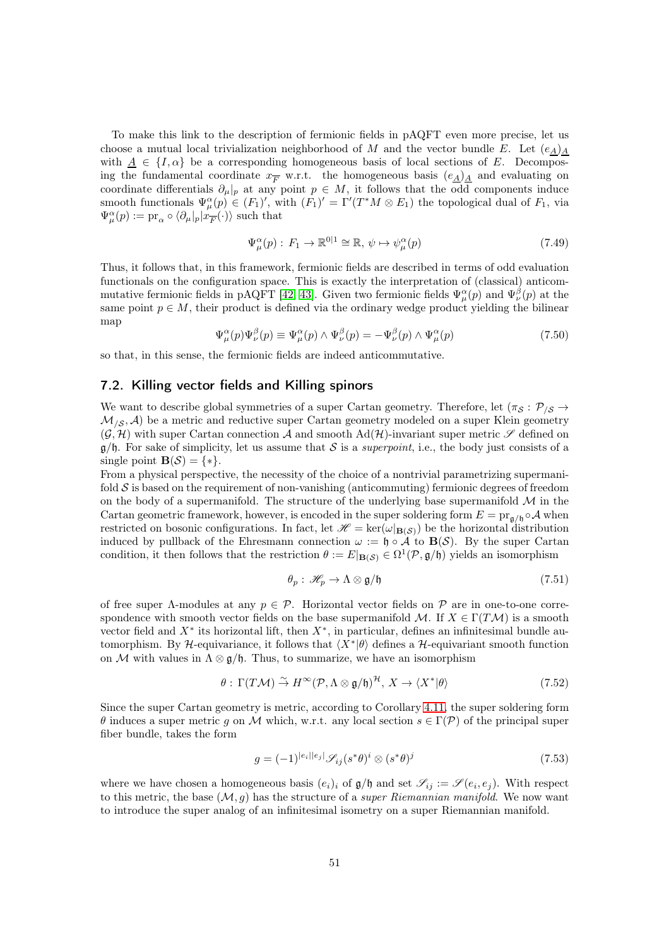To make this link to the description of fermionic fields in pAQFT even more precise, let us choose a mutual local trivialization neighborhood of M and the vector bundle E. Let  $(e_A)_A$ with  $\underline{A} \in \{I, \alpha\}$  be a corresponding homogeneous basis of local sections of E. Decomposing the fundamental coordinate  $x_{\overline{F}}$  w.r.t. the homogeneous basis  $(e_{\underline{A}})_{\underline{A}}$  and evaluating on coordinate differentials  $\partial_{\mu}|_p$  at any point  $p \in M$ , it follows that the odd components induce smooth functionals  $\Psi_{\mu}^{\alpha}(p) \in (F_1)'$ , with  $(F_1)' = \Gamma'(T^*M \otimes E_1)$  the topological dual of  $F_1$ , via  $\Psi^{\alpha}_{\mu}(p) := \mathrm{pr}_{\alpha} \circ \langle \partial_{\mu}|_{p} | x_{\overline{F}}(\cdot) \rangle$  such that

$$
\Psi_{\mu}^{\alpha}(p) : F_1 \to \mathbb{R}^{0|1} \cong \mathbb{R}, \, \psi \mapsto \psi_{\mu}^{\alpha}(p) \tag{7.49}
$$

Thus, it follows that, in this framework, fermionic fields are described in terms of odd evaluation functionals on the configuration space. This is exactly the interpretation of (classical) anticom-mutative fermionic fields in pAQFT [\[42,](#page-62-3) [43\]](#page-62-4). Given two fermionic fields  $\Psi_\mu^\alpha(p)$  and  $\Psi_\nu^\beta(p)$  at the same point  $p \in M$ , their product is defined via the ordinary wedge product yielding the bilinear map

$$
\Psi^{\alpha}_{\mu}(p)\Psi^{\beta}_{\nu}(p) \equiv \Psi^{\alpha}_{\mu}(p) \wedge \Psi^{\beta}_{\nu}(p) = -\Psi^{\beta}_{\nu}(p) \wedge \Psi^{\alpha}_{\mu}(p) \tag{7.50}
$$

so that, in this sense, the fermionic fields are indeed anticommutative.

#### 7.2. Killing vector fields and Killing spinors

We want to describe global symmetries of a super Cartan geometry. Therefore, let  $(\pi_{\mathcal{S}} : \mathcal{P}_{\mathcal{S}} \to$  $\mathcal{M}_{\delta}$ , A) be a metric and reductive super Cartan geometry modeled on a super Klein geometry  $(G, \mathcal{H})$  with super Cartan connection A and smooth Ad( $\mathcal{H}$ )-invariant super metric  $\mathscr{S}$  defined on  $g/f$ . For sake of simplicity, let us assume that S is a *superpoint*, i.e., the body just consists of a single point  $\mathbf{B}(\mathcal{S}) = \{ * \}.$ 

From a physical perspective, the necessity of the choice of a nontrivial parametrizing supermanifold  $\mathcal S$  is based on the requirement of non-vanishing (anticommuting) fermionic degrees of freedom on the body of a supermanifold. The structure of the underlying base supermanifold  $\mathcal M$  in the Cartan geometric framework, however, is encoded in the super soldering form  $E = \text{pr}_{\mathfrak{a}/\mathfrak{h}} \circ A$  when restricted on bosonic configurations. In fact, let  $\mathcal{H} = \text{ker}(\omega|_{\mathbf{B}(\mathcal{S})})$  be the horizontal distribution induced by pullback of the Ehresmann connection  $\omega := \mathfrak{h} \circ A$  to  $B(S)$ . By the super Cartan condition, it then follows that the restriction  $\theta := E|_{\mathbf{B}(\mathcal{S})} \in \Omega^1(\mathcal{P}, \mathfrak{g}/\mathfrak{h})$  yields an isomorphism

$$
\theta_p: \mathscr{H}_p \to \Lambda \otimes \mathfrak{g}/\mathfrak{h} \tag{7.51}
$$

of free super  $\Lambda$ -modules at any  $p \in \mathcal{P}$ . Horizontal vector fields on  $\mathcal P$  are in one-to-one correspondence with smooth vector fields on the base supermanifold M. If  $X \in \Gamma(TM)$  is a smooth vector field and  $X^*$  its horizontal lift, then  $X^*$ , in particular, defines an infinitesimal bundle automorphism. By H-equivariance, it follows that  $\langle X^* | \theta \rangle$  defines a H-equivariant smooth function on M with values in  $\Lambda \otimes \mathfrak{g}/\mathfrak{h}$ . Thus, to summarize, we have an isomorphism

$$
\theta: \Gamma(T\mathcal{M}) \stackrel{\sim}{\to} H^{\infty}(\mathcal{P}, \Lambda \otimes \mathfrak{g}/\mathfrak{h})^{\mathcal{H}}, X \to \langle X^* | \theta \rangle \tag{7.52}
$$

Since the super Cartan geometry is metric, according to Corollary [4.11,](#page-26-1) the super soldering form θ induces a super metric g on M which, w.r.t. any local section s ∈ Γ(P) of the principal super fiber bundle, takes the form

<span id="page-50-0"></span>
$$
g = (-1)^{|e_i||e_j|} \mathcal{S}_{ij}(s^*\theta)^i \otimes (s^*\theta)^j \tag{7.53}
$$

where we have chosen a homogeneous basis  $(e_i)_i$  of  $\mathfrak{g}/\mathfrak{h}$  and set  $\mathscr{S}_{ij} := \mathscr{S}(e_i, e_j)$ . With respect to this metric, the base  $(M, g)$  has the structure of a *super Riemannian manifold*. We now want to introduce the super analog of an infinitesimal isometry on a super Riemannian manifold.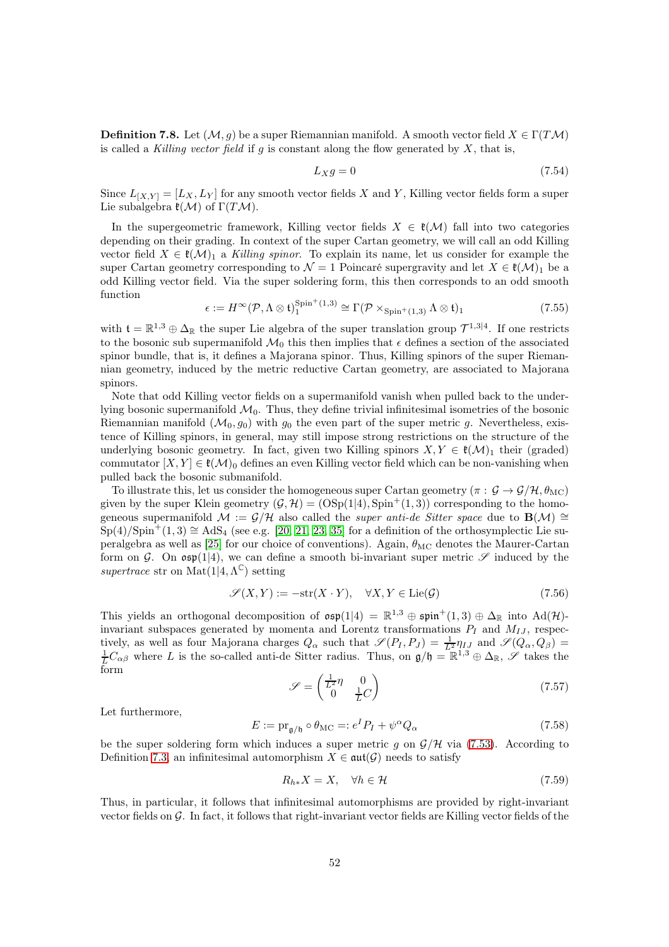**Definition 7.8.** Let  $(\mathcal{M}, q)$  be a super Riemannian manifold. A smooth vector field  $X \in \Gamma(TM)$ is called a Killing vector field if g is constant along the flow generated by  $X$ , that is,

$$
L_X g = 0 \tag{7.54}
$$

Since  $L_{[X,Y]} = [L_X, L_Y]$  for any smooth vector fields X and Y, Killing vector fields form a super Lie subalgebra  $\mathfrak{k}(\mathcal{M})$  of  $\Gamma(T\mathcal{M})$ .

In the supergeometric framework, Killing vector fields  $X \in \mathfrak{k}(\mathcal{M})$  fall into two categories depending on their grading. In context of the super Cartan geometry, we will call an odd Killing vector field  $X \in \mathfrak{k}(\mathcal{M})_1$  a Killing spinor. To explain its name, let us consider for example the super Cartan geometry corresponding to  $\mathcal{N} = 1$  Poincaré supergravity and let  $X \in \mathfrak{k}(\mathcal{M})_1$  be a odd Killing vector field. Via the super soldering form, this then corresponds to an odd smooth function

$$
\epsilon := H^{\infty}(\mathcal{P}, \Lambda \otimes \mathfrak{t})_1^{\text{Spin}^+(1,3)} \cong \Gamma(\mathcal{P} \times_{\text{Spin}^+(1,3)} \Lambda \otimes \mathfrak{t})_1
$$
\n(7.55)

with  $\mathfrak{t} = \mathbb{R}^{1,3} \oplus \Delta_{\mathbb{R}}$  the super Lie algebra of the super translation group  $\mathcal{T}^{1,3|4}$ . If one restricts to the bosonic sub supermanifold  $\mathcal{M}_0$  this then implies that  $\epsilon$  defines a section of the associated spinor bundle, that is, it defines a Majorana spinor. Thus, Killing spinors of the super Riemannian geometry, induced by the metric reductive Cartan geometry, are associated to Majorana spinors.

Note that odd Killing vector fields on a supermanifold vanish when pulled back to the underlying bosonic supermanifold  $\mathcal{M}_0$ . Thus, they define trivial infinitesimal isometries of the bosonic Riemannian manifold  $(\mathcal{M}_0, g_0)$  with  $g_0$  the even part of the super metric g. Nevertheless, existence of Killing spinors, in general, may still impose strong restrictions on the structure of the underlying bosonic geometry. In fact, given two Killing spinors  $X, Y \in \mathfrak{k}(\mathcal{M})_1$  their (graded) commutator  $[X, Y] \in \mathfrak{k}(\mathcal{M})_0$  defines an even Killing vector field which can be non-vanishing when pulled back the bosonic submanifold.

To illustrate this, let us consider the homogeneous super Cartan geometry ( $\pi : \mathcal{G} \to \mathcal{G}/\mathcal{H}, \theta_{\text{MC}}$ ) given by the super Klein geometry  $(\mathcal{G}, \mathcal{H}) = (\text{OSp}(1|4), \text{Spin}^+(1, 3))$  corresponding to the homogeneous supermanifold  $\mathcal{M} := \mathcal{G}/\mathcal{H}$  also called the *super anti-de Sitter space* due to  $\mathbf{B}(\mathcal{M}) \cong$  $Sp(4)/Spin^+(1, 3) \cong AdS_4$  (see e.g. [\[20,](#page-61-13) [21,](#page-61-14) [23,](#page-61-15) [35\]](#page-61-11) for a definition of the orthosymplectic Lie su-peralgebra as well as [\[25\]](#page-61-6) for our choice of conventions). Again,  $\theta_{MC}$  denotes the Maurer-Cartan form on G. On  $\mathfrak{osp}(1|4)$ , we can define a smooth bi-invariant super metric  $\mathscr S$  induced by the supertrace str on Mat $(1|4, \Lambda^{\mathbb{C}})$  setting

$$
\mathcal{S}(X,Y) := -\text{str}(X \cdot Y), \quad \forall X, Y \in \text{Lie}(\mathcal{G}) \tag{7.56}
$$

This yields an orthogonal decomposition of  $\mathfrak{osp}(1|4) = \mathbb{R}^{1,3} \oplus \mathfrak{spin}^+(1,3) \oplus \Delta_{\mathbb{R}}$  into  $\text{Ad}(\mathcal{H})$ invariant subspaces generated by momenta and Lorentz transformations  $P_I$  and  $M_{IJ}$ , respectively, as well as four Majorana charges  $Q_{\alpha}$  such that  $\mathscr{S}(P_I, P_J) = \frac{1}{L^2} \eta_{IJ}$  and  $\mathscr{S}(Q_{\alpha}, Q_{\beta}) =$  $\frac{1}{L}C_{\alpha\beta}$  where L is the so-called anti-de Sitter radius. Thus, on  $\mathfrak{g}/\mathfrak{h} = \mathbb{R}^{1,3} \oplus \Delta_{\mathbb{R}}, \mathscr{S}$  takes the form

$$
\mathcal{S} = \begin{pmatrix} \frac{1}{L^2} \eta & 0\\ 0 & \frac{1}{L}C \end{pmatrix}
$$
 (7.57)

Let furthermore,

$$
E := \text{pr}_{\mathfrak{g}/\mathfrak{h}} \circ \theta_{\text{MC}} =: e^I P_I + \psi^\alpha Q_\alpha \tag{7.58}
$$

be the super soldering form which induces a super metric g on  $\mathcal{G}/\mathcal{H}$  via [\(7.53\)](#page-50-0). According to Definition [7.3,](#page-44-0) an infinitesimal automorphism  $X \in \text{aut}(\mathcal{G})$  needs to satisfy

$$
R_{h*}X = X, \quad \forall h \in \mathcal{H} \tag{7.59}
$$

Thus, in particular, it follows that infinitesimal automorphisms are provided by right-invariant vector fields on  $\mathcal G$ . In fact, it follows that right-invariant vector fields are Killing vector fields of the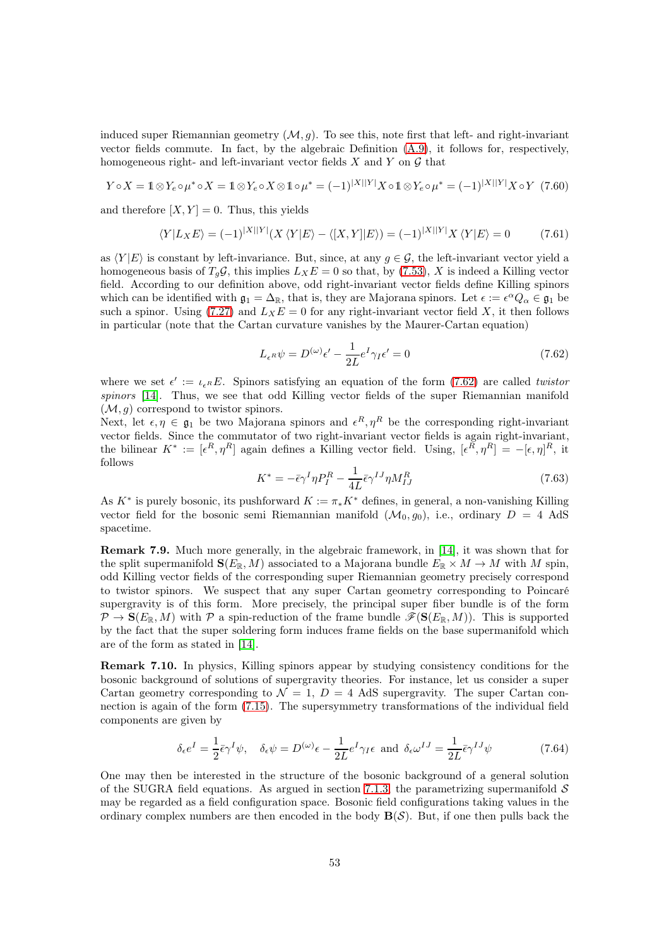induced super Riemannian geometry  $(M, g)$ . To see this, note first that left- and right-invariant vector fields commute. In fact, by the algebraic Definition [\(A.9\)](#page-56-2), it follows for, respectively, homogeneous right- and left-invariant vector fields  $X$  and  $Y$  on  $\mathcal G$  that

$$
Y \circ X = \mathbb{1} \otimes Y_e \circ \mu^* \circ X = \mathbb{1} \otimes Y_e \circ X \otimes \mathbb{1} \circ \mu^* = (-1)^{|X||Y|} X \circ \mathbb{1} \otimes Y_e \circ \mu^* = (-1)^{|X||Y|} X \circ Y \tag{7.60}
$$

and therefore  $[X, Y] = 0$ . Thus, this yields

$$
\langle Y|L_{X}E \rangle = (-1)^{|X||Y|}(X\langle Y|E \rangle - \langle [X,Y]|E \rangle) = (-1)^{|X||Y|}X\langle Y|E \rangle = 0 \tag{7.61}
$$

as  $\langle Y|E \rangle$  is constant by left-invariance. But, since, at any  $g \in \mathcal{G}$ , the left-invariant vector yield a homogeneous basis of  $T_q\mathcal{G}$ , this implies  $L_XE = 0$  so that, by [\(7.53\)](#page-50-0), X is indeed a Killing vector field. According to our definition above, odd right-invariant vector fields define Killing spinors which can be identified with  $\mathfrak{g}_1 = \Delta_{\mathbb{R}}$ , that is, they are Majorana spinors. Let  $\epsilon := \epsilon^{\alpha} Q_{\alpha} \in \mathfrak{g}_1$  be such a spinor. Using [\(7.27\)](#page-45-0) and  $L_XE = 0$  for any right-invariant vector field X, it then follows in particular (note that the Cartan curvature vanishes by the Maurer-Cartan equation)

<span id="page-52-0"></span>
$$
L_{\epsilon^R} \psi = D^{(\omega)} \epsilon' - \frac{1}{2L} e^I \gamma_I \epsilon' = 0 \tag{7.62}
$$

where we set  $\epsilon' := \iota_{\epsilon^R} E$ . Spinors satisfying an equation of the form [\(7.62\)](#page-52-0) are called *twistor* spinors [\[14\]](#page-60-15). Thus, we see that odd Killing vector fields of the super Riemannian manifold  $(\mathcal{M}, g)$  correspond to twistor spinors.

Next, let  $\epsilon, \eta \in \mathfrak{g}_1$  be two Majorana spinors and  $\epsilon^R, \eta^R$  be the corresponding right-invariant vector fields. Since the commutator of two right-invariant vector fields is again right-invariant, the bilinear  $K^* := [\epsilon^R, \eta^R]$  again defines a Killing vector field. Using,  $[\epsilon^R, \eta^R] = -[\epsilon, \eta]^R$ , it follows

$$
K^* = -\bar{\epsilon}\gamma^I \eta P_I^R - \frac{1}{4L}\bar{\epsilon}\gamma^{IJ} \eta M_{IJ}^R
$$
\n(7.63)

As  $K^*$  is purely bosonic, its pushforward  $K := \pi_* K^*$  defines, in general, a non-vanishing Killing vector field for the bosonic semi Riemannian manifold  $(\mathcal{M}_0, q_0)$ , i.e., ordinary  $D = 4$  AdS spacetime.

Remark 7.9. Much more generally, in the algebraic framework, in [\[14\]](#page-60-15), it was shown that for the split supermanifold  $\mathbf{S}(E_{\mathbb{R}}, M)$  associated to a Majorana bundle  $E_{\mathbb{R}} \times M \to M$  with M spin, odd Killing vector fields of the corresponding super Riemannian geometry precisely correspond to twistor spinors. We suspect that any super Cartan geometry corresponding to Poincaré supergravity is of this form. More precisely, the principal super fiber bundle is of the form  $\mathcal{P} \to \mathbf{S}(E_{\mathbb{R}}, M)$  with  $\mathcal{P}$  a spin-reduction of the frame bundle  $\mathcal{F}(\mathbf{S}(E_{\mathbb{R}}, M))$ . This is supported by the fact that the super soldering form induces frame fields on the base supermanifold which are of the form as stated in [\[14\]](#page-60-15).

Remark 7.10. In physics, Killing spinors appear by studying consistency conditions for the bosonic background of solutions of supergravity theories. For instance, let us consider a super Cartan geometry corresponding to  $\mathcal{N} = 1$ ,  $D = 4$  AdS supergravity. The super Cartan connection is again of the form [\(7.15\)](#page-43-2). The supersymmetry transformations of the individual field components are given by

<span id="page-52-1"></span>
$$
\delta_{\epsilon} e^{I} = \frac{1}{2} \bar{\epsilon} \gamma^{I} \psi, \quad \delta_{\epsilon} \psi = D^{(\omega)} \epsilon - \frac{1}{2L} e^{I} \gamma_{I} \epsilon \text{ and } \delta_{\epsilon} \omega^{IJ} = \frac{1}{2L} \bar{\epsilon} \gamma^{IJ} \psi
$$
\n(7.64)

One may then be interested in the structure of the bosonic background of a general solution of the SUGRA field equations. As argued in section [7.1.3,](#page-48-0) the parametrizing supermanifold  $\mathcal S$ may be regarded as a field configuration space. Bosonic field configurations taking values in the ordinary complex numbers are then encoded in the body  $\mathbf{B}(\mathcal{S})$ . But, if one then pulls back the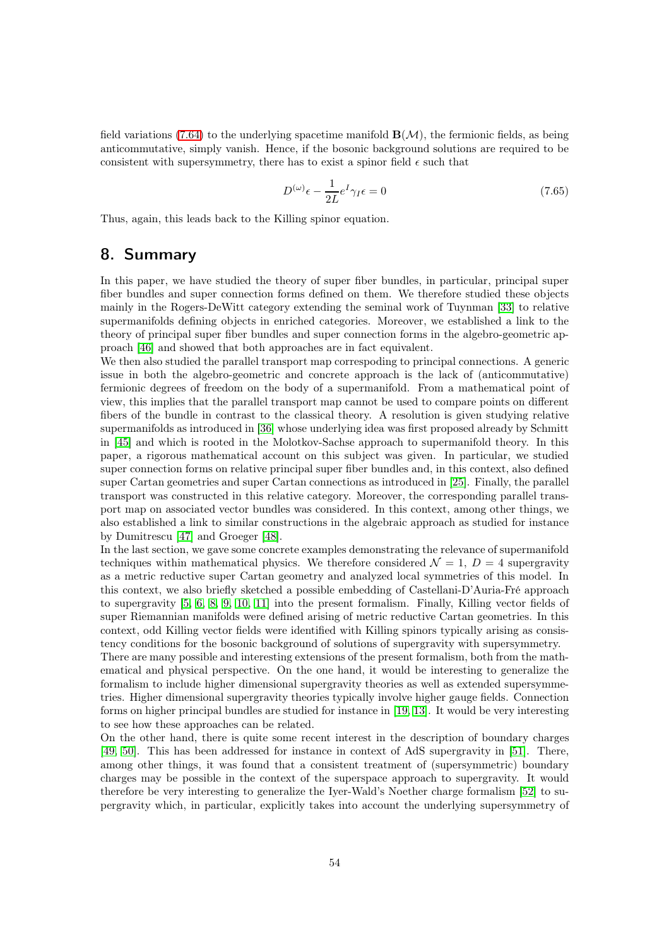field variations [\(7.64\)](#page-52-1) to the underlying spacetime manifold  $\mathbf{B}(\mathcal{M})$ , the fermionic fields, as being anticommutative, simply vanish. Hence, if the bosonic background solutions are required to be consistent with supersymmetry, there has to exist a spinor field  $\epsilon$  such that

$$
D^{(\omega)}\epsilon - \frac{1}{2L}e^{I}\gamma_I \epsilon = 0
$$
\n(7.65)

Thus, again, this leads back to the Killing spinor equation.

## 8. Summary

In this paper, we have studied the theory of super fiber bundles, in particular, principal super fiber bundles and super connection forms defined on them. We therefore studied these objects mainly in the Rogers-DeWitt category extending the seminal work of Tuynman [\[33\]](#page-61-4) to relative supermanifolds defining objects in enriched categories. Moreover, we established a link to the theory of principal super fiber bundles and super connection forms in the algebro-geometric approach [\[46\]](#page-62-7) and showed that both approaches are in fact equivalent.

We then also studied the parallel transport map correspoding to principal connections. A generic issue in both the algebro-geometric and concrete approach is the lack of (anticommutative) fermionic degrees of freedom on the body of a supermanifold. From a mathematical point of view, this implies that the parallel transport map cannot be used to compare points on different fibers of the bundle in contrast to the classical theory. A resolution is given studying relative supermanifolds as introduced in [\[36\]](#page-61-5) whose underlying idea was first proposed already by Schmitt in [\[45\]](#page-62-2) and which is rooted in the Molotkov-Sachse approach to supermanifold theory. In this paper, a rigorous mathematical account on this subject was given. In particular, we studied super connection forms on relative principal super fiber bundles and, in this context, also defined super Cartan geometries and super Cartan connections as introduced in [\[25\]](#page-61-6). Finally, the parallel transport was constructed in this relative category. Moreover, the corresponding parallel transport map on associated vector bundles was considered. In this context, among other things, we also established a link to similar constructions in the algebraic approach as studied for instance by Dumitrescu [\[47\]](#page-62-5) and Groeger [\[48\]](#page-62-6).

In the last section, we gave some concrete examples demonstrating the relevance of supermanifold techniques within mathematical physics. We therefore considered  $\mathcal{N} = 1, D = 4$  supergravity as a metric reductive super Cartan geometry and analyzed local symmetries of this model. In this context, we also briefly sketched a possible embedding of Castellani-D'Auria-Fré approach to supergravity [\[5,](#page-60-0) [6,](#page-60-1) [8,](#page-60-7) [9,](#page-60-10) [10,](#page-60-11) [11\]](#page-60-12) into the present formalism. Finally, Killing vector fields of super Riemannian manifolds were defined arising of metric reductive Cartan geometries. In this context, odd Killing vector fields were identified with Killing spinors typically arising as consistency conditions for the bosonic background of solutions of supergravity with supersymmetry.

There are many possible and interesting extensions of the present formalism, both from the mathematical and physical perspective. On the one hand, it would be interesting to generalize the formalism to include higher dimensional supergravity theories as well as extended supersymmetries. Higher dimensional supergravity theories typically involve higher gauge fields. Connection forms on higher principal bundles are studied for instance in [\[19,](#page-61-16) [13\]](#page-60-16). It would be very interesting to see how these approaches can be related.

On the other hand, there is quite some recent interest in the description of boundary charges [\[49,](#page-62-13) [50\]](#page-62-14). This has been addressed for instance in context of AdS supergravity in [\[51\]](#page-62-15). There, among other things, it was found that a consistent treatment of (supersymmetric) boundary charges may be possible in the context of the superspace approach to supergravity. It would therefore be very interesting to generalize the Iyer-Wald's Noether charge formalism [\[52\]](#page-62-16) to supergravity which, in particular, explicitly takes into account the underlying supersymmetry of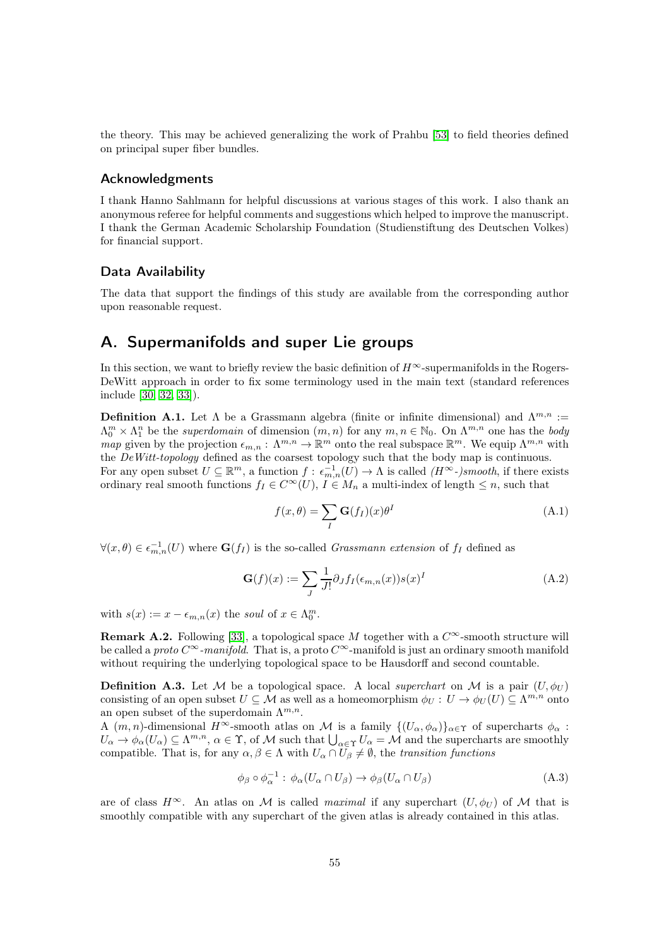the theory. This may be achieved generalizing the work of Prahbu [\[53\]](#page-62-17) to field theories defined on principal super fiber bundles.

#### Acknowledgments

I thank Hanno Sahlmann for helpful discussions at various stages of this work. I also thank an anonymous referee for helpful comments and suggestions which helped to improve the manuscript. I thank the German Academic Scholarship Foundation (Studienstiftung des Deutschen Volkes) for financial support.

#### Data Availability

The data that support the findings of this study are available from the corresponding author upon reasonable request.

## <span id="page-54-0"></span>A. Supermanifolds and super Lie groups

In this section, we want to briefly review the basic definition of  $H^{\infty}$ -supermanifolds in the Rogers-DeWitt approach in order to fix some terminology used in the main text (standard references include [\[30,](#page-61-2) [32,](#page-61-17) [33\]](#page-61-4)).

**Definition A.1.** Let  $\Lambda$  be a Grassmann algebra (finite or infinite dimensional) and  $\Lambda^{m,n}$  :=  $\Lambda_0^m \times \Lambda_1^n$  be the superdomain of dimension  $(m, n)$  for any  $m, n \in \mathbb{N}_0$ . On  $\Lambda^{m,n}$  one has the body map given by the projection  $\epsilon_{m,n} : \Lambda^{m,n} \to \mathbb{R}^m$  onto the real subspace  $\mathbb{R}^m$ . We equip  $\Lambda^{m,n}$  with the DeWitt-topology defined as the coarsest topology such that the body map is continuous. For any open subset  $U \subseteq \mathbb{R}^m$ , a function  $f: \epsilon_{m,n}^{-1}(U) \to \Lambda$  is called  $(H^{\infty})$ smooth, if there exists ordinary real smooth functions  $f_I \in C^{\infty}(U)$ ,  $I \in M_n$  a multi-index of length  $\leq n$ , such that

$$
f(x,\theta) = \sum_{I} \mathbf{G}(f_I)(x)\theta^I
$$
 (A.1)

 $\forall (x, \theta) \in \epsilon_{m,n}^{-1}(U)$  where  $\mathbf{G}(f_I)$  is the so-called *Grassmann extension* of  $f_I$  defined as

$$
\mathbf{G}(f)(x) := \sum_{J} \frac{1}{J!} \partial_{J} f_{I}(\epsilon_{m,n}(x)) s(x)^{I}
$$
 (A.2)

with  $s(x) := x - \epsilon_{m,n}(x)$  the soul of  $x \in \Lambda_0^m$ .

**Remark A.2.** Following [\[33\]](#page-61-4), a topological space M together with a  $C^{\infty}$ -smooth structure will be called a proto  $C^{\infty}$ -manifold. That is, a proto  $C^{\infty}$ -manifold is just an ordinary smooth manifold without requiring the underlying topological space to be Hausdorff and second countable.

**Definition A.3.** Let M be a topological space. A local superchart on M is a pair  $(U, \phi_U)$ consisting of an open subset  $U \subseteq \mathcal{M}$  as well as a homeomorphism  $\phi_U : U \to \phi_U(U) \subseteq \Lambda^{m,n}$  onto an open subset of the superdomain  $\Lambda^{m,n}$ .

A  $(m, n)$ -dimensional H<sup>∞</sup>-smooth atlas on M is a family  $\{(U_{\alpha}, \phi_{\alpha})\}_{\alpha \in \Upsilon}$  of supercharts  $\phi_{\alpha}$ :  $U_{\alpha} \to \phi_{\alpha}(U_{\alpha}) \subseteq \Lambda^{m,n}, \, \alpha \in \Upsilon$ , of M such that  $\bigcup_{\alpha \in \Upsilon} U_{\alpha} = M$  and the supercharts are smoothly compatible. That is, for any  $\alpha, \beta \in \Lambda$  with  $U_{\alpha} \cap U_{\beta} \neq \emptyset$ , the transition functions

$$
\phi_{\beta} \circ \phi_{\alpha}^{-1} : \phi_{\alpha}(U_{\alpha} \cap U_{\beta}) \to \phi_{\beta}(U_{\alpha} \cap U_{\beta})
$$
\n(A.3)

are of class  $H^{\infty}$ . An atlas on M is called maximal if any superchart  $(U, \phi_U)$  of M that is smoothly compatible with any superchart of the given atlas is already contained in this atlas.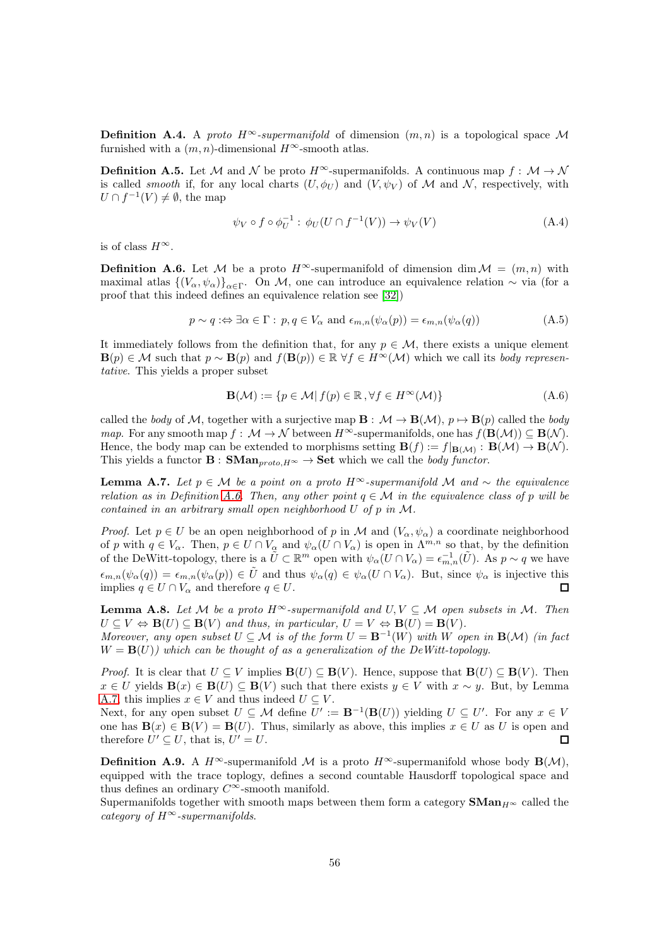**Definition A.4.** A proto  $H^{\infty}$ -supermanifold of dimension  $(m, n)$  is a topological space M furnished with a  $(m, n)$ -dimensional  $H^{\infty}$ -smooth atlas.

**Definition A.5.** Let M and N be proto  $H^{\infty}$ -supermanifolds. A continuous map  $f : \mathcal{M} \to \mathcal{N}$ is called *smooth* if, for any local charts  $(U, \phi_U)$  and  $(V, \psi_V)$  of M and N, respectively, with  $U \cap f^{-1}(V) \neq \emptyset$ , the map

$$
\psi_V \circ f \circ \phi_U^{-1} : \phi_U(U \cap f^{-1}(V)) \to \psi_V(V) \tag{A.4}
$$

is of class  $H^{\infty}$ .

<span id="page-55-0"></span>**Definition A.6.** Let M be a proto  $H^{\infty}$ -supermanifold of dimension dim  $M = (m, n)$  with maximal atlas  $\{(V_\alpha,\psi_\alpha)\}_{\alpha\in\Gamma}$ . On M, one can introduce an equivalence relation  $\sim$  via (for a proof that this indeed defines an equivalence relation see [\[32\]](#page-61-17))

$$
p \sim q : \Leftrightarrow \exists \alpha \in \Gamma : p, q \in V_{\alpha} \text{ and } \epsilon_{m,n}(\psi_{\alpha}(p)) = \epsilon_{m,n}(\psi_{\alpha}(q))
$$
(A.5)

It immediately follows from the definition that, for any  $p \in \mathcal{M}$ , there exists a unique element  $\mathbf{B}(p) \in \mathcal{M}$  such that  $p \sim \mathbf{B}(p)$  and  $f(\mathbf{B}(p)) \in \mathbb{R} \ \forall f \in H^{\infty}(\mathcal{M})$  which we call its body representative. This yields a proper subset

$$
\mathbf{B}(\mathcal{M}) := \{ p \in \mathcal{M} | f(p) \in \mathbb{R}, \forall f \in H^{\infty}(\mathcal{M}) \}
$$
(A.6)

called the body of M, together with a surjective map  $\mathbf{B} : \mathcal{M} \to \mathbf{B}(\mathcal{M}), p \mapsto \mathbf{B}(p)$  called the body map. For any smooth map  $f: \mathcal{M} \to \mathcal{N}$  between  $H^{\infty}$ -supermanifolds, one has  $f(\mathbf{B}(\mathcal{M})) \subseteq \mathbf{B}(\mathcal{N})$ . Hence, the body map can be extended to morphisms setting  $B(f) := f|_{B(\mathcal{M})}: B(\mathcal{M}) \to B(\mathcal{N}).$ This yields a functor  $\mathbf{B} : \mathbf{SMan}_{proto,H^{\infty}} \to \mathbf{Set}$  which we call the body functor.

<span id="page-55-1"></span>**Lemma A.7.** Let  $p \in \mathcal{M}$  be a point on a proto H<sup>∞</sup>-supermanifold M and  $\sim$  the equivalence relation as in Definition [A.6.](#page-55-0) Then, any other point  $q \in \mathcal{M}$  in the equivalence class of p will be contained in an arbitrary small open neighborhood U of p in M.

*Proof.* Let  $p \in U$  be an open neighborhood of p in M and  $(V_\alpha, \psi_\alpha)$  a coordinate neighborhood of p with  $q \in V_\alpha$ . Then,  $p \in U \cap V_\alpha$  and  $\psi_\alpha(U \cap V_\alpha)$  is open in  $\Lambda^{m,n}$  so that, by the definition of the DeWitt-topology, there is a  $\tilde{U} \subset \mathbb{R}^m$  open with  $\psi_{\alpha}(U \cap V_{\alpha}) = \epsilon_{m,n}^{-1}(\tilde{U})$ . As  $p \sim q$  we have  $\epsilon_{m,n}(\psi_\alpha(q)) = \epsilon_{m,n}(\psi_\alpha(p)) \in \tilde{U}$  and thus  $\psi_\alpha(q) \in \psi_\alpha(U \cap V_\alpha)$ . But, since  $\psi_\alpha$  is injective this implies  $q \in U \cap V_\alpha$  and therefore  $q \in U$ .  $\Box$ 

<span id="page-55-2"></span>**Lemma A.8.** Let M be a proto  $H^{\infty}$ -supermanifold and  $U, V \subseteq M$  open subsets in M. Then  $U \subseteq V \Leftrightarrow \mathbf{B}(U) \subseteq \mathbf{B}(V)$  and thus, in particular,  $U = V \Leftrightarrow \mathbf{B}(U) = \mathbf{B}(V)$ . Moreover, any open subset  $U \subseteq \mathcal{M}$  is of the form  $U = \mathbf{B}^{-1}(W)$  with W open in  $\mathbf{B}(\mathcal{M})$  (in fact  $W = B(U)$ ) which can be thought of as a generalization of the DeWitt-topology.

*Proof.* It is clear that  $U \subseteq V$  implies  $B(U) \subseteq B(V)$ . Hence, suppose that  $B(U) \subseteq B(V)$ . Then  $x \in U$  yields  $\mathbf{B}(x) \in \mathbf{B}(U) \subseteq \mathbf{B}(V)$  such that there exists  $y \in V$  with  $x \sim y$ . But, by Lemma [A.7,](#page-55-1) this implies  $x \in V$  and thus indeed  $U \subseteq V$ .

Next, for any open subset  $U \subseteq \mathcal{M}$  define  $U' := \mathbf{B}^{-1}(\mathbf{B}(U))$  yielding  $U \subseteq U'$ . For any  $x \in V$ one has  $\mathbf{B}(x) \in \mathbf{B}(V) = \mathbf{B}(U)$ . Thus, similarly as above, this implies  $x \in U$  as U is open and therefore  $U' \subseteq U$ , that is,  $U' = U$ .  $\Box$ 

**Definition A.9.** A  $H^{\infty}$ -supermanifold M is a proto  $H^{\infty}$ -supermanifold whose body  $\mathbf{B}(\mathcal{M})$ , equipped with the trace toplogy, defines a second countable Hausdorff topological space and thus defines an ordinary  $C^{\infty}$ -smooth manifold.

Supermanifolds together with smooth maps between them form a category  $\mathbf{SMan}_{H^{\infty}}$  called the category of  $H^{\infty}$ -supermanifolds.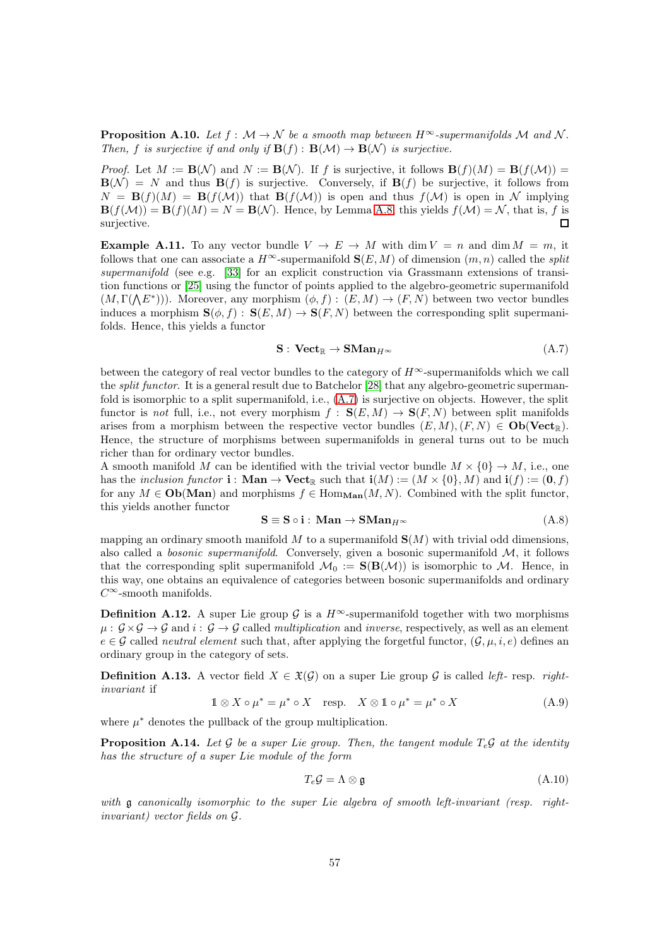<span id="page-56-0"></span>**Proposition A.10.** Let  $f : \mathcal{M} \to \mathcal{N}$  be a smooth map between  $H^{\infty}$ -supermanifolds M and N. Then, f is surjective if and only if  $\mathbf{B}(f) : \mathbf{B}(\mathcal{M}) \to \mathbf{B}(\mathcal{N})$  is surjective.

*Proof.* Let  $M := \mathbf{B}(\mathcal{N})$  and  $N := \mathbf{B}(\mathcal{N})$ . If f is surjective, it follows  $\mathbf{B}(f)(M) = \mathbf{B}(f(\mathcal{M}))$  $\mathbf{B}(\mathcal{N}) = N$  and thus  $\mathbf{B}(f)$  is surjective. Conversely, if  $\mathbf{B}(f)$  be surjective, it follows from  $N = \mathbf{B}(f)(M) = \mathbf{B}(f(M))$  that  $\mathbf{B}(f(M))$  is open and thus  $f(M)$  is open in N implying  $\mathbf{B}(f(\mathcal{M})) = \mathbf{B}(f)(M) = N = \mathbf{B}(\mathcal{N})$ . Hence, by Lemma [A.8,](#page-55-2) this yields  $f(\mathcal{M}) = \mathcal{N}$ , that is, f is surjective.  $\Box$ 

**Example A.11.** To any vector bundle  $V \to E \to M$  with dim  $V = n$  and dim  $M = m$ , it follows that one can associate a  $H^{\infty}$ -supermanifold  $\mathbf{S}(E, M)$  of dimension  $(m, n)$  called the *split* supermanifold (see e.g. [\[33\]](#page-61-4) for an explicit construction via Grassmann extensions of transition functions or [\[25\]](#page-61-6) using the functor of points applied to the algebro-geometric supermanifold  $(M, \Gamma(\Lambda E^*)))$ . Moreover, any morphism  $(\phi, f) : (E, M) \to (F, N)$  between two vector bundles induces a morphism  $\mathbf{S}(\phi, f) : \mathbf{S}(E, M) \to \mathbf{S}(F, N)$  between the corresponding split supermanifolds. Hence, this yields a functor

<span id="page-56-3"></span>
$$
\mathbf{S}: \mathbf{Vect}_{\mathbb{R}} \to \mathbf{SMan}_{H^{\infty}} \tag{A.7}
$$

between the category of real vector bundles to the category of  $H^{\infty}$ -supermanifolds which we call the *split functor*. It is a general result due to Batchelor [\[28\]](#page-61-18) that any algebro-geometric supermanfold is isomorphic to a split supermanifold, i.e., [\(A.7\)](#page-56-3) is surjective on objects. However, the split functor is not full, i.e., not every morphism  $f : S(E, M) \to S(F, N)$  between split manifolds arises from a morphism between the respective vector bundles  $(E, M), (F, N) \in Ob(**Vect**<sub>R</sub>)$ . Hence, the structure of morphisms between supermanifolds in general turns out to be much richer than for ordinary vector bundles.

A smooth manifold M can be identified with the trivial vector bundle  $M \times \{0\} \rightarrow M$ , i.e., one has the inclusion functor **i** : **Man**  $\rightarrow$  **Vect**<sub>R</sub> such that **i**(M) := (M  $\times$  {0}, M) and **i**(f) := (**0**, f) for any  $M \in Ob(Man)$  and morphisms  $f \in Hom_{Man}(M, N)$ . Combined with the split functor, this yields another functor

$$
S \equiv S \circ i : \text{Man} \to \text{SMan}_{H^{\infty}} \tag{A.8}
$$

mapping an ordinary smooth manifold  $M$  to a supermanifold  $S(M)$  with trivial odd dimensions, also called a *bosonic supermanifold*. Conversely, given a bosonic supermanifold  $M$ , it follows that the corresponding split supermanifold  $\mathcal{M}_0 := \mathbf{S}(\mathbf{B}(\mathcal{M}))$  is isomorphic to  $\mathcal{M}$ . Hence, in this way, one obtains an equivalence of categories between bosonic supermanifolds and ordinary  $C^\infty\operatorname{-smooth}$  manifolds.

**Definition A.12.** A super Lie group G is a  $H^{\infty}$ -supermanifold together with two morphisms  $\mu: \mathcal{G} \times \mathcal{G} \to \mathcal{G}$  and  $i: \mathcal{G} \to \mathcal{G}$  called *multiplication* and *inverse*, respectively, as well as an element  $e \in \mathcal{G}$  called *neutral element* such that, after applying the forgetful functor,  $(\mathcal{G}, \mu, i, e)$  defines an ordinary group in the category of sets.

**Definition A.13.** A vector field  $X \in \mathfrak{X}(\mathcal{G})$  on a super Lie group  $\mathcal{G}$  is called *left*- resp. *right*invariant if

<span id="page-56-2"></span>
$$
\mathbb{1} \otimes X \circ \mu^* = \mu^* \circ X \quad \text{resp.} \quad X \otimes \mathbb{1} \circ \mu^* = \mu^* \circ X \tag{A.9}
$$

where  $\mu^*$  denotes the pullback of the group multiplication.

<span id="page-56-1"></span>**Proposition A.14.** Let G be a super Lie group. Then, the tangent module  $T_e$ , at the identity has the structure of a super Lie module of the form

$$
T_e \mathcal{G} = \Lambda \otimes \mathfrak{g} \tag{A.10}
$$

with g canonically isomorphic to the super Lie algebra of smooth left-invariant (resp. rightinvariant) vector fields on G.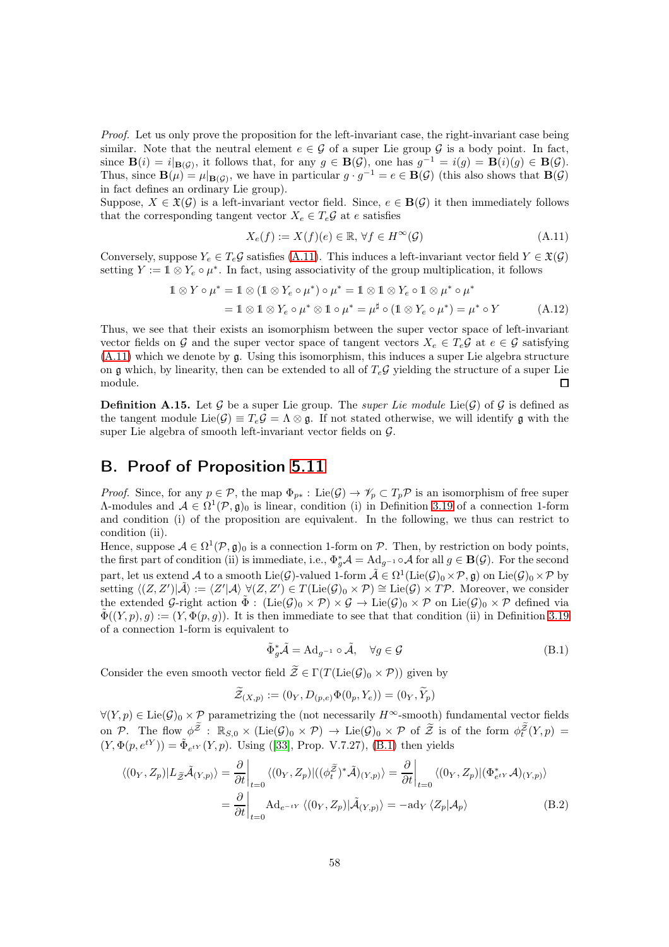Proof. Let us only prove the proposition for the left-invariant case, the right-invariant case being similar. Note that the neutral element  $e \in \mathcal{G}$  of a super Lie group  $\mathcal{G}$  is a body point. In fact, since  $\mathbf{B}(i) = i|_{\mathbf{B}(\mathcal{G})}$ , it follows that, for any  $g \in \mathbf{B}(\mathcal{G})$ , one has  $g^{-1} = i(g) = \mathbf{B}(i)(g) \in \mathbf{B}(\mathcal{G})$ . Thus, since  $\mathbf{B}(\mu) = \mu|_{\mathbf{B}(\mathcal{G})}$ , we have in particular  $g \cdot g^{-1} = e \in \mathbf{B}(\mathcal{G})$  (this also shows that  $\mathbf{B}(\mathcal{G})$ ) in fact defines an ordinary Lie group).

Suppose,  $X \in \mathfrak{X}(\mathcal{G})$  is a left-invariant vector field. Since,  $e \in \mathbf{B}(\mathcal{G})$  it then immediately follows that the corresponding tangent vector  $X_e \in T_e \mathcal{G}$  at e satisfies

<span id="page-57-1"></span>
$$
X_e(f) := X(f)(e) \in \mathbb{R}, \forall f \in H^\infty(\mathcal{G})
$$
\n(A.11)

Conversely, suppose  $Y_e \in T_e \mathcal{G}$  satisfies [\(A.11\)](#page-57-1). This induces a left-invariant vector field  $Y \in \mathfrak{X}(\mathcal{G})$ setting  $Y := \mathbb{1} \otimes Y_e \circ \mu^*$ . In fact, using associativity of the group multiplication, it follows

$$
1 \otimes Y \circ \mu^* = 1 \otimes (1 \otimes Y_e \circ \mu^*) \circ \mu^* = 1 \otimes 1 \otimes Y_e \circ 1 \otimes \mu^* \circ \mu^*
$$
  
= 
$$
1 \otimes 1 \otimes Y_e \circ \mu^* \otimes 1 \circ \mu^* = \mu^{\sharp} \circ (1 \otimes Y_e \circ \mu^*) = \mu^* \circ Y
$$
 (A.12)

Thus, we see that their exists an isomorphism between the super vector space of left-invariant vector fields on G and the super vector space of tangent vectors  $X_e \in T_e \mathcal{G}$  at  $e \in \mathcal{G}$  satisfying  $(A.11)$  which we denote by g. Using this isomorphism, this induces a super Lie algebra structure on g which, by linearity, then can be extended to all of  $T_e\mathcal{G}$  yielding the structure of a super Lie module.  $\Box$ 

**Definition A.15.** Let G be a super Lie group. The *super Lie module* Lie(G) of G is defined as the tangent module Lie( $\mathcal{G}$ )  $\equiv T_e \mathcal{G} = \Lambda \otimes \mathfrak{g}$ . If not stated otherwise, we will identify g with the super Lie algebra of smooth left-invariant vector fields on  $\mathcal{G}$ .

## <span id="page-57-0"></span>B. Proof of Proposition [5.11](#page-31-1)

*Proof.* Since, for any  $p \in \mathcal{P}$ , the map  $\Phi_{p*}: \text{Lie}(\mathcal{G}) \to \mathcal{V}_p \subset T_p \mathcal{P}$  is an isomorphism of free super A-modules and  $A \in \Omega^1(\mathcal{P}, \mathfrak{g})_0$  is linear, condition (i) in Definition [3.19](#page-20-0) of a connection 1-form and condition (i) of the proposition are equivalent. In the following, we thus can restrict to condition (ii).

Hence, suppose  $A \in \Omega^1(\mathcal{P}, \mathfrak{g})_0$  is a connection 1-form on  $\mathcal{P}$ . Then, by restriction on body points, the first part of condition (ii) is immediate, i.e.,  $\Phi_g^* A = \text{Ad}_{g^{-1}} \circ A$  for all  $g \in \mathbf{B}(\mathcal{G})$ . For the second part, let us extend A to a smooth  $\text{Lie}(\mathcal{G})$ -valued 1-form  $\tilde{\mathcal{A}} \in \Omega^1(\text{Lie}(\mathcal{G})_0 \times \mathcal{P}, \mathfrak{g})$  on  $\text{Lie}(\mathcal{G})_0 \times \mathcal{P}$  by  $\text{setting } \langle (Z, Z') | \tilde{\mathcal{A}} \rangle := \langle Z' | \mathcal{A} \rangle \ \forall (Z, Z') \in T(\text{Lie}(\mathcal{G})_0 \times \mathcal{P}) \cong \text{Lie}(\mathcal{G}) \times T\mathcal{P}.$  Moreover, we consider the extended G-right action  $\tilde{\Phi}$ :  $(\text{Lie}(\mathcal{G})_0 \times \mathcal{P}) \times \mathcal{G} \to \text{Lie}(\mathcal{G})_0 \times \mathcal{P}$  on  $\text{Lie}(\mathcal{G})_0 \times \mathcal{P}$  defined via  $\tilde{\Phi}((Y,p), g) := (Y, \Phi(p,g)).$  It is then immediate to see that that condition (ii) in Definition [3.19](#page-20-0) of a connection 1-form is equivalent to

<span id="page-57-2"></span>
$$
\tilde{\Phi}_{g}^{*}\tilde{\mathcal{A}} = \mathrm{Ad}_{g^{-1}} \circ \tilde{\mathcal{A}}, \quad \forall g \in \mathcal{G}
$$
\n(B.1)

Consider the even smooth vector field  $\widetilde{\mathcal{Z}} \in \Gamma(T(\mathrm{Lie}(G))_0 \times \mathcal{P})$  given by

$$
\widetilde{\mathcal{Z}}_{(X,p)} := (0_Y, D_{(p,e)} \Phi(0_p, Y_e)) = (0_Y, \widetilde{Y}_p)
$$

 $\forall (Y, p) \in \text{Lie}(\mathcal{G})_0 \times \mathcal{P}$  parametrizing the (not necessarily  $H^{\infty}$ -smooth) fundamental vector fields on P. The flow  $\phi^{\tilde{Z}}$ :  $\mathbb{R}_{S,0} \times (\text{Lie}(\mathcal{G})_0 \times \mathcal{P}) \to \text{Lie}(\mathcal{G})_0 \times \mathcal{P}$  of  $\tilde{Z}$  is of the form  $\phi_t^{\tilde{Z}}(Y,p) =$  $(Y, \Phi(p, e^{tY})) = \tilde{\Phi}_{e^{tY}}(Y, p)$ . Using ([\[33\]](#page-61-4), Prop. V.7.27), [\(B.1\)](#page-57-2) then yields

$$
\langle (0_Y, Z_p)|L_{\tilde{Z}}\tilde{\mathcal{A}}_{(Y,p)} \rangle = \frac{\partial}{\partial t}\Big|_{t=0} \langle (0_Y, Z_p)|((\phi_t^{\tilde{Z}})^* \tilde{\mathcal{A}})_{(Y,p)} \rangle = \frac{\partial}{\partial t}\Big|_{t=0} \langle (0_Y, Z_p)|(\Phi_{e^{tY}}^* \mathcal{A})_{(Y,p)} \rangle
$$
  

$$
= \frac{\partial}{\partial t}\Big|_{t=0} \text{Ad}_{e^{-tY}} \langle (0_Y, Z_p)|\tilde{\mathcal{A}}_{(Y,p)} \rangle = -\text{ad}_Y \langle Z_p | \mathcal{A}_p \rangle \tag{B.2}
$$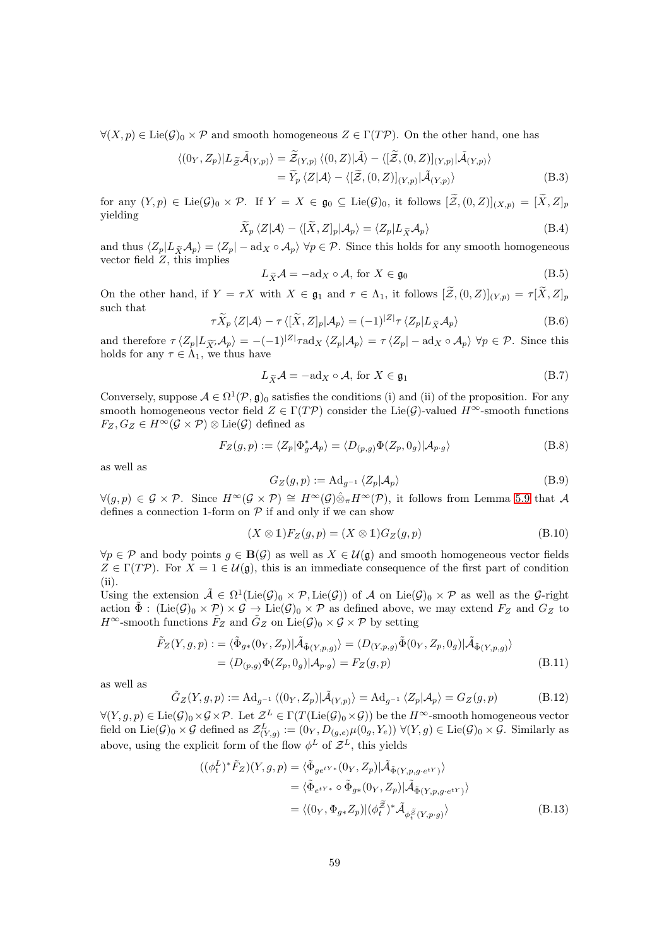$\forall (X, p) \in \text{Lie}(\mathcal{G})_0 \times \mathcal{P}$  and smooth homogeneous  $Z \in \Gamma(T\mathcal{P})$ . On the other hand, one has

$$
\langle (0_Y, Z_p)|L_{\widetilde{Z}}\widetilde{\mathcal{A}}_{(Y,p)}\rangle = \widetilde{\mathcal{Z}}_{(Y,p)} \langle (0,Z)|\widetilde{\mathcal{A}}\rangle - \langle [\widetilde{\mathcal{Z}}, (0,Z)]_{(Y,p)}|\widetilde{\mathcal{A}}_{(Y,p)}\rangle = \widetilde{Y}_p \langle Z|\mathcal{A}\rangle - \langle [\widetilde{\mathcal{Z}}, (0,Z)]_{(Y,p)}|\widetilde{\mathcal{A}}_{(Y,p)}\rangle
$$
(B.3)

for any  $(Y, p) \in \text{Lie}(\mathcal{G})_0 \times \mathcal{P}$ . If  $Y = X \in \mathfrak{g}_0 \subseteq \text{Lie}(\mathcal{G})_0$ , it follows  $[\widetilde{\mathcal{Z}}, (0, Z)]_{(X, p)} = [\widetilde{X}, Z]_p$ yielding

$$
\widetilde{X}_p \langle Z | \mathcal{A} \rangle - \langle [\widetilde{X}, Z]_p | \mathcal{A}_p \rangle = \langle Z_p | L_{\widetilde{X}} \mathcal{A}_p \rangle \tag{B.4}
$$

and thus  $\langle Z_p | L_{\tilde{X}} A_p \rangle = \langle Z_p | - \text{ad}_X \circ A_p \rangle \ \forall p \in \mathcal{P}$ . Since this holds for any smooth homogeneous vector field  $Z$ , this implies

$$
L_{\widetilde{X}}\mathcal{A} = -\mathrm{ad}_{X} \circ \mathcal{A}, \text{ for } X \in \mathfrak{g}_{0}
$$
 (B.5)

On the other hand, if  $Y = \tau X$  with  $X \in \mathfrak{g}_1$  and  $\tau \in \Lambda_1$ , it follows  $[\widetilde{\mathcal{Z}},(0,Z)]_{(Y,p)} = \tau[\widetilde{X},Z]_p$ such that

$$
\tau \widetilde{X}_p \langle Z | \mathcal{A} \rangle - \tau \langle [\widetilde{X}, Z]_p | \mathcal{A}_p \rangle = (-1)^{|Z|} \tau \langle Z_p | L_{\widetilde{X}} \mathcal{A}_p \rangle \tag{B.6}
$$

and therefore  $\tau \langle Z_p | L_{\widetilde{X'}} A_p \rangle = -(-1)^{|Z|} \tau \text{ad}_X \langle Z_p | A_p \rangle = \tau \langle Z_p | - \text{ad}_X \circ A_p \rangle \ \forall p \in \mathcal{P}$ . Since this holds for any  $\tau \in \Lambda_1$ , we thus have

$$
L_{\widetilde{X}}\mathcal{A} = -\mathrm{ad}_{X} \circ \mathcal{A}, \text{ for } X \in \mathfrak{g}_{1}
$$
 (B.7)

Conversely, suppose  $A \in \Omega^1(\mathcal{P}, \mathfrak{g})_0$  satisfies the conditions (i) and (ii) of the proposition. For any smooth homogeneous vector field  $Z \in \Gamma(T\mathcal{P})$  consider the Lie( $\mathcal{G}$ )-valued  $H^{\infty}$ -smooth functions  $F_Z, G_Z \in H^{\infty}(\mathcal{G} \times \mathcal{P}) \otimes \text{Lie}(\mathcal{G})$  defined as

$$
F_Z(g, p) := \langle Z_p | \Phi_g^* \mathcal{A}_p \rangle = \langle D_{(p,g)} \Phi(Z_p, 0_g) | \mathcal{A}_{p \cdot g} \rangle \tag{B.8}
$$

as well as

<span id="page-58-0"></span>
$$
G_Z(g, p) := \mathrm{Ad}_{g^{-1}} \langle Z_p | \mathcal{A}_p \rangle \tag{B.9}
$$

 $\forall (g, p) \in \mathcal{G} \times \mathcal{P}$ . Since  $H^{\infty}(\mathcal{G} \times \mathcal{P}) \cong H^{\infty}(\mathcal{G}) \hat{\otimes}_{\pi} H^{\infty}(\mathcal{P})$ , it follows from Lemma [5.9](#page-30-0) that A defines a connection 1-form on  $P$  if and only if we can show

$$
(X \otimes \mathbb{1})F_Z(g, p) = (X \otimes \mathbb{1})G_Z(g, p) \tag{B.10}
$$

 $\forall p \in \mathcal{P}$  and body points  $q \in \mathbf{B}(\mathcal{G})$  as well as  $X \in \mathcal{U}(\mathfrak{g})$  and smooth homogeneous vector fields  $Z \in \Gamma(T\mathcal{P})$ . For  $X = 1 \in \mathcal{U}(\mathfrak{g})$ , this is an immediate consequence of the first part of condition (ii).

Using the extension  $\tilde{\mathcal{A}} \in \Omega^1(\text{Lie}(\mathcal{G})_0 \times \mathcal{P}, \text{Lie}(\mathcal{G}))$  of A on  $\text{Lie}(\mathcal{G})_0 \times \mathcal{P}$  as well as the G-right action  $\tilde{\Phi}$ : (Lie( $\mathcal{G}_0 \times \mathcal{P} \times \mathcal{G} \to \text{Lie}(\mathcal{G})_0 \times \mathcal{P}$  as defined above, we may extend  $F_Z$  and  $G_Z$  to  $H^{\infty}$ -smooth functions  $\tilde{F}_Z$  and  $\tilde{G}_Z$  on  $Lie(\mathcal{G})_0 \times \mathcal{G} \times \mathcal{P}$  by setting

$$
\tilde{F}_Z(Y,g,p) := \langle \tilde{\Phi}_{g*}(0_Y, Z_p) | \tilde{\mathcal{A}}_{\tilde{\Phi}(Y,p,g)} \rangle = \langle D_{(Y,p,g)} \tilde{\Phi}(0_Y, Z_p, 0_g) | \tilde{\mathcal{A}}_{\tilde{\Phi}(Y,p,g)} \rangle \n= \langle D_{(p,g)} \Phi(Z_p, 0_g) | \mathcal{A}_{p \cdot g} \rangle = F_Z(g,p)
$$
\n(B.11)

as well as

$$
\tilde{G}_Z(Y,g,p) := \mathrm{Ad}_{g^{-1}} \left\langle (0_Y, Z_p) | \tilde{\mathcal{A}}_{(Y,p)} \right\rangle = \mathrm{Ad}_{g^{-1}} \left\langle Z_p | \mathcal{A}_p \right\rangle = G_Z(g,p) \tag{B.12}
$$

 $\forall (Y,g,p) \in \text{Lie}(\mathcal{G})_0 \times \mathcal{G} \times \mathcal{P}$ . Let  $\mathcal{Z}^L \in \Gamma(T(\text{Lie}(\mathcal{G})_0 \times \mathcal{G}))$  be the  $H^{\infty}$ -smooth homogeneous vector field on Lie( $\mathcal{G}_0 \times \mathcal{G}$  defined as  $\mathcal{Z}^L_{(Y,g)} := (0_Y, D_{(g,e)} \mu(0_g, Y_e)) \ \forall (Y, g) \in \text{Lie}(\mathcal{G})_0 \times \mathcal{G}$ . Similarly as above, using the explicit form of the flow  $\phi^L$  of  $\mathcal{Z}^L$ , this yields

$$
\begin{split} ((\phi_t^L)^* \tilde{F}_Z)(Y, g, p) &= \langle \tilde{\Phi}_{ge^{tY*}}(0_Y, Z_p) | \tilde{\mathcal{A}}_{\tilde{\Phi}(Y, p, g \cdot e^{tY})} \rangle \\ &= \langle \tilde{\Phi}_{e^{tY*}} \circ \tilde{\Phi}_{g*}(0_Y, Z_p) | \tilde{\mathcal{A}}_{\tilde{\Phi}(Y, p, g \cdot e^{tY})} \rangle \\ &= \langle (0_Y, \Phi_{g*} Z_p) | (\phi_t^{\tilde{Z}})^* \tilde{\mathcal{A}}_{\phi_t^{\tilde{Z}}(Y, p \cdot g)} \rangle \end{split} \tag{B.13}
$$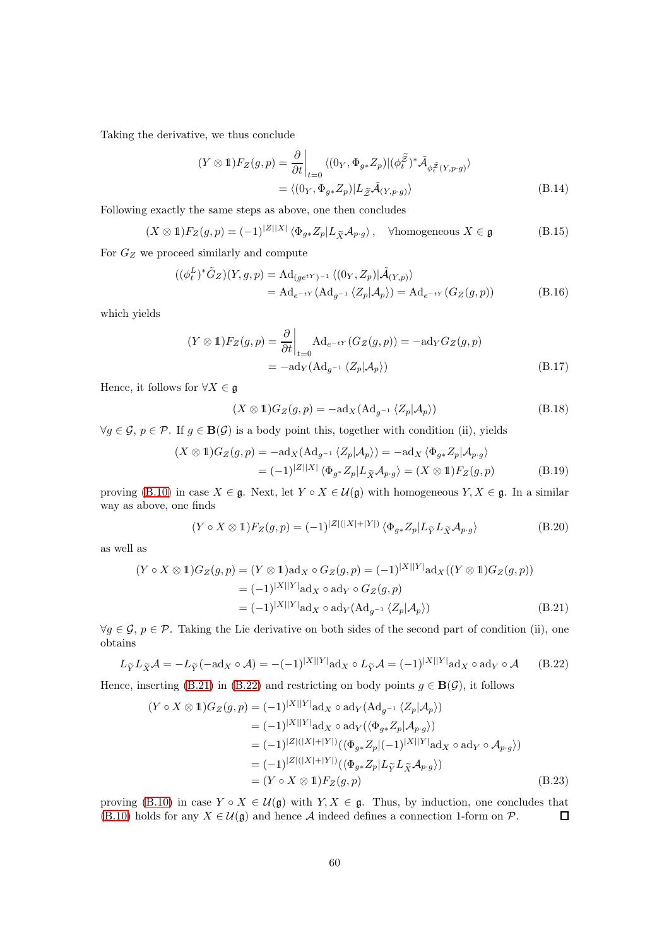Taking the derivative, we thus conclude

$$
(Y \otimes \mathbb{1}) F_Z(g, p) = \frac{\partial}{\partial t} \Big|_{t=0} \langle (0_Y, \Phi_{g*} Z_p) | (\phi_t^{\tilde{Z}})^* \tilde{\mathcal{A}}_{\phi_t^{\tilde{Z}}(Y, p \cdot g)} \rangle
$$
  
=  $\langle (0_Y, \Phi_{g*} Z_p) | L_{\tilde{Z}} \tilde{\mathcal{A}}_{(Y, p \cdot g)} \rangle$  (B.14)

Following exactly the same steps as above, one then concludes

$$
(X \otimes 1)F_Z(g, p) = (-1)^{|Z||X|} \langle \Phi_{g*} Z_p | L_{\widetilde{X}} \mathcal{A}_{p \cdot g} \rangle, \quad \forall \text{homogeneous } X \in \mathfrak{g}
$$
 (B.15)

For  $G_Z$  we proceed similarly and compute  $\mathbf{L}$ 

$$
\begin{aligned} ((\phi_t^L)^* \tilde{G}_Z)(Y, g, p) &= \mathrm{Ad}_{(g e^{tY})^{-1}} \langle (0_Y, Z_p) | \tilde{\mathcal{A}}_{(Y, p)} \rangle \\ &= \mathrm{Ad}_{e^{-tY}} (\mathrm{Ad}_{g^{-1}} \langle Z_p | \mathcal{A}_p \rangle) = \mathrm{Ad}_{e^{-tY}} (G_Z(g, p)) \end{aligned} \tag{B.16}
$$

which yields

$$
(Y \otimes \mathbb{1})F_Z(g,p) = \frac{\partial}{\partial t}\Big|_{t=0} \mathrm{Ad}_{e^{-tY}}(G_Z(g,p)) = -\mathrm{ad}_Y G_Z(g,p)
$$
  
=  $-\mathrm{ad}_Y(\mathrm{Ad}_{g^{-1}}\langle Z_p | \mathcal{A}_p \rangle)$  (B.17)

Hence, it follows for  $\forall X \in \mathfrak{g}$ 

$$
(X \otimes \mathbb{1})G_Z(g, p) = -\mathrm{ad}_X(\mathrm{Ad}_{g^{-1}} \langle Z_p | \mathcal{A}_p \rangle)
$$
(B.18)

 $\forall g \in \mathcal{G}, p \in \mathcal{P}$ . If  $g \in \mathbf{B}(\mathcal{G})$  is a body point this, together with condition (ii), yields

$$
(X \otimes \mathbb{1})G_Z(g, p) = -\mathrm{ad}_X(\mathrm{Ad}_{g^{-1}} \langle Z_p | \mathcal{A}_p \rangle) = -\mathrm{ad}_X \langle \Phi_{g*} Z_p | \mathcal{A}_{p \cdot g} \rangle
$$
  
=  $(-1)^{|Z||X|} \langle \Phi_{g*} Z_p | L_{\widetilde{X}} \mathcal{A}_{p \cdot g} \rangle = (X \otimes \mathbb{1})F_Z(g, p)$  (B.19)

proving [\(B.10\)](#page-58-0) in case  $X \in \mathfrak{g}$ . Next, let  $Y \circ X \in \mathcal{U}(\mathfrak{g})$  with homogeneous  $Y, X \in \mathfrak{g}$ . In a similar way as above, one finds

<span id="page-59-0"></span>
$$
(Y \circ X \otimes 1)F_Z(g, p) = (-1)^{|Z|(|X|+|Y|)} \langle \Phi_{g*} Z_p | L_{\widetilde{Y}} L_{\widetilde{X}} \mathcal{A}_{p \cdot g} \rangle \tag{B.20}
$$

as well as

$$
(Y \circ X \otimes 1)G_Z(g, p) = (Y \otimes 1)\text{ad}_X \circ G_Z(g, p) = (-1)^{|X||Y|} \text{ad}_X((Y \otimes 1)G_Z(g, p))
$$
  

$$
= (-1)^{|X||Y|} \text{ad}_X \circ \text{ad}_Y \circ G_Z(g, p)
$$
  

$$
= (-1)^{|X||Y|} \text{ad}_X \circ \text{ad}_Y(\text{Ad}_{g^{-1}} \langle Z_p | A_p \rangle) \tag{B.21}
$$

 $\forall g \in \mathcal{G}, p \in \mathcal{P}$ . Taking the Lie derivative on both sides of the second part of condition (ii), one obtains

<span id="page-59-1"></span>
$$
L_{\widetilde{Y}}L_{\widetilde{X}}\mathcal{A} = -L_{\widetilde{Y}}(-\mathrm{ad}_X \circ \mathcal{A}) = -(-1)^{|X||Y|} \mathrm{ad}_X \circ L_{\widetilde{Y}}\mathcal{A} = (-1)^{|X||Y|} \mathrm{ad}_X \circ \mathrm{ad}_Y \circ \mathcal{A} \qquad (B.22)
$$

Hence, inserting [\(B.21\)](#page-59-0) in [\(B.22\)](#page-59-1) and restricting on body points  $g \in \mathbf{B}(\mathcal{G})$ , it follows

$$
(Y \circ X \otimes 1)G_Z(g, p) = (-1)^{|X||Y|} \operatorname{ad}_X \circ \operatorname{ad}_Y(\operatorname{Ad}_{g^{-1}} \langle Z_p | A_p \rangle)
$$
  
\n
$$
= (-1)^{|X||Y|} \operatorname{ad}_X \circ \operatorname{ad}_Y(\langle \Phi_{g*} Z_p | A_{p \cdot g} \rangle)
$$
  
\n
$$
= (-1)^{|Z|(|X|+|Y|)} (\langle \Phi_{g*} Z_p | (-1)^{|X||Y|} \operatorname{ad}_X \circ \operatorname{ad}_Y \circ A_{p \cdot g} \rangle)
$$
  
\n
$$
= (-1)^{|Z|(|X|+|Y|)} (\langle \Phi_{g*} Z_p | L_{\widetilde{Y}} L_{\widetilde{X}} A_{p \cdot g} \rangle)
$$
  
\n
$$
= (Y \circ X \otimes 1)F_Z(g, p) \tag{B.23}
$$

proving [\(B.10\)](#page-58-0) in case  $Y \circ X \in \mathcal{U}(\mathfrak{g})$  with  $Y, X \in \mathfrak{g}$ . Thus, by induction, one concludes that [\(B.10\)](#page-58-0) holds for any  $X \in \mathcal{U}(\mathfrak{g})$  and hence A indeed defines a connection 1-form on  $\mathcal{P}$ .  $\Box$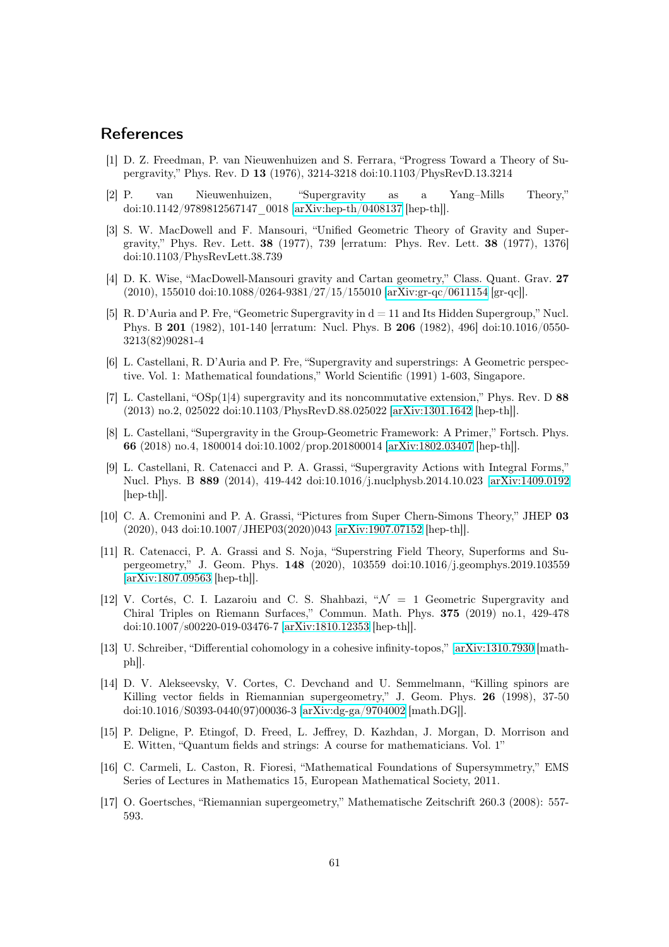## <span id="page-60-13"></span>References

- [1] D. Z. Freedman, P. van Nieuwenhuizen and S. Ferrara, "Progress Toward a Theory of Supergravity," Phys. Rev. D 13 (1976), 3214-3218 doi:10.1103/PhysRevD.13.3214
- <span id="page-60-14"></span><span id="page-60-9"></span>[2] P. van Nieuwenhuizen, "Supergravity as a Yang–Mills Theory," doi:10.1142/9789812567147\_0018 [\[arXiv:hep-th/0408137](http://arxiv.org/abs/hep-th/0408137) [hep-th]].
- [3] S. W. MacDowell and F. Mansouri, "Unified Geometric Theory of Gravity and Supergravity," Phys. Rev. Lett. 38 (1977), 739 [erratum: Phys. Rev. Lett. 38 (1977), 1376] doi:10.1103/PhysRevLett.38.739
- <span id="page-60-3"></span>[4] D. K. Wise, "MacDowell-Mansouri gravity and Cartan geometry," Class. Quant. Grav. 27 (2010), 155010 doi:10.1088/0264-9381/27/15/155010 [\[arXiv:gr-qc/0611154](http://arxiv.org/abs/gr-qc/0611154) [gr-qc]].
- <span id="page-60-0"></span>[5] R. D'Auria and P. Fre, "Geometric Supergravity in  $d = 11$  and Its Hidden Supergroup," Nucl. Phys. B 201 (1982), 101-140 [erratum: Nucl. Phys. B 206 (1982), 496] doi:10.1016/0550- 3213(82)90281-4
- <span id="page-60-1"></span>[6] L. Castellani, R. D'Auria and P. Fre, "Supergravity and superstrings: A Geometric perspective. Vol. 1: Mathematical foundations," World Scientific (1991) 1-603, Singapore.
- <span id="page-60-6"></span>[7] L. Castellani, "OSp(1|4) supergravity and its noncommutative extension," Phys. Rev. D 88 (2013) no.2, 025022 doi:10.1103/PhysRevD.88.025022 [\[arXiv:1301.1642](http://arxiv.org/abs/1301.1642) [hep-th]].
- <span id="page-60-7"></span>[8] L. Castellani, "Supergravity in the Group-Geometric Framework: A Primer," Fortsch. Phys. 66 (2018) no.4, 1800014 doi:10.1002/prop.201800014 [\[arXiv:1802.03407](http://arxiv.org/abs/1802.03407) [hep-th]].
- <span id="page-60-10"></span>[9] L. Castellani, R. Catenacci and P. A. Grassi, "Supergravity Actions with Integral Forms," Nucl. Phys. B 889 (2014), 419-442 doi:10.1016/j.nuclphysb.2014.10.023 [\[arXiv:1409.0192](http://arxiv.org/abs/1409.0192)  $\vert \text{hep-th} \vert$ .
- <span id="page-60-11"></span>[10] C. A. Cremonini and P. A. Grassi, "Pictures from Super Chern-Simons Theory," JHEP 03 (2020), 043 doi:10.1007/JHEP03(2020)043 [\[arXiv:1907.07152](http://arxiv.org/abs/1907.07152) [hep-th]].
- <span id="page-60-12"></span>[11] R. Catenacci, P. A. Grassi and S. Noja, "Superstring Field Theory, Superforms and Supergeometry," J. Geom. Phys. 148 (2020), 103559 doi:10.1016/j.geomphys.2019.103559 [\[arXiv:1807.09563](http://arxiv.org/abs/1807.09563) [hep-th]].
- <span id="page-60-8"></span>[12] V. Cortés, C. I. Lazaroiu and C. S. Shahbazi,  $\mathcal{N} = 1$  Geometric Supergravity and Chiral Triples on Riemann Surfaces," Commun. Math. Phys. 375 (2019) no.1, 429-478 doi:10.1007/s00220-019-03476-7 [\[arXiv:1810.12353](http://arxiv.org/abs/1810.12353) [hep-th]].
- <span id="page-60-16"></span>[13] U. Schreiber, "Differential cohomology in a cohesive infinity-topos," [\[arXiv:1310.7930](http://arxiv.org/abs/1310.7930) [mathph]].
- <span id="page-60-15"></span>[14] D. V. Alekseevsky, V. Cortes, C. Devchand and U. Semmelmann, "Killing spinors are Killing vector fields in Riemannian supergeometry," J. Geom. Phys. 26 (1998), 37-50 doi:10.1016/S0393-0440(97)00036-3 [\[arXiv:dg-ga/9704002](http://arxiv.org/abs/dg-ga/9704002) [math.DG]].
- <span id="page-60-2"></span>[15] P. Deligne, P. Etingof, D. Freed, L. Jeffrey, D. Kazhdan, J. Morgan, D. Morrison and E. Witten, "Quantum fields and strings: A course for mathematicians. Vol. 1"
- <span id="page-60-5"></span>[16] C. Carmeli, L. Caston, R. Fioresi, "Mathematical Foundations of Supersymmetry," EMS Series of Lectures in Mathematics 15, European Mathematical Society, 2011.
- <span id="page-60-4"></span>[17] O. Goertsches, "Riemannian supergeometry," Mathematische Zeitschrift 260.3 (2008): 557- 593.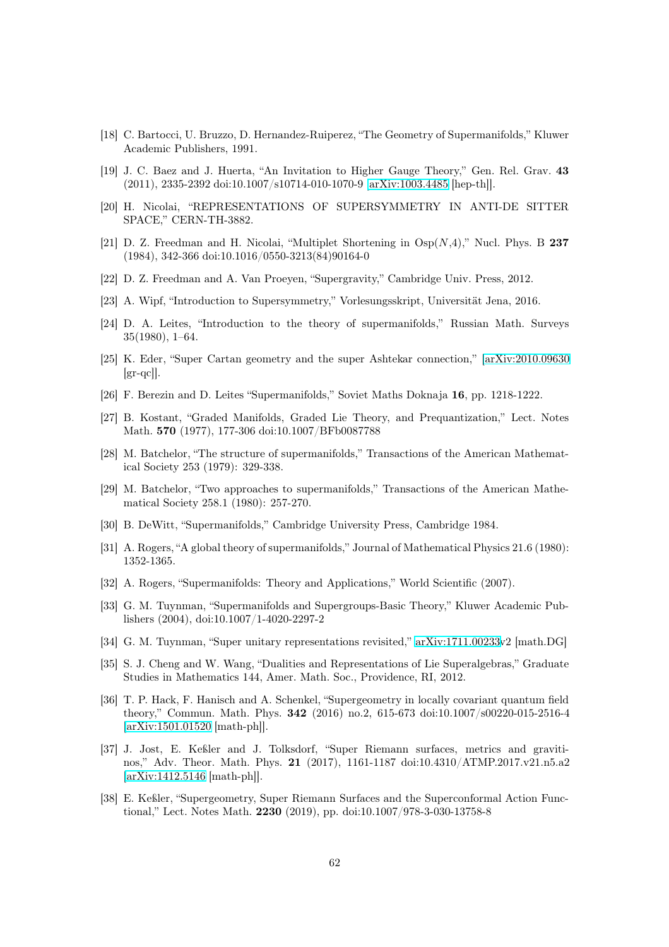- <span id="page-61-16"></span><span id="page-61-9"></span>[18] C. Bartocci, U. Bruzzo, D. Hernandez-Ruiperez, "The Geometry of Supermanifolds," Kluwer Academic Publishers, 1991.
- [19] J. C. Baez and J. Huerta, "An Invitation to Higher Gauge Theory," Gen. Rel. Grav. 43 (2011), 2335-2392 doi:10.1007/s10714-010-1070-9 [\[arXiv:1003.4485](http://arxiv.org/abs/1003.4485) [hep-th]].
- <span id="page-61-13"></span>[20] H. Nicolai, "REPRESENTATIONS OF SUPERSYMMETRY IN ANTI-DE SITTER SPACE," CERN-TH-3882.
- <span id="page-61-14"></span>[21] D. Z. Freedman and H. Nicolai, "Multiplet Shortening in  $O_{SD}(N,4)$ ," Nucl. Phys. B 237 (1984), 342-366 doi:10.1016/0550-3213(84)90164-0
- <span id="page-61-15"></span>[22] D. Z. Freedman and A. Van Proeyen, "Supergravity," Cambridge Univ. Press, 2012.
- [23] A. Wipf, "Introduction to Supersymmetry," Vorlesungsskript, Universität Jena, 2016.
- [24] D. A. Leites, "Introduction to the theory of supermanifolds," Russian Math. Surveys 35(1980), 1–64.
- <span id="page-61-6"></span>[25] K. Eder, "Super Cartan geometry and the super Ashtekar connection," [\[arXiv:2010.09630](http://arxiv.org/abs/2010.09630)  $\left[\text{gr-qcl}\right]$ .
- <span id="page-61-1"></span><span id="page-61-0"></span>[26] F. Berezin and D. Leites "Supermanifolds," Soviet Maths Doknaja 16, pp. 1218-1222.
- [27] B. Kostant, "Graded Manifolds, Graded Lie Theory, and Prequantization," Lect. Notes Math. 570 (1977), 177-306 doi:10.1007/BFb0087788
- <span id="page-61-18"></span>[28] M. Batchelor, "The structure of supermanifolds," Transactions of the American Mathematical Society 253 (1979): 329-338.
- <span id="page-61-12"></span>[29] M. Batchelor, "Two approaches to supermanifolds," Transactions of the American Mathematical Society 258.1 (1980): 257-270.
- <span id="page-61-3"></span><span id="page-61-2"></span>[30] B. DeWitt, "Supermanifolds," Cambridge University Press, Cambridge 1984.
- <span id="page-61-17"></span>[31] A. Rogers, "A global theory of supermanifolds," Journal of Mathematical Physics 21.6 (1980): 1352-1365.
- <span id="page-61-4"></span>[32] A. Rogers, "Supermanifolds: Theory and Applications," World Scientific (2007).
- [33] G. M. Tuynman, "Supermanifolds and Supergroups-Basic Theory," Kluwer Academic Publishers (2004), doi:10.1007/1-4020-2297-2
- <span id="page-61-11"></span><span id="page-61-10"></span>[34] G. M. Tuynman, "Super unitary representations revisited," [arXiv:1711.00233v](http://arxiv.org/abs/1711.00233)2 [math.DG]
- [35] S. J. Cheng and W. Wang, "Dualities and Representations of Lie Superalgebras," Graduate Studies in Mathematics 144, Amer. Math. Soc., Providence, RI, 2012.
- <span id="page-61-5"></span>[36] T. P. Hack, F. Hanisch and A. Schenkel, "Supergeometry in locally covariant quantum field theory," Commun. Math. Phys. 342 (2016) no.2, 615-673 doi:10.1007/s00220-015-2516-4 [\[arXiv:1501.01520](http://arxiv.org/abs/1501.01520) [math-ph]].
- <span id="page-61-7"></span>[37] J. Jost, E. Keßler and J. Tolksdorf, "Super Riemann surfaces, metrics and gravitinos," Adv. Theor. Math. Phys. 21 (2017), 1161-1187 doi:10.4310/ATMP.2017.v21.n5.a2 [\[arXiv:1412.5146](http://arxiv.org/abs/1412.5146) [math-ph]].
- <span id="page-61-8"></span>[38] E. Keßler, "Supergeometry, Super Riemann Surfaces and the Superconformal Action Functional," Lect. Notes Math. 2230 (2019), pp. doi:10.1007/978-3-030-13758-8